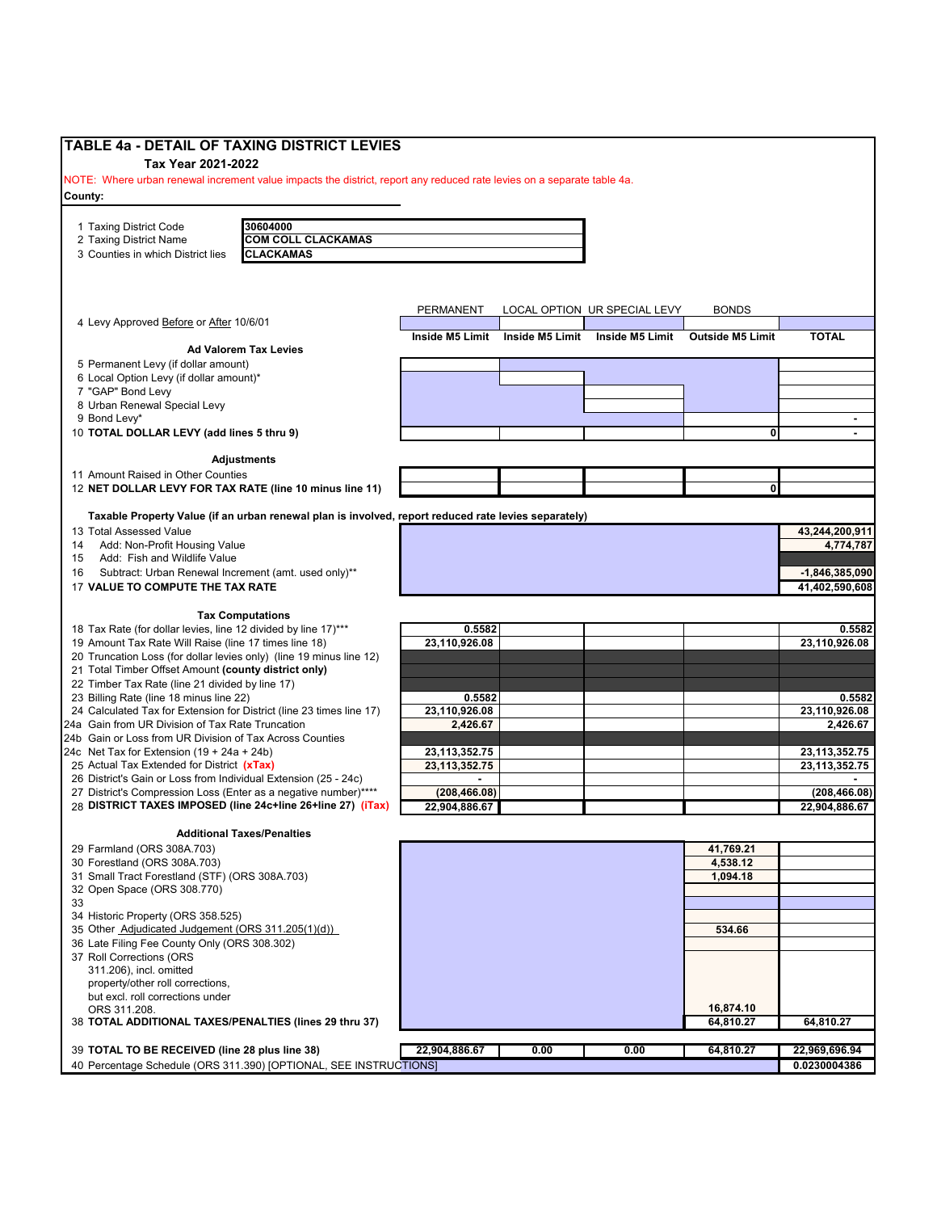| <b>TABLE 4a - DETAIL OF TAXING DISTRICT LEVIES</b>                                                                                                                                                                                            |                           |                 |                              |                         |                           |
|-----------------------------------------------------------------------------------------------------------------------------------------------------------------------------------------------------------------------------------------------|---------------------------|-----------------|------------------------------|-------------------------|---------------------------|
| Tax Year 2021-2022                                                                                                                                                                                                                            |                           |                 |                              |                         |                           |
| NOTE: Where urban renewal increment value impacts the district, report any reduced rate levies on a separate table 4a.                                                                                                                        |                           |                 |                              |                         |                           |
| County:                                                                                                                                                                                                                                       |                           |                 |                              |                         |                           |
|                                                                                                                                                                                                                                               |                           |                 |                              |                         |                           |
| 1 Taxing District Code<br>30604000                                                                                                                                                                                                            |                           |                 |                              |                         |                           |
| <b>COM COLL CLACKAMAS</b><br>2 Taxing District Name                                                                                                                                                                                           |                           |                 |                              |                         |                           |
| 3 Counties in which District lies<br><b>CLACKAMAS</b>                                                                                                                                                                                         |                           |                 |                              |                         |                           |
|                                                                                                                                                                                                                                               |                           |                 |                              |                         |                           |
|                                                                                                                                                                                                                                               |                           |                 |                              |                         |                           |
|                                                                                                                                                                                                                                               | PERMANENT                 |                 | LOCAL OPTION UR SPECIAL LEVY | <b>BONDS</b>            |                           |
| 4 Levy Approved Before or After 10/6/01                                                                                                                                                                                                       |                           |                 |                              |                         |                           |
|                                                                                                                                                                                                                                               | Inside M5 Limit           | Inside M5 Limit | Inside M5 Limit              | <b>Outside M5 Limit</b> | <b>TOTAL</b>              |
| <b>Ad Valorem Tax Levies</b>                                                                                                                                                                                                                  |                           |                 |                              |                         |                           |
| 5 Permanent Levy (if dollar amount)                                                                                                                                                                                                           |                           |                 |                              |                         |                           |
| 6 Local Option Levy (if dollar amount)*<br>7 "GAP" Bond Levy                                                                                                                                                                                  |                           |                 |                              |                         |                           |
| 8 Urban Renewal Special Levy                                                                                                                                                                                                                  |                           |                 |                              |                         |                           |
| 9 Bond Levy*                                                                                                                                                                                                                                  |                           |                 |                              |                         | $\blacksquare$            |
| 10 TOTAL DOLLAR LEVY (add lines 5 thru 9)                                                                                                                                                                                                     |                           |                 |                              | 01                      |                           |
|                                                                                                                                                                                                                                               |                           |                 |                              |                         |                           |
| <b>Adjustments</b>                                                                                                                                                                                                                            |                           |                 |                              |                         |                           |
| 11 Amount Raised in Other Counties                                                                                                                                                                                                            |                           |                 |                              |                         |                           |
| 12 NET DOLLAR LEVY FOR TAX RATE (line 10 minus line 11)                                                                                                                                                                                       |                           |                 |                              | 0                       |                           |
|                                                                                                                                                                                                                                               |                           |                 |                              |                         |                           |
| Taxable Property Value (if an urban renewal plan is involved, report reduced rate levies separately)                                                                                                                                          |                           |                 |                              |                         |                           |
| 13 Total Assessed Value                                                                                                                                                                                                                       |                           |                 |                              |                         | 43,244,200,911            |
| Add: Non-Profit Housing Value<br>14<br>Add: Fish and Wildlife Value<br>15                                                                                                                                                                     |                           |                 |                              |                         | 4,774,787                 |
| Subtract: Urban Renewal Increment (amt. used only)**<br>16                                                                                                                                                                                    |                           |                 |                              |                         | $-1,846,385,090$          |
| 17 VALUE TO COMPUTE THE TAX RATE                                                                                                                                                                                                              |                           |                 |                              |                         | 41,402,590,608            |
|                                                                                                                                                                                                                                               |                           |                 |                              |                         |                           |
| <b>Tax Computations</b>                                                                                                                                                                                                                       |                           |                 |                              |                         |                           |
| 18 Tax Rate (for dollar levies, line 12 divided by line 17)***                                                                                                                                                                                | 0.5582                    |                 |                              |                         | 0.5582                    |
| 19 Amount Tax Rate Will Raise (line 17 times line 18)                                                                                                                                                                                         | 23,110,926.08             |                 |                              |                         | 23,110,926.08             |
| 20 Truncation Loss (for dollar levies only) (line 19 minus line 12)                                                                                                                                                                           |                           |                 |                              |                         |                           |
| 21 Total Timber Offset Amount (county district only)                                                                                                                                                                                          |                           |                 |                              |                         |                           |
| 22 Timber Tax Rate (line 21 divided by line 17)                                                                                                                                                                                               |                           |                 |                              |                         |                           |
| 23 Billing Rate (line 18 minus line 22)                                                                                                                                                                                                       | 0.5582                    |                 |                              |                         | 0.5582                    |
| 24 Calculated Tax for Extension for District (line 23 times line 17)<br>24a Gain from UR Division of Tax Rate Truncation                                                                                                                      | 23,110,926.08<br>2,426.67 |                 |                              |                         | 23,110,926.08<br>2,426.67 |
| 24b Gain or Loss from UR Division of Tax Across Counties                                                                                                                                                                                      |                           |                 |                              |                         |                           |
| 24c Net Tax for Extension $(19 + 24a + 24b)$                                                                                                                                                                                                  | 23,113,352.75             |                 |                              |                         | 23, 113, 352. 75          |
| 25 Actual Tax Extended for District (xTax)                                                                                                                                                                                                    | 23.113.352.75             |                 |                              |                         | 23,113,352.75             |
| 26 District's Gain or Loss from Individual Extension (25 - 24c)                                                                                                                                                                               |                           |                 |                              |                         |                           |
| 27 District's Compression Loss (Enter as a negative number)****                                                                                                                                                                               | (208, 466.08)             |                 |                              |                         | (208, 466.08)             |
| 28 DISTRICT TAXES IMPOSED (line 24c+line 26+line 27) (iTax)                                                                                                                                                                                   | 22,904,886.67             |                 |                              |                         | 22,904,886.67             |
|                                                                                                                                                                                                                                               |                           |                 |                              |                         |                           |
| <b>Additional Taxes/Penalties</b>                                                                                                                                                                                                             |                           |                 |                              |                         |                           |
| 29 Farmland (ORS 308A.703)                                                                                                                                                                                                                    |                           |                 |                              | 41,769.21               |                           |
| 30 Forestland (ORS 308A.703)<br>31 Small Tract Forestland (STF) (ORS 308A.703)                                                                                                                                                                |                           |                 |                              | 4,538.12<br>1,094.18    |                           |
|                                                                                                                                                                                                                                               |                           |                 |                              |                         |                           |
|                                                                                                                                                                                                                                               |                           |                 |                              |                         |                           |
|                                                                                                                                                                                                                                               |                           |                 |                              |                         |                           |
|                                                                                                                                                                                                                                               |                           |                 |                              |                         |                           |
|                                                                                                                                                                                                                                               |                           |                 |                              | 534.66                  |                           |
|                                                                                                                                                                                                                                               |                           |                 |                              |                         |                           |
|                                                                                                                                                                                                                                               |                           |                 |                              |                         |                           |
| 311.206), incl. omitted                                                                                                                                                                                                                       |                           |                 |                              |                         |                           |
| property/other roll corrections,                                                                                                                                                                                                              |                           |                 |                              |                         |                           |
| 32 Open Space (ORS 308.770)<br>33<br>34 Historic Property (ORS 358.525)<br>35 Other Adjudicated Judgement (ORS 311.205(1)(d))<br>36 Late Filing Fee County Only (ORS 308.302)<br>37 Roll Corrections (ORS<br>but excl. roll corrections under |                           |                 |                              |                         |                           |
| ORS 311.208.                                                                                                                                                                                                                                  |                           |                 |                              | 16,874.10               |                           |
| 38 TOTAL ADDITIONAL TAXES/PENALTIES (lines 29 thru 37)                                                                                                                                                                                        |                           |                 |                              | 64,810.27               | 64,810.27                 |
| 39 TOTAL TO BE RECEIVED (line 28 plus line 38)                                                                                                                                                                                                | 22,904,886.67             | 0.00            | 0.00                         | 64,810.27               | 22,969,696.94             |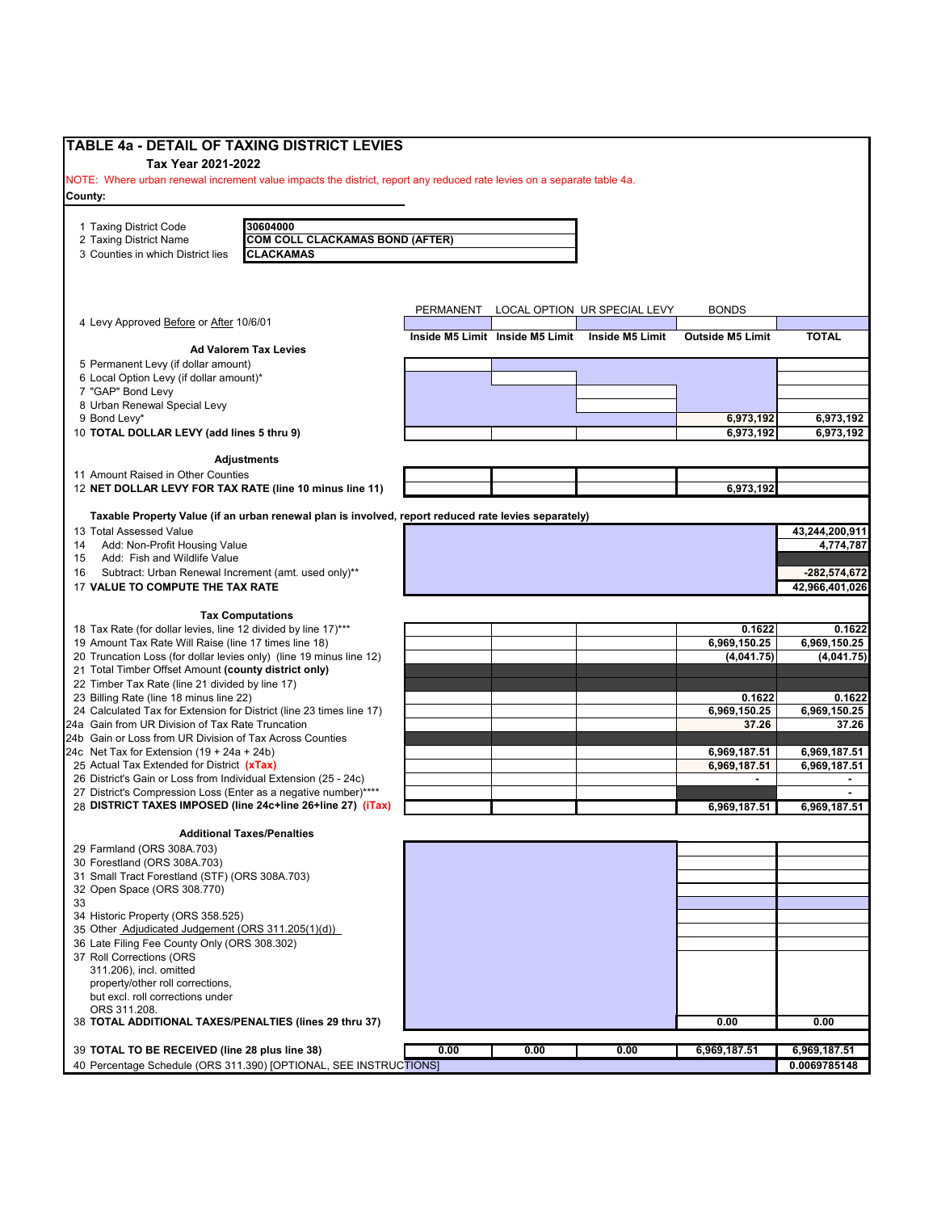| <b>TABLE 4a - DETAIL OF TAXING DISTRICT LEVIES</b>                                                                     |           |                                 |                              |                         |                        |
|------------------------------------------------------------------------------------------------------------------------|-----------|---------------------------------|------------------------------|-------------------------|------------------------|
| Tax Year 2021-2022                                                                                                     |           |                                 |                              |                         |                        |
| NOTE: Where urban renewal increment value impacts the district, report any reduced rate levies on a separate table 4a. |           |                                 |                              |                         |                        |
| County:                                                                                                                |           |                                 |                              |                         |                        |
|                                                                                                                        |           |                                 |                              |                         |                        |
| 30604000<br>1 Taxing District Code<br><b>COM COLL CLACKAMAS BOND (AFTER)</b><br>2 Taxing District Name                 |           |                                 |                              |                         |                        |
| 3 Counties in which District lies<br><b>CLACKAMAS</b>                                                                  |           |                                 |                              |                         |                        |
|                                                                                                                        |           |                                 |                              |                         |                        |
|                                                                                                                        |           |                                 |                              |                         |                        |
|                                                                                                                        |           |                                 |                              |                         |                        |
|                                                                                                                        | PERMANENT |                                 | LOCAL OPTION UR SPECIAL LEVY | <b>BONDS</b>            |                        |
| 4 Levy Approved Before or After 10/6/01                                                                                |           | Inside M5 Limit Inside M5 Limit | Inside M5 Limit              | <b>Outside M5 Limit</b> | <b>TOTAL</b>           |
| <b>Ad Valorem Tax Levies</b>                                                                                           |           |                                 |                              |                         |                        |
| 5 Permanent Levy (if dollar amount)                                                                                    |           |                                 |                              |                         |                        |
| 6 Local Option Levy (if dollar amount)*                                                                                |           |                                 |                              |                         |                        |
| 7 "GAP" Bond Levy                                                                                                      |           |                                 |                              |                         |                        |
| 8 Urban Renewal Special Levy                                                                                           |           |                                 |                              |                         |                        |
| 9 Bond Levy*<br>10 TOTAL DOLLAR LEVY (add lines 5 thru 9)                                                              |           |                                 |                              | 6,973,192<br>6,973,192  | 6,973,192<br>6,973,192 |
|                                                                                                                        |           |                                 |                              |                         |                        |
| <b>Adjustments</b>                                                                                                     |           |                                 |                              |                         |                        |
| 11 Amount Raised in Other Counties                                                                                     |           |                                 |                              |                         |                        |
| 12 NET DOLLAR LEVY FOR TAX RATE (line 10 minus line 11)                                                                |           |                                 |                              | 6,973,192               |                        |
|                                                                                                                        |           |                                 |                              |                         |                        |
| Taxable Property Value (if an urban renewal plan is involved, report reduced rate levies separately)                   |           |                                 |                              |                         |                        |
| 13 Total Assessed Value                                                                                                |           |                                 |                              |                         | 43,244,200,911         |
| Add: Non-Profit Housing Value<br>14<br>Add: Fish and Wildlife Value                                                    |           |                                 |                              |                         | 4,774,787              |
| 15                                                                                                                     |           |                                 |                              |                         | -282,574,672           |
| Subtract: Urban Renewal Increment (amt. used only)**<br>16<br>17 VALUE TO COMPUTE THE TAX RATE                         |           |                                 |                              |                         | 42,966,401,026         |
|                                                                                                                        |           |                                 |                              |                         |                        |
| <b>Tax Computations</b>                                                                                                |           |                                 |                              |                         |                        |
| 18 Tax Rate (for dollar levies, line 12 divided by line 17)***                                                         |           |                                 |                              | 0.1622                  | 0.1622                 |
| 19 Amount Tax Rate Will Raise (line 17 times line 18)                                                                  |           |                                 |                              | 6,969,150.25            | 6,969,150.25           |
| 20 Truncation Loss (for dollar levies only) (line 19 minus line 12)                                                    |           |                                 |                              | (4,041.75)              | (4,041.75)             |
| 21 Total Timber Offset Amount (county district only)                                                                   |           |                                 |                              |                         |                        |
| 22 Timber Tax Rate (line 21 divided by line 17)                                                                        |           |                                 |                              |                         |                        |
| 23 Billing Rate (line 18 minus line 22)<br>24 Calculated Tax for Extension for District (line 23 times line 17)        |           |                                 |                              | 0.1622<br>6,969,150.25  | 0.1622<br>6,969,150.25 |
| 24a Gain from UR Division of Tax Rate Truncation                                                                       |           |                                 |                              | 37.26                   | 37.26                  |
| 24b Gain or Loss from UR Division of Tax Across Counties                                                               |           |                                 |                              |                         |                        |
| 24c Net Tax for Extension (19 + 24a + 24b)                                                                             |           |                                 |                              | 6,969,187.51            | 6,969,187.51           |
| 25 Actual Tax Extended for District (xTax)                                                                             |           |                                 |                              | 6,969,187.51            | 6,969,187.51           |
| 26 District's Gain or Loss from Individual Extension (25 - 24c)                                                        |           |                                 |                              | $\blacksquare$          | ۰.                     |
| 27 District's Compression Loss (Enter as a negative number)****                                                        |           |                                 |                              |                         |                        |
| 28 DISTRICT TAXES IMPOSED (line 24c+line 26+line 27) (iTax)                                                            |           |                                 |                              | 6,969,187.51            | 6,969,187.51           |
| <b>Additional Taxes/Penalties</b>                                                                                      |           |                                 |                              |                         |                        |
| 29 Farmland (ORS 308A.703)                                                                                             |           |                                 |                              |                         |                        |
| 30 Forestland (ORS 308A.703)                                                                                           |           |                                 |                              |                         |                        |
| 31 Small Tract Forestland (STF) (ORS 308A.703)                                                                         |           |                                 |                              |                         |                        |
| 32 Open Space (ORS 308.770)                                                                                            |           |                                 |                              |                         |                        |
| 33                                                                                                                     |           |                                 |                              |                         |                        |
| 34 Historic Property (ORS 358.525)                                                                                     |           |                                 |                              |                         |                        |
| 35 Other Adjudicated Judgement (ORS 311.205(1)(d))                                                                     |           |                                 |                              |                         |                        |
| 36 Late Filing Fee County Only (ORS 308.302)                                                                           |           |                                 |                              |                         |                        |
| 37 Roll Corrections (ORS                                                                                               |           |                                 |                              |                         |                        |
| 311.206), incl. omitted                                                                                                |           |                                 |                              |                         |                        |
| property/other roll corrections,<br>but excl. roll corrections under                                                   |           |                                 |                              |                         |                        |
| ORS 311.208.                                                                                                           |           |                                 |                              |                         |                        |
| 38 TOTAL ADDITIONAL TAXES/PENALTIES (lines 29 thru 37)                                                                 |           |                                 |                              | 0.00                    | 0.00                   |
|                                                                                                                        |           |                                 |                              |                         |                        |
| 39 TOTAL TO BE RECEIVED (line 28 plus line 38)                                                                         | 0.00      | 0.00                            | 0.00                         | 6,969,187.51            | 6,969,187.51           |
| 40 Percentage Schedule (ORS 311.390) [OPTIONAL, SEE INSTRUCTIONS]                                                      |           |                                 |                              |                         | 0.0069785148           |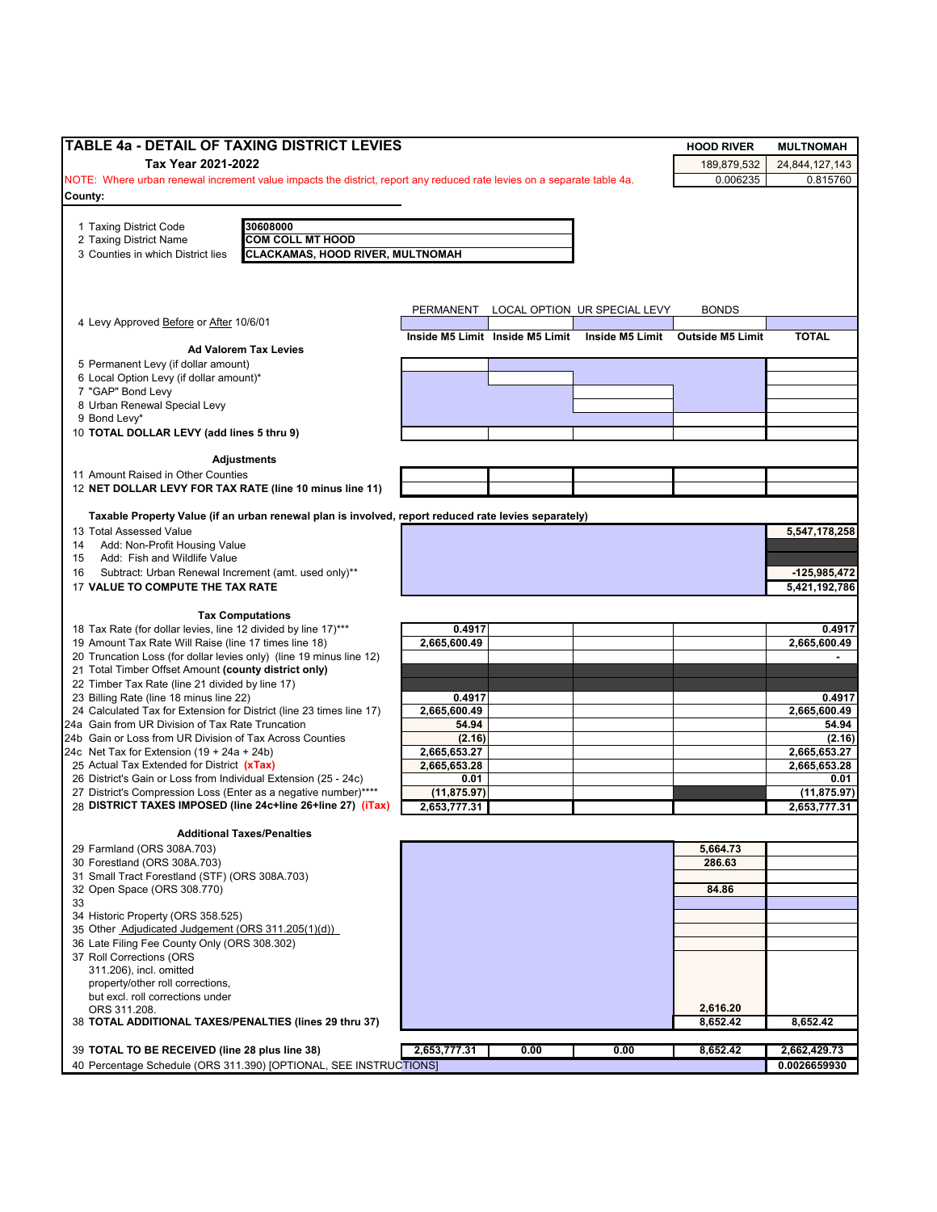| TABLE 4a - DETAIL OF TAXING DISTRICT LEVIES                                                                                        |                        |                                 |                              | <b>HOOD RIVER</b>                | <b>MULTNOMAH</b>       |
|------------------------------------------------------------------------------------------------------------------------------------|------------------------|---------------------------------|------------------------------|----------------------------------|------------------------|
| Tax Year 2021-2022                                                                                                                 |                        |                                 |                              | 189,879,532                      | 24,844,127,143         |
| NOTE: Where urban renewal increment value impacts the district, report any reduced rate levies on a separate table 4a.             |                        |                                 |                              | 0.006235                         | 0.815760               |
| County:                                                                                                                            |                        |                                 |                              |                                  |                        |
|                                                                                                                                    |                        |                                 |                              |                                  |                        |
| 30608000<br>1 Taxing District Code<br><b>COM COLL MT HOOD</b><br>2 Taxing District Name                                            |                        |                                 |                              |                                  |                        |
| <b>CLACKAMAS, HOOD RIVER, MULTNOMAH</b><br>3 Counties in which District lies                                                       |                        |                                 |                              |                                  |                        |
|                                                                                                                                    |                        |                                 |                              |                                  |                        |
|                                                                                                                                    |                        |                                 |                              |                                  |                        |
|                                                                                                                                    |                        |                                 | LOCAL OPTION UR SPECIAL LEVY |                                  |                        |
| 4 Levy Approved Before or After 10/6/01                                                                                            | PERMANENT              |                                 |                              | <b>BONDS</b>                     |                        |
|                                                                                                                                    |                        | Inside M5 Limit Inside M5 Limit |                              | Inside M5 Limit Outside M5 Limit | <b>TOTAL</b>           |
| <b>Ad Valorem Tax Levies</b>                                                                                                       |                        |                                 |                              |                                  |                        |
| 5 Permanent Levy (if dollar amount)<br>6 Local Option Levy (if dollar amount)*                                                     |                        |                                 |                              |                                  |                        |
| 7 "GAP" Bond Levy                                                                                                                  |                        |                                 |                              |                                  |                        |
| 8 Urban Renewal Special Levy                                                                                                       |                        |                                 |                              |                                  |                        |
| 9 Bond Levy*                                                                                                                       |                        |                                 |                              |                                  |                        |
| 10 TOTAL DOLLAR LEVY (add lines 5 thru 9)                                                                                          |                        |                                 |                              |                                  |                        |
| Adjustments                                                                                                                        |                        |                                 |                              |                                  |                        |
| 11 Amount Raised in Other Counties                                                                                                 |                        |                                 |                              |                                  |                        |
| 12 NET DOLLAR LEVY FOR TAX RATE (line 10 minus line 11)                                                                            |                        |                                 |                              |                                  |                        |
|                                                                                                                                    |                        |                                 |                              |                                  |                        |
| Taxable Property Value (if an urban renewal plan is involved, report reduced rate levies separately)                               |                        |                                 |                              |                                  |                        |
| 13 Total Assessed Value<br>Add: Non-Profit Housing Value<br>14                                                                     |                        |                                 |                              |                                  | 5,547,178,258          |
| Add: Fish and Wildlife Value<br>15                                                                                                 |                        |                                 |                              |                                  |                        |
| Subtract: Urban Renewal Increment (amt. used only)**<br>16                                                                         |                        |                                 |                              |                                  | $-125,985,472$         |
| 17 VALUE TO COMPUTE THE TAX RATE                                                                                                   |                        |                                 |                              |                                  | 5,421,192,786          |
|                                                                                                                                    |                        |                                 |                              |                                  |                        |
| <b>Tax Computations</b><br>18 Tax Rate (for dollar levies, line 12 divided by line 17)***                                          | 0.4917                 |                                 |                              |                                  | 0.4917                 |
| 19 Amount Tax Rate Will Raise (line 17 times line 18)                                                                              | 2,665,600.49           |                                 |                              |                                  | 2,665,600.49           |
| 20 Truncation Loss (for dollar levies only) (line 19 minus line 12)                                                                |                        |                                 |                              |                                  |                        |
| 21 Total Timber Offset Amount (county district only)                                                                               |                        |                                 |                              |                                  |                        |
| 22 Timber Tax Rate (line 21 divided by line 17)                                                                                    |                        |                                 |                              |                                  |                        |
| 23 Billing Rate (line 18 minus line 22)<br>24 Calculated Tax for Extension for District (line 23 times line 17)                    | 0.4917<br>2,665,600.49 |                                 |                              |                                  | 0.4917<br>2,665,600.49 |
| 24a Gain from UR Division of Tax Rate Truncation                                                                                   | 54.94                  |                                 |                              |                                  | 54.94                  |
| 24b Gain or Loss from UR Division of Tax Across Counties                                                                           | (2.16)                 |                                 |                              |                                  | (2.16)                 |
| 24c Net Tax for Extension $(19 + 24a + 24b)$                                                                                       | 2,665,653.27           |                                 |                              |                                  | 2,665,653.27           |
| 25 Actual Tax Extended for District (xTax)                                                                                         | 2,665,653.28           |                                 |                              |                                  | 2,665,653.28           |
| 26 District's Gain or Loss from Individual Extension (25 - 24c)<br>27 District's Compression Loss (Enter as a negative number)**** | 0.01<br>(11, 875.97)   |                                 |                              |                                  | 0.01<br>(11, 875.97)   |
| 28 DISTRICT TAXES IMPOSED (line 24c+line 26+line 27) (iTax)                                                                        | 2,653,777.31           |                                 |                              |                                  | 2,653,777.31           |
|                                                                                                                                    |                        |                                 |                              |                                  |                        |
| <b>Additional Taxes/Penalties</b>                                                                                                  |                        |                                 |                              |                                  |                        |
| 29 Farmland (ORS 308A.703)<br>30 Forestland (ORS 308A.703)                                                                         |                        |                                 |                              | 5,664.73<br>286.63               |                        |
| 31 Small Tract Forestland (STF) (ORS 308A.703)                                                                                     |                        |                                 |                              |                                  |                        |
| 32 Open Space (ORS 308.770)                                                                                                        |                        |                                 |                              | 84.86                            |                        |
| 33                                                                                                                                 |                        |                                 |                              |                                  |                        |
| 34 Historic Property (ORS 358.525)                                                                                                 |                        |                                 |                              |                                  |                        |
| 35 Other Adjudicated Judgement (ORS 311.205(1)(d))<br>36 Late Filing Fee County Only (ORS 308.302)                                 |                        |                                 |                              |                                  |                        |
| 37 Roll Corrections (ORS                                                                                                           |                        |                                 |                              |                                  |                        |
| 311.206), incl. omitted                                                                                                            |                        |                                 |                              |                                  |                        |
| property/other roll corrections,                                                                                                   |                        |                                 |                              |                                  |                        |
| but excl. roll corrections under                                                                                                   |                        |                                 |                              |                                  |                        |
| ORS 311.208.                                                                                                                       |                        |                                 |                              | 2,616.20<br>8,652.42             | 8,652.42               |
|                                                                                                                                    |                        |                                 |                              |                                  |                        |
|                                                                                                                                    |                        |                                 |                              |                                  |                        |
| 38 TOTAL ADDITIONAL TAXES/PENALTIES (lines 29 thru 37)<br>39 TOTAL TO BE RECEIVED (line 28 plus line 38)                           | 2,653,777.31           | 0.00                            | 0.00                         | 8,652.42                         | 2,662,429.73           |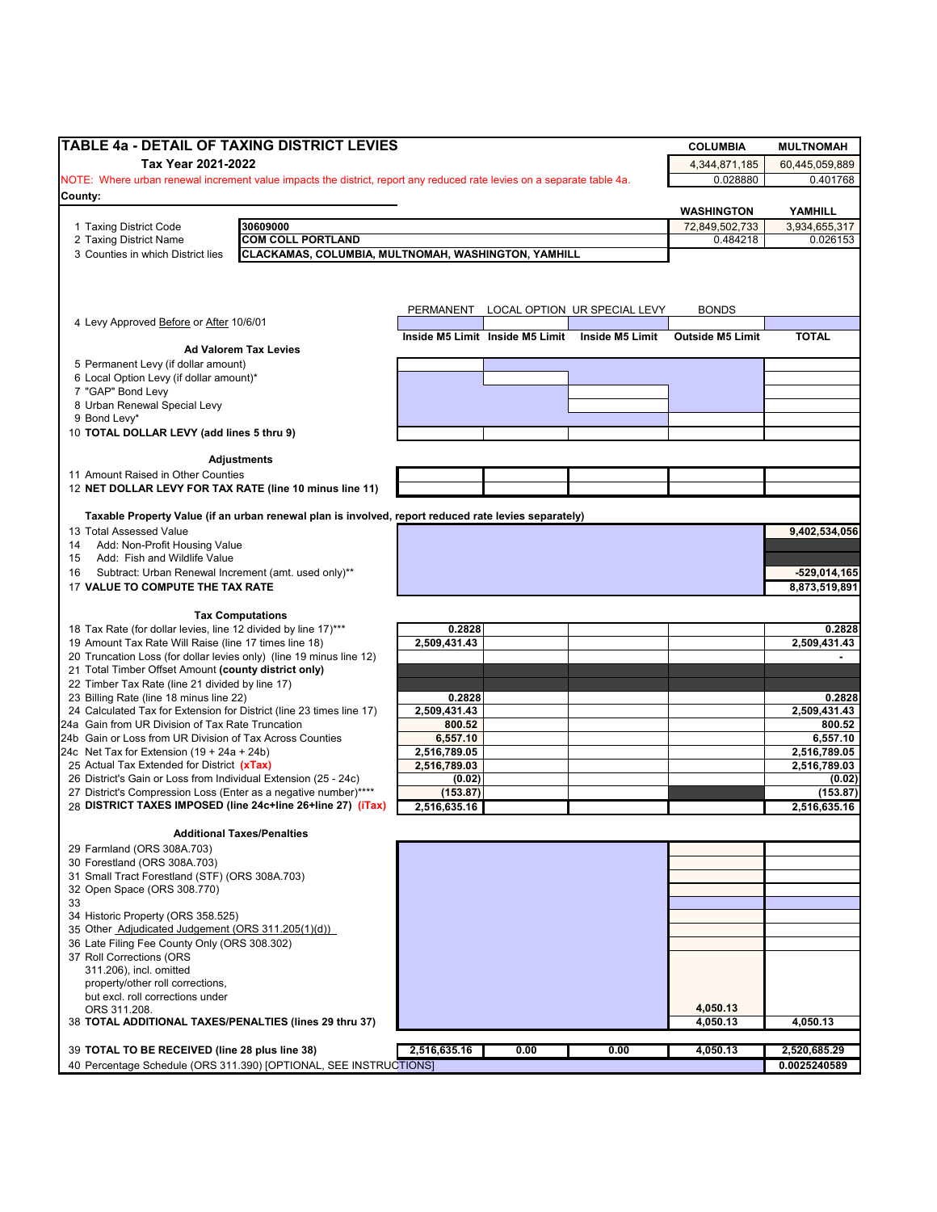|                                                                                                                                    | TABLE 4a - DETAIL OF TAXING DISTRICT LEVIES                                                                            |                    |                                 |                              | <b>COLUMBIA</b>         | <b>MULTNOMAH</b>   |
|------------------------------------------------------------------------------------------------------------------------------------|------------------------------------------------------------------------------------------------------------------------|--------------------|---------------------------------|------------------------------|-------------------------|--------------------|
| Tax Year 2021-2022                                                                                                                 |                                                                                                                        |                    |                                 |                              | 4,344,871,185           | 60,445,059,889     |
|                                                                                                                                    | NOTE: Where urban renewal increment value impacts the district, report any reduced rate levies on a separate table 4a. |                    |                                 |                              | 0.028880                | 0.401768           |
| County:                                                                                                                            |                                                                                                                        |                    |                                 |                              |                         |                    |
|                                                                                                                                    |                                                                                                                        |                    |                                 |                              | WASHINGTON              | YAMHILL            |
| 1 Taxing District Code                                                                                                             | 30609000                                                                                                               |                    |                                 |                              | 72,849,502,733          | 3,934,655,317      |
| 2 Taxing District Name                                                                                                             | <b>COM COLL PORTLAND</b>                                                                                               |                    |                                 |                              | 0.484218                | 0.026153           |
| 3 Counties in which District lies                                                                                                  | CLACKAMAS, COLUMBIA, MULTNOMAH, WASHINGTON, YAMHILL                                                                    |                    |                                 |                              |                         |                    |
|                                                                                                                                    |                                                                                                                        |                    |                                 |                              |                         |                    |
|                                                                                                                                    |                                                                                                                        |                    |                                 |                              |                         |                    |
|                                                                                                                                    |                                                                                                                        | PERMANENT          |                                 | LOCAL OPTION UR SPECIAL LEVY | <b>BONDS</b>            |                    |
| 4 Levy Approved Before or After 10/6/01                                                                                            |                                                                                                                        |                    | Inside M5 Limit Inside M5 Limit | Inside M5 Limit              | <b>Outside M5 Limit</b> | <b>TOTAL</b>       |
|                                                                                                                                    | <b>Ad Valorem Tax Levies</b>                                                                                           |                    |                                 |                              |                         |                    |
| 5 Permanent Levy (if dollar amount)                                                                                                |                                                                                                                        |                    |                                 |                              |                         |                    |
| 6 Local Option Levy (if dollar amount)*                                                                                            |                                                                                                                        |                    |                                 |                              |                         |                    |
| 7 "GAP" Bond Levy<br>8 Urban Renewal Special Levy                                                                                  |                                                                                                                        |                    |                                 |                              |                         |                    |
| 9 Bond Levy*                                                                                                                       |                                                                                                                        |                    |                                 |                              |                         |                    |
| 10 TOTAL DOLLAR LEVY (add lines 5 thru 9)                                                                                          |                                                                                                                        |                    |                                 |                              |                         |                    |
|                                                                                                                                    |                                                                                                                        |                    |                                 |                              |                         |                    |
|                                                                                                                                    | <b>Adjustments</b>                                                                                                     |                    |                                 |                              |                         |                    |
| 11 Amount Raised in Other Counties<br>12 NET DOLLAR LEVY FOR TAX RATE (line 10 minus line 11)                                      |                                                                                                                        |                    |                                 |                              |                         |                    |
|                                                                                                                                    |                                                                                                                        |                    |                                 |                              |                         |                    |
|                                                                                                                                    | Taxable Property Value (if an urban renewal plan is involved, report reduced rate levies separately)                   |                    |                                 |                              |                         |                    |
| 13 Total Assessed Value                                                                                                            |                                                                                                                        |                    |                                 |                              |                         | 9,402,534,056      |
| Add: Non-Profit Housing Value<br>14                                                                                                |                                                                                                                        |                    |                                 |                              |                         |                    |
| Add: Fish and Wildlife Value<br>15                                                                                                 |                                                                                                                        |                    |                                 |                              |                         |                    |
| Subtract: Urban Renewal Increment (amt. used only)**<br>16                                                                         |                                                                                                                        |                    |                                 |                              |                         | $-529,014,165$     |
| 17 VALUE TO COMPUTE THE TAX RATE                                                                                                   |                                                                                                                        |                    |                                 |                              |                         | 8,873,519,891      |
|                                                                                                                                    | <b>Tax Computations</b>                                                                                                |                    |                                 |                              |                         |                    |
| 18 Tax Rate (for dollar levies, line 12 divided by line 17)***                                                                     |                                                                                                                        | 0.2828             |                                 |                              |                         | 0.2828             |
| 19 Amount Tax Rate Will Raise (line 17 times line 18)                                                                              |                                                                                                                        | 2,509,431.43       |                                 |                              |                         | 2,509,431.43       |
| 20 Truncation Loss (for dollar levies only) (line 19 minus line 12)                                                                |                                                                                                                        |                    |                                 |                              |                         |                    |
| 21 Total Timber Offset Amount (county district only)                                                                               |                                                                                                                        |                    |                                 |                              |                         |                    |
| 22 Timber Tax Rate (line 21 divided by line 17)<br>23 Billing Rate (line 18 minus line 22)                                         |                                                                                                                        | 0.2828             |                                 |                              |                         | 0.2828             |
| 24 Calculated Tax for Extension for District (line 23 times line 17)                                                               |                                                                                                                        | 2,509,431.43       |                                 |                              |                         | 2,509,431.43       |
| 24a Gain from UR Division of Tax Rate Truncation                                                                                   |                                                                                                                        | 800.52             |                                 |                              |                         | 800.52             |
| 24b Gain or Loss from UR Division of Tax Across Counties                                                                           |                                                                                                                        | 6,557.10           |                                 |                              |                         | 6,557.10           |
| 24c Net Tax for Extension $(19 + 24a + 24b)$                                                                                       |                                                                                                                        | 2,516,789.05       |                                 |                              |                         | 2,516,789.05       |
| 25 Actual Tax Extended for District (xTax)                                                                                         |                                                                                                                        | 2.516.789.03       |                                 |                              |                         | 2,516,789.03       |
| 26 District's Gain or Loss from Individual Extension (25 - 24c)<br>27 District's Compression Loss (Enter as a negative number)**** |                                                                                                                        | (0.02)<br>(153.87) |                                 |                              |                         | (0.02)<br>(153.87) |
| 28 DISTRICT TAXES IMPOSED (line 24c+line 26+line 27) (iTax)                                                                        |                                                                                                                        | 2,516,635.16       |                                 |                              |                         | 2,516,635.16       |
|                                                                                                                                    |                                                                                                                        |                    |                                 |                              |                         |                    |
|                                                                                                                                    | <b>Additional Taxes/Penalties</b>                                                                                      |                    |                                 |                              |                         |                    |
| 29 Farmland (ORS 308A.703)<br>30 Forestland (ORS 308A.703)                                                                         |                                                                                                                        |                    |                                 |                              |                         |                    |
| 31 Small Tract Forestland (STF) (ORS 308A.703)                                                                                     |                                                                                                                        |                    |                                 |                              |                         |                    |
| 32 Open Space (ORS 308.770)                                                                                                        |                                                                                                                        |                    |                                 |                              |                         |                    |
| 33                                                                                                                                 |                                                                                                                        |                    |                                 |                              |                         |                    |
| 34 Historic Property (ORS 358.525)                                                                                                 |                                                                                                                        |                    |                                 |                              |                         |                    |
| 35 Other Adjudicated Judgement (ORS 311.205(1)(d))                                                                                 |                                                                                                                        |                    |                                 |                              |                         |                    |
| 36 Late Filing Fee County Only (ORS 308.302)<br>37 Roll Corrections (ORS                                                           |                                                                                                                        |                    |                                 |                              |                         |                    |
| 311.206), incl. omitted                                                                                                            |                                                                                                                        |                    |                                 |                              |                         |                    |
| property/other roll corrections,                                                                                                   |                                                                                                                        |                    |                                 |                              |                         |                    |
| but excl. roll corrections under                                                                                                   |                                                                                                                        |                    |                                 |                              |                         |                    |
| ORS 311.208.                                                                                                                       |                                                                                                                        |                    |                                 |                              | 4,050.13                |                    |
| 38 TOTAL ADDITIONAL TAXES/PENALTIES (lines 29 thru 37)                                                                             |                                                                                                                        |                    |                                 |                              | 4,050.13                | 4,050.13           |
|                                                                                                                                    |                                                                                                                        |                    |                                 |                              |                         |                    |
| 39 TOTAL TO BE RECEIVED (line 28 plus line 38)                                                                                     |                                                                                                                        | 2,516,635.16       | 0.00                            | 0.00                         | 4,050.13                | 2,520,685.29       |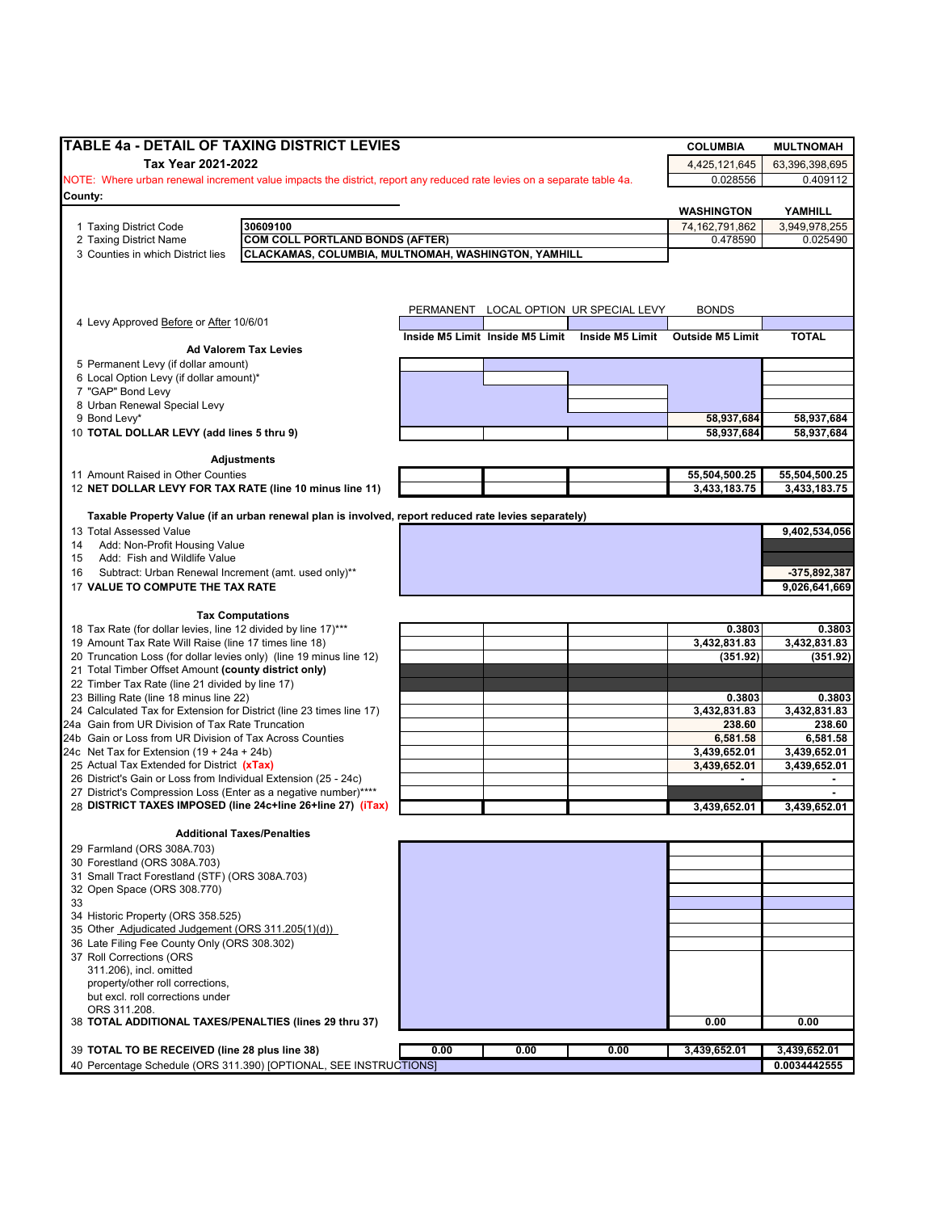| <b>TABLE 4a - DETAIL OF TAXING DISTRICT LEVIES</b>                                                                     |      |                                 |                                        | <b>COLUMBIA</b>            | <b>MULTNOMAH</b>         |
|------------------------------------------------------------------------------------------------------------------------|------|---------------------------------|----------------------------------------|----------------------------|--------------------------|
| Tax Year 2021-2022                                                                                                     |      |                                 |                                        | 4,425,121,645              | 63,396,398,695           |
| NOTE: Where urban renewal increment value impacts the district, report any reduced rate levies on a separate table 4a. |      |                                 |                                        | 0.028556                   | 0.409112                 |
| County:                                                                                                                |      |                                 |                                        |                            |                          |
| 30609100                                                                                                               |      |                                 |                                        | <b>WASHINGTON</b>          | YAMHILL<br>3.949.978.255 |
| 1 Taxing District Code<br>2 Taxing District Name<br><b>COM COLL PORTLAND BONDS (AFTER)</b>                             |      |                                 |                                        | 74,162,791,862<br>0.478590 | 0.025490                 |
| CLACKAMAS, COLUMBIA, MULTNOMAH, WASHINGTON, YAMHILL<br>3 Counties in which District lies                               |      |                                 |                                        |                            |                          |
|                                                                                                                        |      |                                 |                                        |                            |                          |
|                                                                                                                        |      |                                 |                                        |                            |                          |
| 4 Levy Approved Before or After 10/6/01                                                                                |      |                                 | PERMANENT LOCAL OPTION UR SPECIAL LEVY | <b>BONDS</b>               |                          |
| <b>Ad Valorem Tax Levies</b>                                                                                           |      | Inside M5 Limit Inside M5 Limit | Inside M5 Limit                        | <b>Outside M5 Limit</b>    | <b>TOTAL</b>             |
| 5 Permanent Levy (if dollar amount)                                                                                    |      |                                 |                                        |                            |                          |
| 6 Local Option Levy (if dollar amount)*                                                                                |      |                                 |                                        |                            |                          |
| 7 "GAP" Bond Levy                                                                                                      |      |                                 |                                        |                            |                          |
| 8 Urban Renewal Special Levy<br>9 Bond Levy*                                                                           |      |                                 |                                        | 58,937,684                 | 58,937,684               |
| 10 TOTAL DOLLAR LEVY (add lines 5 thru 9)                                                                              |      |                                 |                                        | 58,937,684                 | 58,937,684               |
|                                                                                                                        |      |                                 |                                        |                            |                          |
| Adjustments                                                                                                            |      |                                 |                                        |                            |                          |
| 11 Amount Raised in Other Counties                                                                                     |      |                                 |                                        | 55,504,500.25              | 55,504,500.25            |
| 12 NET DOLLAR LEVY FOR TAX RATE (line 10 minus line 11)                                                                |      |                                 |                                        | 3,433,183.75               | 3,433,183.75             |
| Taxable Property Value (if an urban renewal plan is involved, report reduced rate levies separately)                   |      |                                 |                                        |                            |                          |
| 13 Total Assessed Value                                                                                                |      |                                 |                                        |                            | 9,402,534,056            |
| Add: Non-Profit Housing Value<br>14                                                                                    |      |                                 |                                        |                            |                          |
| Add: Fish and Wildlife Value<br>15                                                                                     |      |                                 |                                        |                            |                          |
| Subtract: Urban Renewal Increment (amt. used only)**<br>16                                                             |      |                                 |                                        |                            | -375,892,387             |
| 17 VALUE TO COMPUTE THE TAX RATE                                                                                       |      |                                 |                                        |                            | 9,026,641,669            |
| <b>Tax Computations</b>                                                                                                |      |                                 |                                        |                            |                          |
| 18 Tax Rate (for dollar levies, line 12 divided by line 17)***                                                         |      |                                 |                                        | 0.3803                     | 0.3803                   |
| 19 Amount Tax Rate Will Raise (line 17 times line 18)                                                                  |      |                                 |                                        | 3,432,831.83               | 3,432,831.83             |
| 20 Truncation Loss (for dollar levies only) (line 19 minus line 12)                                                    |      |                                 |                                        | (351.92)                   | (351.92)                 |
| 21 Total Timber Offset Amount (county district only)<br>22 Timber Tax Rate (line 21 divided by line 17)                |      |                                 |                                        |                            |                          |
| 23 Billing Rate (line 18 minus line 22)                                                                                |      |                                 |                                        | 0.3803                     | 0.3803                   |
| 24 Calculated Tax for Extension for District (line 23 times line 17)                                                   |      |                                 |                                        | 3,432,831.83               | 3,432,831.83             |
| 24a Gain from UR Division of Tax Rate Truncation                                                                       |      |                                 |                                        | 238.60                     | 238.60                   |
| 24b Gain or Loss from UR Division of Tax Across Counties                                                               |      |                                 |                                        | 6,581.58                   | 6,581.58                 |
| 24c Net Tax for Extension $(19 + 24a + 24b)$                                                                           |      |                                 |                                        | 3,439,652.01               | 3,439,652.01             |
| 25 Actual Tax Extended for District (xTax)<br>26 District's Gain or Loss from Individual Extension (25 - 24c)          |      |                                 |                                        | 3,439,652.01               | 3,439,652.01             |
| 27 District's Compression Loss (Enter as a negative number)****                                                        |      |                                 |                                        |                            |                          |
| 28 DISTRICT TAXES IMPOSED (line 24c+line 26+line 27) (iTax)                                                            |      |                                 |                                        | 3,439,652.01               | 3,439,652.01             |
|                                                                                                                        |      |                                 |                                        |                            |                          |
| <b>Additional Taxes/Penalties</b>                                                                                      |      |                                 |                                        |                            |                          |
| 29 Farmland (ORS 308A.703)<br>30 Forestland (ORS 308A.703)                                                             |      |                                 |                                        |                            |                          |
| 31 Small Tract Forestland (STF) (ORS 308A.703)                                                                         |      |                                 |                                        |                            |                          |
| 32 Open Space (ORS 308.770)                                                                                            |      |                                 |                                        |                            |                          |
| 33                                                                                                                     |      |                                 |                                        |                            |                          |
| 34 Historic Property (ORS 358.525)                                                                                     |      |                                 |                                        |                            |                          |
| 35 Other Adjudicated Judgement (ORS 311.205(1)(d))<br>36 Late Filing Fee County Only (ORS 308.302)                     |      |                                 |                                        |                            |                          |
| 37 Roll Corrections (ORS                                                                                               |      |                                 |                                        |                            |                          |
| 311.206), incl. omitted                                                                                                |      |                                 |                                        |                            |                          |
| property/other roll corrections,                                                                                       |      |                                 |                                        |                            |                          |
| but excl. roll corrections under                                                                                       |      |                                 |                                        |                            |                          |
| ORS 311.208.                                                                                                           |      |                                 |                                        | 0.00                       | 0.00                     |
| 38 TOTAL ADDITIONAL TAXES/PENALTIES (lines 29 thru 37)                                                                 |      |                                 |                                        |                            |                          |
| 39 TOTAL TO BE RECEIVED (line 28 plus line 38)                                                                         | 0.00 | 0.00                            | 0.00                                   | 3,439,652.01               | 3,439,652.01             |
| 40 Percentage Schedule (ORS 311.390) [OPTIONAL, SEE INSTRUCTIONS]                                                      |      |                                 |                                        |                            | 0.0034442555             |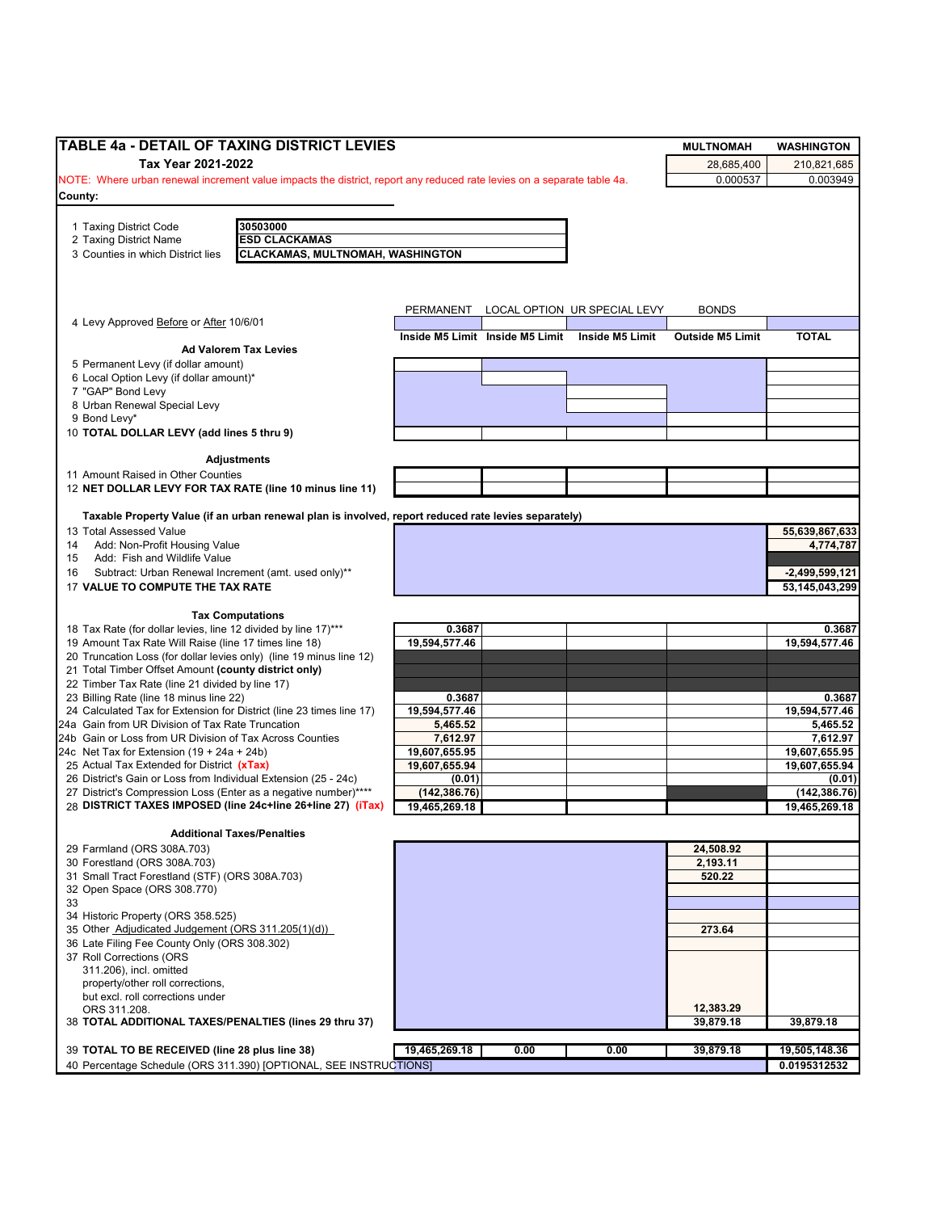| TABLE 4a - DETAIL OF TAXING DISTRICT LEVIES                                                                                     |                                         |                                 |                              | <b>MULTNOMAH</b>        | <b>WASHINGTON</b>         |
|---------------------------------------------------------------------------------------------------------------------------------|-----------------------------------------|---------------------------------|------------------------------|-------------------------|---------------------------|
| Tax Year 2021-2022                                                                                                              |                                         |                                 |                              | 28,685,400              | 210,821,685               |
| NOTE: Where urban renewal increment value impacts the district, report any reduced rate levies on a separate table 4a.          |                                         |                                 |                              | 0.000537                | 0.003949                  |
| County:                                                                                                                         |                                         |                                 |                              |                         |                           |
| 30503000<br>1 Taxing District Code                                                                                              |                                         |                                 |                              |                         |                           |
| <b>ESD CLACKAMAS</b><br>2 Taxing District Name                                                                                  |                                         |                                 |                              |                         |                           |
| 3 Counties in which District lies                                                                                               | <b>CLACKAMAS, MULTNOMAH, WASHINGTON</b> |                                 |                              |                         |                           |
|                                                                                                                                 |                                         |                                 |                              |                         |                           |
|                                                                                                                                 |                                         |                                 |                              |                         |                           |
|                                                                                                                                 | PERMANENT                               |                                 | LOCAL OPTION UR SPECIAL LEVY | <b>BONDS</b>            |                           |
| 4 Levy Approved Before or After 10/6/01                                                                                         |                                         |                                 |                              |                         |                           |
|                                                                                                                                 |                                         | Inside M5 Limit Inside M5 Limit | Inside M5 Limit              | <b>Outside M5 Limit</b> | <b>TOTAL</b>              |
| <b>Ad Valorem Tax Levies</b><br>5 Permanent Levy (if dollar amount)                                                             |                                         |                                 |                              |                         |                           |
| 6 Local Option Levy (if dollar amount)*                                                                                         |                                         |                                 |                              |                         |                           |
| 7 "GAP" Bond Levy                                                                                                               |                                         |                                 |                              |                         |                           |
| 8 Urban Renewal Special Levy                                                                                                    |                                         |                                 |                              |                         |                           |
| 9 Bond Levy*                                                                                                                    |                                         |                                 |                              |                         |                           |
| 10 TOTAL DOLLAR LEVY (add lines 5 thru 9)                                                                                       |                                         |                                 |                              |                         |                           |
| <b>Adjustments</b>                                                                                                              |                                         |                                 |                              |                         |                           |
| 11 Amount Raised in Other Counties                                                                                              |                                         |                                 |                              |                         |                           |
| 12 NET DOLLAR LEVY FOR TAX RATE (line 10 minus line 11)                                                                         |                                         |                                 |                              |                         |                           |
|                                                                                                                                 |                                         |                                 |                              |                         |                           |
| Taxable Property Value (if an urban renewal plan is involved, report reduced rate levies separately)<br>13 Total Assessed Value |                                         |                                 |                              |                         | 55,639,867,633            |
| Add: Non-Profit Housing Value<br>14                                                                                             |                                         |                                 |                              |                         | 4,774,787                 |
| Add: Fish and Wildlife Value<br>15                                                                                              |                                         |                                 |                              |                         |                           |
| Subtract: Urban Renewal Increment (amt. used only)**<br>16                                                                      |                                         |                                 |                              |                         | $-2,499,599,121$          |
| 17 VALUE TO COMPUTE THE TAX RATE                                                                                                |                                         |                                 |                              |                         | 53,145,043,299            |
|                                                                                                                                 |                                         |                                 |                              |                         |                           |
| <b>Tax Computations</b><br>18 Tax Rate (for dollar levies, line 12 divided by line 17)***                                       | 0.3687                                  |                                 |                              |                         | 0.3687                    |
| 19 Amount Tax Rate Will Raise (line 17 times line 18)                                                                           | 19,594,577.46                           |                                 |                              |                         | 19,594,577.46             |
| 20 Truncation Loss (for dollar levies only) (line 19 minus line 12)                                                             |                                         |                                 |                              |                         |                           |
| 21 Total Timber Offset Amount (county district only)                                                                            |                                         |                                 |                              |                         |                           |
| 22 Timber Tax Rate (line 21 divided by line 17)                                                                                 |                                         |                                 |                              |                         |                           |
| 23 Billing Rate (line 18 minus line 22)                                                                                         | 0.3687                                  |                                 |                              |                         | 0.3687                    |
| 24 Calculated Tax for Extension for District (line 23 times line 17)<br>24a Gain from UR Division of Tax Rate Truncation        | 19,594,577.46<br>5,465.52               |                                 |                              |                         | 19,594,577.46<br>5,465.52 |
| 24b Gain or Loss from UR Division of Tax Across Counties                                                                        | 7,612.97                                |                                 |                              |                         | 7,612.97                  |
| 24c Net Tax for Extension $(19 + 24a + 24b)$                                                                                    | 19,607,655.95                           |                                 |                              |                         | 19,607,655.95             |
| 25 Actual Tax Extended for District (xTax)                                                                                      | 19,607,655.94                           |                                 |                              |                         | 19,607,655.94             |
| 26 District's Gain or Loss from Individual Extension (25 - 24c)                                                                 | (0.01)                                  |                                 |                              |                         | (0.01)                    |
| 27 District's Compression Loss (Enter as a negative number)****<br>28 DISTRICT TAXES IMPOSED (line 24c+line 26+line 27) (iTax)  | (142, 386.76)                           |                                 |                              |                         | (142, 386.76)             |
|                                                                                                                                 | 19,465,269.18                           |                                 |                              |                         | 19,465,269.18             |
| <b>Additional Taxes/Penalties</b>                                                                                               |                                         |                                 |                              |                         |                           |
| 29 Farmland (ORS 308A.703)                                                                                                      |                                         |                                 |                              | 24,508.92               |                           |
| 30 Forestland (ORS 308A.703)                                                                                                    |                                         |                                 |                              | 2,193.11                |                           |
| 31 Small Tract Forestland (STF) (ORS 308A.703)<br>32 Open Space (ORS 308.770)                                                   |                                         |                                 |                              | 520.22                  |                           |
| 33                                                                                                                              |                                         |                                 |                              |                         |                           |
| 34 Historic Property (ORS 358.525)                                                                                              |                                         |                                 |                              |                         |                           |
| 35 Other Adjudicated Judgement (ORS 311.205(1)(d))                                                                              |                                         |                                 |                              | 273.64                  |                           |
| 36 Late Filing Fee County Only (ORS 308.302)                                                                                    |                                         |                                 |                              |                         |                           |
| 37 Roll Corrections (ORS                                                                                                        |                                         |                                 |                              |                         |                           |
| 311.206), incl. omitted                                                                                                         |                                         |                                 |                              |                         |                           |
| property/other roll corrections,<br>but excl. roll corrections under                                                            |                                         |                                 |                              |                         |                           |
| ORS 311.208.                                                                                                                    |                                         |                                 |                              | 12,383.29               |                           |
| 38 TOTAL ADDITIONAL TAXES/PENALTIES (lines 29 thru 37)                                                                          |                                         |                                 |                              | 39,879.18               | 39,879.18                 |
|                                                                                                                                 |                                         |                                 |                              |                         |                           |
| 39 TOTAL TO BE RECEIVED (line 28 plus line 38)                                                                                  | 19,465,269.18                           | 0.00                            | 0.00                         | 39,879.18               | 19,505,148.36             |
| 40 Percentage Schedule (ORS 311.390) [OPTIONAL, SEE INSTRUCTIONS]                                                               |                                         |                                 |                              |                         | 0.0195312532              |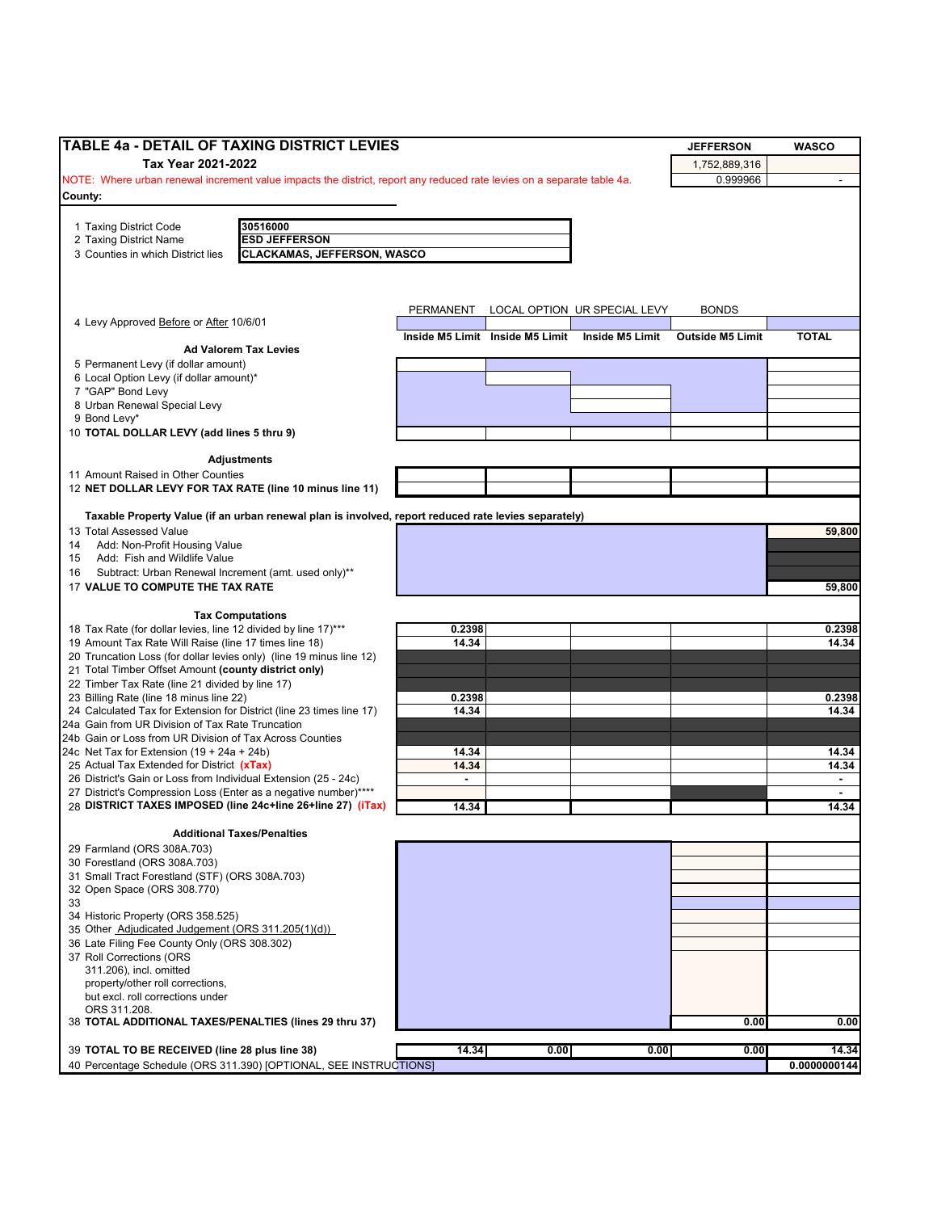| <b>TABLE 4a - DETAIL OF TAXING DISTRICT LEVIES</b>                                                                             |                |                                 |                              | <b>JEFFERSON</b>        | <b>WASCO</b>            |
|--------------------------------------------------------------------------------------------------------------------------------|----------------|---------------------------------|------------------------------|-------------------------|-------------------------|
| Tax Year 2021-2022                                                                                                             |                |                                 |                              | 1,752,889,316           |                         |
| NOTE: Where urban renewal increment value impacts the district, report any reduced rate levies on a separate table 4a.         |                |                                 |                              | 0.999966                |                         |
| County:                                                                                                                        |                |                                 |                              |                         |                         |
| 1 Taxing District Code<br>30516000                                                                                             |                |                                 |                              |                         |                         |
| <b>ESD JEFFERSON</b><br>2 Taxing District Name                                                                                 |                |                                 |                              |                         |                         |
| <b>CLACKAMAS, JEFFERSON, WASCO</b><br>3 Counties in which District lies                                                        |                |                                 |                              |                         |                         |
|                                                                                                                                |                |                                 |                              |                         |                         |
|                                                                                                                                |                |                                 |                              |                         |                         |
|                                                                                                                                | PERMANENT      |                                 | LOCAL OPTION UR SPECIAL LEVY | <b>BONDS</b>            |                         |
| 4 Levy Approved Before or After 10/6/01                                                                                        |                |                                 |                              |                         |                         |
| <b>Ad Valorem Tax Levies</b>                                                                                                   |                | Inside M5 Limit Inside M5 Limit | Inside M5 Limit              | <b>Outside M5 Limit</b> | <b>TOTAL</b>            |
| 5 Permanent Levy (if dollar amount)                                                                                            |                |                                 |                              |                         |                         |
| 6 Local Option Levy (if dollar amount)*                                                                                        |                |                                 |                              |                         |                         |
| 7 "GAP" Bond Levy                                                                                                              |                |                                 |                              |                         |                         |
| 8 Urban Renewal Special Levy<br>9 Bond Levy*                                                                                   |                |                                 |                              |                         |                         |
| 10 TOTAL DOLLAR LEVY (add lines 5 thru 9)                                                                                      |                |                                 |                              |                         |                         |
|                                                                                                                                |                |                                 |                              |                         |                         |
| <b>Adjustments</b>                                                                                                             |                |                                 |                              |                         |                         |
| 11 Amount Raised in Other Counties                                                                                             |                |                                 |                              |                         |                         |
| 12 NET DOLLAR LEVY FOR TAX RATE (line 10 minus line 11)                                                                        |                |                                 |                              |                         |                         |
| Taxable Property Value (if an urban renewal plan is involved, report reduced rate levies separately)                           |                |                                 |                              |                         |                         |
| 13 Total Assessed Value                                                                                                        |                |                                 |                              |                         | 59,800                  |
| Add: Non-Profit Housing Value<br>14                                                                                            |                |                                 |                              |                         |                         |
| Add: Fish and Wildlife Value<br>15                                                                                             |                |                                 |                              |                         |                         |
| Subtract: Urban Renewal Increment (amt. used only)**<br>16<br>17 VALUE TO COMPUTE THE TAX RATE                                 |                |                                 |                              |                         | 59,800                  |
|                                                                                                                                |                |                                 |                              |                         |                         |
| <b>Tax Computations</b>                                                                                                        |                |                                 |                              |                         |                         |
| 18 Tax Rate (for dollar levies, line 12 divided by line 17)***                                                                 | 0.2398         |                                 |                              |                         | 0.2398                  |
| 19 Amount Tax Rate Will Raise (line 17 times line 18)                                                                          | 14.34          |                                 |                              |                         | 14.34                   |
| 20 Truncation Loss (for dollar levies only) (line 19 minus line 12)<br>21 Total Timber Offset Amount (county district only)    |                |                                 |                              |                         |                         |
| 22 Timber Tax Rate (line 21 divided by line 17)                                                                                |                |                                 |                              |                         |                         |
| 23 Billing Rate (line 18 minus line 22)                                                                                        | 0.2398         |                                 |                              |                         | 0.2398                  |
| 24 Calculated Tax for Extension for District (line 23 times line 17)                                                           | 14.34          |                                 |                              |                         | 14.34                   |
| 24a Gain from UR Division of Tax Rate Truncation<br>24b Gain or Loss from UR Division of Tax Across Counties                   |                |                                 |                              |                         |                         |
| 24c Net Tax for Extension $(19 + 24a + 24b)$                                                                                   | 14.34          |                                 |                              |                         | 14.34                   |
| 25 Actual Tax Extended for District (xTax)                                                                                     | 14.34          |                                 |                              |                         | 14.34                   |
| 26 District's Gain or Loss from Individual Extension (25 - 24c)                                                                | $\blacksquare$ |                                 |                              |                         | $\sim$                  |
| 27 District's Compression Loss (Enter as a negative number)****<br>28 DISTRICT TAXES IMPOSED (line 24c+line 26+line 27) (iTax) | 14.34          |                                 |                              |                         | $\blacksquare$<br>14.34 |
|                                                                                                                                |                |                                 |                              |                         |                         |
| <b>Additional Taxes/Penalties</b>                                                                                              |                |                                 |                              |                         |                         |
| 29 Farmland (ORS 308A.703)                                                                                                     |                |                                 |                              |                         |                         |
| 30 Forestland (ORS 308A.703)<br>31 Small Tract Forestland (STF) (ORS 308A.703)                                                 |                |                                 |                              |                         |                         |
| 32 Open Space (ORS 308.770)                                                                                                    |                |                                 |                              |                         |                         |
| 33                                                                                                                             |                |                                 |                              |                         |                         |
| 34 Historic Property (ORS 358.525)                                                                                             |                |                                 |                              |                         |                         |
| 35 Other Adjudicated Judgement (ORS 311.205(1)(d))<br>36 Late Filing Fee County Only (ORS 308.302)                             |                |                                 |                              |                         |                         |
| 37 Roll Corrections (ORS                                                                                                       |                |                                 |                              |                         |                         |
| 311.206), incl. omitted                                                                                                        |                |                                 |                              |                         |                         |
| property/other roll corrections,                                                                                               |                |                                 |                              |                         |                         |
| but excl. roll corrections under<br>ORS 311.208.                                                                               |                |                                 |                              |                         |                         |
| 38 TOTAL ADDITIONAL TAXES/PENALTIES (lines 29 thru 37)                                                                         |                |                                 |                              | 0.00                    | 0.00                    |
|                                                                                                                                |                |                                 |                              |                         |                         |
| 39 TOTAL TO BE RECEIVED (line 28 plus line 38)                                                                                 | 14.34          | 0.00                            | 0.00                         | 0.00                    | 14.34                   |
| 40 Percentage Schedule (ORS 311.390) [OPTIONAL, SEE INSTRUCTIONS]                                                              |                |                                 |                              |                         | 0.0000000144            |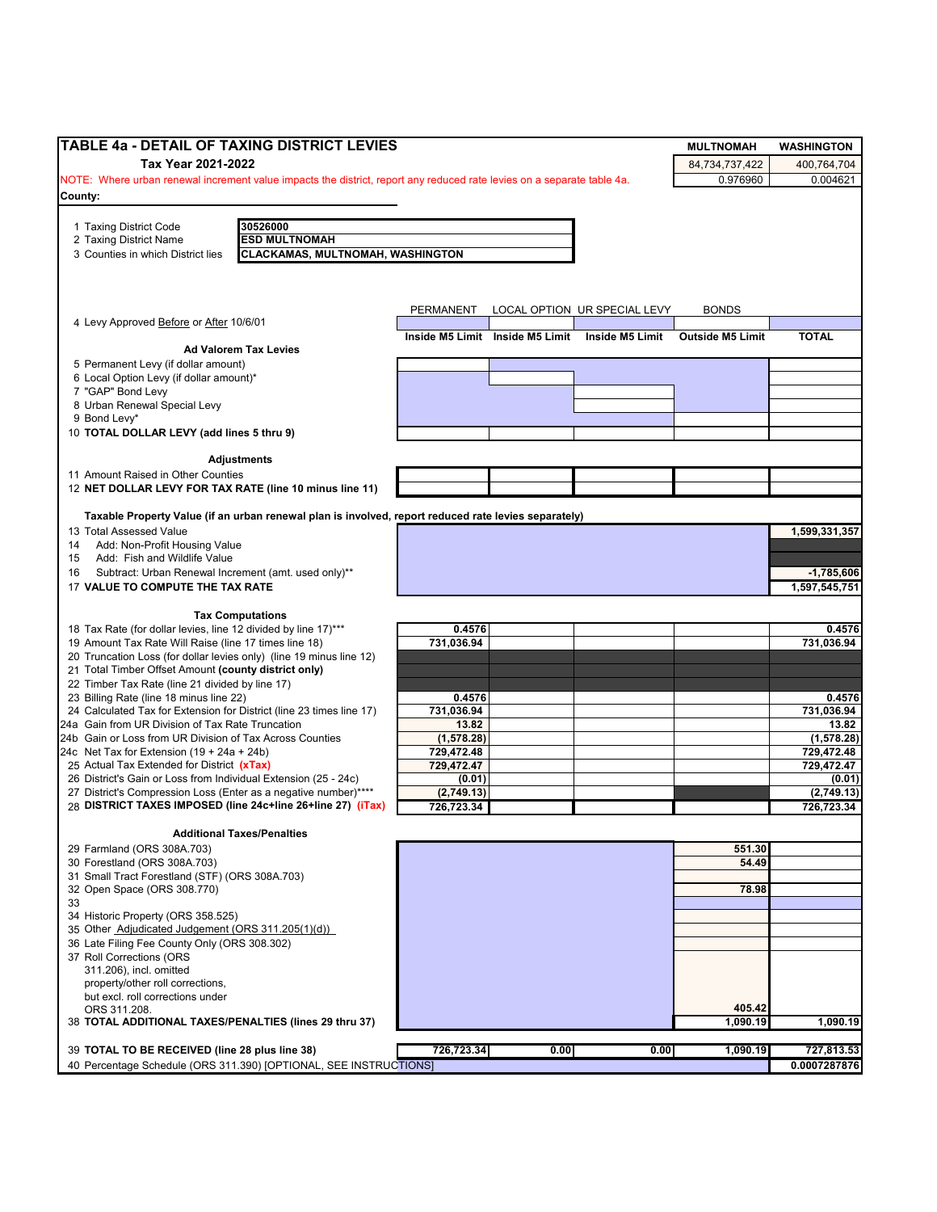| <b>ITABLE 4a - DETAIL OF TAXING DISTRICT LEVIES</b>                                                                     |                          |                                 |                              | <b>MULTNOMAH</b>        | <b>WASHINGTON</b>    |
|-------------------------------------------------------------------------------------------------------------------------|--------------------------|---------------------------------|------------------------------|-------------------------|----------------------|
| Tax Year 2021-2022                                                                                                      |                          |                                 |                              | 84.734.737.422          | 400.764.704          |
| NOTE: Where urban renewal increment value impacts the district, report any reduced rate levies on a separate table 4a.  |                          |                                 |                              | 0.976960                | 0.004621             |
| County:                                                                                                                 |                          |                                 |                              |                         |                      |
|                                                                                                                         |                          |                                 |                              |                         |                      |
| 30526000<br>1 Taxing District Code<br><b>ESD MULTNOMAH</b><br>2 Taxing District Name                                    |                          |                                 |                              |                         |                      |
| <b>CLACKAMAS, MULTNOMAH, WASHINGTON</b><br>3 Counties in which District lies                                            |                          |                                 |                              |                         |                      |
|                                                                                                                         |                          |                                 |                              |                         |                      |
|                                                                                                                         |                          |                                 |                              |                         |                      |
|                                                                                                                         |                          |                                 |                              |                         |                      |
| 4 Levy Approved Before or After 10/6/01                                                                                 | PERMANENT                |                                 | LOCAL OPTION UR SPECIAL LEVY | <b>BONDS</b>            |                      |
|                                                                                                                         |                          | Inside M5 Limit Inside M5 Limit | Inside M5 Limit              | <b>Outside M5 Limit</b> | <b>TOTAL</b>         |
| <b>Ad Valorem Tax Levies</b>                                                                                            |                          |                                 |                              |                         |                      |
| 5 Permanent Levy (if dollar amount)                                                                                     |                          |                                 |                              |                         |                      |
| 6 Local Option Levy (if dollar amount)*                                                                                 |                          |                                 |                              |                         |                      |
| 7 "GAP" Bond Levy<br>8 Urban Renewal Special Levy                                                                       |                          |                                 |                              |                         |                      |
| 9 Bond Levy*                                                                                                            |                          |                                 |                              |                         |                      |
| 10 TOTAL DOLLAR LEVY (add lines 5 thru 9)                                                                               |                          |                                 |                              |                         |                      |
|                                                                                                                         |                          |                                 |                              |                         |                      |
| <b>Adjustments</b>                                                                                                      |                          |                                 |                              |                         |                      |
| 11 Amount Raised in Other Counties                                                                                      |                          |                                 |                              |                         |                      |
| 12 NET DOLLAR LEVY FOR TAX RATE (line 10 minus line 11)                                                                 |                          |                                 |                              |                         |                      |
| Taxable Property Value (if an urban renewal plan is involved, report reduced rate levies separately)                    |                          |                                 |                              |                         |                      |
| 13 Total Assessed Value                                                                                                 |                          |                                 |                              |                         | 1,599,331,357        |
| Add: Non-Profit Housing Value<br>14                                                                                     |                          |                                 |                              |                         |                      |
| Add: Fish and Wildlife Value<br>15                                                                                      |                          |                                 |                              |                         |                      |
| Subtract: Urban Renewal Increment (amt. used only)**<br>16                                                              |                          |                                 |                              |                         | $-1,785,606$         |
| 17 VALUE TO COMPUTE THE TAX RATE                                                                                        |                          |                                 |                              |                         | 1,597,545,751        |
|                                                                                                                         |                          |                                 |                              |                         |                      |
| <b>Tax Computations</b>                                                                                                 |                          |                                 |                              |                         |                      |
| 18 Tax Rate (for dollar levies, line 12 divided by line 17)***<br>19 Amount Tax Rate Will Raise (line 17 times line 18) | 0.4576<br>731,036.94     |                                 |                              |                         | 0.4576<br>731,036.94 |
| 20 Truncation Loss (for dollar levies only) (line 19 minus line 12)                                                     |                          |                                 |                              |                         |                      |
| 21 Total Timber Offset Amount (county district only)                                                                    |                          |                                 |                              |                         |                      |
| 22 Timber Tax Rate (line 21 divided by line 17)                                                                         |                          |                                 |                              |                         |                      |
| 23 Billing Rate (line 18 minus line 22)                                                                                 | 0.4576                   |                                 |                              |                         | 0.4576               |
| 24 Calculated Tax for Extension for District (line 23 times line 17)                                                    | 731,036.94               |                                 |                              |                         | 731,036.94           |
| 24a Gain from UR Division of Tax Rate Truncation                                                                        | 13.82                    |                                 |                              |                         | 13.82                |
| 24b Gain or Loss from UR Division of Tax Across Counties                                                                | (1,578.28)               |                                 |                              |                         | (1,578.28)           |
| 24c Net Tax for Extension (19 + 24a + 24b)<br>25 Actual Tax Extended for District (xTax)                                | 729,472.48<br>729,472.47 |                                 |                              |                         | 729,472.48           |
| 26 District's Gain or Loss from Individual Extension (25 - 24c)                                                         | (0.01)                   |                                 |                              |                         | 729,472.47<br>(0.01) |
| 27 District's Compression Loss (Enter as a negative number)****                                                         | (2,749.13)               |                                 |                              |                         | (2,749.13)           |
| 28 DISTRICT TAXES IMPOSED (line 24c+line 26+line 27) (iTax)                                                             | 726,723.34               |                                 |                              |                         | 726,723.34           |
|                                                                                                                         |                          |                                 |                              |                         |                      |
| <b>Additional Taxes/Penalties</b>                                                                                       |                          |                                 |                              |                         |                      |
| 29 Farmland (ORS 308A.703)                                                                                              |                          |                                 |                              | 551.30                  |                      |
| 30 Forestland (ORS 308A.703)                                                                                            |                          |                                 |                              | 54.49                   |                      |
| 31 Small Tract Forestland (STF) (ORS 308A.703)<br>32 Open Space (ORS 308.770)                                           |                          |                                 |                              | 78.98                   |                      |
| 33                                                                                                                      |                          |                                 |                              |                         |                      |
| 34 Historic Property (ORS 358.525)                                                                                      |                          |                                 |                              |                         |                      |
| 35 Other Adjudicated Judgement (ORS 311.205(1)(d))                                                                      |                          |                                 |                              |                         |                      |
| 36 Late Filing Fee County Only (ORS 308.302)                                                                            |                          |                                 |                              |                         |                      |
| 37 Roll Corrections (ORS                                                                                                |                          |                                 |                              |                         |                      |
| 311.206), incl. omitted                                                                                                 |                          |                                 |                              |                         |                      |
| property/other roll corrections,                                                                                        |                          |                                 |                              |                         |                      |
| but excl. roll corrections under<br>ORS 311.208.                                                                        |                          |                                 |                              | 405.42                  |                      |
| 38 TOTAL ADDITIONAL TAXES/PENALTIES (lines 29 thru 37)                                                                  |                          |                                 |                              | 1,090.19                | 1,090.19             |
|                                                                                                                         |                          |                                 |                              |                         |                      |
| 39 TOTAL TO BE RECEIVED (line 28 plus line 38)                                                                          | 726,723.34               | 0.00                            | 0.00                         | 1,090.19                | 727,813.53           |
|                                                                                                                         |                          |                                 |                              |                         | 0.0007287876         |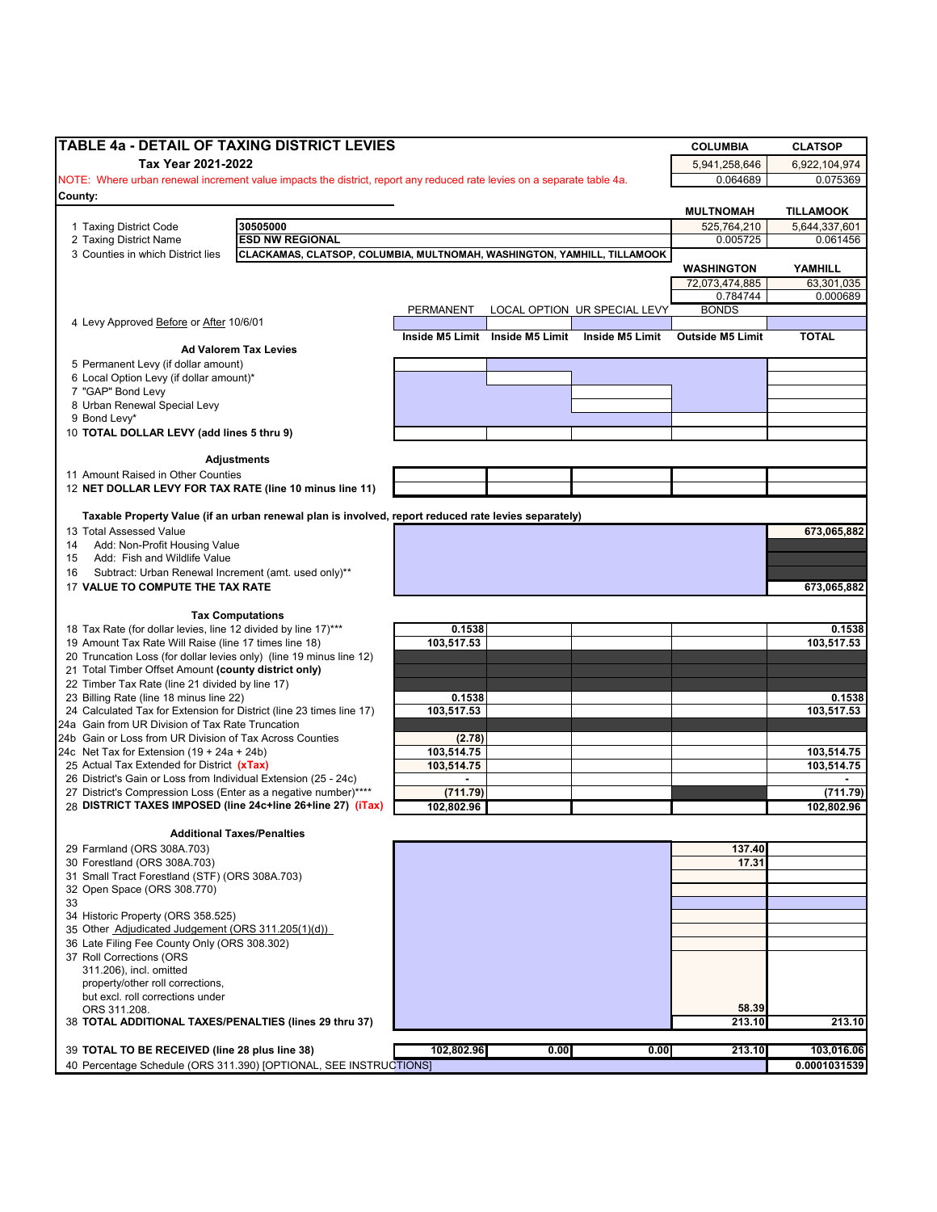|                                                                                                                                                                                                                                                                                                                                                                                                                                                                                                                                  | <b>COLUMBIA</b>                 | <b>CLATSOP</b>                    |
|----------------------------------------------------------------------------------------------------------------------------------------------------------------------------------------------------------------------------------------------------------------------------------------------------------------------------------------------------------------------------------------------------------------------------------------------------------------------------------------------------------------------------------|---------------------------------|-----------------------------------|
| Tax Year 2021-2022                                                                                                                                                                                                                                                                                                                                                                                                                                                                                                               | 5,941,258,646                   | 6,922,104,974                     |
| NOTE: Where urban renewal increment value impacts the district, report any reduced rate levies on a separate table 4a.                                                                                                                                                                                                                                                                                                                                                                                                           | 0.064689                        | 0.075369                          |
| County:                                                                                                                                                                                                                                                                                                                                                                                                                                                                                                                          |                                 |                                   |
| 30505000<br>1 Taxing District Code                                                                                                                                                                                                                                                                                                                                                                                                                                                                                               | <b>MULTNOMAH</b><br>525,764,210 | <b>TILLAMOOK</b><br>5,644,337,601 |
| <b>ESD NW REGIONAL</b><br>2 Taxing District Name                                                                                                                                                                                                                                                                                                                                                                                                                                                                                 | 0.005725                        | 0.061456                          |
| 3 Counties in which District lies<br>CLACKAMAS, CLATSOP, COLUMBIA, MULTNOMAH, WASHINGTON, YAMHILL, TILLAMOOK                                                                                                                                                                                                                                                                                                                                                                                                                     |                                 |                                   |
|                                                                                                                                                                                                                                                                                                                                                                                                                                                                                                                                  | <b>WASHINGTON</b>               | YAMHILL                           |
|                                                                                                                                                                                                                                                                                                                                                                                                                                                                                                                                  | 72,073,474,885<br>0.784744      | 63,301,035<br>0.000689            |
| PERMANENT<br>LOCAL OPTION UR SPECIAL LEVY                                                                                                                                                                                                                                                                                                                                                                                                                                                                                        | <b>BONDS</b>                    |                                   |
| 4 Levy Approved Before or After 10/6/01                                                                                                                                                                                                                                                                                                                                                                                                                                                                                          |                                 |                                   |
| Inside M5 Limit Inside M5 Limit Inside M5 Limit                                                                                                                                                                                                                                                                                                                                                                                                                                                                                  | <b>Outside M5 Limit</b>         | <b>TOTAL</b>                      |
| <b>Ad Valorem Tax Levies</b><br>5 Permanent Levy (if dollar amount)                                                                                                                                                                                                                                                                                                                                                                                                                                                              |                                 |                                   |
| 6 Local Option Levy (if dollar amount)*                                                                                                                                                                                                                                                                                                                                                                                                                                                                                          |                                 |                                   |
| 7 "GAP" Bond Levy                                                                                                                                                                                                                                                                                                                                                                                                                                                                                                                |                                 |                                   |
| 8 Urban Renewal Special Levy                                                                                                                                                                                                                                                                                                                                                                                                                                                                                                     |                                 |                                   |
| 9 Bond Levy*                                                                                                                                                                                                                                                                                                                                                                                                                                                                                                                     |                                 |                                   |
| 10 TOTAL DOLLAR LEVY (add lines 5 thru 9)                                                                                                                                                                                                                                                                                                                                                                                                                                                                                        |                                 |                                   |
| <b>Adjustments</b>                                                                                                                                                                                                                                                                                                                                                                                                                                                                                                               |                                 |                                   |
| 11 Amount Raised in Other Counties                                                                                                                                                                                                                                                                                                                                                                                                                                                                                               |                                 |                                   |
| 12 NET DOLLAR LEVY FOR TAX RATE (line 10 minus line 11)                                                                                                                                                                                                                                                                                                                                                                                                                                                                          |                                 |                                   |
| Taxable Property Value (if an urban renewal plan is involved, report reduced rate levies separately)                                                                                                                                                                                                                                                                                                                                                                                                                             |                                 |                                   |
| 13 Total Assessed Value                                                                                                                                                                                                                                                                                                                                                                                                                                                                                                          |                                 | 673,065,882                       |
| Add: Non-Profit Housing Value<br>14                                                                                                                                                                                                                                                                                                                                                                                                                                                                                              |                                 |                                   |
| Add: Fish and Wildlife Value<br>15                                                                                                                                                                                                                                                                                                                                                                                                                                                                                               |                                 |                                   |
| Subtract: Urban Renewal Increment (amt. used only)**<br>16                                                                                                                                                                                                                                                                                                                                                                                                                                                                       |                                 |                                   |
| 17 VALUE TO COMPUTE THE TAX RATE                                                                                                                                                                                                                                                                                                                                                                                                                                                                                                 |                                 | 673,065,882                       |
| <b>Tax Computations</b>                                                                                                                                                                                                                                                                                                                                                                                                                                                                                                          |                                 |                                   |
| 18 Tax Rate (for dollar levies, line 12 divided by line 17)***<br>0.1538                                                                                                                                                                                                                                                                                                                                                                                                                                                         |                                 | 0.1538                            |
| 103,517.53<br>19 Amount Tax Rate Will Raise (line 17 times line 18)                                                                                                                                                                                                                                                                                                                                                                                                                                                              |                                 | 103,517.53                        |
| 20 Truncation Loss (for dollar levies only) (line 19 minus line 12)                                                                                                                                                                                                                                                                                                                                                                                                                                                              |                                 |                                   |
| 21 Total Timber Offset Amount (county district only)                                                                                                                                                                                                                                                                                                                                                                                                                                                                             |                                 |                                   |
| 22 Timber Tax Rate (line 21 divided by line 17)<br>23 Billing Rate (line 18 minus line 22)<br>0.1538                                                                                                                                                                                                                                                                                                                                                                                                                             |                                 | 0.1538                            |
| 24 Calculated Tax for Extension for District (line 23 times line 17)<br>103,517.53                                                                                                                                                                                                                                                                                                                                                                                                                                               |                                 | 103,517.53                        |
| 24a Gain from UR Division of Tax Rate Truncation                                                                                                                                                                                                                                                                                                                                                                                                                                                                                 |                                 |                                   |
| 24b Gain or Loss from UR Division of Tax Across Counties<br>(2.78)                                                                                                                                                                                                                                                                                                                                                                                                                                                               |                                 |                                   |
| 24c Net Tax for Extension $(19 + 24a + 24b)$<br>103,514.75                                                                                                                                                                                                                                                                                                                                                                                                                                                                       |                                 | 103,514.75                        |
| 25 Actual Tax Extended for District (xTax)<br>103,514.75<br>26 District's Gain or Loss from Individual Extension (25 - 24c)<br>$\blacksquare$                                                                                                                                                                                                                                                                                                                                                                                    |                                 | 103,514.75                        |
| 27 District's Compression Loss (Enter as a negative number)****<br>(711.79)                                                                                                                                                                                                                                                                                                                                                                                                                                                      |                                 | (711.79)                          |
| 28 DISTRICT TAXES IMPOSED (line 24c+line 26+line 27) (iTax)<br>102,802.96                                                                                                                                                                                                                                                                                                                                                                                                                                                        |                                 | 102.802.96                        |
|                                                                                                                                                                                                                                                                                                                                                                                                                                                                                                                                  |                                 |                                   |
|                                                                                                                                                                                                                                                                                                                                                                                                                                                                                                                                  |                                 |                                   |
| <b>Additional Taxes/Penalties</b>                                                                                                                                                                                                                                                                                                                                                                                                                                                                                                |                                 |                                   |
|                                                                                                                                                                                                                                                                                                                                                                                                                                                                                                                                  | 137.40                          |                                   |
|                                                                                                                                                                                                                                                                                                                                                                                                                                                                                                                                  | 17.31                           |                                   |
|                                                                                                                                                                                                                                                                                                                                                                                                                                                                                                                                  |                                 |                                   |
|                                                                                                                                                                                                                                                                                                                                                                                                                                                                                                                                  |                                 |                                   |
|                                                                                                                                                                                                                                                                                                                                                                                                                                                                                                                                  |                                 |                                   |
|                                                                                                                                                                                                                                                                                                                                                                                                                                                                                                                                  |                                 |                                   |
|                                                                                                                                                                                                                                                                                                                                                                                                                                                                                                                                  |                                 |                                   |
| 311.206), incl. omitted                                                                                                                                                                                                                                                                                                                                                                                                                                                                                                          |                                 |                                   |
| property/other roll corrections,                                                                                                                                                                                                                                                                                                                                                                                                                                                                                                 |                                 |                                   |
| but excl. roll corrections under                                                                                                                                                                                                                                                                                                                                                                                                                                                                                                 |                                 |                                   |
| ORS 311.208.                                                                                                                                                                                                                                                                                                                                                                                                                                                                                                                     | 58.39<br>213.10                 | 213.10                            |
|                                                                                                                                                                                                                                                                                                                                                                                                                                                                                                                                  |                                 |                                   |
| 29 Farmland (ORS 308A.703)<br>30 Forestland (ORS 308A.703)<br>31 Small Tract Forestland (STF) (ORS 308A.703)<br>32 Open Space (ORS 308.770)<br>33<br>34 Historic Property (ORS 358.525)<br>35 Other Adjudicated Judgement (ORS 311.205(1)(d))<br>36 Late Filing Fee County Only (ORS 308.302)<br>37 Roll Corrections (ORS<br>38 TOTAL ADDITIONAL TAXES/PENALTIES (lines 29 thru 37)<br>102,802.96<br>39 TOTAL TO BE RECEIVED (line 28 plus line 38)<br>0.00<br>40 Percentage Schedule (ORS 311.390) [OPTIONAL, SEE INSTRUCTIONS] | 0.00<br>213.10                  | 103,016.06<br>0.0001031539        |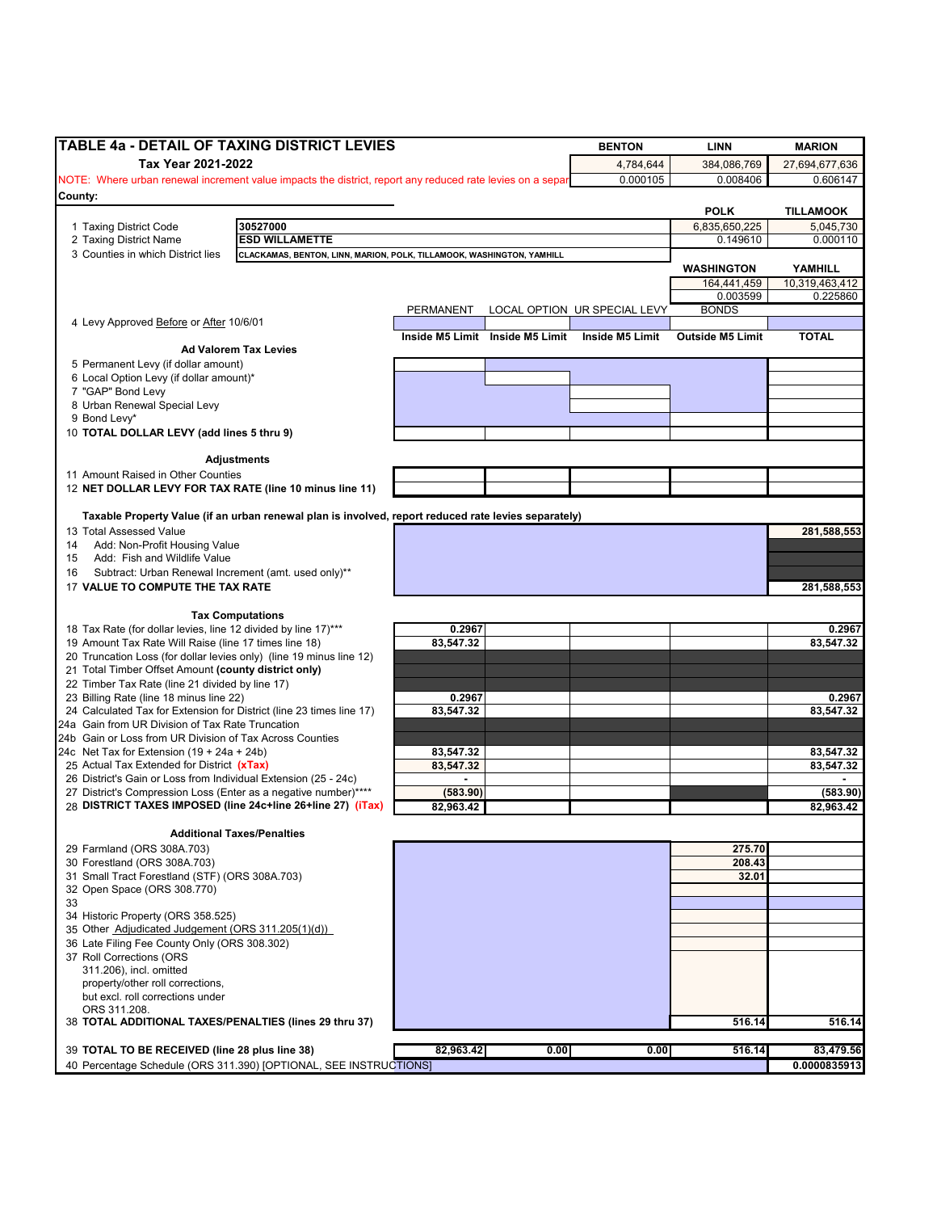| TABLE 4a - DETAIL OF TAXING DISTRICT LEVIES                                                                |                        |                                 | <b>BENTON</b>                | <b>LINN</b>               | <b>MARION</b>          |
|------------------------------------------------------------------------------------------------------------|------------------------|---------------------------------|------------------------------|---------------------------|------------------------|
| Tax Year 2021-2022                                                                                         |                        |                                 | 4,784,644                    | 384,086,769               | 27,694,677,636         |
| NOTE: Where urban renewal increment value impacts the district, report any reduced rate levies on a separ  |                        |                                 | 0.000105                     | 0.008406                  | 0.606147               |
| County:                                                                                                    |                        |                                 |                              |                           |                        |
|                                                                                                            |                        |                                 |                              | <b>POLK</b>               | <b>TILLAMOOK</b>       |
| 30527000<br>1 Taxing District Code<br><b>ESD WILLAMETTE</b><br>2 Taxing District Name                      |                        |                                 |                              | 6,835,650,225<br>0.149610 | 5,045,730<br>0.000110  |
| 3 Counties in which District lies<br>CLACKAMAS, BENTON, LINN, MARION, POLK, TILLAMOOK, WASHINGTON, YAMHILL |                        |                                 |                              |                           |                        |
|                                                                                                            |                        |                                 |                              | <b>WASHINGTON</b>         | YAMHILL                |
|                                                                                                            |                        |                                 |                              | 164,441,459               | 10,319,463,412         |
|                                                                                                            |                        |                                 |                              | 0.003599                  | 0.225860               |
|                                                                                                            | PERMANENT              |                                 | LOCAL OPTION UR SPECIAL LEVY | <b>BONDS</b>              |                        |
| 4 Levy Approved Before or After 10/6/01                                                                    |                        |                                 |                              |                           |                        |
|                                                                                                            |                        | Inside M5 Limit Inside M5 Limit | Inside M5 Limit              | <b>Outside M5 Limit</b>   | <b>TOTAL</b>           |
| <b>Ad Valorem Tax Levies</b>                                                                               |                        |                                 |                              |                           |                        |
| 5 Permanent Levy (if dollar amount)                                                                        |                        |                                 |                              |                           |                        |
| 6 Local Option Levy (if dollar amount)*<br>7 "GAP" Bond Levy                                               |                        |                                 |                              |                           |                        |
| 8 Urban Renewal Special Levy                                                                               |                        |                                 |                              |                           |                        |
| 9 Bond Levy*                                                                                               |                        |                                 |                              |                           |                        |
| 10 TOTAL DOLLAR LEVY (add lines 5 thru 9)                                                                  |                        |                                 |                              |                           |                        |
|                                                                                                            |                        |                                 |                              |                           |                        |
| Adjustments                                                                                                |                        |                                 |                              |                           |                        |
| 11 Amount Raised in Other Counties                                                                         |                        |                                 |                              |                           |                        |
| 12 NET DOLLAR LEVY FOR TAX RATE (line 10 minus line 11)                                                    |                        |                                 |                              |                           |                        |
|                                                                                                            |                        |                                 |                              |                           |                        |
| Taxable Property Value (if an urban renewal plan is involved, report reduced rate levies separately)       |                        |                                 |                              |                           |                        |
| 13 Total Assessed Value                                                                                    |                        |                                 |                              |                           | 281,588,553            |
| Add: Non-Profit Housing Value<br>14                                                                        |                        |                                 |                              |                           |                        |
| Add: Fish and Wildlife Value<br>15                                                                         |                        |                                 |                              |                           |                        |
| Subtract: Urban Renewal Increment (amt. used only)**<br>16                                                 |                        |                                 |                              |                           |                        |
| 17 VALUE TO COMPUTE THE TAX RATE                                                                           |                        |                                 |                              |                           | 281,588,553            |
| <b>Tax Computations</b>                                                                                    |                        |                                 |                              |                           |                        |
| 18 Tax Rate (for dollar levies, line 12 divided by line 17)***                                             | 0.2967                 |                                 |                              |                           | 0.2967                 |
| 19 Amount Tax Rate Will Raise (line 17 times line 18)                                                      | 83,547.32              |                                 |                              |                           | 83,547.32              |
| 20 Truncation Loss (for dollar levies only) (line 19 minus line 12)                                        |                        |                                 |                              |                           |                        |
| 21 Total Timber Offset Amount (county district only)                                                       |                        |                                 |                              |                           |                        |
| 22 Timber Tax Rate (line 21 divided by line 17)                                                            |                        |                                 |                              |                           |                        |
| 23 Billing Rate (line 18 minus line 22)                                                                    | 0.2967                 |                                 |                              |                           | 0.2967                 |
| 24 Calculated Tax for Extension for District (line 23 times line 17)                                       | 83,547.32              |                                 |                              |                           | 83,547.32              |
| 24a Gain from UR Division of Tax Rate Truncation                                                           |                        |                                 |                              |                           |                        |
| 24b Gain or Loss from UR Division of Tax Across Counties                                                   |                        |                                 |                              |                           |                        |
| 24c Net Tax for Extension $(19 + 24a + 24b)$<br>25 Actual Tax Extended for District (xTax)                 | 83,547.32<br>83,547.32 |                                 |                              |                           | 83,547.32<br>83,547.32 |
| 26 District's Gain or Loss from Individual Extension (25 - 24c)                                            |                        |                                 |                              |                           |                        |
| 27 District's Compression Loss (Enter as a negative number)****                                            | (583.90)               |                                 |                              |                           | (583.90)               |
| 28 DISTRICT TAXES IMPOSED (line 24c+line 26+line 27) (iTax)                                                | 82,963.42              |                                 |                              |                           | 82,963.42              |
|                                                                                                            |                        |                                 |                              |                           |                        |
| <b>Additional Taxes/Penalties</b>                                                                          |                        |                                 |                              |                           |                        |
| 29 Farmland (ORS 308A.703)                                                                                 |                        |                                 |                              | 275.70                    |                        |
| 30 Forestland (ORS 308A.703)                                                                               |                        |                                 |                              | 208.43                    |                        |
| 31 Small Tract Forestland (STF) (ORS 308A.703)                                                             |                        |                                 |                              | 32.01                     |                        |
| 32 Open Space (ORS 308.770)                                                                                |                        |                                 |                              |                           |                        |
| 33                                                                                                         |                        |                                 |                              |                           |                        |
| 34 Historic Property (ORS 358.525)<br>35 Other Adjudicated Judgement (ORS 311.205(1)(d))                   |                        |                                 |                              |                           |                        |
| 36 Late Filing Fee County Only (ORS 308.302)                                                               |                        |                                 |                              |                           |                        |
| 37 Roll Corrections (ORS                                                                                   |                        |                                 |                              |                           |                        |
| 311.206), incl. omitted                                                                                    |                        |                                 |                              |                           |                        |
| property/other roll corrections,                                                                           |                        |                                 |                              |                           |                        |
| but excl. roll corrections under                                                                           |                        |                                 |                              |                           |                        |
| ORS 311.208.                                                                                               |                        |                                 |                              |                           |                        |
| 38 TOTAL ADDITIONAL TAXES/PENALTIES (lines 29 thru 37)                                                     |                        |                                 |                              | 516.14                    | 516.14                 |
|                                                                                                            |                        |                                 |                              |                           |                        |
| 39 TOTAL TO BE RECEIVED (line 28 plus line 38)                                                             | 82,963.42              | 0.00                            | 0.00                         | 516.14                    | 83,479.56              |
| 40 Percentage Schedule (ORS 311.390) [OPTIONAL, SEE INSTRUCTIONS]                                          |                        |                                 |                              |                           | 0.0000835913           |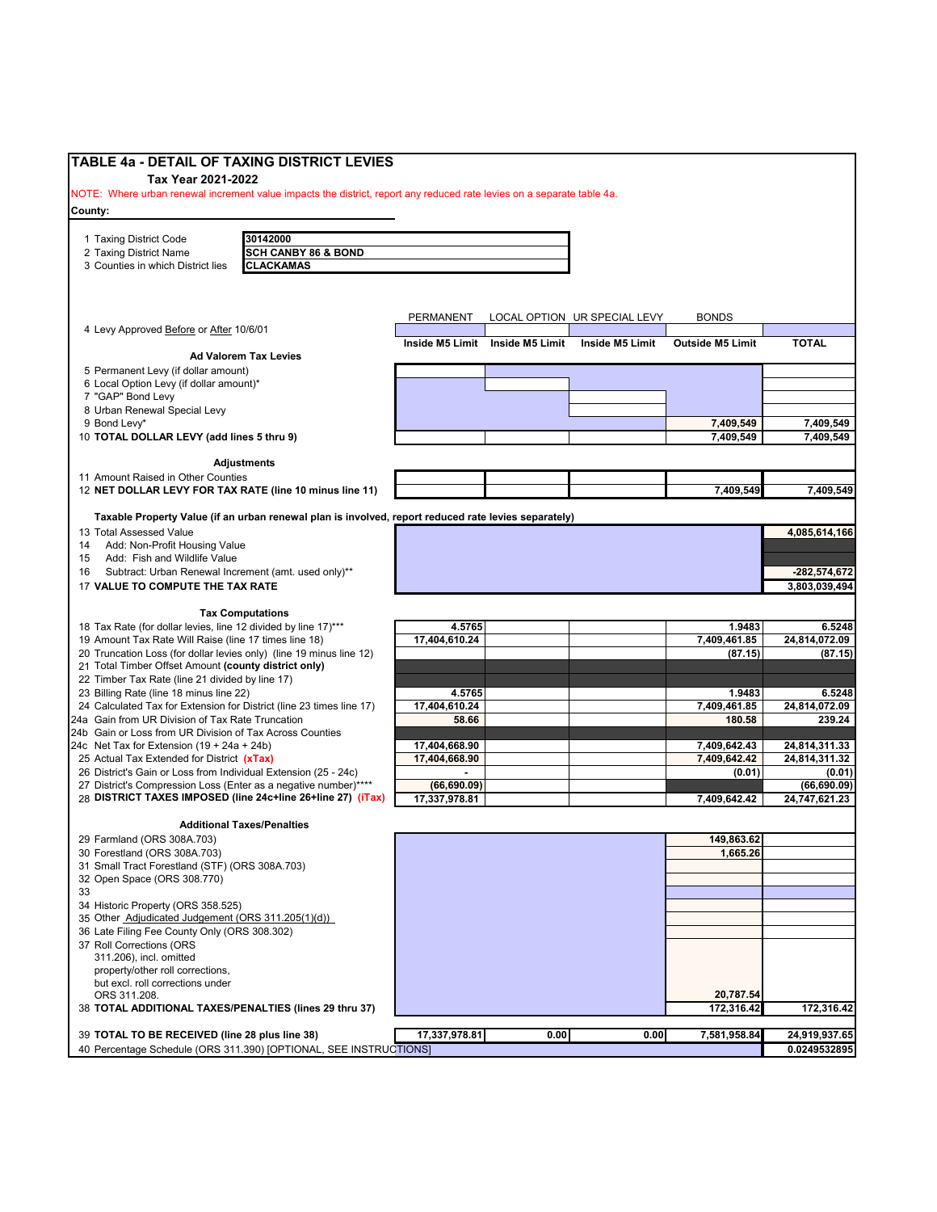| <b>TABLE 4a - DETAIL OF TAXING DISTRICT LEVIES</b>                                                                                           |                                                                                                      |                                |                 |                              |                              |                                |
|----------------------------------------------------------------------------------------------------------------------------------------------|------------------------------------------------------------------------------------------------------|--------------------------------|-----------------|------------------------------|------------------------------|--------------------------------|
| Tax Year 2021-2022<br>NOTE: Where urban renewal increment value impacts the district, report any reduced rate levies on a separate table 4a. |                                                                                                      |                                |                 |                              |                              |                                |
| County:                                                                                                                                      |                                                                                                      |                                |                 |                              |                              |                                |
|                                                                                                                                              |                                                                                                      |                                |                 |                              |                              |                                |
| 1 Taxing District Code                                                                                                                       | 30142000                                                                                             |                                |                 |                              |                              |                                |
| 2 Taxing District Name                                                                                                                       | <b>SCH CANBY 86 &amp; BOND</b>                                                                       |                                |                 |                              |                              |                                |
| 3 Counties in which District lies                                                                                                            | <b>CLACKAMAS</b>                                                                                     |                                |                 |                              |                              |                                |
|                                                                                                                                              |                                                                                                      |                                |                 |                              |                              |                                |
|                                                                                                                                              |                                                                                                      |                                |                 |                              |                              |                                |
|                                                                                                                                              |                                                                                                      | PERMANENT                      |                 | LOCAL OPTION UR SPECIAL LEVY | <b>BONDS</b>                 |                                |
| 4 Levy Approved Before or After 10/6/01                                                                                                      |                                                                                                      |                                |                 |                              |                              |                                |
|                                                                                                                                              | <b>Ad Valorem Tax Levies</b>                                                                         | Inside M5 Limit                | Inside M5 Limit | Inside M5 Limit              | <b>Outside M5 Limit</b>      | <b>TOTAL</b>                   |
| 5 Permanent Levy (if dollar amount)                                                                                                          |                                                                                                      |                                |                 |                              |                              |                                |
| 6 Local Option Levy (if dollar amount)*                                                                                                      |                                                                                                      |                                |                 |                              |                              |                                |
| 7 "GAP" Bond Levy                                                                                                                            |                                                                                                      |                                |                 |                              |                              |                                |
| 8 Urban Renewal Special Levy                                                                                                                 |                                                                                                      |                                |                 |                              |                              |                                |
| 9 Bond Levy*                                                                                                                                 |                                                                                                      |                                |                 |                              | 7,409,549                    | 7,409,549                      |
| 10 TOTAL DOLLAR LEVY (add lines 5 thru 9)                                                                                                    |                                                                                                      |                                |                 |                              | 7,409,549                    | 7,409,549                      |
|                                                                                                                                              | <b>Adjustments</b>                                                                                   |                                |                 |                              |                              |                                |
| 11 Amount Raised in Other Counties                                                                                                           |                                                                                                      |                                |                 |                              |                              |                                |
| 12 NET DOLLAR LEVY FOR TAX RATE (line 10 minus line 11)                                                                                      |                                                                                                      |                                |                 |                              | 7,409,549                    | 7,409,549                      |
|                                                                                                                                              |                                                                                                      |                                |                 |                              |                              |                                |
|                                                                                                                                              | Taxable Property Value (if an urban renewal plan is involved, report reduced rate levies separately) |                                |                 |                              |                              |                                |
| 13 Total Assessed Value                                                                                                                      |                                                                                                      |                                |                 |                              |                              | 4,085,614,166                  |
| Add: Non-Profit Housing Value<br>14<br>Add: Fish and Wildlife Value<br>15                                                                    |                                                                                                      |                                |                 |                              |                              |                                |
| Subtract: Urban Renewal Increment (amt. used only)**<br>16                                                                                   |                                                                                                      |                                |                 |                              |                              | $-282,574,672$                 |
| 17 VALUE TO COMPUTE THE TAX RATE                                                                                                             |                                                                                                      |                                |                 |                              |                              | 3,803,039,494                  |
|                                                                                                                                              |                                                                                                      |                                |                 |                              |                              |                                |
|                                                                                                                                              | <b>Tax Computations</b>                                                                              |                                |                 |                              |                              |                                |
| 18 Tax Rate (for dollar levies, line 12 divided by line 17)***                                                                               |                                                                                                      | 4.5765                         |                 |                              | 1.9483                       | 6.5248                         |
| 19 Amount Tax Rate Will Raise (line 17 times line 18)                                                                                        |                                                                                                      | 17,404,610.24                  |                 |                              | 7,409,461.85                 | 24,814,072.09                  |
| 20 Truncation Loss (for dollar levies only) (line 19 minus line 12)<br>21 Total Timber Offset Amount (county district only)                  |                                                                                                      |                                |                 |                              | (87.15)                      | (87.15)                        |
| 22 Timber Tax Rate (line 21 divided by line 17)                                                                                              |                                                                                                      |                                |                 |                              |                              |                                |
| 23 Billing Rate (line 18 minus line 22)                                                                                                      |                                                                                                      | 4.5765                         |                 |                              | 1.9483                       | 6.5248                         |
| 24 Calculated Tax for Extension for District (line 23 times line 17)                                                                         |                                                                                                      | 17,404,610.24                  |                 |                              | 7,409,461.85                 | 24,814,072.09                  |
| 24a Gain from UR Division of Tax Rate Truncation                                                                                             |                                                                                                      | 58.66                          |                 |                              | 180.58                       | 239.24                         |
| 24b Gain or Loss from UR Division of Tax Across Counties                                                                                     |                                                                                                      |                                |                 |                              |                              |                                |
| 24c Net Tax for Extension $(19 + 24a + 24b)$<br>25 Actual Tax Extended for District (xTax)                                                   |                                                                                                      | 17,404,668.90<br>17,404,668.90 |                 |                              | 7,409,642.43<br>7,409,642.42 | 24,814,311.33<br>24,814,311.32 |
| 26 District's Gain or Loss from Individual Extension (25 - 24c)                                                                              |                                                                                                      |                                |                 |                              | (0.01)                       | (0.01)                         |
| 27 District's Compression Loss (Enter as a negative number)****                                                                              |                                                                                                      | (66, 690.09)                   |                 |                              |                              | (66, 690.09)                   |
| 28 DISTRICT TAXES IMPOSED (line 24c+line 26+line 27) (iTax)                                                                                  |                                                                                                      | 17,337,978.81                  |                 |                              | 7,409,642.42                 | 24,747,621.23                  |
|                                                                                                                                              |                                                                                                      |                                |                 |                              |                              |                                |
| 29 Farmland (ORS 308A.703)                                                                                                                   | <b>Additional Taxes/Penalties</b>                                                                    |                                |                 |                              | 149.863.62                   |                                |
| 30 Forestland (ORS 308A.703)                                                                                                                 |                                                                                                      |                                |                 |                              | 1,665.26                     |                                |
| 31 Small Tract Forestland (STF) (ORS 308A.703)                                                                                               |                                                                                                      |                                |                 |                              |                              |                                |
| 32 Open Space (ORS 308.770)                                                                                                                  |                                                                                                      |                                |                 |                              |                              |                                |
| 33                                                                                                                                           |                                                                                                      |                                |                 |                              |                              |                                |
| 34 Historic Property (ORS 358.525)                                                                                                           |                                                                                                      |                                |                 |                              |                              |                                |
| 35 Other Adjudicated Judgement (ORS 311.205(1)(d))<br>36 Late Filing Fee County Only (ORS 308.302)                                           |                                                                                                      |                                |                 |                              |                              |                                |
| 37 Roll Corrections (ORS                                                                                                                     |                                                                                                      |                                |                 |                              |                              |                                |
| 311.206), incl. omitted                                                                                                                      |                                                                                                      |                                |                 |                              |                              |                                |
| property/other roll corrections,                                                                                                             |                                                                                                      |                                |                 |                              |                              |                                |
| but excl. roll corrections under                                                                                                             |                                                                                                      |                                |                 |                              |                              |                                |
| ORS 311.208.                                                                                                                                 |                                                                                                      |                                |                 |                              | 20,787.54                    |                                |
| 38 TOTAL ADDITIONAL TAXES/PENALTIES (lines 29 thru 37)                                                                                       |                                                                                                      |                                |                 |                              | 172,316.42                   | 172,316.42                     |
| 39 TOTAL TO BE RECEIVED (line 28 plus line 38)                                                                                               |                                                                                                      | 17,337,978.81                  | 0.00            | 0.00                         | 7,581,958.84                 | 24,919,937.65                  |
|                                                                                                                                              | 40 Percentage Schedule (ORS 311.390) [OPTIONAL, SEE INSTRUCTIONS]                                    |                                |                 |                              |                              | 0.0249532895                   |
|                                                                                                                                              |                                                                                                      |                                |                 |                              |                              |                                |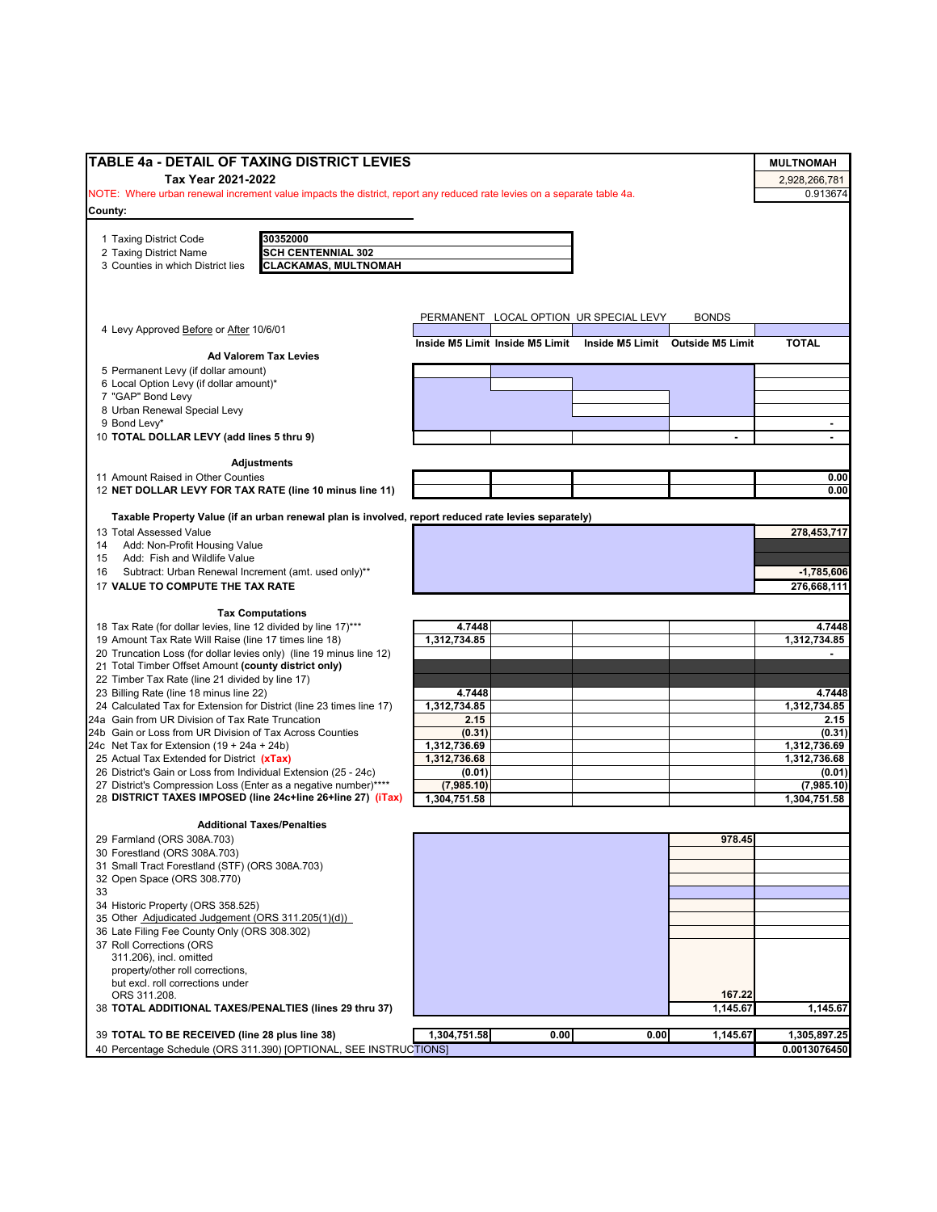| <b>TABLE 4a - DETAIL OF TAXING DISTRICT LEVIES</b>                                                                                 |                                                                  |      |              | <b>MULTNOMAH</b>       |
|------------------------------------------------------------------------------------------------------------------------------------|------------------------------------------------------------------|------|--------------|------------------------|
| Tax Year 2021-2022                                                                                                                 |                                                                  |      |              | 2,928,266,781          |
| NOTE: Where urban renewal increment value impacts the district, report any reduced rate levies on a separate table 4a.             |                                                                  |      |              | 0.913674               |
| County:                                                                                                                            |                                                                  |      |              |                        |
|                                                                                                                                    |                                                                  |      |              |                        |
| 30352000<br>1 Taxing District Code                                                                                                 |                                                                  |      |              |                        |
| <b>SCH CENTENNIAL 302</b><br>2 Taxing District Name                                                                                |                                                                  |      |              |                        |
| <b>CLACKAMAS, MULTNOMAH</b><br>3 Counties in which District lies                                                                   |                                                                  |      |              |                        |
|                                                                                                                                    |                                                                  |      |              |                        |
|                                                                                                                                    |                                                                  |      |              |                        |
|                                                                                                                                    | PERMANENT LOCAL OPTION UR SPECIAL LEVY                           |      | <b>BONDS</b> |                        |
| 4 Levy Approved Before or After 10/6/01                                                                                            |                                                                  |      |              |                        |
| <b>Ad Valorem Tax Levies</b>                                                                                                       | Inside M5 Limit Inside M5 Limit Inside M5 Limit Outside M5 Limit |      |              | <b>TOTAL</b>           |
| 5 Permanent Levy (if dollar amount)                                                                                                |                                                                  |      |              |                        |
| 6 Local Option Levy (if dollar amount)*                                                                                            |                                                                  |      |              |                        |
| 7 "GAP" Bond Levy                                                                                                                  |                                                                  |      |              |                        |
| 8 Urban Renewal Special Levy                                                                                                       |                                                                  |      |              |                        |
| 9 Bond Levy*                                                                                                                       |                                                                  |      |              |                        |
| 10 TOTAL DOLLAR LEVY (add lines 5 thru 9)                                                                                          |                                                                  |      |              | ÷                      |
|                                                                                                                                    |                                                                  |      |              |                        |
| <b>Adjustments</b>                                                                                                                 |                                                                  |      |              |                        |
| 11 Amount Raised in Other Counties<br>12 NET DOLLAR LEVY FOR TAX RATE (line 10 minus line 11)                                      |                                                                  |      |              | 0.00<br>0.00           |
|                                                                                                                                    |                                                                  |      |              |                        |
| Taxable Property Value (if an urban renewal plan is involved, report reduced rate levies separately)                               |                                                                  |      |              |                        |
| 13 Total Assessed Value                                                                                                            |                                                                  |      |              | 278,453,717            |
| 14 Add: Non-Profit Housing Value                                                                                                   |                                                                  |      |              |                        |
| Add: Fish and Wildlife Value<br>15                                                                                                 |                                                                  |      |              |                        |
| Subtract: Urban Renewal Increment (amt. used only)**<br>16                                                                         |                                                                  |      |              | $-1,785,606$           |
| 17 VALUE TO COMPUTE THE TAX RATE                                                                                                   |                                                                  |      |              | 276,668,111            |
|                                                                                                                                    |                                                                  |      |              |                        |
| <b>Tax Computations</b>                                                                                                            |                                                                  |      |              |                        |
| 18 Tax Rate (for dollar levies, line 12 divided by line 17)***<br>19 Amount Tax Rate Will Raise (line 17 times line 18)            | 4.7448<br>1,312,734.85                                           |      |              | 4.7448<br>1,312,734.85 |
| 20 Truncation Loss (for dollar levies only) (line 19 minus line 12)                                                                |                                                                  |      |              |                        |
| 21 Total Timber Offset Amount (county district only)                                                                               |                                                                  |      |              |                        |
| 22 Timber Tax Rate (line 21 divided by line 17)                                                                                    |                                                                  |      |              |                        |
| 23 Billing Rate (line 18 minus line 22)                                                                                            | 4.7448                                                           |      |              | 4.7448                 |
| 24 Calculated Tax for Extension for District (line 23 times line 17)                                                               | 1,312,734.85                                                     |      |              | 1,312,734.85           |
| 24a Gain from UR Division of Tax Rate Truncation                                                                                   | 2.15                                                             |      |              | 2.15                   |
| 24b Gain or Loss from UR Division of Tax Across Counties                                                                           | (0.31)                                                           |      |              | (0.31)                 |
| 24c Net Tax for Extension $(19 + 24a + 24b)$                                                                                       | 1,312,736.69                                                     |      |              | 1,312,736.69           |
| 25 Actual Tax Extended for District (xTax)                                                                                         | 1,312,736.68                                                     |      |              | 1,312,736.68           |
| 26 District's Gain or Loss from Individual Extension (25 - 24c)<br>27 District's Compression Loss (Enter as a negative number)**** | (0.01)                                                           |      |              | (0.01)<br>(7,985.10)   |
| 28 DISTRICT TAXES IMPOSED (line 24c+line 26+line 27) (iTax)                                                                        | (7,985.10)<br>1,304,751.58                                       |      |              | 1,304,751.58           |
|                                                                                                                                    |                                                                  |      |              |                        |
| <b>Additional Taxes/Penalties</b>                                                                                                  |                                                                  |      |              |                        |
| 29 Farmland (ORS 308A.703)                                                                                                         |                                                                  |      | 978.45       |                        |
| 30 Forestland (ORS 308A.703)                                                                                                       |                                                                  |      |              |                        |
| 31 Small Tract Forestland (STF) (ORS 308A.703)                                                                                     |                                                                  |      |              |                        |
| 32 Open Space (ORS 308.770)                                                                                                        |                                                                  |      |              |                        |
|                                                                                                                                    |                                                                  |      |              |                        |
| 34 Historic Property (ORS 358.525)                                                                                                 |                                                                  |      |              |                        |
| 35 Other Adjudicated Judgement (ORS 311.205(1)(d))<br>36 Late Filing Fee County Only (ORS 308.302)                                 |                                                                  |      |              |                        |
| 37 Roll Corrections (ORS                                                                                                           |                                                                  |      |              |                        |
| 311.206), incl. omitted                                                                                                            |                                                                  |      |              |                        |
| property/other roll corrections,                                                                                                   |                                                                  |      |              |                        |
| but excl. roll corrections under                                                                                                   |                                                                  |      |              |                        |
| ORS 311.208.                                                                                                                       |                                                                  |      | 167.22       |                        |
| 38 TOTAL ADDITIONAL TAXES/PENALTIES (lines 29 thru 37)                                                                             |                                                                  |      | 1,145.67     | 1,145.67               |
|                                                                                                                                    |                                                                  |      |              |                        |
| 39 TOTAL TO BE RECEIVED (line 28 plus line 38)                                                                                     | 1,304,751.58<br>0.00                                             | 0.00 | 1,145.67     | 1,305,897.25           |
| 40 Percentage Schedule (ORS 311.390) [OPTIONAL, SEE INSTRUCTIONS]                                                                  |                                                                  |      |              | 0.0013076450           |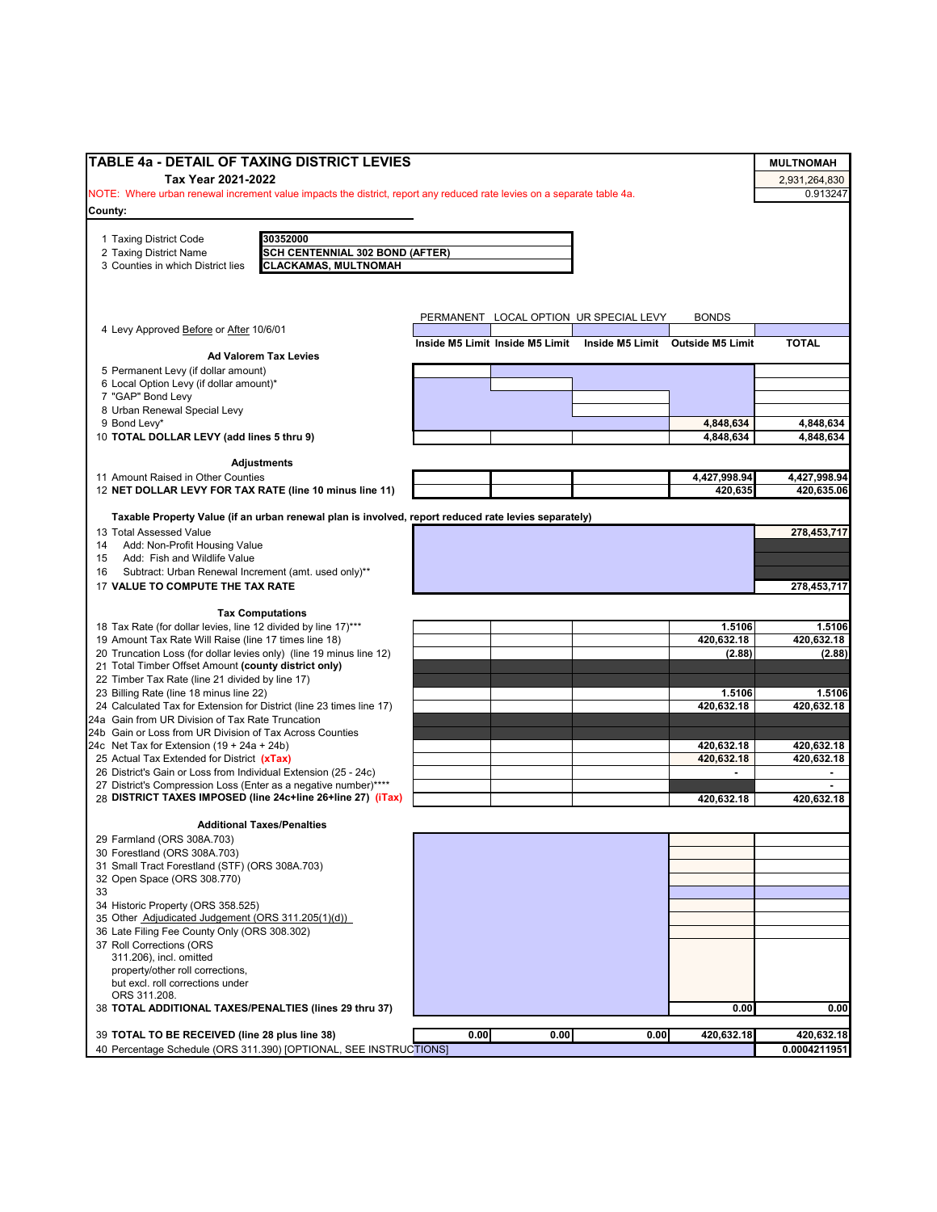| TABLE 4a - DETAIL OF TAXING DISTRICT LEVIES                                                                            |      |      |                                                                  |                          | <b>MULTNOMAH</b>         |
|------------------------------------------------------------------------------------------------------------------------|------|------|------------------------------------------------------------------|--------------------------|--------------------------|
| Tax Year 2021-2022                                                                                                     |      |      |                                                                  |                          | 2,931,264,830            |
| NOTE: Where urban renewal increment value impacts the district, report any reduced rate levies on a separate table 4a. |      |      |                                                                  |                          | 0.913247                 |
| County:                                                                                                                |      |      |                                                                  |                          |                          |
| 30352000<br>1 Taxing District Code                                                                                     |      |      |                                                                  |                          |                          |
| 2 Taxing District Name<br>SCH CENTENNIAL 302 BOND (AFTER)                                                              |      |      |                                                                  |                          |                          |
| <b>CLACKAMAS, MULTNOMAH</b><br>3 Counties in which District lies                                                       |      |      |                                                                  |                          |                          |
|                                                                                                                        |      |      |                                                                  |                          |                          |
|                                                                                                                        |      |      |                                                                  |                          |                          |
| 4 Levy Approved Before or After 10/6/01                                                                                |      |      | PERMANENT LOCAL OPTION UR SPECIAL LEVY                           | <b>BONDS</b>             |                          |
|                                                                                                                        |      |      | Inside M5 Limit Inside M5 Limit Inside M5 Limit Outside M5 Limit |                          | <b>TOTAL</b>             |
| <b>Ad Valorem Tax Levies</b>                                                                                           |      |      |                                                                  |                          |                          |
| 5 Permanent Levy (if dollar amount)<br>6 Local Option Levy (if dollar amount)*                                         |      |      |                                                                  |                          |                          |
| 7 "GAP" Bond Levy                                                                                                      |      |      |                                                                  |                          |                          |
| 8 Urban Renewal Special Levy                                                                                           |      |      |                                                                  |                          |                          |
| 9 Bond Levy*                                                                                                           |      |      |                                                                  | 4,848,634                | 4,848,634                |
| 10 TOTAL DOLLAR LEVY (add lines 5 thru 9)                                                                              |      |      |                                                                  | 4,848,634                | 4,848,634                |
| <b>Adjustments</b>                                                                                                     |      |      |                                                                  |                          |                          |
| 11 Amount Raised in Other Counties                                                                                     |      |      |                                                                  | 4,427,998.94             | 4,427,998.94             |
| 12 NET DOLLAR LEVY FOR TAX RATE (line 10 minus line 11)                                                                |      |      |                                                                  | 420,635                  | 420,635.06               |
| Taxable Property Value (if an urban renewal plan is involved, report reduced rate levies separately)                   |      |      |                                                                  |                          |                          |
| 13 Total Assessed Value                                                                                                |      |      |                                                                  |                          | 278.453.717              |
| 14 Add: Non-Profit Housing Value<br>Add: Fish and Wildlife Value<br>15                                                 |      |      |                                                                  |                          |                          |
| Subtract: Urban Renewal Increment (amt. used only)**<br>16                                                             |      |      |                                                                  |                          |                          |
| 17 VALUE TO COMPUTE THE TAX RATE                                                                                       |      |      |                                                                  |                          | 278,453,717              |
|                                                                                                                        |      |      |                                                                  |                          |                          |
| <b>Tax Computations</b><br>18 Tax Rate (for dollar levies, line 12 divided by line 17)***                              |      |      |                                                                  | 1.5106                   | 1.5106                   |
| 19 Amount Tax Rate Will Raise (line 17 times line 18)                                                                  |      |      |                                                                  | 420,632.18               | 420,632.18               |
| 20 Truncation Loss (for dollar levies only) (line 19 minus line 12)                                                    |      |      |                                                                  | (2.88)                   | (2.88)                   |
| 21 Total Timber Offset Amount (county district only)                                                                   |      |      |                                                                  |                          |                          |
| 22 Timber Tax Rate (line 21 divided by line 17)<br>23 Billing Rate (line 18 minus line 22)                             |      |      |                                                                  | 1.5106                   | 1.5106                   |
| 24 Calculated Tax for Extension for District (line 23 times line 17)                                                   |      |      |                                                                  | 420,632.18               | 420,632.18               |
| 24a Gain from UR Division of Tax Rate Truncation                                                                       |      |      |                                                                  |                          |                          |
| 24b Gain or Loss from UR Division of Tax Across Counties                                                               |      |      |                                                                  |                          |                          |
| 24c Net Tax for Extension $(19 + 24a + 24b)$<br>25 Actual Tax Extended for District (xTax)                             |      |      |                                                                  | 420,632.18<br>420,632.18 | 420,632.18<br>420,632.18 |
| 26 District's Gain or Loss from Individual Extension (25 - 24c)                                                        |      |      |                                                                  |                          | ٠                        |
| 27 District's Compression Loss (Enter as a negative number)****                                                        |      |      |                                                                  |                          |                          |
| 28 DISTRICT TAXES IMPOSED (line 24c+line 26+line 27) (iTax)                                                            |      |      |                                                                  | 420,632.18               | 420,632.18               |
| <b>Additional Taxes/Penalties</b>                                                                                      |      |      |                                                                  |                          |                          |
| 29 Farmland (ORS 308A.703)                                                                                             |      |      |                                                                  |                          |                          |
| 30 Forestland (ORS 308A.703)                                                                                           |      |      |                                                                  |                          |                          |
| 31 Small Tract Forestland (STF) (ORS 308A.703)                                                                         |      |      |                                                                  |                          |                          |
| 32 Open Space (ORS 308.770)                                                                                            |      |      |                                                                  |                          |                          |
| 34 Historic Property (ORS 358.525)                                                                                     |      |      |                                                                  |                          |                          |
| 35 Other Adjudicated Judgement (ORS 311.205(1)(d))                                                                     |      |      |                                                                  |                          |                          |
| 36 Late Filing Fee County Only (ORS 308.302)                                                                           |      |      |                                                                  |                          |                          |
| 37 Roll Corrections (ORS<br>311.206), incl. omitted                                                                    |      |      |                                                                  |                          |                          |
| property/other roll corrections,                                                                                       |      |      |                                                                  |                          |                          |
| but excl. roll corrections under                                                                                       |      |      |                                                                  |                          |                          |
| ORS 311.208.                                                                                                           |      |      |                                                                  |                          |                          |
| 38 TOTAL ADDITIONAL TAXES/PENALTIES (lines 29 thru 37)                                                                 |      |      |                                                                  | 0.00                     | 0.00                     |
| 39 TOTAL TO BE RECEIVED (line 28 plus line 38)                                                                         | 0.00 | 0.00 | 0.00                                                             | 420,632.18               | 420,632.18               |
| 40 Percentage Schedule (ORS 311.390) [OPTIONAL, SEE INSTRUCTIONS]                                                      |      |      |                                                                  |                          | 0.0004211951             |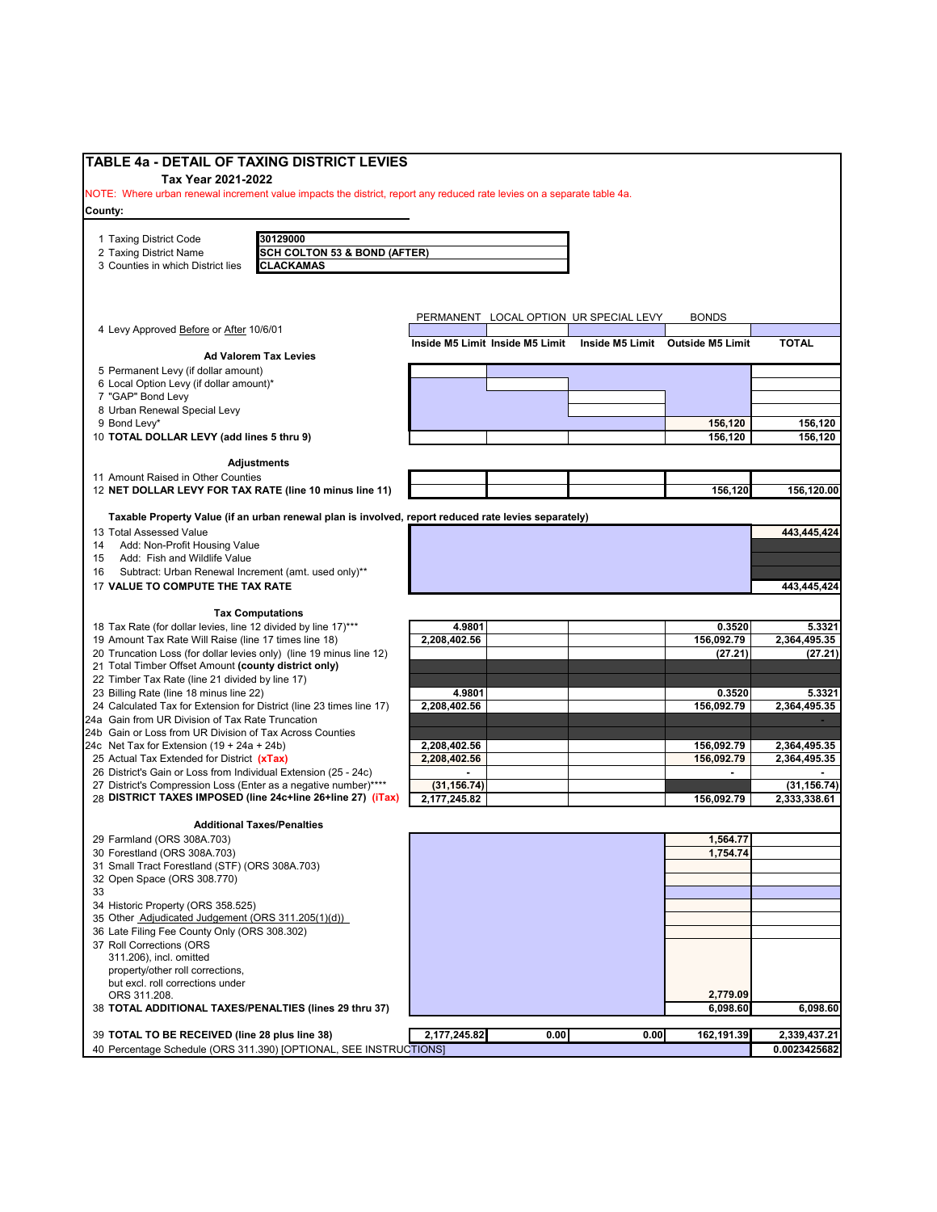| <b>TABLE 4a - DETAIL OF TAXING DISTRICT LEVIES</b><br>Tax Year 2021-2022                                                          |                                                     |              |                                 |                                        |                                  |              |
|-----------------------------------------------------------------------------------------------------------------------------------|-----------------------------------------------------|--------------|---------------------------------|----------------------------------------|----------------------------------|--------------|
| NOTE: Where urban renewal increment value impacts the district, report any reduced rate levies on a separate table 4a.<br>County: |                                                     |              |                                 |                                        |                                  |              |
|                                                                                                                                   |                                                     |              |                                 |                                        |                                  |              |
| 1 Taxing District Code                                                                                                            | 30129000<br><b>SCH COLTON 53 &amp; BOND (AFTER)</b> |              |                                 |                                        |                                  |              |
| 2 Taxing District Name<br>3 Counties in which District lies                                                                       | <b>CLACKAMAS</b>                                    |              |                                 |                                        |                                  |              |
|                                                                                                                                   |                                                     |              |                                 |                                        |                                  |              |
|                                                                                                                                   |                                                     |              |                                 | PERMANENT LOCAL OPTION UR SPECIAL LEVY | <b>BONDS</b>                     |              |
| 4 Levy Approved Before or After 10/6/01                                                                                           |                                                     |              | Inside M5 Limit Inside M5 Limit |                                        | Inside M5 Limit Outside M5 Limit | <b>TOTAL</b> |
| <b>Ad Valorem Tax Levies</b>                                                                                                      |                                                     |              |                                 |                                        |                                  |              |
| 5 Permanent Levy (if dollar amount)<br>6 Local Option Levy (if dollar amount)*                                                    |                                                     |              |                                 |                                        |                                  |              |
| 7 "GAP" Bond Levy                                                                                                                 |                                                     |              |                                 |                                        |                                  |              |
| 8 Urban Renewal Special Levy                                                                                                      |                                                     |              |                                 |                                        |                                  |              |
| 9 Bond Levy*                                                                                                                      |                                                     |              |                                 |                                        | 156,120<br>156,120               | 156,120      |
| 10 TOTAL DOLLAR LEVY (add lines 5 thru 9)                                                                                         |                                                     |              |                                 |                                        |                                  | 156,120      |
| <b>Adjustments</b>                                                                                                                |                                                     |              |                                 |                                        |                                  |              |
| 11 Amount Raised in Other Counties                                                                                                |                                                     |              |                                 |                                        |                                  |              |
| 12 NET DOLLAR LEVY FOR TAX RATE (line 10 minus line 11)                                                                           |                                                     |              |                                 |                                        | 156,120                          | 156,120.00   |
| Taxable Property Value (if an urban renewal plan is involved, report reduced rate levies separately)                              |                                                     |              |                                 |                                        |                                  |              |
| 13 Total Assessed Value                                                                                                           |                                                     |              |                                 |                                        |                                  | 443,445,424  |
| Add: Non-Profit Housing Value<br>14<br>Add: Fish and Wildlife Value<br>15                                                         |                                                     |              |                                 |                                        |                                  |              |
| Subtract: Urban Renewal Increment (amt. used only)**<br>16                                                                        |                                                     |              |                                 |                                        |                                  |              |
| 17 VALUE TO COMPUTE THE TAX RATE                                                                                                  |                                                     |              |                                 |                                        |                                  | 443,445,424  |
| <b>Tax Computations</b>                                                                                                           |                                                     |              |                                 |                                        |                                  |              |
| 18 Tax Rate (for dollar levies, line 12 divided by line 17)***                                                                    |                                                     | 4.9801       |                                 |                                        | 0.3520                           | 5.3321       |
| 19 Amount Tax Rate Will Raise (line 17 times line 18)                                                                             |                                                     | 2,208,402.56 |                                 |                                        | 156,092.79                       | 2,364,495.35 |
| 20 Truncation Loss (for dollar levies only) (line 19 minus line 12)<br>21 Total Timber Offset Amount (county district only)       |                                                     |              |                                 |                                        | (27.21)                          | (27.21)      |
| 22 Timber Tax Rate (line 21 divided by line 17)                                                                                   |                                                     |              |                                 |                                        |                                  |              |
| 23 Billing Rate (line 18 minus line 22)                                                                                           |                                                     | 4.9801       |                                 |                                        | 0.3520                           | 5.3321       |
| 24 Calculated Tax for Extension for District (line 23 times line 17)<br>24a Gain from UR Division of Tax Rate Truncation          |                                                     | 2,208,402.56 |                                 |                                        | 156,092.79                       | 2,364,495.35 |
| 24b Gain or Loss from UR Division of Tax Across Counties                                                                          |                                                     |              |                                 |                                        |                                  |              |
| 24c Net Tax for Extension $(19 + 24a + 24b)$                                                                                      |                                                     | 2,208,402.56 |                                 |                                        | 156,092.79                       | 2,364,495.35 |
| 25 Actual Tax Extended for District (xTax)<br>26 District's Gain or Loss from Individual Extension (25 - 24c)                     |                                                     | 2,208,402.56 |                                 |                                        | 156,092.79                       | 2,364,495.35 |
| 27 District's Compression Loss (Enter as a negative number)****                                                                   |                                                     | (31, 156.74) |                                 |                                        |                                  | (31, 156.74) |
| 28 DISTRICT TAXES IMPOSED (line 24c+line 26+line 27) (iTax)                                                                       |                                                     | 2,177,245.82 |                                 |                                        | 156,092.79                       | 2,333,338.61 |
| <b>Additional Taxes/Penalties</b>                                                                                                 |                                                     |              |                                 |                                        |                                  |              |
| 29 Farmland (ORS 308A.703)                                                                                                        |                                                     |              |                                 |                                        | 1,564.77                         |              |
| 30 Forestland (ORS 308A.703)                                                                                                      |                                                     |              |                                 |                                        | 1,754.74                         |              |
| 31 Small Tract Forestland (STF) (ORS 308A.703)<br>32 Open Space (ORS 308.770)                                                     |                                                     |              |                                 |                                        |                                  |              |
| 33                                                                                                                                |                                                     |              |                                 |                                        |                                  |              |
| 34 Historic Property (ORS 358.525)                                                                                                |                                                     |              |                                 |                                        |                                  |              |
| 35 Other Adjudicated Judgement (ORS 311.205(1)(d))<br>36 Late Filing Fee County Only (ORS 308.302)                                |                                                     |              |                                 |                                        |                                  |              |
| 37 Roll Corrections (ORS                                                                                                          |                                                     |              |                                 |                                        |                                  |              |
| 311.206), incl. omitted                                                                                                           |                                                     |              |                                 |                                        |                                  |              |
| property/other roll corrections,<br>but excl. roll corrections under                                                              |                                                     |              |                                 |                                        |                                  |              |
| ORS 311.208.                                                                                                                      |                                                     |              |                                 |                                        | 2,779.09                         |              |
| 38 TOTAL ADDITIONAL TAXES/PENALTIES (lines 29 thru 37)                                                                            |                                                     |              |                                 |                                        | 6,098.60                         | 6,098.60     |
| 39 TOTAL TO BE RECEIVED (line 28 plus line 38)                                                                                    |                                                     | 2,177,245.82 | 0.00                            | 0.00                                   | 162,191.39                       | 2,339,437.21 |
| 40 Percentage Schedule (ORS 311.390) [OPTIONAL, SEE INSTRUCTIONS]                                                                 |                                                     |              |                                 |                                        |                                  | 0.0023425682 |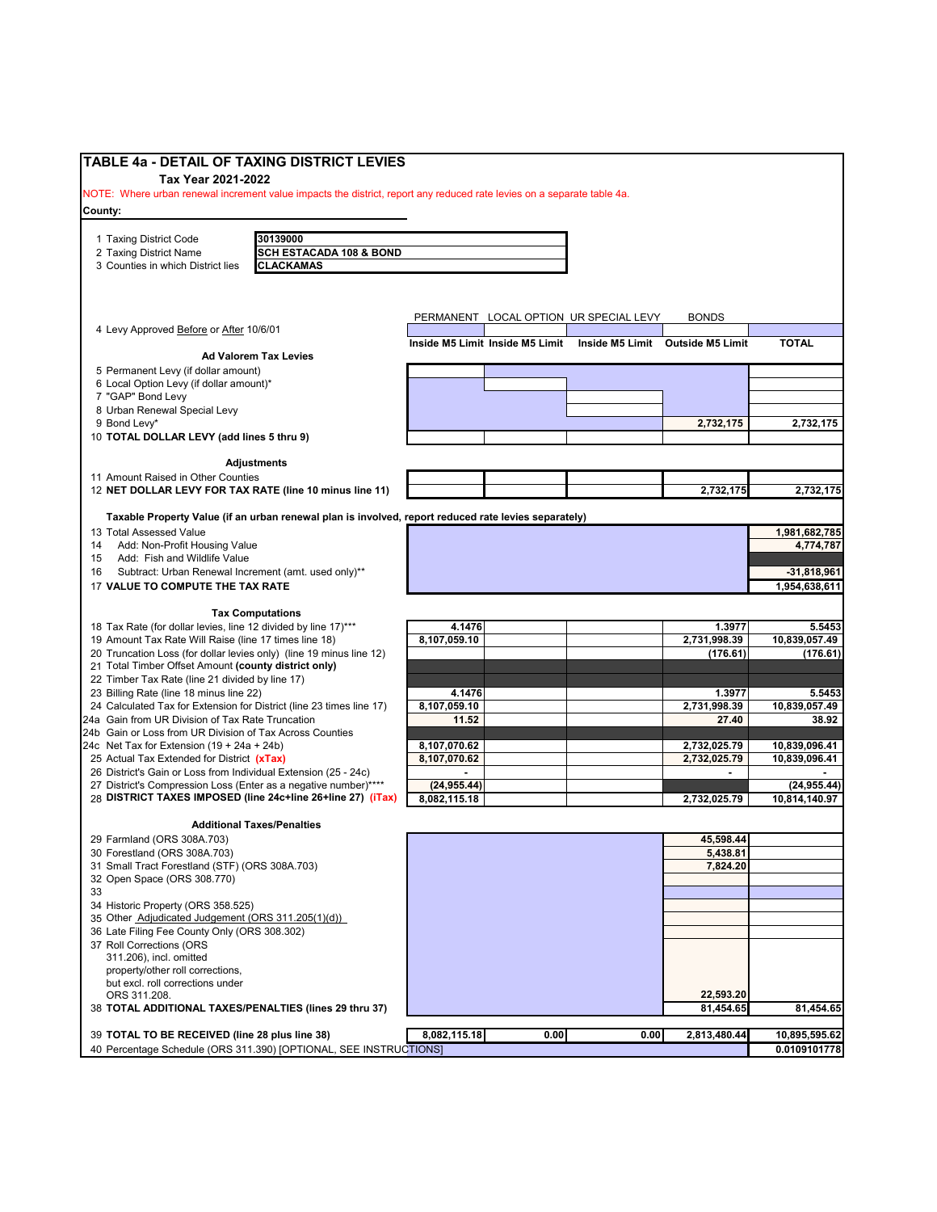| <b>TABLE 4a - DETAIL OF TAXING DISTRICT LEVIES</b>                                                                     |                                    |              |                                 |                                        |                                  |               |
|------------------------------------------------------------------------------------------------------------------------|------------------------------------|--------------|---------------------------------|----------------------------------------|----------------------------------|---------------|
| Tax Year 2021-2022                                                                                                     |                                    |              |                                 |                                        |                                  |               |
| NOTE: Where urban renewal increment value impacts the district, report any reduced rate levies on a separate table 4a. |                                    |              |                                 |                                        |                                  |               |
| County:                                                                                                                |                                    |              |                                 |                                        |                                  |               |
|                                                                                                                        |                                    |              |                                 |                                        |                                  |               |
| 30139000<br>1 Taxing District Code                                                                                     |                                    |              |                                 |                                        |                                  |               |
| 2 Taxing District Name                                                                                                 | <b>SCH ESTACADA 108 &amp; BOND</b> |              |                                 |                                        |                                  |               |
| <b>CLACKAMAS</b><br>3 Counties in which District lies                                                                  |                                    |              |                                 |                                        |                                  |               |
|                                                                                                                        |                                    |              |                                 |                                        |                                  |               |
|                                                                                                                        |                                    |              |                                 |                                        |                                  |               |
|                                                                                                                        |                                    |              |                                 | PERMANENT LOCAL OPTION UR SPECIAL LEVY | <b>BONDS</b>                     |               |
| 4 Levy Approved Before or After 10/6/01                                                                                |                                    |              | Inside M5 Limit Inside M5 Limit |                                        | Inside M5 Limit Outside M5 Limit | <b>TOTAL</b>  |
| <b>Ad Valorem Tax Levies</b>                                                                                           |                                    |              |                                 |                                        |                                  |               |
| 5 Permanent Levy (if dollar amount)                                                                                    |                                    |              |                                 |                                        |                                  |               |
| 6 Local Option Levy (if dollar amount)*                                                                                |                                    |              |                                 |                                        |                                  |               |
| 7 "GAP" Bond Levy                                                                                                      |                                    |              |                                 |                                        |                                  |               |
| 8 Urban Renewal Special Levy                                                                                           |                                    |              |                                 |                                        |                                  |               |
| 9 Bond Levy*                                                                                                           |                                    |              |                                 |                                        | 2,732,175                        | 2,732,175     |
| 10 TOTAL DOLLAR LEVY (add lines 5 thru 9)                                                                              |                                    |              |                                 |                                        |                                  |               |
| <b>Adjustments</b>                                                                                                     |                                    |              |                                 |                                        |                                  |               |
| 11 Amount Raised in Other Counties                                                                                     |                                    |              |                                 |                                        |                                  |               |
| 12 NET DOLLAR LEVY FOR TAX RATE (line 10 minus line 11)                                                                |                                    |              |                                 |                                        | 2,732,175                        | 2,732,175     |
|                                                                                                                        |                                    |              |                                 |                                        |                                  |               |
| Taxable Property Value (if an urban renewal plan is involved, report reduced rate levies separately)                   |                                    |              |                                 |                                        |                                  |               |
| 13 Total Assessed Value                                                                                                |                                    |              |                                 |                                        |                                  | 1,981,682,785 |
| Add: Non-Profit Housing Value<br>14<br>Add: Fish and Wildlife Value<br>15                                              |                                    |              |                                 |                                        |                                  | 4,774,787     |
| Subtract: Urban Renewal Increment (amt. used only)**<br>16                                                             |                                    |              |                                 |                                        |                                  | $-31,818,961$ |
| 17 VALUE TO COMPUTE THE TAX RATE                                                                                       |                                    |              |                                 |                                        |                                  | 1,954,638,611 |
|                                                                                                                        |                                    |              |                                 |                                        |                                  |               |
| <b>Tax Computations</b>                                                                                                |                                    |              |                                 |                                        |                                  |               |
| 18 Tax Rate (for dollar levies, line 12 divided by line 17)***                                                         |                                    | 4.1476       |                                 |                                        | 1.3977                           | 5.5453        |
| 19 Amount Tax Rate Will Raise (line 17 times line 18)                                                                  |                                    | 8,107,059.10 |                                 |                                        | 2,731,998.39                     | 10,839,057.49 |
| 20 Truncation Loss (for dollar levies only) (line 19 minus line 12)                                                    |                                    |              |                                 |                                        | (176.61)                         | (176.61)      |
| 21 Total Timber Offset Amount (county district only)                                                                   |                                    |              |                                 |                                        |                                  |               |
| 22 Timber Tax Rate (line 21 divided by line 17)<br>23 Billing Rate (line 18 minus line 22)                             |                                    | 4.1476       |                                 |                                        | 1.3977                           | 5.5453        |
| 24 Calculated Tax for Extension for District (line 23 times line 17)                                                   |                                    | 8,107,059.10 |                                 |                                        | 2,731,998.39                     | 10,839,057.49 |
| 24a Gain from UR Division of Tax Rate Truncation                                                                       |                                    | 11.52        |                                 |                                        | 27.40                            | 38.92         |
| 24b Gain or Loss from UR Division of Tax Across Counties                                                               |                                    |              |                                 |                                        |                                  |               |
| 24c Net Tax for Extension (19 + 24a + 24b)                                                                             |                                    | 8,107,070.62 |                                 |                                        | 2,732,025.79                     | 10,839,096.41 |
| 25 Actual Tax Extended for District (xTax)                                                                             |                                    | 8,107,070.62 |                                 |                                        | 2,732,025.79                     | 10,839,096.41 |
| 26 District's Gain or Loss from Individual Extension (25 - 24c)                                                        |                                    |              |                                 |                                        |                                  |               |
| 27 District's Compression Loss (Enter as a negative number)****                                                        |                                    | (24, 955.44) |                                 |                                        |                                  | (24, 955.44)  |
| 28 DISTRICT TAXES IMPOSED (line 24c+line 26+line 27) (iTax)                                                            |                                    | 8,082,115.18 |                                 |                                        | 2,732,025.79                     | 10,814,140.97 |
| <b>Additional Taxes/Penalties</b>                                                                                      |                                    |              |                                 |                                        |                                  |               |
| 29 Farmland (ORS 308A.703)                                                                                             |                                    |              |                                 |                                        | 45,598.44                        |               |
| 30 Forestland (ORS 308A.703)                                                                                           |                                    |              |                                 |                                        | 5,438.81                         |               |
| 31 Small Tract Forestland (STF) (ORS 308A.703)                                                                         |                                    |              |                                 |                                        | 7,824.20                         |               |
| 32 Open Space (ORS 308.770)                                                                                            |                                    |              |                                 |                                        |                                  |               |
| 33                                                                                                                     |                                    |              |                                 |                                        |                                  |               |
| 34 Historic Property (ORS 358.525)                                                                                     |                                    |              |                                 |                                        |                                  |               |
| 35 Other Adjudicated Judgement (ORS 311.205(1)(d))                                                                     |                                    |              |                                 |                                        |                                  |               |
| 36 Late Filing Fee County Only (ORS 308.302)<br>37 Roll Corrections (ORS                                               |                                    |              |                                 |                                        |                                  |               |
| 311.206), incl. omitted                                                                                                |                                    |              |                                 |                                        |                                  |               |
| property/other roll corrections,                                                                                       |                                    |              |                                 |                                        |                                  |               |
| but excl. roll corrections under                                                                                       |                                    |              |                                 |                                        |                                  |               |
| ORS 311.208.                                                                                                           |                                    |              |                                 |                                        | 22,593.20                        |               |
| 38 TOTAL ADDITIONAL TAXES/PENALTIES (lines 29 thru 37)                                                                 |                                    |              |                                 |                                        | 81,454.65                        | 81,454.65     |
|                                                                                                                        |                                    |              |                                 |                                        |                                  |               |
| 39 TOTAL TO BE RECEIVED (line 28 plus line 38)                                                                         |                                    | 8,082,115.18 | 0.00                            | 0.00                                   | 2,813,480.44                     | 10,895,595.62 |
| 40 Percentage Schedule (ORS 311.390) [OPTIONAL, SEE INSTRUCTIONS]                                                      |                                    |              |                                 |                                        |                                  | 0.0109101778  |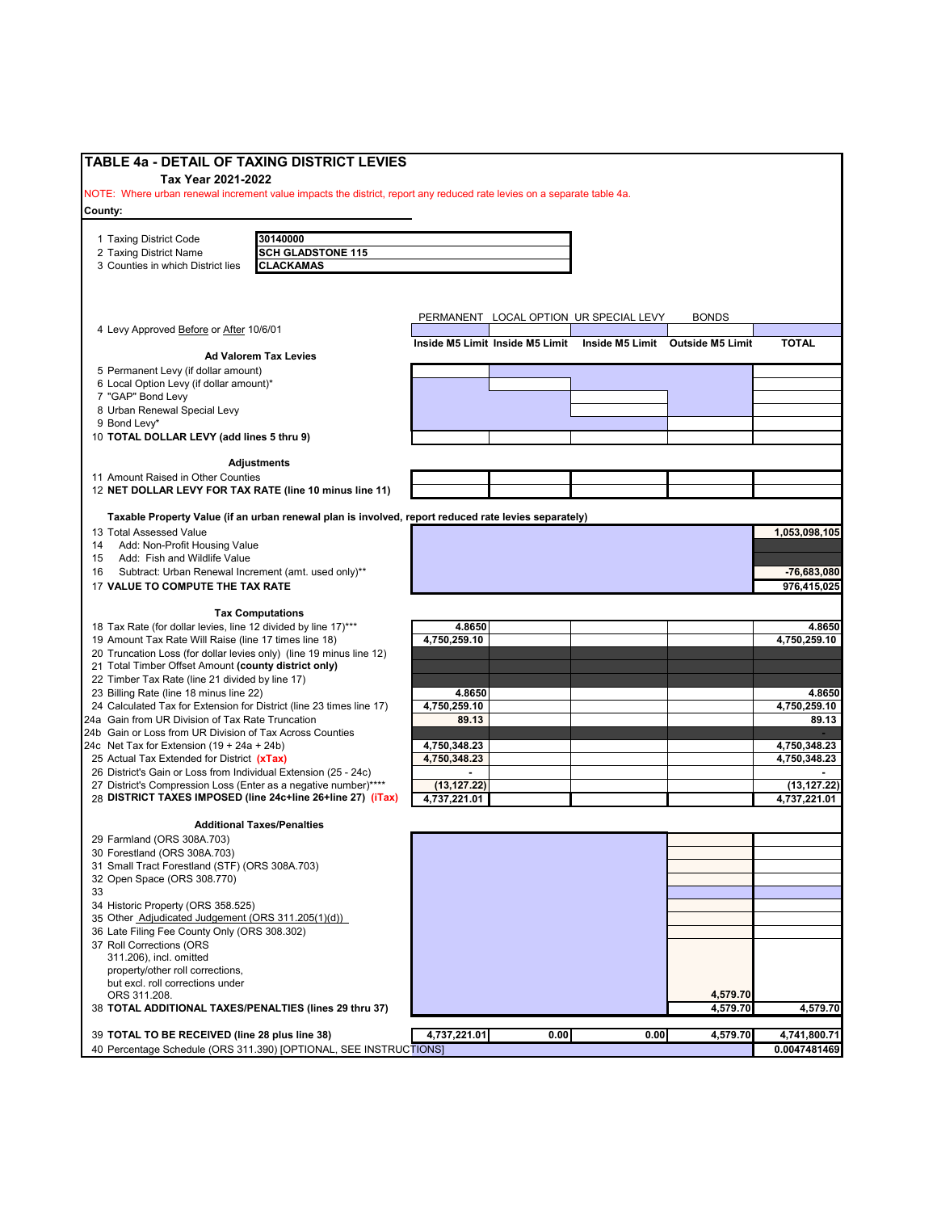| TABLE 4a - DETAIL OF TAXING DISTRICT LEVIES                                                                            |                        |                                 |                                        |              |                        |
|------------------------------------------------------------------------------------------------------------------------|------------------------|---------------------------------|----------------------------------------|--------------|------------------------|
| Tax Year 2021-2022                                                                                                     |                        |                                 |                                        |              |                        |
| NOTE: Where urban renewal increment value impacts the district, report any reduced rate levies on a separate table 4a. |                        |                                 |                                        |              |                        |
| County:                                                                                                                |                        |                                 |                                        |              |                        |
|                                                                                                                        |                        |                                 |                                        |              |                        |
| 30140000<br>1 Taxing District Code                                                                                     |                        |                                 |                                        |              |                        |
| <b>SCH GLADSTONE 115</b><br>2 Taxing District Name                                                                     |                        |                                 |                                        |              |                        |
| CLACKAMAS<br>3 Counties in which District lies                                                                         |                        |                                 |                                        |              |                        |
|                                                                                                                        |                        |                                 |                                        |              |                        |
|                                                                                                                        |                        |                                 |                                        |              |                        |
|                                                                                                                        |                        |                                 |                                        |              |                        |
|                                                                                                                        |                        |                                 | PERMANENT LOCAL OPTION UR SPECIAL LEVY | <b>BONDS</b> |                        |
| 4 Levy Approved Before or After 10/6/01                                                                                |                        |                                 |                                        |              |                        |
| <b>Ad Valorem Tax Levies</b>                                                                                           |                        | Inside M5 Limit Inside M5 Limit | Inside M5 Limit Outside M5 Limit       |              | <b>TOTAL</b>           |
| 5 Permanent Levy (if dollar amount)                                                                                    |                        |                                 |                                        |              |                        |
| 6 Local Option Levy (if dollar amount)*                                                                                |                        |                                 |                                        |              |                        |
| 7 "GAP" Bond Levy                                                                                                      |                        |                                 |                                        |              |                        |
| 8 Urban Renewal Special Levy                                                                                           |                        |                                 |                                        |              |                        |
| 9 Bond Levy*                                                                                                           |                        |                                 |                                        |              |                        |
| 10 TOTAL DOLLAR LEVY (add lines 5 thru 9)                                                                              |                        |                                 |                                        |              |                        |
|                                                                                                                        |                        |                                 |                                        |              |                        |
| <b>Adjustments</b>                                                                                                     |                        |                                 |                                        |              |                        |
| 11 Amount Raised in Other Counties                                                                                     |                        |                                 |                                        |              |                        |
| 12 NET DOLLAR LEVY FOR TAX RATE (line 10 minus line 11)                                                                |                        |                                 |                                        |              |                        |
|                                                                                                                        |                        |                                 |                                        |              |                        |
| Taxable Property Value (if an urban renewal plan is involved, report reduced rate levies separately)                   |                        |                                 |                                        |              |                        |
| 13 Total Assessed Value                                                                                                |                        |                                 |                                        |              | 1,053,098,105          |
| Add: Non-Profit Housing Value<br>14                                                                                    |                        |                                 |                                        |              |                        |
| Add: Fish and Wildlife Value<br>15                                                                                     |                        |                                 |                                        |              |                        |
| Subtract: Urban Renewal Increment (amt. used only)**<br>16                                                             |                        |                                 |                                        |              | $-76,683,080$          |
| 17 VALUE TO COMPUTE THE TAX RATE                                                                                       |                        |                                 |                                        |              | 976.415.025            |
|                                                                                                                        |                        |                                 |                                        |              |                        |
| <b>Tax Computations</b>                                                                                                |                        |                                 |                                        |              |                        |
| 18 Tax Rate (for dollar levies, line 12 divided by line 17)***                                                         | 4.8650                 |                                 |                                        |              | 4.8650                 |
| 19 Amount Tax Rate Will Raise (line 17 times line 18)                                                                  | 4,750,259.10           |                                 |                                        |              | 4,750,259.10           |
| 20 Truncation Loss (for dollar levies only) (line 19 minus line 12)                                                    |                        |                                 |                                        |              |                        |
| 21 Total Timber Offset Amount (county district only)                                                                   |                        |                                 |                                        |              |                        |
| 22 Timber Tax Rate (line 21 divided by line 17)                                                                        |                        |                                 |                                        |              |                        |
| 23 Billing Rate (line 18 minus line 22)<br>24 Calculated Tax for Extension for District (line 23 times line 17)        | 4.8650<br>4,750,259.10 |                                 |                                        |              | 4.8650<br>4,750,259.10 |
| 24a Gain from UR Division of Tax Rate Truncation                                                                       | 89.13                  |                                 |                                        |              | 89.13                  |
| 24b Gain or Loss from UR Division of Tax Across Counties                                                               |                        |                                 |                                        |              |                        |
| 24c Net Tax for Extension (19 + 24a + 24b)                                                                             | 4,750,348.23           |                                 |                                        |              | 4,750,348.23           |
| 25 Actual Tax Extended for District (xTax)                                                                             | 4,750,348.23           |                                 |                                        |              | 4,750,348.23           |
| 26 District's Gain or Loss from Individual Extension (25 - 24c)                                                        |                        |                                 |                                        |              |                        |
| 27 District's Compression Loss (Enter as a negative number)****                                                        | (13, 127.22)           |                                 |                                        |              | (13, 127.22)           |
| 28 DISTRICT TAXES IMPOSED (line 24c+line 26+line 27) (iTax)                                                            | 4,737,221.01           |                                 |                                        |              | 4,737,221.01           |
|                                                                                                                        |                        |                                 |                                        |              |                        |
| <b>Additional Taxes/Penalties</b>                                                                                      |                        |                                 |                                        |              |                        |
| 29 Farmland (ORS 308A.703)                                                                                             |                        |                                 |                                        |              |                        |
| 30 Forestland (ORS 308A.703)                                                                                           |                        |                                 |                                        |              |                        |
| 31 Small Tract Forestland (STF) (ORS 308A.703)                                                                         |                        |                                 |                                        |              |                        |
| 32 Open Space (ORS 308.770)                                                                                            |                        |                                 |                                        |              |                        |
| 33                                                                                                                     |                        |                                 |                                        |              |                        |
| 34 Historic Property (ORS 358.525)                                                                                     |                        |                                 |                                        |              |                        |
| 35 Other Adjudicated Judgement (ORS 311.205(1)(d))                                                                     |                        |                                 |                                        |              |                        |
| 36 Late Filing Fee County Only (ORS 308.302)                                                                           |                        |                                 |                                        |              |                        |
| 37 Roll Corrections (ORS                                                                                               |                        |                                 |                                        |              |                        |
| 311.206), incl. omitted                                                                                                |                        |                                 |                                        |              |                        |
| property/other roll corrections,                                                                                       |                        |                                 |                                        |              |                        |
| but excl. roll corrections under                                                                                       |                        |                                 |                                        | 4,579.70     |                        |
| ORS 311.208.<br>38 TOTAL ADDITIONAL TAXES/PENALTIES (lines 29 thru 37)                                                 |                        |                                 |                                        | 4,579.70     | 4,579.70               |
|                                                                                                                        |                        |                                 |                                        |              |                        |
| 39 TOTAL TO BE RECEIVED (line 28 plus line 38)                                                                         | 4,737,221.01           | 0.00                            | 0.00                                   | 4,579.70     | 4,741,800.71           |
| 40 Percentage Schedule (ORS 311.390) [OPTIONAL, SEE INSTRUCTIONS]                                                      |                        |                                 |                                        |              | 0.0047481469           |
|                                                                                                                        |                        |                                 |                                        |              |                        |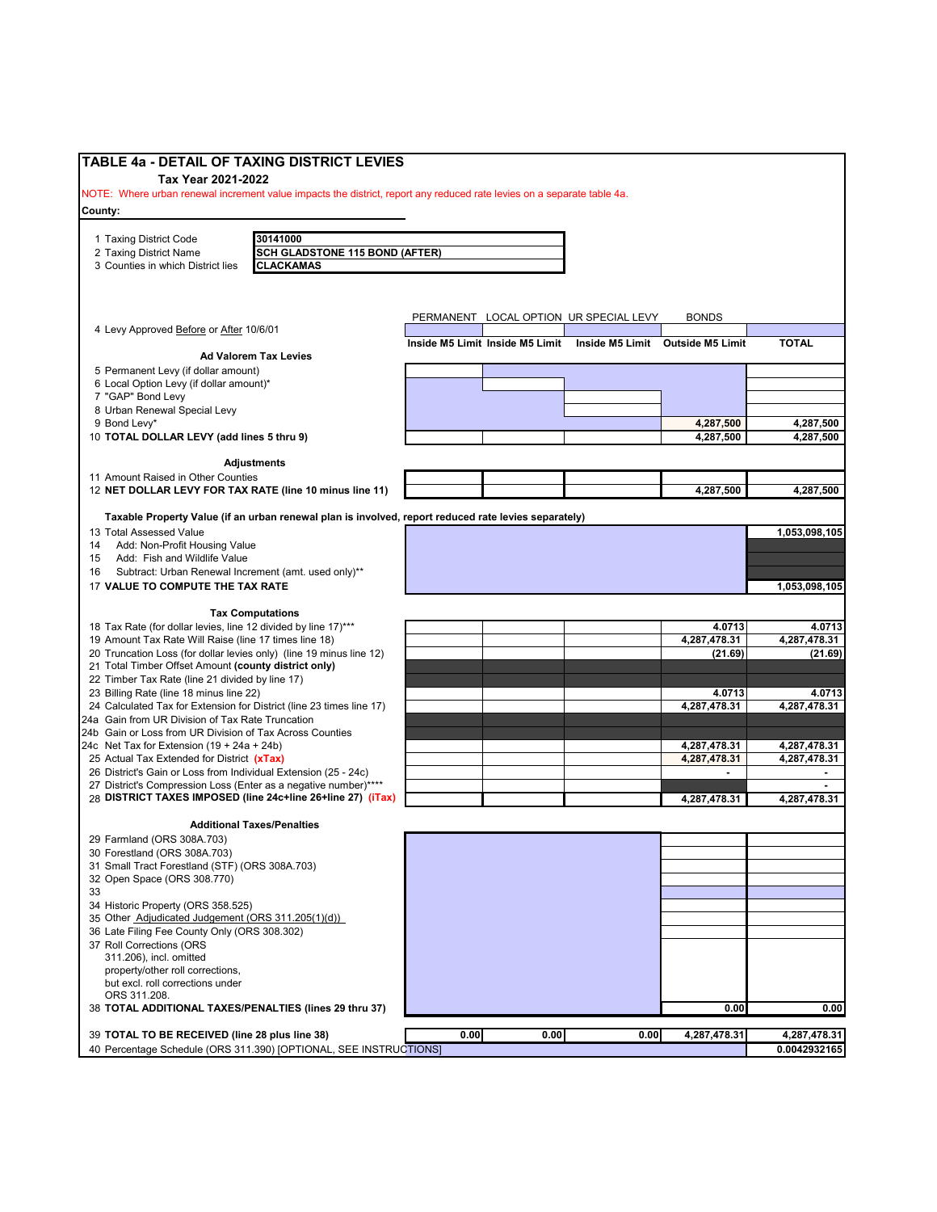| <b>TABLE 4a - DETAIL OF TAXING DISTRICT LEVIES</b>                                                                     |      |                                 |                                        |                                  |                              |
|------------------------------------------------------------------------------------------------------------------------|------|---------------------------------|----------------------------------------|----------------------------------|------------------------------|
| Tax Year 2021-2022                                                                                                     |      |                                 |                                        |                                  |                              |
| NOTE: Where urban renewal increment value impacts the district, report any reduced rate levies on a separate table 4a. |      |                                 |                                        |                                  |                              |
| County:                                                                                                                |      |                                 |                                        |                                  |                              |
|                                                                                                                        |      |                                 |                                        |                                  |                              |
| 30141000<br>1 Taxing District Code                                                                                     |      |                                 |                                        |                                  |                              |
| <b>SCH GLADSTONE 115 BOND (AFTER)</b><br>2 Taxing District Name                                                        |      |                                 |                                        |                                  |                              |
| CLACKAMAS<br>3 Counties in which District lies                                                                         |      |                                 |                                        |                                  |                              |
|                                                                                                                        |      |                                 |                                        |                                  |                              |
|                                                                                                                        |      |                                 |                                        |                                  |                              |
|                                                                                                                        |      |                                 | PERMANENT LOCAL OPTION UR SPECIAL LEVY | <b>BONDS</b>                     |                              |
| 4 Levy Approved Before or After 10/6/01                                                                                |      | Inside M5 Limit Inside M5 Limit |                                        | Inside M5 Limit Outside M5 Limit | <b>TOTAL</b>                 |
| <b>Ad Valorem Tax Levies</b>                                                                                           |      |                                 |                                        |                                  |                              |
| 5 Permanent Levy (if dollar amount)                                                                                    |      |                                 |                                        |                                  |                              |
| 6 Local Option Levy (if dollar amount)*                                                                                |      |                                 |                                        |                                  |                              |
| 7 "GAP" Bond Levy                                                                                                      |      |                                 |                                        |                                  |                              |
| 8 Urban Renewal Special Levy                                                                                           |      |                                 |                                        |                                  |                              |
| 9 Bond Levy*                                                                                                           |      |                                 |                                        | 4,287,500                        | 4,287,500                    |
| 10 TOTAL DOLLAR LEVY (add lines 5 thru 9)                                                                              |      |                                 |                                        | 4,287,500                        | 4,287,500                    |
| <b>Adjustments</b>                                                                                                     |      |                                 |                                        |                                  |                              |
| 11 Amount Raised in Other Counties                                                                                     |      |                                 |                                        |                                  |                              |
| 12 NET DOLLAR LEVY FOR TAX RATE (line 10 minus line 11)                                                                |      |                                 |                                        | 4,287,500                        | 4,287,500                    |
|                                                                                                                        |      |                                 |                                        |                                  |                              |
| Taxable Property Value (if an urban renewal plan is involved, report reduced rate levies separately)                   |      |                                 |                                        |                                  |                              |
| 13 Total Assessed Value                                                                                                |      |                                 |                                        |                                  | 1,053,098,105                |
| Add: Non-Profit Housing Value<br>14                                                                                    |      |                                 |                                        |                                  |                              |
| Add: Fish and Wildlife Value<br>15                                                                                     |      |                                 |                                        |                                  |                              |
| Subtract: Urban Renewal Increment (amt. used only)**<br>16                                                             |      |                                 |                                        |                                  |                              |
| 17 VALUE TO COMPUTE THE TAX RATE                                                                                       |      |                                 |                                        |                                  | 1,053,098,105                |
| <b>Tax Computations</b>                                                                                                |      |                                 |                                        |                                  |                              |
| 18 Tax Rate (for dollar levies, line 12 divided by line 17)***                                                         |      |                                 |                                        | 4.0713                           | 4.0713                       |
| 19 Amount Tax Rate Will Raise (line 17 times line 18)                                                                  |      |                                 |                                        | 4,287,478.31                     | 4,287,478.31                 |
| 20 Truncation Loss (for dollar levies only) (line 19 minus line 12)                                                    |      |                                 |                                        | (21.69)                          | (21.69)                      |
| 21 Total Timber Offset Amount (county district only)                                                                   |      |                                 |                                        |                                  |                              |
| 22 Timber Tax Rate (line 21 divided by line 17)                                                                        |      |                                 |                                        |                                  |                              |
| 23 Billing Rate (line 18 minus line 22)                                                                                |      |                                 |                                        | 4.0713                           | 4.0713                       |
| 24 Calculated Tax for Extension for District (line 23 times line 17)                                                   |      |                                 |                                        | 4,287,478.31                     | 4,287,478.31                 |
| 24a Gain from UR Division of Tax Rate Truncation                                                                       |      |                                 |                                        |                                  |                              |
| 24b Gain or Loss from UR Division of Tax Across Counties                                                               |      |                                 |                                        |                                  |                              |
| 24c Net Tax for Extension (19 + 24a + 24b)<br>25 Actual Tax Extended for District (xTax)                               |      |                                 |                                        | 4,287,478.31<br>4,287,478.31     | 4,287,478.31<br>4,287,478.31 |
| 26 District's Gain or Loss from Individual Extension (25 - 24c)                                                        |      |                                 |                                        |                                  | ۰                            |
| 27 District's Compression Loss (Enter as a negative number)****                                                        |      |                                 |                                        |                                  |                              |
| 28 DISTRICT TAXES IMPOSED (line 24c+line 26+line 27) (iTax)                                                            |      |                                 |                                        | 4,287,478.31                     | 4,287,478.31                 |
|                                                                                                                        |      |                                 |                                        |                                  |                              |
| <b>Additional Taxes/Penalties</b>                                                                                      |      |                                 |                                        |                                  |                              |
| 29 Farmland (ORS 308A.703)                                                                                             |      |                                 |                                        |                                  |                              |
| 30 Forestland (ORS 308A.703)                                                                                           |      |                                 |                                        |                                  |                              |
| 31 Small Tract Forestland (STF) (ORS 308A.703)                                                                         |      |                                 |                                        |                                  |                              |
| 32 Open Space (ORS 308.770)                                                                                            |      |                                 |                                        |                                  |                              |
| 33<br>34 Historic Property (ORS 358.525)                                                                               |      |                                 |                                        |                                  |                              |
| 35 Other Adjudicated Judgement (ORS 311.205(1)(d))                                                                     |      |                                 |                                        |                                  |                              |
| 36 Late Filing Fee County Only (ORS 308.302)                                                                           |      |                                 |                                        |                                  |                              |
| 37 Roll Corrections (ORS                                                                                               |      |                                 |                                        |                                  |                              |
| 311.206), incl. omitted                                                                                                |      |                                 |                                        |                                  |                              |
| property/other roll corrections,                                                                                       |      |                                 |                                        |                                  |                              |
| but excl. roll corrections under                                                                                       |      |                                 |                                        |                                  |                              |
| ORS 311.208.                                                                                                           |      |                                 |                                        |                                  |                              |
| 38 TOTAL ADDITIONAL TAXES/PENALTIES (lines 29 thru 37)                                                                 |      |                                 |                                        | 0.00                             | 0.00                         |
|                                                                                                                        |      |                                 |                                        |                                  |                              |
| 39 TOTAL TO BE RECEIVED (line 28 plus line 38)<br>40 Percentage Schedule (ORS 311.390) [OPTIONAL, SEE INSTRUCTIONS]    | 0.00 | 0.00                            | 0.00                                   | 4,287,478.31                     | 4,287,478.31                 |
|                                                                                                                        |      |                                 |                                        |                                  | 0.0042932165                 |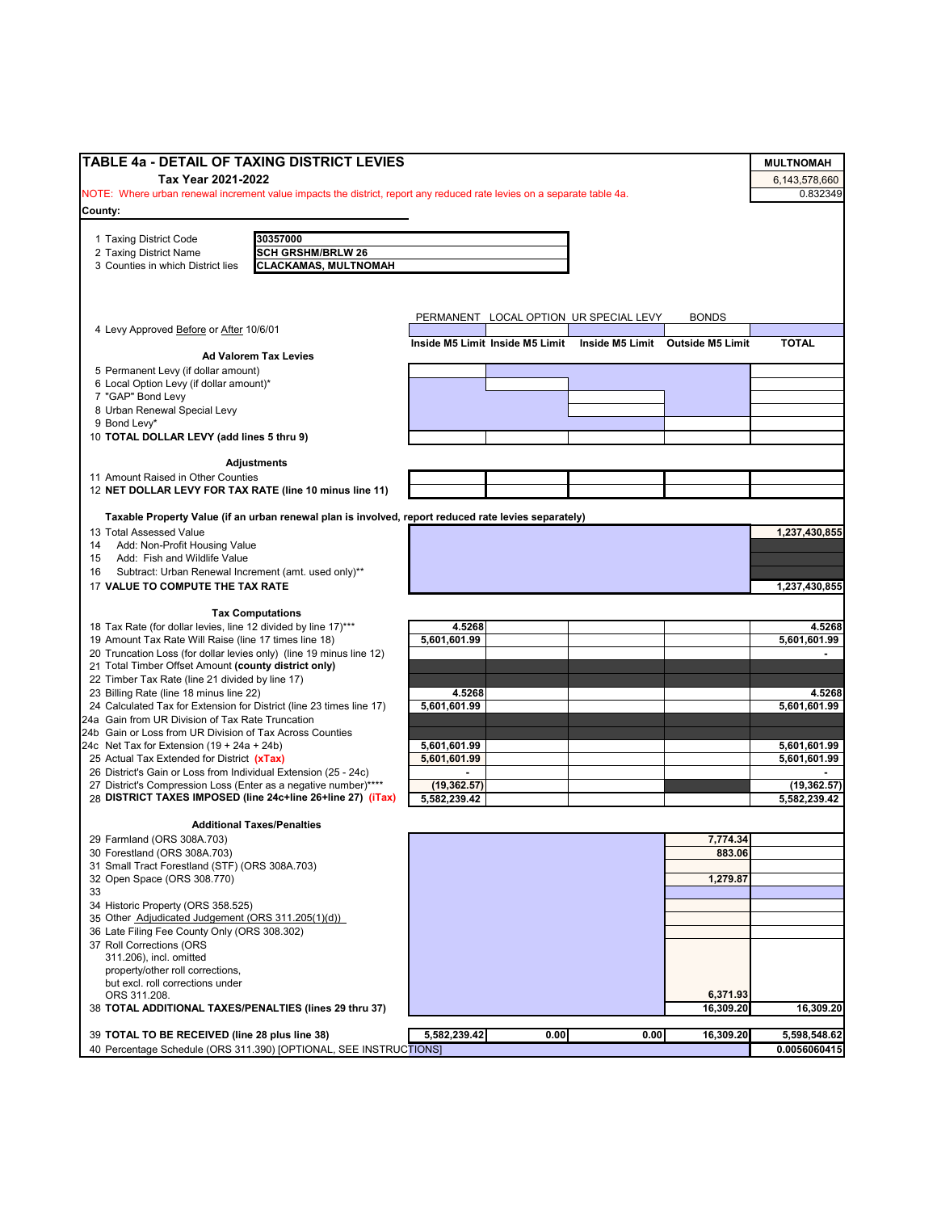| TABLE 4a - DETAIL OF TAXING DISTRICT LEVIES                                                                            |                        |                                 |                                        |                                  | <b>MULTNOMAH</b>       |
|------------------------------------------------------------------------------------------------------------------------|------------------------|---------------------------------|----------------------------------------|----------------------------------|------------------------|
| Tax Year 2021-2022                                                                                                     |                        |                                 |                                        |                                  | 6,143,578,660          |
| NOTE: Where urban renewal increment value impacts the district, report any reduced rate levies on a separate table 4a. |                        |                                 |                                        |                                  | 0.832349               |
| County:                                                                                                                |                        |                                 |                                        |                                  |                        |
|                                                                                                                        |                        |                                 |                                        |                                  |                        |
| 1 Taxing District Code<br>30357000<br><b>SCH GRSHM/BRLW 26</b>                                                         |                        |                                 |                                        |                                  |                        |
| 2 Taxing District Name<br><b>CLACKAMAS, MULTNOMAH</b><br>3 Counties in which District lies                             |                        |                                 |                                        |                                  |                        |
|                                                                                                                        |                        |                                 |                                        |                                  |                        |
|                                                                                                                        |                        |                                 |                                        |                                  |                        |
|                                                                                                                        |                        |                                 |                                        |                                  |                        |
| 4 Levy Approved Before or After 10/6/01                                                                                |                        |                                 | PERMANENT LOCAL OPTION UR SPECIAL LEVY | <b>BONDS</b>                     |                        |
|                                                                                                                        |                        | Inside M5 Limit Inside M5 Limit |                                        | Inside M5 Limit Outside M5 Limit | <b>TOTAL</b>           |
| <b>Ad Valorem Tax Levies</b>                                                                                           |                        |                                 |                                        |                                  |                        |
| 5 Permanent Levy (if dollar amount)                                                                                    |                        |                                 |                                        |                                  |                        |
| 6 Local Option Levy (if dollar amount)*                                                                                |                        |                                 |                                        |                                  |                        |
| 7 "GAP" Bond Levy                                                                                                      |                        |                                 |                                        |                                  |                        |
| 8 Urban Renewal Special Levy<br>9 Bond Levy*                                                                           |                        |                                 |                                        |                                  |                        |
| 10 TOTAL DOLLAR LEVY (add lines 5 thru 9)                                                                              |                        |                                 |                                        |                                  |                        |
|                                                                                                                        |                        |                                 |                                        |                                  |                        |
| <b>Adjustments</b>                                                                                                     |                        |                                 |                                        |                                  |                        |
| 11 Amount Raised in Other Counties                                                                                     |                        |                                 |                                        |                                  |                        |
| 12 NET DOLLAR LEVY FOR TAX RATE (line 10 minus line 11)                                                                |                        |                                 |                                        |                                  |                        |
|                                                                                                                        |                        |                                 |                                        |                                  |                        |
| Taxable Property Value (if an urban renewal plan is involved, report reduced rate levies separately)                   |                        |                                 |                                        |                                  |                        |
| 13 Total Assessed Value<br>Add: Non-Profit Housing Value                                                               |                        |                                 |                                        |                                  | 1,237,430,855          |
| 14<br>Add: Fish and Wildlife Value<br>15                                                                               |                        |                                 |                                        |                                  |                        |
| Subtract: Urban Renewal Increment (amt. used only)**<br>16                                                             |                        |                                 |                                        |                                  |                        |
| 17 VALUE TO COMPUTE THE TAX RATE                                                                                       |                        |                                 |                                        |                                  | 1,237,430,855          |
|                                                                                                                        |                        |                                 |                                        |                                  |                        |
| <b>Tax Computations</b>                                                                                                |                        |                                 |                                        |                                  |                        |
| 18 Tax Rate (for dollar levies, line 12 divided by line 17)***                                                         | 4.5268                 |                                 |                                        |                                  | 4.5268                 |
| 19 Amount Tax Rate Will Raise (line 17 times line 18)                                                                  | 5,601,601.99           |                                 |                                        |                                  | 5,601,601.99           |
| 20 Truncation Loss (for dollar levies only) (line 19 minus line 12)                                                    |                        |                                 |                                        |                                  |                        |
| 21 Total Timber Offset Amount (county district only)                                                                   |                        |                                 |                                        |                                  |                        |
| 22 Timber Tax Rate (line 21 divided by line 17)                                                                        |                        |                                 |                                        |                                  |                        |
| 23 Billing Rate (line 18 minus line 22)<br>24 Calculated Tax for Extension for District (line 23 times line 17)        | 4.5268<br>5,601,601.99 |                                 |                                        |                                  | 4.5268<br>5,601,601.99 |
| 24a Gain from UR Division of Tax Rate Truncation                                                                       |                        |                                 |                                        |                                  |                        |
| 24b Gain or Loss from UR Division of Tax Across Counties                                                               |                        |                                 |                                        |                                  |                        |
| 24c Net Tax for Extension $(19 + 24a + 24b)$                                                                           | 5,601,601.99           |                                 |                                        |                                  | 5,601,601.99           |
| 25 Actual Tax Extended for District (xTax)                                                                             | 5,601,601.99           |                                 |                                        |                                  | 5,601,601.99           |
| 26 District's Gain or Loss from Individual Extension (25 - 24c)                                                        |                        |                                 |                                        |                                  |                        |
| 27 District's Compression Loss (Enter as a negative number)****                                                        | (19, 362.57)           |                                 |                                        |                                  | (19, 362.57)           |
| 28 DISTRICT TAXES IMPOSED (line 24c+line 26+line 27) (iTax)                                                            | 5,582,239.42           |                                 |                                        |                                  | 5.582.239.42           |
| <b>Additional Taxes/Penalties</b>                                                                                      |                        |                                 |                                        |                                  |                        |
| 29 Farmland (ORS 308A.703)                                                                                             |                        |                                 |                                        | 7,774.34                         |                        |
| 30 Forestland (ORS 308A.703)                                                                                           |                        |                                 |                                        | 883.06                           |                        |
| 31 Small Tract Forestland (STF) (ORS 308A.703)                                                                         |                        |                                 |                                        |                                  |                        |
| 32 Open Space (ORS 308.770)                                                                                            |                        |                                 |                                        | 1,279.87                         |                        |
| 33                                                                                                                     |                        |                                 |                                        |                                  |                        |
| 34 Historic Property (ORS 358.525)                                                                                     |                        |                                 |                                        |                                  |                        |
| 35 Other Adjudicated Judgement (ORS 311.205(1)(d))                                                                     |                        |                                 |                                        |                                  |                        |
| 36 Late Filing Fee County Only (ORS 308.302)                                                                           |                        |                                 |                                        |                                  |                        |
| 37 Roll Corrections (ORS<br>311.206), incl. omitted                                                                    |                        |                                 |                                        |                                  |                        |
| property/other roll corrections,                                                                                       |                        |                                 |                                        |                                  |                        |
| but excl. roll corrections under                                                                                       |                        |                                 |                                        |                                  |                        |
| ORS 311.208.                                                                                                           |                        |                                 |                                        | 6,371.93                         |                        |
| 38 TOTAL ADDITIONAL TAXES/PENALTIES (lines 29 thru 37)                                                                 |                        |                                 |                                        | 16,309.20                        | 16,309.20              |
|                                                                                                                        |                        |                                 |                                        |                                  |                        |
| 39 TOTAL TO BE RECEIVED (line 28 plus line 38)                                                                         | 5,582,239.42           | 0.00                            | 0.00                                   | 16,309.20                        | 5,598,548.62           |
| 40 Percentage Schedule (ORS 311.390) [OPTIONAL, SEE INSTRUCTIONS]                                                      |                        |                                 |                                        |                                  | 0.0056060415           |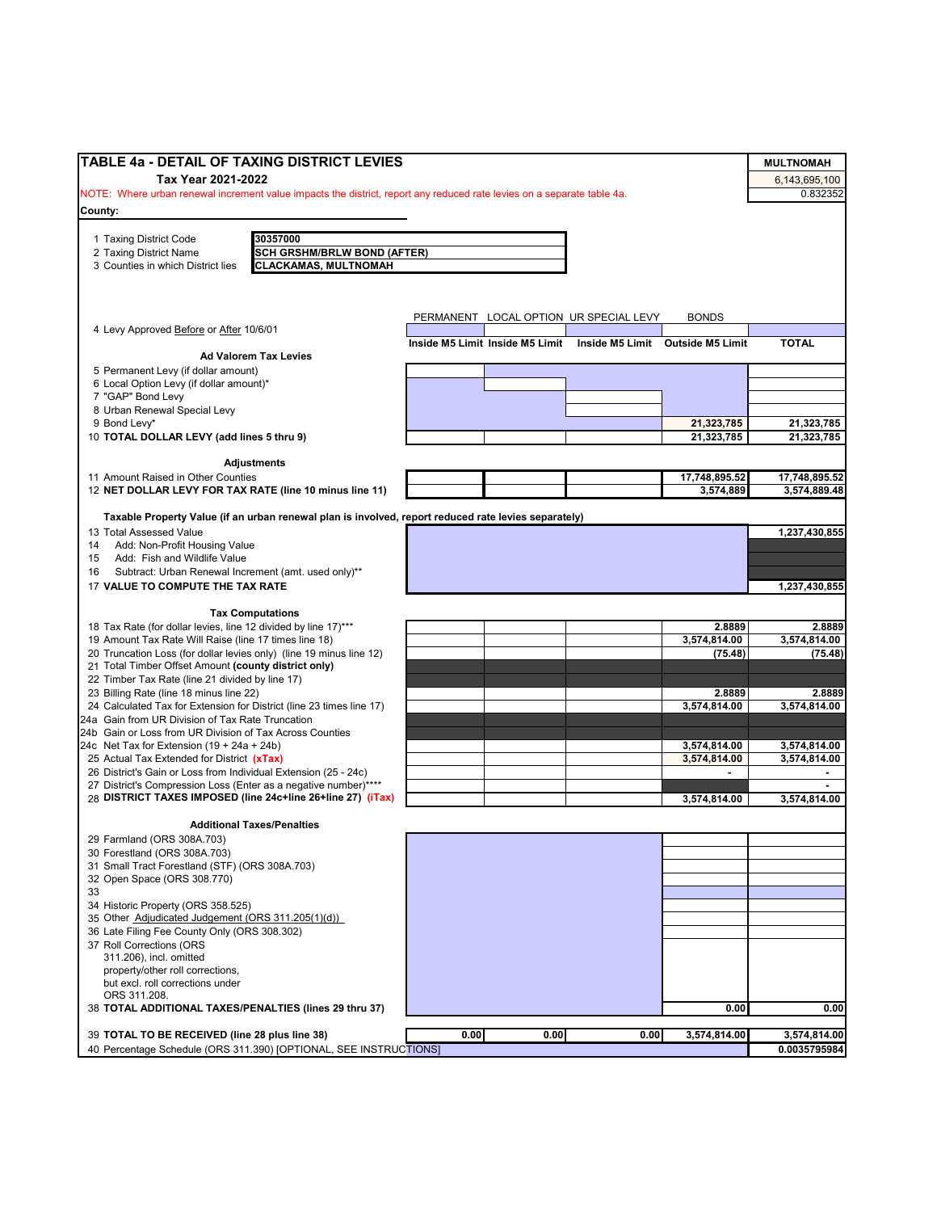| TABLE 4a - DETAIL OF TAXING DISTRICT LEVIES                                                                                    |      |                                 |                                        |                                  | <b>MULTNOMAH</b> |
|--------------------------------------------------------------------------------------------------------------------------------|------|---------------------------------|----------------------------------------|----------------------------------|------------------|
| Tax Year 2021-2022                                                                                                             |      |                                 |                                        |                                  | 6,143,695,100    |
| NOTE: Where urban renewal increment value impacts the district, report any reduced rate levies on a separate table 4a.         |      |                                 |                                        |                                  | 0.832352         |
| County:                                                                                                                        |      |                                 |                                        |                                  |                  |
|                                                                                                                                |      |                                 |                                        |                                  |                  |
| 1 Taxing District Code<br>30357000                                                                                             |      |                                 |                                        |                                  |                  |
| <b>SCH GRSHM/BRLW BOND (AFTER)</b><br>2 Taxing District Name                                                                   |      |                                 |                                        |                                  |                  |
| <b>CLACKAMAS, MULTNOMAH</b><br>3 Counties in which District lies                                                               |      |                                 |                                        |                                  |                  |
|                                                                                                                                |      |                                 |                                        |                                  |                  |
|                                                                                                                                |      |                                 |                                        |                                  |                  |
|                                                                                                                                |      |                                 |                                        |                                  |                  |
|                                                                                                                                |      |                                 | PERMANENT LOCAL OPTION UR SPECIAL LEVY | <b>BONDS</b>                     |                  |
| 4 Levy Approved Before or After 10/6/01                                                                                        |      |                                 |                                        |                                  |                  |
| <b>Ad Valorem Tax Levies</b>                                                                                                   |      | Inside M5 Limit Inside M5 Limit |                                        | Inside M5 Limit Outside M5 Limit | <b>TOTAL</b>     |
| 5 Permanent Levy (if dollar amount)                                                                                            |      |                                 |                                        |                                  |                  |
| 6 Local Option Levy (if dollar amount)*                                                                                        |      |                                 |                                        |                                  |                  |
| 7 "GAP" Bond Levy                                                                                                              |      |                                 |                                        |                                  |                  |
| 8 Urban Renewal Special Levy                                                                                                   |      |                                 |                                        |                                  |                  |
| 9 Bond Levy*                                                                                                                   |      |                                 |                                        | 21,323,785                       | 21,323,785       |
| 10 TOTAL DOLLAR LEVY (add lines 5 thru 9)                                                                                      |      |                                 |                                        | 21,323,785                       | 21,323,785       |
|                                                                                                                                |      |                                 |                                        |                                  |                  |
| <b>Adjustments</b>                                                                                                             |      |                                 |                                        |                                  |                  |
| 11 Amount Raised in Other Counties                                                                                             |      |                                 |                                        | 17,748,895.52                    | 17,748,895.52    |
| 12 NET DOLLAR LEVY FOR TAX RATE (line 10 minus line 11)                                                                        |      |                                 |                                        | 3,574,889                        | 3,574,889.48     |
|                                                                                                                                |      |                                 |                                        |                                  |                  |
| Taxable Property Value (if an urban renewal plan is involved, report reduced rate levies separately)                           |      |                                 |                                        |                                  |                  |
| 13 Total Assessed Value                                                                                                        |      |                                 |                                        |                                  | 1,237,430,855    |
| 14<br>Add: Non-Profit Housing Value                                                                                            |      |                                 |                                        |                                  |                  |
| Add: Fish and Wildlife Value<br>15                                                                                             |      |                                 |                                        |                                  |                  |
| Subtract: Urban Renewal Increment (amt. used only)**<br>16                                                                     |      |                                 |                                        |                                  |                  |
| 17 VALUE TO COMPUTE THE TAX RATE                                                                                               |      |                                 |                                        |                                  | 1,237,430,855    |
|                                                                                                                                |      |                                 |                                        |                                  |                  |
| <b>Tax Computations</b>                                                                                                        |      |                                 |                                        |                                  |                  |
| 18 Tax Rate (for dollar levies, line 12 divided by line 17)***                                                                 |      |                                 |                                        | 2.8889                           | 2.8889           |
| 19 Amount Tax Rate Will Raise (line 17 times line 18)                                                                          |      |                                 |                                        | 3,574,814.00                     | 3,574,814.00     |
| 20 Truncation Loss (for dollar levies only) (line 19 minus line 12)                                                            |      |                                 |                                        | (75.48)                          | (75.48)          |
| 21 Total Timber Offset Amount (county district only)                                                                           |      |                                 |                                        |                                  |                  |
| 22 Timber Tax Rate (line 21 divided by line 17)                                                                                |      |                                 |                                        |                                  |                  |
| 23 Billing Rate (line 18 minus line 22)                                                                                        |      |                                 |                                        | 2.8889                           | 2.8889           |
| 24 Calculated Tax for Extension for District (line 23 times line 17)                                                           |      |                                 |                                        | 3,574,814.00                     | 3,574,814.00     |
| 24a Gain from UR Division of Tax Rate Truncation                                                                               |      |                                 |                                        |                                  |                  |
| 24b Gain or Loss from UR Division of Tax Across Counties                                                                       |      |                                 |                                        |                                  |                  |
| 24c Net Tax for Extension $(19 + 24a + 24b)$                                                                                   |      |                                 |                                        | 3,574,814.00                     | 3,574,814.00     |
| 25 Actual Tax Extended for District (xTax)                                                                                     |      |                                 |                                        | 3,574,814.00                     | 3,574,814.00     |
| 26 District's Gain or Loss from Individual Extension (25 - 24c)                                                                |      |                                 |                                        |                                  | ٠                |
| 27 District's Compression Loss (Enter as a negative number)****<br>28 DISTRICT TAXES IMPOSED (line 24c+line 26+line 27) (iTax) |      |                                 |                                        |                                  |                  |
|                                                                                                                                |      |                                 |                                        | 3,574,814.00                     | 3,574,814.00     |
| <b>Additional Taxes/Penalties</b>                                                                                              |      |                                 |                                        |                                  |                  |
| 29 Farmland (ORS 308A.703)                                                                                                     |      |                                 |                                        |                                  |                  |
| 30 Forestland (ORS 308A.703)                                                                                                   |      |                                 |                                        |                                  |                  |
| 31 Small Tract Forestland (STF) (ORS 308A.703)                                                                                 |      |                                 |                                        |                                  |                  |
| 32 Open Space (ORS 308.770)                                                                                                    |      |                                 |                                        |                                  |                  |
| 33                                                                                                                             |      |                                 |                                        |                                  |                  |
| 34 Historic Property (ORS 358.525)                                                                                             |      |                                 |                                        |                                  |                  |
| 35 Other Adjudicated Judgement (ORS 311.205(1)(d))                                                                             |      |                                 |                                        |                                  |                  |
| 36 Late Filing Fee County Only (ORS 308.302)                                                                                   |      |                                 |                                        |                                  |                  |
| 37 Roll Corrections (ORS                                                                                                       |      |                                 |                                        |                                  |                  |
| 311.206), incl. omitted                                                                                                        |      |                                 |                                        |                                  |                  |
| property/other roll corrections,                                                                                               |      |                                 |                                        |                                  |                  |
| but excl. roll corrections under                                                                                               |      |                                 |                                        |                                  |                  |
| ORS 311.208.                                                                                                                   |      |                                 |                                        |                                  |                  |
| 38 TOTAL ADDITIONAL TAXES/PENALTIES (lines 29 thru 37)                                                                         |      |                                 |                                        | 0.00                             | 0.00             |
|                                                                                                                                |      |                                 |                                        |                                  |                  |
| 39 TOTAL TO BE RECEIVED (line 28 plus line 38)                                                                                 | 0.00 | 0.00                            | 0.00                                   | 3,574,814.00                     | 3,574,814.00     |
| 40 Percentage Schedule (ORS 311.390) [OPTIONAL, SEE INSTRUCTIONS]                                                              |      |                                 |                                        |                                  | 0.0035795984     |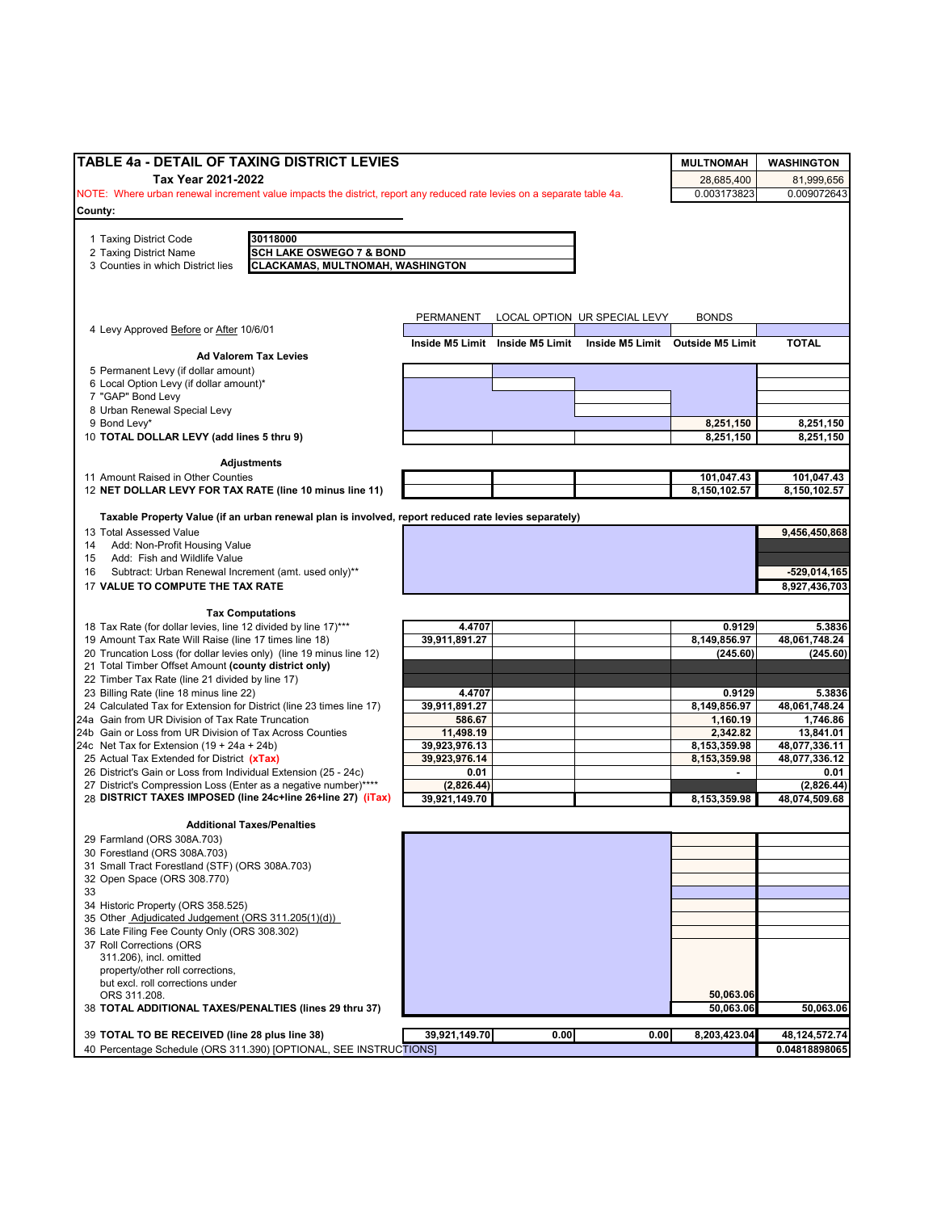| Tax Year 2021-2022<br>28,685,400<br>0.003173823<br>NOTE: Where urban renewal increment value impacts the district, report any reduced rate levies on a separate table 4a.<br>30118000<br>1 Taxing District Code<br><b>SCH LAKE OSWEGO 7 &amp; BOND</b><br>2 Taxing District Name<br><b>CLACKAMAS, MULTNOMAH, WASHINGTON</b><br>PERMANENT<br>LOCAL OPTION UR SPECIAL LEVY<br><b>BONDS</b><br>Inside M5 Limit Inside M5 Limit<br><b>TOTAL</b><br>Inside M5 Limit Outside M5 Limit<br><b>Ad Valorem Tax Levies</b><br>8 Urban Renewal Special Levy<br>9 Bond Levy*<br>8,251,150<br>8,251,150<br>10 TOTAL DOLLAR LEVY (add lines 5 thru 9)<br>8,251,150<br>8,251,150<br>Adjustments<br>101,047.43<br>8,150,102.57<br>Taxable Property Value (if an urban renewal plan is involved, report reduced rate levies separately)<br>9,456,450,868<br>13 Total Assessed Value<br>Add: Non-Profit Housing Value<br>Add: Fish and Wildlife Value<br>Subtract: Urban Renewal Increment (amt. used only)**<br>$-529,014,165$<br>17 VALUE TO COMPUTE THE TAX RATE<br>8,927,436,703<br><b>Tax Computations</b><br>4.4707<br>0.9129<br>48,061,748.24<br>39,911,891.27<br>8,149,856.97<br>19 Amount Tax Rate Will Raise (line 17 times line 18)<br>20 Truncation Loss (for dollar levies only) (line 19 minus line 12)<br>(245.60)<br>(245.60)<br>21 Total Timber Offset Amount (county district only)<br>22 Timber Tax Rate (line 21 divided by line 17)<br>23 Billing Rate (line 18 minus line 22)<br>4.4707<br>0.9129<br>5.3836<br>39,911,891.27<br>8,149,856.97<br>48,061,748.24<br>24 Calculated Tax for Extension for District (line 23 times line 17)<br>24a Gain from UR Division of Tax Rate Truncation<br>586.67<br>1,160.19<br>1,746.86<br>2,342.82<br>24b Gain or Loss from UR Division of Tax Across Counties<br>11,498.19<br>13,841.01<br>24c Net Tax for Extension $(19 + 24a + 24b)$<br>39,923,976.13<br>8,153,359.98<br>48,077,336.11<br>39,923,976.14<br>8,153,359.98<br>0.01<br>٠<br>(2,826.44)<br>39,921,149.70<br>8,153,359.98<br><b>Additional Taxes/Penalties</b><br>29 Farmland (ORS 308A.703)<br>30 Forestland (ORS 308A.703)<br>31 Small Tract Forestland (STF) (ORS 308A.703)<br>32 Open Space (ORS 308.770)<br>34 Historic Property (ORS 358.525)<br>311.206), incl. omitted<br>property/other roll corrections,<br>but excl. roll corrections under<br>50,063.06<br>ORS 311.208.<br>50,063.06<br>39,921,149.70<br>0.00<br>48, 124, 572. 74<br>39 TOTAL TO BE RECEIVED (line 28 plus line 38)<br>0.00<br>8,203,423.04<br>40 Percentage Schedule (ORS 311.390) [OPTIONAL, SEE INSTRUCTIONS] | TABLE 4a - DETAIL OF TAXING DISTRICT LEVIES                     |  | <b>MULTNOMAH</b> | <b>WASHINGTON</b> |
|----------------------------------------------------------------------------------------------------------------------------------------------------------------------------------------------------------------------------------------------------------------------------------------------------------------------------------------------------------------------------------------------------------------------------------------------------------------------------------------------------------------------------------------------------------------------------------------------------------------------------------------------------------------------------------------------------------------------------------------------------------------------------------------------------------------------------------------------------------------------------------------------------------------------------------------------------------------------------------------------------------------------------------------------------------------------------------------------------------------------------------------------------------------------------------------------------------------------------------------------------------------------------------------------------------------------------------------------------------------------------------------------------------------------------------------------------------------------------------------------------------------------------------------------------------------------------------------------------------------------------------------------------------------------------------------------------------------------------------------------------------------------------------------------------------------------------------------------------------------------------------------------------------------------------------------------------------------------------------------------------------------------------------------------------------------------------------------------------------------------------------------------------------------------------------------------------------------------------------------------------------------------------------------------------------------------------------------------------------------------------------------------------------------------------------------------------------------------------------------------------------------------------------------------------------------------------------------------------|-----------------------------------------------------------------|--|------------------|-------------------|
|                                                                                                                                                                                                                                                                                                                                                                                                                                                                                                                                                                                                                                                                                                                                                                                                                                                                                                                                                                                                                                                                                                                                                                                                                                                                                                                                                                                                                                                                                                                                                                                                                                                                                                                                                                                                                                                                                                                                                                                                                                                                                                                                                                                                                                                                                                                                                                                                                                                                                                                                                                                                    |                                                                 |  |                  | 81,999,656        |
|                                                                                                                                                                                                                                                                                                                                                                                                                                                                                                                                                                                                                                                                                                                                                                                                                                                                                                                                                                                                                                                                                                                                                                                                                                                                                                                                                                                                                                                                                                                                                                                                                                                                                                                                                                                                                                                                                                                                                                                                                                                                                                                                                                                                                                                                                                                                                                                                                                                                                                                                                                                                    |                                                                 |  |                  | 0.009072643       |
|                                                                                                                                                                                                                                                                                                                                                                                                                                                                                                                                                                                                                                                                                                                                                                                                                                                                                                                                                                                                                                                                                                                                                                                                                                                                                                                                                                                                                                                                                                                                                                                                                                                                                                                                                                                                                                                                                                                                                                                                                                                                                                                                                                                                                                                                                                                                                                                                                                                                                                                                                                                                    | County:                                                         |  |                  |                   |
|                                                                                                                                                                                                                                                                                                                                                                                                                                                                                                                                                                                                                                                                                                                                                                                                                                                                                                                                                                                                                                                                                                                                                                                                                                                                                                                                                                                                                                                                                                                                                                                                                                                                                                                                                                                                                                                                                                                                                                                                                                                                                                                                                                                                                                                                                                                                                                                                                                                                                                                                                                                                    |                                                                 |  |                  |                   |
|                                                                                                                                                                                                                                                                                                                                                                                                                                                                                                                                                                                                                                                                                                                                                                                                                                                                                                                                                                                                                                                                                                                                                                                                                                                                                                                                                                                                                                                                                                                                                                                                                                                                                                                                                                                                                                                                                                                                                                                                                                                                                                                                                                                                                                                                                                                                                                                                                                                                                                                                                                                                    |                                                                 |  |                  |                   |
|                                                                                                                                                                                                                                                                                                                                                                                                                                                                                                                                                                                                                                                                                                                                                                                                                                                                                                                                                                                                                                                                                                                                                                                                                                                                                                                                                                                                                                                                                                                                                                                                                                                                                                                                                                                                                                                                                                                                                                                                                                                                                                                                                                                                                                                                                                                                                                                                                                                                                                                                                                                                    | 3 Counties in which District lies                               |  |                  |                   |
|                                                                                                                                                                                                                                                                                                                                                                                                                                                                                                                                                                                                                                                                                                                                                                                                                                                                                                                                                                                                                                                                                                                                                                                                                                                                                                                                                                                                                                                                                                                                                                                                                                                                                                                                                                                                                                                                                                                                                                                                                                                                                                                                                                                                                                                                                                                                                                                                                                                                                                                                                                                                    |                                                                 |  |                  |                   |
|                                                                                                                                                                                                                                                                                                                                                                                                                                                                                                                                                                                                                                                                                                                                                                                                                                                                                                                                                                                                                                                                                                                                                                                                                                                                                                                                                                                                                                                                                                                                                                                                                                                                                                                                                                                                                                                                                                                                                                                                                                                                                                                                                                                                                                                                                                                                                                                                                                                                                                                                                                                                    |                                                                 |  |                  |                   |
|                                                                                                                                                                                                                                                                                                                                                                                                                                                                                                                                                                                                                                                                                                                                                                                                                                                                                                                                                                                                                                                                                                                                                                                                                                                                                                                                                                                                                                                                                                                                                                                                                                                                                                                                                                                                                                                                                                                                                                                                                                                                                                                                                                                                                                                                                                                                                                                                                                                                                                                                                                                                    |                                                                 |  |                  |                   |
|                                                                                                                                                                                                                                                                                                                                                                                                                                                                                                                                                                                                                                                                                                                                                                                                                                                                                                                                                                                                                                                                                                                                                                                                                                                                                                                                                                                                                                                                                                                                                                                                                                                                                                                                                                                                                                                                                                                                                                                                                                                                                                                                                                                                                                                                                                                                                                                                                                                                                                                                                                                                    | 4 Levy Approved Before or After 10/6/01                         |  |                  |                   |
|                                                                                                                                                                                                                                                                                                                                                                                                                                                                                                                                                                                                                                                                                                                                                                                                                                                                                                                                                                                                                                                                                                                                                                                                                                                                                                                                                                                                                                                                                                                                                                                                                                                                                                                                                                                                                                                                                                                                                                                                                                                                                                                                                                                                                                                                                                                                                                                                                                                                                                                                                                                                    |                                                                 |  |                  |                   |
|                                                                                                                                                                                                                                                                                                                                                                                                                                                                                                                                                                                                                                                                                                                                                                                                                                                                                                                                                                                                                                                                                                                                                                                                                                                                                                                                                                                                                                                                                                                                                                                                                                                                                                                                                                                                                                                                                                                                                                                                                                                                                                                                                                                                                                                                                                                                                                                                                                                                                                                                                                                                    | 5 Permanent Levy (if dollar amount)                             |  |                  |                   |
|                                                                                                                                                                                                                                                                                                                                                                                                                                                                                                                                                                                                                                                                                                                                                                                                                                                                                                                                                                                                                                                                                                                                                                                                                                                                                                                                                                                                                                                                                                                                                                                                                                                                                                                                                                                                                                                                                                                                                                                                                                                                                                                                                                                                                                                                                                                                                                                                                                                                                                                                                                                                    | 6 Local Option Levy (if dollar amount)*                         |  |                  |                   |
|                                                                                                                                                                                                                                                                                                                                                                                                                                                                                                                                                                                                                                                                                                                                                                                                                                                                                                                                                                                                                                                                                                                                                                                                                                                                                                                                                                                                                                                                                                                                                                                                                                                                                                                                                                                                                                                                                                                                                                                                                                                                                                                                                                                                                                                                                                                                                                                                                                                                                                                                                                                                    | 7 "GAP" Bond Levy                                               |  |                  |                   |
|                                                                                                                                                                                                                                                                                                                                                                                                                                                                                                                                                                                                                                                                                                                                                                                                                                                                                                                                                                                                                                                                                                                                                                                                                                                                                                                                                                                                                                                                                                                                                                                                                                                                                                                                                                                                                                                                                                                                                                                                                                                                                                                                                                                                                                                                                                                                                                                                                                                                                                                                                                                                    |                                                                 |  |                  |                   |
|                                                                                                                                                                                                                                                                                                                                                                                                                                                                                                                                                                                                                                                                                                                                                                                                                                                                                                                                                                                                                                                                                                                                                                                                                                                                                                                                                                                                                                                                                                                                                                                                                                                                                                                                                                                                                                                                                                                                                                                                                                                                                                                                                                                                                                                                                                                                                                                                                                                                                                                                                                                                    |                                                                 |  |                  |                   |
|                                                                                                                                                                                                                                                                                                                                                                                                                                                                                                                                                                                                                                                                                                                                                                                                                                                                                                                                                                                                                                                                                                                                                                                                                                                                                                                                                                                                                                                                                                                                                                                                                                                                                                                                                                                                                                                                                                                                                                                                                                                                                                                                                                                                                                                                                                                                                                                                                                                                                                                                                                                                    |                                                                 |  |                  |                   |
|                                                                                                                                                                                                                                                                                                                                                                                                                                                                                                                                                                                                                                                                                                                                                                                                                                                                                                                                                                                                                                                                                                                                                                                                                                                                                                                                                                                                                                                                                                                                                                                                                                                                                                                                                                                                                                                                                                                                                                                                                                                                                                                                                                                                                                                                                                                                                                                                                                                                                                                                                                                                    |                                                                 |  |                  |                   |
|                                                                                                                                                                                                                                                                                                                                                                                                                                                                                                                                                                                                                                                                                                                                                                                                                                                                                                                                                                                                                                                                                                                                                                                                                                                                                                                                                                                                                                                                                                                                                                                                                                                                                                                                                                                                                                                                                                                                                                                                                                                                                                                                                                                                                                                                                                                                                                                                                                                                                                                                                                                                    | 11 Amount Raised in Other Counties                              |  |                  | 101,047.43        |
|                                                                                                                                                                                                                                                                                                                                                                                                                                                                                                                                                                                                                                                                                                                                                                                                                                                                                                                                                                                                                                                                                                                                                                                                                                                                                                                                                                                                                                                                                                                                                                                                                                                                                                                                                                                                                                                                                                                                                                                                                                                                                                                                                                                                                                                                                                                                                                                                                                                                                                                                                                                                    | 12 NET DOLLAR LEVY FOR TAX RATE (line 10 minus line 11)         |  |                  | 8,150,102.57      |
|                                                                                                                                                                                                                                                                                                                                                                                                                                                                                                                                                                                                                                                                                                                                                                                                                                                                                                                                                                                                                                                                                                                                                                                                                                                                                                                                                                                                                                                                                                                                                                                                                                                                                                                                                                                                                                                                                                                                                                                                                                                                                                                                                                                                                                                                                                                                                                                                                                                                                                                                                                                                    |                                                                 |  |                  |                   |
|                                                                                                                                                                                                                                                                                                                                                                                                                                                                                                                                                                                                                                                                                                                                                                                                                                                                                                                                                                                                                                                                                                                                                                                                                                                                                                                                                                                                                                                                                                                                                                                                                                                                                                                                                                                                                                                                                                                                                                                                                                                                                                                                                                                                                                                                                                                                                                                                                                                                                                                                                                                                    |                                                                 |  |                  |                   |
|                                                                                                                                                                                                                                                                                                                                                                                                                                                                                                                                                                                                                                                                                                                                                                                                                                                                                                                                                                                                                                                                                                                                                                                                                                                                                                                                                                                                                                                                                                                                                                                                                                                                                                                                                                                                                                                                                                                                                                                                                                                                                                                                                                                                                                                                                                                                                                                                                                                                                                                                                                                                    | 14                                                              |  |                  |                   |
|                                                                                                                                                                                                                                                                                                                                                                                                                                                                                                                                                                                                                                                                                                                                                                                                                                                                                                                                                                                                                                                                                                                                                                                                                                                                                                                                                                                                                                                                                                                                                                                                                                                                                                                                                                                                                                                                                                                                                                                                                                                                                                                                                                                                                                                                                                                                                                                                                                                                                                                                                                                                    | 15                                                              |  |                  |                   |
|                                                                                                                                                                                                                                                                                                                                                                                                                                                                                                                                                                                                                                                                                                                                                                                                                                                                                                                                                                                                                                                                                                                                                                                                                                                                                                                                                                                                                                                                                                                                                                                                                                                                                                                                                                                                                                                                                                                                                                                                                                                                                                                                                                                                                                                                                                                                                                                                                                                                                                                                                                                                    | 16                                                              |  |                  |                   |
|                                                                                                                                                                                                                                                                                                                                                                                                                                                                                                                                                                                                                                                                                                                                                                                                                                                                                                                                                                                                                                                                                                                                                                                                                                                                                                                                                                                                                                                                                                                                                                                                                                                                                                                                                                                                                                                                                                                                                                                                                                                                                                                                                                                                                                                                                                                                                                                                                                                                                                                                                                                                    |                                                                 |  |                  |                   |
|                                                                                                                                                                                                                                                                                                                                                                                                                                                                                                                                                                                                                                                                                                                                                                                                                                                                                                                                                                                                                                                                                                                                                                                                                                                                                                                                                                                                                                                                                                                                                                                                                                                                                                                                                                                                                                                                                                                                                                                                                                                                                                                                                                                                                                                                                                                                                                                                                                                                                                                                                                                                    |                                                                 |  |                  |                   |
|                                                                                                                                                                                                                                                                                                                                                                                                                                                                                                                                                                                                                                                                                                                                                                                                                                                                                                                                                                                                                                                                                                                                                                                                                                                                                                                                                                                                                                                                                                                                                                                                                                                                                                                                                                                                                                                                                                                                                                                                                                                                                                                                                                                                                                                                                                                                                                                                                                                                                                                                                                                                    |                                                                 |  |                  |                   |
|                                                                                                                                                                                                                                                                                                                                                                                                                                                                                                                                                                                                                                                                                                                                                                                                                                                                                                                                                                                                                                                                                                                                                                                                                                                                                                                                                                                                                                                                                                                                                                                                                                                                                                                                                                                                                                                                                                                                                                                                                                                                                                                                                                                                                                                                                                                                                                                                                                                                                                                                                                                                    | 18 Tax Rate (for dollar levies, line 12 divided by line 17)***  |  |                  | 5.3836            |
|                                                                                                                                                                                                                                                                                                                                                                                                                                                                                                                                                                                                                                                                                                                                                                                                                                                                                                                                                                                                                                                                                                                                                                                                                                                                                                                                                                                                                                                                                                                                                                                                                                                                                                                                                                                                                                                                                                                                                                                                                                                                                                                                                                                                                                                                                                                                                                                                                                                                                                                                                                                                    |                                                                 |  |                  |                   |
|                                                                                                                                                                                                                                                                                                                                                                                                                                                                                                                                                                                                                                                                                                                                                                                                                                                                                                                                                                                                                                                                                                                                                                                                                                                                                                                                                                                                                                                                                                                                                                                                                                                                                                                                                                                                                                                                                                                                                                                                                                                                                                                                                                                                                                                                                                                                                                                                                                                                                                                                                                                                    |                                                                 |  |                  |                   |
|                                                                                                                                                                                                                                                                                                                                                                                                                                                                                                                                                                                                                                                                                                                                                                                                                                                                                                                                                                                                                                                                                                                                                                                                                                                                                                                                                                                                                                                                                                                                                                                                                                                                                                                                                                                                                                                                                                                                                                                                                                                                                                                                                                                                                                                                                                                                                                                                                                                                                                                                                                                                    |                                                                 |  |                  |                   |
|                                                                                                                                                                                                                                                                                                                                                                                                                                                                                                                                                                                                                                                                                                                                                                                                                                                                                                                                                                                                                                                                                                                                                                                                                                                                                                                                                                                                                                                                                                                                                                                                                                                                                                                                                                                                                                                                                                                                                                                                                                                                                                                                                                                                                                                                                                                                                                                                                                                                                                                                                                                                    |                                                                 |  |                  |                   |
|                                                                                                                                                                                                                                                                                                                                                                                                                                                                                                                                                                                                                                                                                                                                                                                                                                                                                                                                                                                                                                                                                                                                                                                                                                                                                                                                                                                                                                                                                                                                                                                                                                                                                                                                                                                                                                                                                                                                                                                                                                                                                                                                                                                                                                                                                                                                                                                                                                                                                                                                                                                                    |                                                                 |  |                  |                   |
|                                                                                                                                                                                                                                                                                                                                                                                                                                                                                                                                                                                                                                                                                                                                                                                                                                                                                                                                                                                                                                                                                                                                                                                                                                                                                                                                                                                                                                                                                                                                                                                                                                                                                                                                                                                                                                                                                                                                                                                                                                                                                                                                                                                                                                                                                                                                                                                                                                                                                                                                                                                                    |                                                                 |  |                  |                   |
|                                                                                                                                                                                                                                                                                                                                                                                                                                                                                                                                                                                                                                                                                                                                                                                                                                                                                                                                                                                                                                                                                                                                                                                                                                                                                                                                                                                                                                                                                                                                                                                                                                                                                                                                                                                                                                                                                                                                                                                                                                                                                                                                                                                                                                                                                                                                                                                                                                                                                                                                                                                                    |                                                                 |  |                  |                   |
|                                                                                                                                                                                                                                                                                                                                                                                                                                                                                                                                                                                                                                                                                                                                                                                                                                                                                                                                                                                                                                                                                                                                                                                                                                                                                                                                                                                                                                                                                                                                                                                                                                                                                                                                                                                                                                                                                                                                                                                                                                                                                                                                                                                                                                                                                                                                                                                                                                                                                                                                                                                                    |                                                                 |  |                  |                   |
|                                                                                                                                                                                                                                                                                                                                                                                                                                                                                                                                                                                                                                                                                                                                                                                                                                                                                                                                                                                                                                                                                                                                                                                                                                                                                                                                                                                                                                                                                                                                                                                                                                                                                                                                                                                                                                                                                                                                                                                                                                                                                                                                                                                                                                                                                                                                                                                                                                                                                                                                                                                                    | 25 Actual Tax Extended for District (xTax)                      |  |                  | 48,077,336.12     |
|                                                                                                                                                                                                                                                                                                                                                                                                                                                                                                                                                                                                                                                                                                                                                                                                                                                                                                                                                                                                                                                                                                                                                                                                                                                                                                                                                                                                                                                                                                                                                                                                                                                                                                                                                                                                                                                                                                                                                                                                                                                                                                                                                                                                                                                                                                                                                                                                                                                                                                                                                                                                    | 26 District's Gain or Loss from Individual Extension (25 - 24c) |  |                  | 0.01              |
|                                                                                                                                                                                                                                                                                                                                                                                                                                                                                                                                                                                                                                                                                                                                                                                                                                                                                                                                                                                                                                                                                                                                                                                                                                                                                                                                                                                                                                                                                                                                                                                                                                                                                                                                                                                                                                                                                                                                                                                                                                                                                                                                                                                                                                                                                                                                                                                                                                                                                                                                                                                                    | 27 District's Compression Loss (Enter as a negative number)**** |  |                  | (2,826.44)        |
|                                                                                                                                                                                                                                                                                                                                                                                                                                                                                                                                                                                                                                                                                                                                                                                                                                                                                                                                                                                                                                                                                                                                                                                                                                                                                                                                                                                                                                                                                                                                                                                                                                                                                                                                                                                                                                                                                                                                                                                                                                                                                                                                                                                                                                                                                                                                                                                                                                                                                                                                                                                                    | 28 DISTRICT TAXES IMPOSED (line 24c+line 26+line 27) (iTax)     |  |                  | 48,074,509.68     |
|                                                                                                                                                                                                                                                                                                                                                                                                                                                                                                                                                                                                                                                                                                                                                                                                                                                                                                                                                                                                                                                                                                                                                                                                                                                                                                                                                                                                                                                                                                                                                                                                                                                                                                                                                                                                                                                                                                                                                                                                                                                                                                                                                                                                                                                                                                                                                                                                                                                                                                                                                                                                    |                                                                 |  |                  |                   |
|                                                                                                                                                                                                                                                                                                                                                                                                                                                                                                                                                                                                                                                                                                                                                                                                                                                                                                                                                                                                                                                                                                                                                                                                                                                                                                                                                                                                                                                                                                                                                                                                                                                                                                                                                                                                                                                                                                                                                                                                                                                                                                                                                                                                                                                                                                                                                                                                                                                                                                                                                                                                    |                                                                 |  |                  |                   |
|                                                                                                                                                                                                                                                                                                                                                                                                                                                                                                                                                                                                                                                                                                                                                                                                                                                                                                                                                                                                                                                                                                                                                                                                                                                                                                                                                                                                                                                                                                                                                                                                                                                                                                                                                                                                                                                                                                                                                                                                                                                                                                                                                                                                                                                                                                                                                                                                                                                                                                                                                                                                    |                                                                 |  |                  |                   |
|                                                                                                                                                                                                                                                                                                                                                                                                                                                                                                                                                                                                                                                                                                                                                                                                                                                                                                                                                                                                                                                                                                                                                                                                                                                                                                                                                                                                                                                                                                                                                                                                                                                                                                                                                                                                                                                                                                                                                                                                                                                                                                                                                                                                                                                                                                                                                                                                                                                                                                                                                                                                    |                                                                 |  |                  |                   |
|                                                                                                                                                                                                                                                                                                                                                                                                                                                                                                                                                                                                                                                                                                                                                                                                                                                                                                                                                                                                                                                                                                                                                                                                                                                                                                                                                                                                                                                                                                                                                                                                                                                                                                                                                                                                                                                                                                                                                                                                                                                                                                                                                                                                                                                                                                                                                                                                                                                                                                                                                                                                    |                                                                 |  |                  |                   |
|                                                                                                                                                                                                                                                                                                                                                                                                                                                                                                                                                                                                                                                                                                                                                                                                                                                                                                                                                                                                                                                                                                                                                                                                                                                                                                                                                                                                                                                                                                                                                                                                                                                                                                                                                                                                                                                                                                                                                                                                                                                                                                                                                                                                                                                                                                                                                                                                                                                                                                                                                                                                    | 33                                                              |  |                  |                   |
|                                                                                                                                                                                                                                                                                                                                                                                                                                                                                                                                                                                                                                                                                                                                                                                                                                                                                                                                                                                                                                                                                                                                                                                                                                                                                                                                                                                                                                                                                                                                                                                                                                                                                                                                                                                                                                                                                                                                                                                                                                                                                                                                                                                                                                                                                                                                                                                                                                                                                                                                                                                                    |                                                                 |  |                  |                   |
|                                                                                                                                                                                                                                                                                                                                                                                                                                                                                                                                                                                                                                                                                                                                                                                                                                                                                                                                                                                                                                                                                                                                                                                                                                                                                                                                                                                                                                                                                                                                                                                                                                                                                                                                                                                                                                                                                                                                                                                                                                                                                                                                                                                                                                                                                                                                                                                                                                                                                                                                                                                                    | 35 Other Adjudicated Judgement (ORS 311.205(1)(d))              |  |                  |                   |
|                                                                                                                                                                                                                                                                                                                                                                                                                                                                                                                                                                                                                                                                                                                                                                                                                                                                                                                                                                                                                                                                                                                                                                                                                                                                                                                                                                                                                                                                                                                                                                                                                                                                                                                                                                                                                                                                                                                                                                                                                                                                                                                                                                                                                                                                                                                                                                                                                                                                                                                                                                                                    | 36 Late Filing Fee County Only (ORS 308.302)                    |  |                  |                   |
|                                                                                                                                                                                                                                                                                                                                                                                                                                                                                                                                                                                                                                                                                                                                                                                                                                                                                                                                                                                                                                                                                                                                                                                                                                                                                                                                                                                                                                                                                                                                                                                                                                                                                                                                                                                                                                                                                                                                                                                                                                                                                                                                                                                                                                                                                                                                                                                                                                                                                                                                                                                                    | 37 Roll Corrections (ORS                                        |  |                  |                   |
|                                                                                                                                                                                                                                                                                                                                                                                                                                                                                                                                                                                                                                                                                                                                                                                                                                                                                                                                                                                                                                                                                                                                                                                                                                                                                                                                                                                                                                                                                                                                                                                                                                                                                                                                                                                                                                                                                                                                                                                                                                                                                                                                                                                                                                                                                                                                                                                                                                                                                                                                                                                                    |                                                                 |  |                  |                   |
|                                                                                                                                                                                                                                                                                                                                                                                                                                                                                                                                                                                                                                                                                                                                                                                                                                                                                                                                                                                                                                                                                                                                                                                                                                                                                                                                                                                                                                                                                                                                                                                                                                                                                                                                                                                                                                                                                                                                                                                                                                                                                                                                                                                                                                                                                                                                                                                                                                                                                                                                                                                                    |                                                                 |  |                  |                   |
|                                                                                                                                                                                                                                                                                                                                                                                                                                                                                                                                                                                                                                                                                                                                                                                                                                                                                                                                                                                                                                                                                                                                                                                                                                                                                                                                                                                                                                                                                                                                                                                                                                                                                                                                                                                                                                                                                                                                                                                                                                                                                                                                                                                                                                                                                                                                                                                                                                                                                                                                                                                                    |                                                                 |  |                  |                   |
|                                                                                                                                                                                                                                                                                                                                                                                                                                                                                                                                                                                                                                                                                                                                                                                                                                                                                                                                                                                                                                                                                                                                                                                                                                                                                                                                                                                                                                                                                                                                                                                                                                                                                                                                                                                                                                                                                                                                                                                                                                                                                                                                                                                                                                                                                                                                                                                                                                                                                                                                                                                                    |                                                                 |  |                  |                   |
|                                                                                                                                                                                                                                                                                                                                                                                                                                                                                                                                                                                                                                                                                                                                                                                                                                                                                                                                                                                                                                                                                                                                                                                                                                                                                                                                                                                                                                                                                                                                                                                                                                                                                                                                                                                                                                                                                                                                                                                                                                                                                                                                                                                                                                                                                                                                                                                                                                                                                                                                                                                                    | 38 TOTAL ADDITIONAL TAXES/PENALTIES (lines 29 thru 37)          |  |                  | 50,063.06         |
|                                                                                                                                                                                                                                                                                                                                                                                                                                                                                                                                                                                                                                                                                                                                                                                                                                                                                                                                                                                                                                                                                                                                                                                                                                                                                                                                                                                                                                                                                                                                                                                                                                                                                                                                                                                                                                                                                                                                                                                                                                                                                                                                                                                                                                                                                                                                                                                                                                                                                                                                                                                                    |                                                                 |  |                  |                   |
|                                                                                                                                                                                                                                                                                                                                                                                                                                                                                                                                                                                                                                                                                                                                                                                                                                                                                                                                                                                                                                                                                                                                                                                                                                                                                                                                                                                                                                                                                                                                                                                                                                                                                                                                                                                                                                                                                                                                                                                                                                                                                                                                                                                                                                                                                                                                                                                                                                                                                                                                                                                                    |                                                                 |  |                  | 0.04818898065     |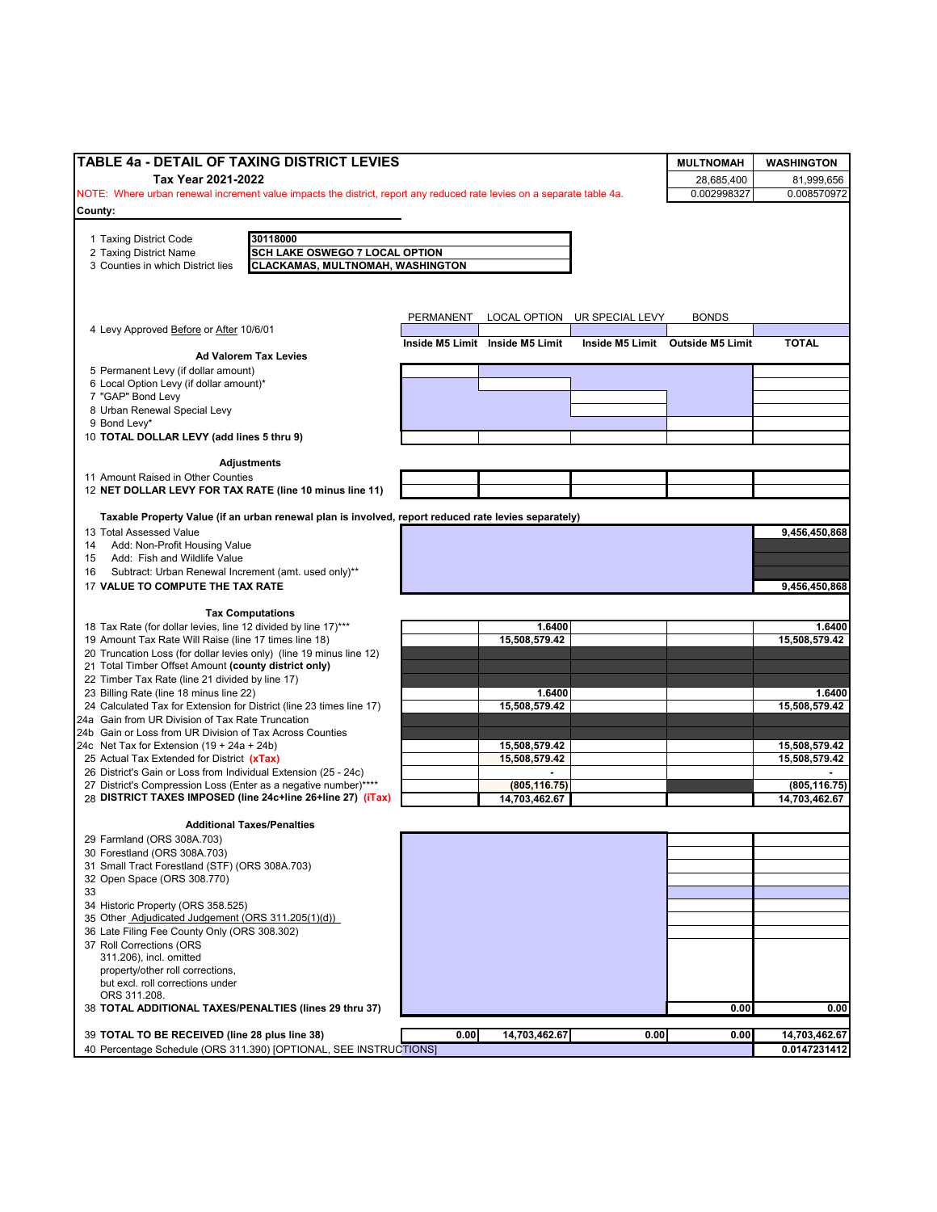| TABLE 4a - DETAIL OF TAXING DISTRICT LEVIES                                                                                    |                  |                                 |                              | <b>MULTNOMAH</b>                 | <b>WASHINGTON</b> |
|--------------------------------------------------------------------------------------------------------------------------------|------------------|---------------------------------|------------------------------|----------------------------------|-------------------|
| Tax Year 2021-2022                                                                                                             |                  |                                 |                              | 28,685,400                       | 81,999,656        |
| NOTE: Where urban renewal increment value impacts the district, report any reduced rate levies on a separate table 4a.         |                  |                                 |                              | 0.002998327                      | 0.008570972       |
| County:                                                                                                                        |                  |                                 |                              |                                  |                   |
|                                                                                                                                |                  |                                 |                              |                                  |                   |
| 1 Taxing District Code<br>30118000<br><b>SCH LAKE OSWEGO 7 LOCAL OPTION</b><br>2 Taxing District Name                          |                  |                                 |                              |                                  |                   |
| <b>CLACKAMAS, MULTNOMAH, WASHINGTON</b><br>3 Counties in which District lies                                                   |                  |                                 |                              |                                  |                   |
|                                                                                                                                |                  |                                 |                              |                                  |                   |
|                                                                                                                                |                  |                                 |                              |                                  |                   |
|                                                                                                                                | <b>PERMANENT</b> |                                 | LOCAL OPTION UR SPECIAL LEVY | <b>BONDS</b>                     |                   |
| 4 Levy Approved Before or After 10/6/01                                                                                        |                  |                                 |                              |                                  |                   |
|                                                                                                                                |                  | Inside M5 Limit Inside M5 Limit |                              | Inside M5 Limit Outside M5 Limit | <b>TOTAL</b>      |
| <b>Ad Valorem Tax Levies</b>                                                                                                   |                  |                                 |                              |                                  |                   |
| 5 Permanent Levy (if dollar amount)<br>6 Local Option Levy (if dollar amount)*                                                 |                  |                                 |                              |                                  |                   |
| 7 "GAP" Bond Levy                                                                                                              |                  |                                 |                              |                                  |                   |
| 8 Urban Renewal Special Levy                                                                                                   |                  |                                 |                              |                                  |                   |
| 9 Bond Levy*                                                                                                                   |                  |                                 |                              |                                  |                   |
| 10 TOTAL DOLLAR LEVY (add lines 5 thru 9)                                                                                      |                  |                                 |                              |                                  |                   |
|                                                                                                                                |                  |                                 |                              |                                  |                   |
| Adjustments<br>11 Amount Raised in Other Counties                                                                              |                  |                                 |                              |                                  |                   |
| 12 NET DOLLAR LEVY FOR TAX RATE (line 10 minus line 11)                                                                        |                  |                                 |                              |                                  |                   |
|                                                                                                                                |                  |                                 |                              |                                  |                   |
| Taxable Property Value (if an urban renewal plan is involved, report reduced rate levies separately)                           |                  |                                 |                              |                                  |                   |
| 13 Total Assessed Value                                                                                                        |                  |                                 |                              |                                  | 9,456,450,868     |
| Add: Non-Profit Housing Value<br>14                                                                                            |                  |                                 |                              |                                  |                   |
| Add: Fish and Wildlife Value<br>15                                                                                             |                  |                                 |                              |                                  |                   |
| Subtract: Urban Renewal Increment (amt. used only)**<br>16                                                                     |                  |                                 |                              |                                  |                   |
| 17 VALUE TO COMPUTE THE TAX RATE                                                                                               |                  |                                 |                              |                                  | 9,456,450,868     |
| <b>Tax Computations</b>                                                                                                        |                  |                                 |                              |                                  |                   |
| 18 Tax Rate (for dollar levies, line 12 divided by line 17)***                                                                 |                  | 1.6400                          |                              |                                  | 1.6400            |
| 19 Amount Tax Rate Will Raise (line 17 times line 18)                                                                          |                  | 15,508,579.42                   |                              |                                  | 15,508,579.42     |
| 20 Truncation Loss (for dollar levies only) (line 19 minus line 12)                                                            |                  |                                 |                              |                                  |                   |
| 21 Total Timber Offset Amount (county district only)                                                                           |                  |                                 |                              |                                  |                   |
| 22 Timber Tax Rate (line 21 divided by line 17)                                                                                |                  | 1.6400                          |                              |                                  | 1.6400            |
| 23 Billing Rate (line 18 minus line 22)<br>24 Calculated Tax for Extension for District (line 23 times line 17)                |                  | 15,508,579.42                   |                              |                                  | 15,508,579.42     |
| 24a Gain from UR Division of Tax Rate Truncation                                                                               |                  |                                 |                              |                                  |                   |
| 24b Gain or Loss from UR Division of Tax Across Counties                                                                       |                  |                                 |                              |                                  |                   |
| 24c Net Tax for Extension $(19 + 24a + 24b)$                                                                                   |                  | 15,508,579.42                   |                              |                                  | 15,508,579.42     |
| 25 Actual Tax Extended for District (xTax)                                                                                     |                  | 15,508,579.42                   |                              |                                  | 15,508,579.42     |
| 26 District's Gain or Loss from Individual Extension (25 - 24c)                                                                |                  |                                 |                              |                                  |                   |
| 27 District's Compression Loss (Enter as a negative number)****<br>28 DISTRICT TAXES IMPOSED (line 24c+line 26+line 27) (iTax) |                  | (805, 116.75)                   |                              |                                  | (805, 116.75)     |
|                                                                                                                                |                  | 14,703,462.67                   |                              |                                  | 14,703,462.67     |
| <b>Additional Taxes/Penalties</b>                                                                                              |                  |                                 |                              |                                  |                   |
| 29 Farmland (ORS 308A.703)                                                                                                     |                  |                                 |                              |                                  |                   |
| 30 Forestland (ORS 308A.703)                                                                                                   |                  |                                 |                              |                                  |                   |
| 31 Small Tract Forestland (STF) (ORS 308A.703)                                                                                 |                  |                                 |                              |                                  |                   |
| 32 Open Space (ORS 308.770)                                                                                                    |                  |                                 |                              |                                  |                   |
| 33                                                                                                                             |                  |                                 |                              |                                  |                   |
| 34 Historic Property (ORS 358.525)<br>35 Other Adjudicated Judgement (ORS 311.205(1)(d))                                       |                  |                                 |                              |                                  |                   |
| 36 Late Filing Fee County Only (ORS 308.302)                                                                                   |                  |                                 |                              |                                  |                   |
| 37 Roll Corrections (ORS                                                                                                       |                  |                                 |                              |                                  |                   |
| 311.206), incl. omitted                                                                                                        |                  |                                 |                              |                                  |                   |
| property/other roll corrections,                                                                                               |                  |                                 |                              |                                  |                   |
| but excl. roll corrections under                                                                                               |                  |                                 |                              |                                  |                   |
| ORS 311.208.                                                                                                                   |                  |                                 |                              |                                  |                   |
| 38 TOTAL ADDITIONAL TAXES/PENALTIES (lines 29 thru 37)                                                                         |                  |                                 |                              | 0.00                             | 0.00              |
| 39 TOTAL TO BE RECEIVED (line 28 plus line 38)                                                                                 | 0.00             | 14,703,462.67                   | 0.00                         | 0.00                             | 14,703,462.67     |
| 40 Percentage Schedule (ORS 311.390) [OPTIONAL, SEE INSTRUCTIONS]                                                              |                  |                                 |                              |                                  | 0.0147231412      |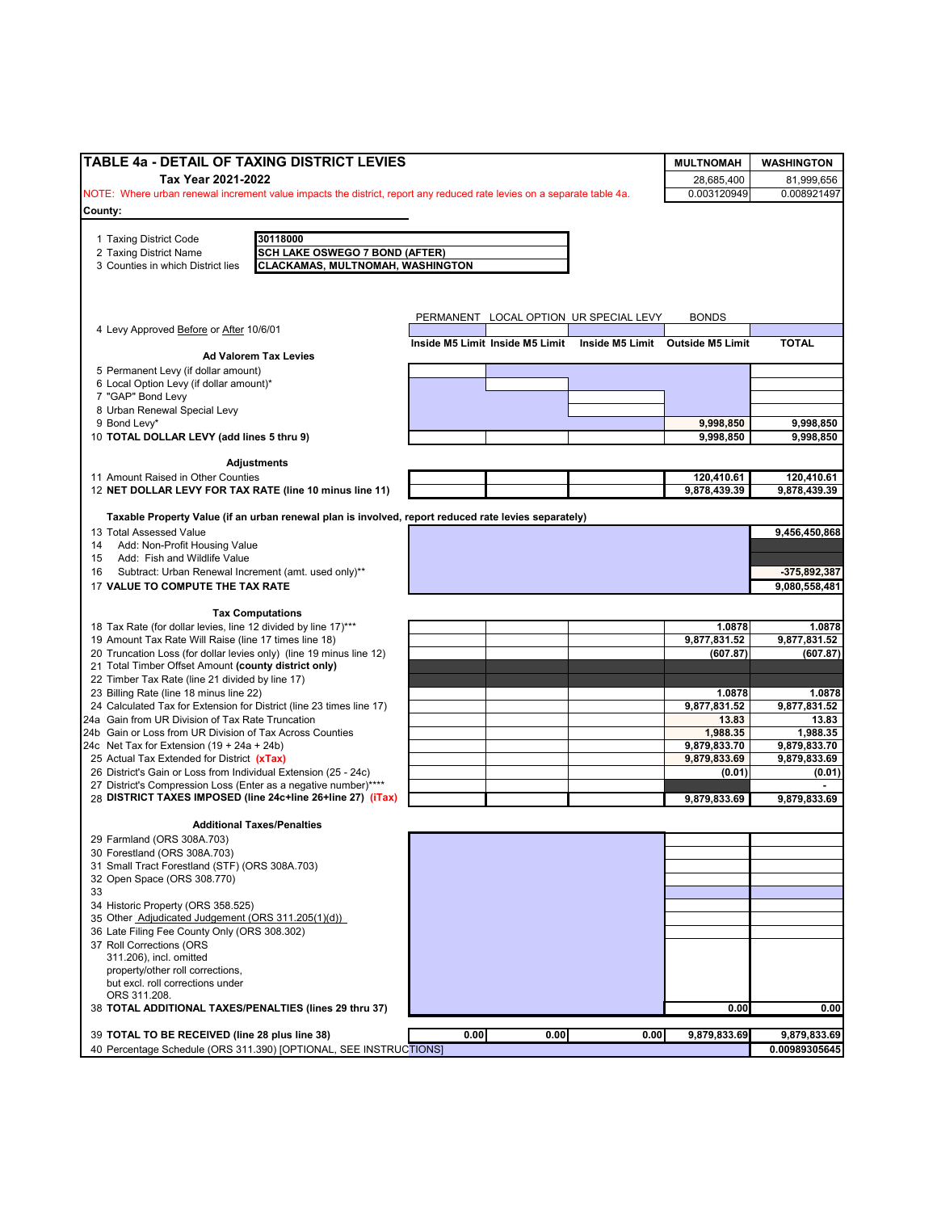| TABLE 4a - DETAIL OF TAXING DISTRICT LEVIES                                                                              |                                 |      |                                        | <b>MULTNOMAH</b>                 | <b>WASHINGTON</b>      |
|--------------------------------------------------------------------------------------------------------------------------|---------------------------------|------|----------------------------------------|----------------------------------|------------------------|
| Tax Year 2021-2022                                                                                                       |                                 |      |                                        | 28,685,400                       | 81,999,656             |
| NOTE: Where urban renewal increment value impacts the district, report any reduced rate levies on a separate table 4a.   |                                 |      |                                        | 0.003120949                      | 0.008921497            |
| County:                                                                                                                  |                                 |      |                                        |                                  |                        |
|                                                                                                                          |                                 |      |                                        |                                  |                        |
| 30118000<br>1 Taxing District Code                                                                                       |                                 |      |                                        |                                  |                        |
| <b>SCH LAKE OSWEGO 7 BOND (AFTER)</b><br>2 Taxing District Name                                                          |                                 |      |                                        |                                  |                        |
| CLACKAMAS, MULTNOMAH, WASHINGTON<br>3 Counties in which District lies                                                    |                                 |      |                                        |                                  |                        |
|                                                                                                                          |                                 |      |                                        |                                  |                        |
|                                                                                                                          |                                 |      |                                        |                                  |                        |
|                                                                                                                          |                                 |      |                                        |                                  |                        |
| 4 Levy Approved Before or After 10/6/01                                                                                  |                                 |      | PERMANENT LOCAL OPTION UR SPECIAL LEVY | <b>BONDS</b>                     |                        |
|                                                                                                                          | Inside M5 Limit Inside M5 Limit |      |                                        | Inside M5 Limit Outside M5 Limit | <b>TOTAL</b>           |
| <b>Ad Valorem Tax Levies</b>                                                                                             |                                 |      |                                        |                                  |                        |
| 5 Permanent Levy (if dollar amount)                                                                                      |                                 |      |                                        |                                  |                        |
| 6 Local Option Levy (if dollar amount)*                                                                                  |                                 |      |                                        |                                  |                        |
| 7 "GAP" Bond Levy                                                                                                        |                                 |      |                                        |                                  |                        |
| 8 Urban Renewal Special Levy                                                                                             |                                 |      |                                        |                                  |                        |
| 9 Bond Levy*                                                                                                             |                                 |      |                                        | 9,998,850                        | 9,998,850              |
| 10 TOTAL DOLLAR LEVY (add lines 5 thru 9)                                                                                |                                 |      |                                        | 9,998,850                        | 9,998,850              |
|                                                                                                                          |                                 |      |                                        |                                  |                        |
| <b>Adjustments</b>                                                                                                       |                                 |      |                                        |                                  |                        |
| 11 Amount Raised in Other Counties                                                                                       |                                 |      |                                        | 120,410.61                       | 120,410.61             |
| 12 NET DOLLAR LEVY FOR TAX RATE (line 10 minus line 11)                                                                  |                                 |      |                                        | 9,878,439.39                     | 9,878,439.39           |
|                                                                                                                          |                                 |      |                                        |                                  |                        |
| Taxable Property Value (if an urban renewal plan is involved, report reduced rate levies separately)                     |                                 |      |                                        |                                  |                        |
| 13 Total Assessed Value                                                                                                  |                                 |      |                                        |                                  | 9,456,450,868          |
| Add: Non-Profit Housing Value<br>14                                                                                      |                                 |      |                                        |                                  |                        |
| Add: Fish and Wildlife Value<br>15                                                                                       |                                 |      |                                        |                                  |                        |
| Subtract: Urban Renewal Increment (amt. used only)**<br>16                                                               |                                 |      |                                        |                                  | -375,892,387           |
| 17 VALUE TO COMPUTE THE TAX RATE                                                                                         |                                 |      |                                        |                                  | 9,080,558,481          |
|                                                                                                                          |                                 |      |                                        |                                  |                        |
| <b>Tax Computations</b>                                                                                                  |                                 |      |                                        |                                  |                        |
| 18 Tax Rate (for dollar levies, line 12 divided by line 17)***                                                           |                                 |      |                                        | 1.0878                           | 1.0878                 |
| 19 Amount Tax Rate Will Raise (line 17 times line 18)                                                                    |                                 |      |                                        | 9,877,831.52                     | 9,877,831.52           |
| 20 Truncation Loss (for dollar levies only) (line 19 minus line 12)                                                      |                                 |      |                                        | (607.87)                         | (607.87)               |
| 21 Total Timber Offset Amount (county district only)                                                                     |                                 |      |                                        |                                  |                        |
| 22 Timber Tax Rate (line 21 divided by line 17)                                                                          |                                 |      |                                        |                                  |                        |
| 23 Billing Rate (line 18 minus line 22)                                                                                  |                                 |      |                                        | 1.0878<br>9,877,831.52           | 1.0878<br>9,877,831.52 |
| 24 Calculated Tax for Extension for District (line 23 times line 17)<br>24a Gain from UR Division of Tax Rate Truncation |                                 |      |                                        | 13.83                            | 13.83                  |
| 24b Gain or Loss from UR Division of Tax Across Counties                                                                 |                                 |      |                                        | 1,988.35                         | 1,988.35               |
| 24c Net Tax for Extension $(19 + 24a + 24b)$                                                                             |                                 |      |                                        | 9,879,833.70                     | 9,879,833.70           |
| 25 Actual Tax Extended for District (xTax)                                                                               |                                 |      |                                        | 9,879,833.69                     | 9,879,833.69           |
| 26 District's Gain or Loss from Individual Extension (25 - 24c)                                                          |                                 |      |                                        | (0.01)                           | (0.01)                 |
| 27 District's Compression Loss (Enter as a negative number)****                                                          |                                 |      |                                        |                                  |                        |
| 28 DISTRICT TAXES IMPOSED (line 24c+line 26+line 27) (iTax)                                                              |                                 |      |                                        | 9,879,833.69                     | 9,879,833.69           |
|                                                                                                                          |                                 |      |                                        |                                  |                        |
| <b>Additional Taxes/Penalties</b>                                                                                        |                                 |      |                                        |                                  |                        |
| 29 Farmland (ORS 308A.703)                                                                                               |                                 |      |                                        |                                  |                        |
| 30 Forestland (ORS 308A.703)                                                                                             |                                 |      |                                        |                                  |                        |
| 31 Small Tract Forestland (STF) (ORS 308A.703)                                                                           |                                 |      |                                        |                                  |                        |
| 32 Open Space (ORS 308.770)                                                                                              |                                 |      |                                        |                                  |                        |
| 33                                                                                                                       |                                 |      |                                        |                                  |                        |
| 34 Historic Property (ORS 358.525)                                                                                       |                                 |      |                                        |                                  |                        |
| 35 Other Adjudicated Judgement (ORS 311.205(1)(d))                                                                       |                                 |      |                                        |                                  |                        |
| 36 Late Filing Fee County Only (ORS 308.302)                                                                             |                                 |      |                                        |                                  |                        |
| 37 Roll Corrections (ORS                                                                                                 |                                 |      |                                        |                                  |                        |
| 311.206), incl. omitted                                                                                                  |                                 |      |                                        |                                  |                        |
| property/other roll corrections,                                                                                         |                                 |      |                                        |                                  |                        |
| but excl. roll corrections under                                                                                         |                                 |      |                                        |                                  |                        |
| ORS 311.208.                                                                                                             |                                 |      |                                        |                                  | 0.00                   |
| 38 TOTAL ADDITIONAL TAXES/PENALTIES (lines 29 thru 37)                                                                   |                                 |      |                                        | 0.00                             |                        |
| 39 TOTAL TO BE RECEIVED (line 28 plus line 38)                                                                           | 0.00                            | 0.00 | 0.00                                   | 9,879,833.69                     | 9,879,833.69           |
|                                                                                                                          |                                 |      |                                        |                                  |                        |
| 40 Percentage Schedule (ORS 311.390) [OPTIONAL, SEE INSTRUCTIONS]                                                        |                                 |      |                                        |                                  | 0.00989305645          |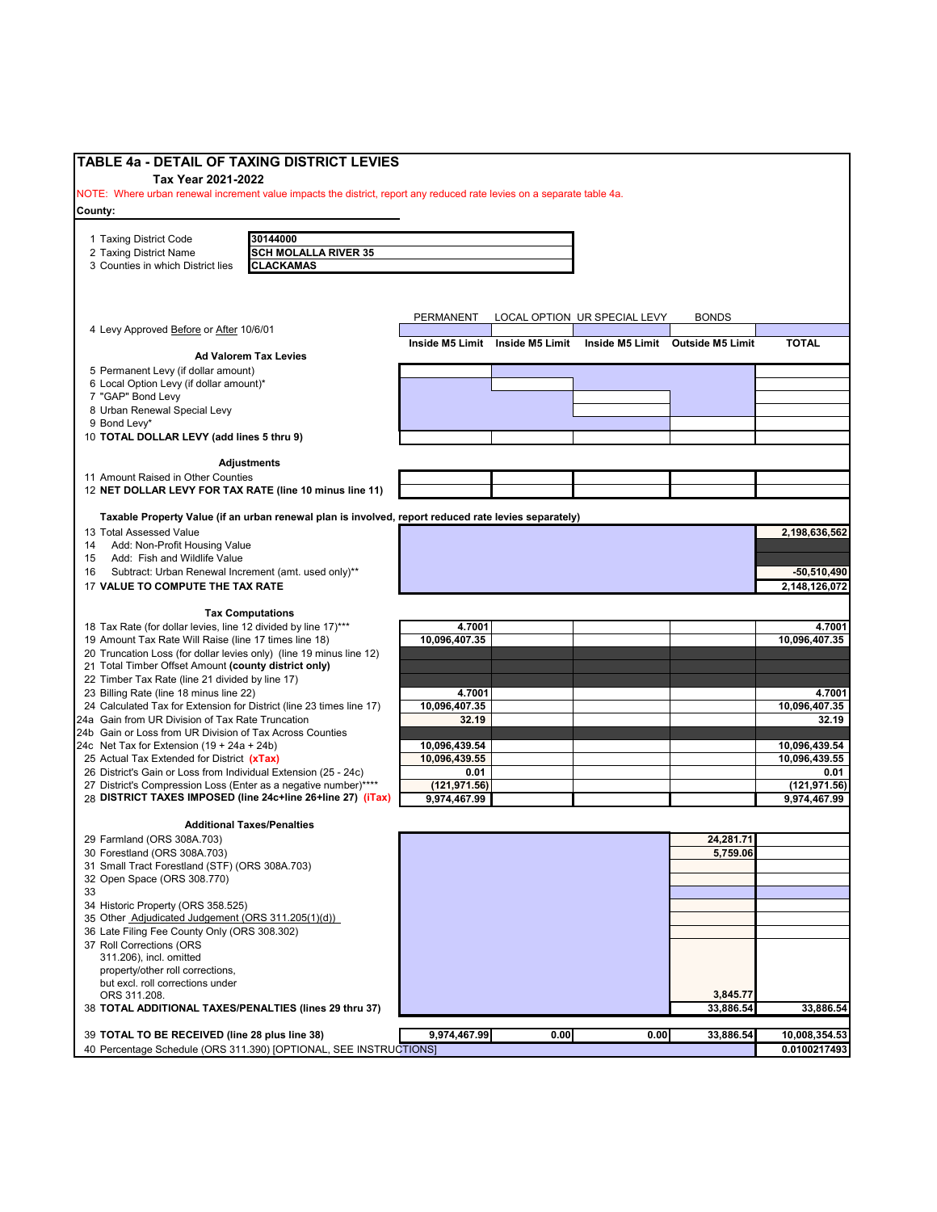| TABLE 4a - DETAIL OF TAXING DISTRICT LEVIES                                                                                  |                                                                                                      |               |                                 |                              |                                  |               |
|------------------------------------------------------------------------------------------------------------------------------|------------------------------------------------------------------------------------------------------|---------------|---------------------------------|------------------------------|----------------------------------|---------------|
| Tax Year 2021-2022                                                                                                           |                                                                                                      |               |                                 |                              |                                  |               |
| NOTE: Where urban renewal increment value impacts the district, report any reduced rate levies on a separate table 4a.       |                                                                                                      |               |                                 |                              |                                  |               |
| County:                                                                                                                      |                                                                                                      |               |                                 |                              |                                  |               |
|                                                                                                                              | 30144000                                                                                             |               |                                 |                              |                                  |               |
| 1 Taxing District Code<br>2 Taxing District Name                                                                             | <b>SCH MOLALLA RIVER 35</b>                                                                          |               |                                 |                              |                                  |               |
| 3 Counties in which District lies                                                                                            | <b>CLACKAMAS</b>                                                                                     |               |                                 |                              |                                  |               |
|                                                                                                                              |                                                                                                      |               |                                 |                              |                                  |               |
|                                                                                                                              |                                                                                                      |               |                                 |                              |                                  |               |
|                                                                                                                              |                                                                                                      | PERMANENT     |                                 | LOCAL OPTION UR SPECIAL LEVY | <b>BONDS</b>                     |               |
| 4 Levy Approved Before or After 10/6/01                                                                                      |                                                                                                      |               |                                 |                              |                                  |               |
|                                                                                                                              |                                                                                                      |               | Inside M5 Limit Inside M5 Limit |                              | Inside M5 Limit Outside M5 Limit | <b>TOTAL</b>  |
|                                                                                                                              | <b>Ad Valorem Tax Levies</b>                                                                         |               |                                 |                              |                                  |               |
| 5 Permanent Levy (if dollar amount)                                                                                          |                                                                                                      |               |                                 |                              |                                  |               |
| 6 Local Option Levy (if dollar amount)*<br>7 "GAP" Bond Levy                                                                 |                                                                                                      |               |                                 |                              |                                  |               |
| 8 Urban Renewal Special Levy                                                                                                 |                                                                                                      |               |                                 |                              |                                  |               |
| 9 Bond Levy*                                                                                                                 |                                                                                                      |               |                                 |                              |                                  |               |
| 10 TOTAL DOLLAR LEVY (add lines 5 thru 9)                                                                                    |                                                                                                      |               |                                 |                              |                                  |               |
|                                                                                                                              |                                                                                                      |               |                                 |                              |                                  |               |
| 11 Amount Raised in Other Counties                                                                                           | <b>Adjustments</b>                                                                                   |               |                                 |                              |                                  |               |
| 12 NET DOLLAR LEVY FOR TAX RATE (line 10 minus line 11)                                                                      |                                                                                                      |               |                                 |                              |                                  |               |
|                                                                                                                              |                                                                                                      |               |                                 |                              |                                  |               |
|                                                                                                                              | Taxable Property Value (if an urban renewal plan is involved, report reduced rate levies separately) |               |                                 |                              |                                  |               |
| 13 Total Assessed Value                                                                                                      |                                                                                                      |               |                                 |                              |                                  | 2,198,636,562 |
| 14<br>Add: Non-Profit Housing Value<br>Add: Fish and Wildlife Value<br>15                                                    |                                                                                                      |               |                                 |                              |                                  |               |
| Subtract: Urban Renewal Increment (amt. used only)**<br>16                                                                   |                                                                                                      |               |                                 |                              |                                  | $-50,510,490$ |
| 17 VALUE TO COMPUTE THE TAX RATE                                                                                             |                                                                                                      |               |                                 |                              |                                  | 2,148,126,072 |
|                                                                                                                              |                                                                                                      |               |                                 |                              |                                  |               |
|                                                                                                                              | <b>Tax Computations</b>                                                                              |               |                                 |                              |                                  |               |
| 18 Tax Rate (for dollar levies, line 12 divided by line 17)***                                                               |                                                                                                      | 4.7001        |                                 |                              |                                  | 4.7001        |
| 19 Amount Tax Rate Will Raise (line 17 times line 18)<br>20 Truncation Loss (for dollar levies only) (line 19 minus line 12) |                                                                                                      | 10,096,407.35 |                                 |                              |                                  | 10,096,407.35 |
| 21 Total Timber Offset Amount (county district only)                                                                         |                                                                                                      |               |                                 |                              |                                  |               |
| 22 Timber Tax Rate (line 21 divided by line 17)                                                                              |                                                                                                      |               |                                 |                              |                                  |               |
| 23 Billing Rate (line 18 minus line 22)                                                                                      |                                                                                                      | 4.7001        |                                 |                              |                                  | 4.7001        |
| 24 Calculated Tax for Extension for District (line 23 times line 17)                                                         |                                                                                                      | 10,096,407.35 |                                 |                              |                                  | 10,096,407.35 |
| 24a Gain from UR Division of Tax Rate Truncation                                                                             |                                                                                                      | 32.19         |                                 |                              |                                  | 32.19         |
| 24b Gain or Loss from UR Division of Tax Across Counties<br>24c Net Tax for Extension (19 + 24a + 24b)                       |                                                                                                      | 10,096,439.54 |                                 |                              |                                  | 10,096,439.54 |
| 25 Actual Tax Extended for District (xTax)                                                                                   |                                                                                                      | 10,096,439.55 |                                 |                              |                                  | 10,096,439.55 |
| 26 District's Gain or Loss from Individual Extension (25 - 24c)                                                              |                                                                                                      | 0.01          |                                 |                              |                                  | 0.01          |
| 27 District's Compression Loss (Enter as a negative number)****                                                              |                                                                                                      | (121, 971.56) |                                 |                              |                                  | (121, 971.56) |
| 28 DISTRICT TAXES IMPOSED (line 24c+line 26+line 27) (iTax)                                                                  |                                                                                                      | 9,974,467.99  |                                 |                              |                                  | 9,974,467.99  |
|                                                                                                                              | <b>Additional Taxes/Penalties</b>                                                                    |               |                                 |                              |                                  |               |
| 29 Farmland (ORS 308A.703)                                                                                                   |                                                                                                      |               |                                 |                              | 24,281.71                        |               |
| 30 Forestland (ORS 308A.703)                                                                                                 |                                                                                                      |               |                                 |                              | 5,759.06                         |               |
| 31 Small Tract Forestland (STF) (ORS 308A.703)                                                                               |                                                                                                      |               |                                 |                              |                                  |               |
| 32 Open Space (ORS 308.770)                                                                                                  |                                                                                                      |               |                                 |                              |                                  |               |
| 33                                                                                                                           |                                                                                                      |               |                                 |                              |                                  |               |
| 34 Historic Property (ORS 358.525)<br>35 Other Adjudicated Judgement (ORS 311.205(1)(d))                                     |                                                                                                      |               |                                 |                              |                                  |               |
| 36 Late Filing Fee County Only (ORS 308.302)                                                                                 |                                                                                                      |               |                                 |                              |                                  |               |
| 37 Roll Corrections (ORS                                                                                                     |                                                                                                      |               |                                 |                              |                                  |               |
| 311.206), incl. omitted                                                                                                      |                                                                                                      |               |                                 |                              |                                  |               |
| property/other roll corrections,                                                                                             |                                                                                                      |               |                                 |                              |                                  |               |
| but excl. roll corrections under                                                                                             |                                                                                                      |               |                                 |                              | 3,845.77                         |               |
| ORS 311.208.<br>38 TOTAL ADDITIONAL TAXES/PENALTIES (lines 29 thru 37)                                                       |                                                                                                      |               |                                 |                              | 33,886.54                        | 33,886.54     |
|                                                                                                                              |                                                                                                      |               |                                 |                              |                                  |               |
| 39 TOTAL TO BE RECEIVED (line 28 plus line 38)                                                                               |                                                                                                      | 9,974,467.99  | 0.00                            | 0.00                         | 33,886.54                        | 10,008,354.53 |
| 40 Percentage Schedule (ORS 311.390) [OPTIONAL, SEE INSTRUCTIONS]                                                            |                                                                                                      |               |                                 |                              |                                  | 0.0100217493  |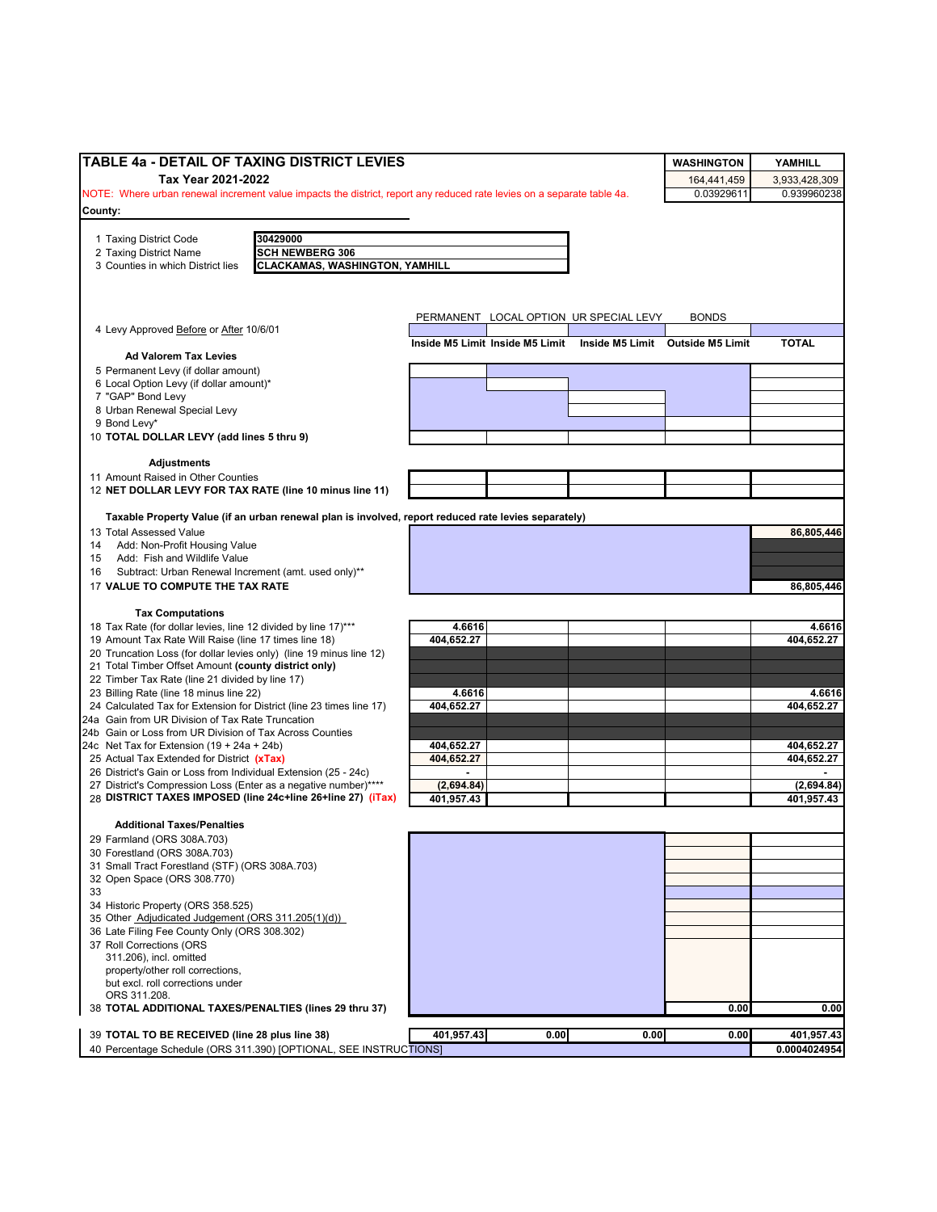| TABLE 4a - DETAIL OF TAXING DISTRICT LEVIES                                                                             |                                        |      | <b>WASHINGTON</b>                | YAMHILL              |  |
|-------------------------------------------------------------------------------------------------------------------------|----------------------------------------|------|----------------------------------|----------------------|--|
| Tax Year 2021-2022<br>164,441,459                                                                                       |                                        |      |                                  |                      |  |
| NOTE: Where urban renewal increment value impacts the district, report any reduced rate levies on a separate table 4a.  |                                        |      | 0.03929611                       | 0.939960238          |  |
| County:                                                                                                                 |                                        |      |                                  |                      |  |
|                                                                                                                         |                                        |      |                                  |                      |  |
| 1 Taxing District Code<br>30429000<br><b>SCH NEWBERG 306</b><br>2 Taxing District Name                                  |                                        |      |                                  |                      |  |
| <b>CLACKAMAS, WASHINGTON, YAMHILL</b><br>3 Counties in which District lies                                              |                                        |      |                                  |                      |  |
|                                                                                                                         |                                        |      |                                  |                      |  |
|                                                                                                                         |                                        |      |                                  |                      |  |
|                                                                                                                         | PERMANENT LOCAL OPTION UR SPECIAL LEVY |      | <b>BONDS</b>                     |                      |  |
| 4 Levy Approved Before or After 10/6/01                                                                                 |                                        |      |                                  |                      |  |
| <b>Ad Valorem Tax Levies</b>                                                                                            | Inside M5 Limit Inside M5 Limit        |      | Inside M5 Limit Outside M5 Limit | <b>TOTAL</b>         |  |
| 5 Permanent Levy (if dollar amount)                                                                                     |                                        |      |                                  |                      |  |
| 6 Local Option Levy (if dollar amount)*                                                                                 |                                        |      |                                  |                      |  |
| 7 "GAP" Bond Levy                                                                                                       |                                        |      |                                  |                      |  |
| 8 Urban Renewal Special Levy<br>9 Bond Levy*                                                                            |                                        |      |                                  |                      |  |
| 10 TOTAL DOLLAR LEVY (add lines 5 thru 9)                                                                               |                                        |      |                                  |                      |  |
|                                                                                                                         |                                        |      |                                  |                      |  |
| <b>Adjustments</b>                                                                                                      |                                        |      |                                  |                      |  |
| 11 Amount Raised in Other Counties<br>12 NET DOLLAR LEVY FOR TAX RATE (line 10 minus line 11)                           |                                        |      |                                  |                      |  |
|                                                                                                                         |                                        |      |                                  |                      |  |
| Taxable Property Value (if an urban renewal plan is involved, report reduced rate levies separately)                    |                                        |      |                                  |                      |  |
| 13 Total Assessed Value                                                                                                 |                                        |      |                                  | 86,805,446           |  |
| Add: Non-Profit Housing Value<br>14<br>Add: Fish and Wildlife Value<br>15                                               |                                        |      |                                  |                      |  |
| Subtract: Urban Renewal Increment (amt. used only)**<br>16                                                              |                                        |      |                                  |                      |  |
| 17 VALUE TO COMPUTE THE TAX RATE                                                                                        |                                        |      |                                  | 86,805,446           |  |
|                                                                                                                         |                                        |      |                                  |                      |  |
| <b>Tax Computations</b>                                                                                                 |                                        |      |                                  |                      |  |
| 18 Tax Rate (for dollar levies, line 12 divided by line 17)***<br>19 Amount Tax Rate Will Raise (line 17 times line 18) | 4.6616<br>404,652.27                   |      |                                  | 4.6616<br>404,652.27 |  |
| 20 Truncation Loss (for dollar levies only) (line 19 minus line 12)                                                     |                                        |      |                                  |                      |  |
| 21 Total Timber Offset Amount (county district only)                                                                    |                                        |      |                                  |                      |  |
| 22 Timber Tax Rate (line 21 divided by line 17)                                                                         |                                        |      |                                  |                      |  |
| 23 Billing Rate (line 18 minus line 22)<br>24 Calculated Tax for Extension for District (line 23 times line 17)         | 4.6616<br>404,652.27                   |      |                                  | 4.6616<br>404,652.27 |  |
| 24a Gain from UR Division of Tax Rate Truncation                                                                        |                                        |      |                                  |                      |  |
| 24b Gain or Loss from UR Division of Tax Across Counties                                                                |                                        |      |                                  |                      |  |
| 24c Net Tax for Extension $(19 + 24a + 24b)$                                                                            | 404,652.27                             |      |                                  | 404,652.27           |  |
| 25 Actual Tax Extended for District (xTax)<br>26 District's Gain or Loss from Individual Extension (25 - 24c)           | 404,652.27                             |      |                                  | 404,652.27           |  |
| 27 District's Compression Loss (Enter as a negative number)****                                                         | (2,694.84)                             |      |                                  | (2,694.84)           |  |
| 28 DISTRICT TAXES IMPOSED (line 24c+line 26+line 27) (iTax)                                                             | 401,957.43                             |      |                                  | 401,957.43           |  |
|                                                                                                                         |                                        |      |                                  |                      |  |
| <b>Additional Taxes/Penalties</b>                                                                                       |                                        |      |                                  |                      |  |
| 29 Farmland (ORS 308A.703)<br>30 Forestland (ORS 308A.703)                                                              |                                        |      |                                  |                      |  |
| 31 Small Tract Forestland (STF) (ORS 308A.703)                                                                          |                                        |      |                                  |                      |  |
| 32 Open Space (ORS 308.770)                                                                                             |                                        |      |                                  |                      |  |
| 33                                                                                                                      |                                        |      |                                  |                      |  |
| 34 Historic Property (ORS 358.525)<br>35 Other Adjudicated Judgement (ORS 311.205(1)(d))                                |                                        |      |                                  |                      |  |
| 36 Late Filing Fee County Only (ORS 308.302)                                                                            |                                        |      |                                  |                      |  |
| 37 Roll Corrections (ORS                                                                                                |                                        |      |                                  |                      |  |
| 311.206), incl. omitted                                                                                                 |                                        |      |                                  |                      |  |
| property/other roll corrections,<br>but excl. roll corrections under                                                    |                                        |      |                                  |                      |  |
| ORS 311.208.                                                                                                            |                                        |      |                                  |                      |  |
| 38 TOTAL ADDITIONAL TAXES/PENALTIES (lines 29 thru 37)                                                                  |                                        |      | 0.00                             | 0.00                 |  |
| 39 TOTAL TO BE RECEIVED (line 28 plus line 38)                                                                          | 401,957.43<br>0.00                     | 0.00 | 0.00                             | 401,957.43           |  |
| 40 Percentage Schedule (ORS 311.390) [OPTIONAL, SEE INSTRUCTIONS]                                                       |                                        |      |                                  | 0.0004024954         |  |
|                                                                                                                         |                                        |      |                                  |                      |  |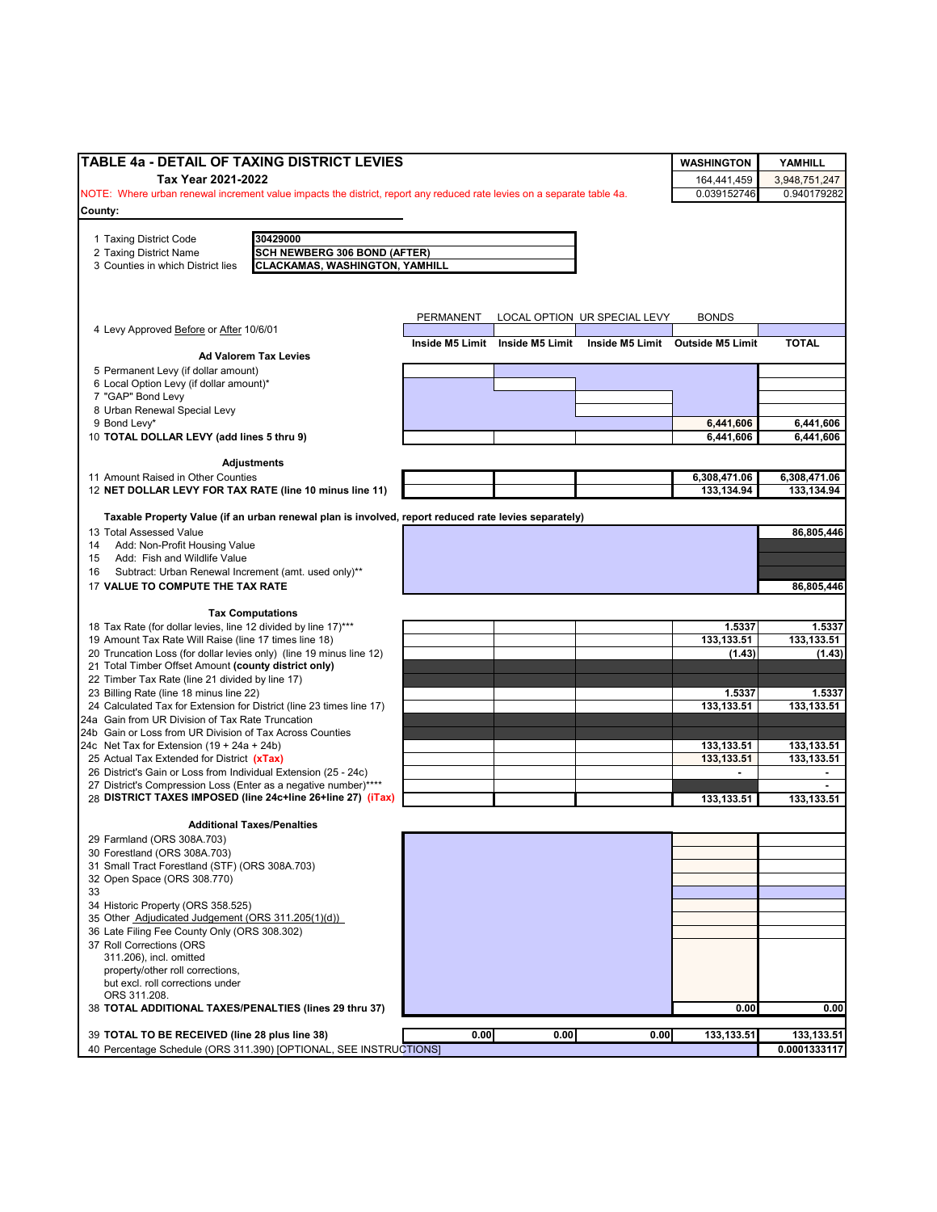| TABLE 4a - DETAIL OF TAXING DISTRICT LEVIES                                                                                                 |           |                                 |                              | <b>WASHINGTON</b>                | YAMHILL                    |
|---------------------------------------------------------------------------------------------------------------------------------------------|-----------|---------------------------------|------------------------------|----------------------------------|----------------------------|
| Tax Year 2021-2022                                                                                                                          |           |                                 |                              | 164,441,459                      | 3,948,751,247              |
| NOTE: Where urban renewal increment value impacts the district, report any reduced rate levies on a separate table 4a.                      |           |                                 |                              | 0.039152746                      | 0.940179282                |
| County:                                                                                                                                     |           |                                 |                              |                                  |                            |
|                                                                                                                                             |           |                                 |                              |                                  |                            |
| 30429000<br>1 Taxing District Code                                                                                                          |           |                                 |                              |                                  |                            |
| <b>SCH NEWBERG 306 BOND (AFTER)</b><br>2 Taxing District Name<br><b>CLACKAMAS, WASHINGTON, YAMHILL</b><br>3 Counties in which District lies |           |                                 |                              |                                  |                            |
|                                                                                                                                             |           |                                 |                              |                                  |                            |
|                                                                                                                                             |           |                                 |                              |                                  |                            |
|                                                                                                                                             |           |                                 |                              |                                  |                            |
|                                                                                                                                             | PERMANENT |                                 | LOCAL OPTION UR SPECIAL LEVY | <b>BONDS</b>                     |                            |
| 4 Levy Approved Before or After 10/6/01                                                                                                     |           | Inside M5 Limit Inside M5 Limit |                              |                                  | <b>TOTAL</b>               |
| <b>Ad Valorem Tax Levies</b>                                                                                                                |           |                                 |                              | Inside M5 Limit Outside M5 Limit |                            |
| 5 Permanent Levy (if dollar amount)                                                                                                         |           |                                 |                              |                                  |                            |
| 6 Local Option Levy (if dollar amount)*                                                                                                     |           |                                 |                              |                                  |                            |
| 7 "GAP" Bond Levy                                                                                                                           |           |                                 |                              |                                  |                            |
| 8 Urban Renewal Special Levy                                                                                                                |           |                                 |                              |                                  |                            |
| 9 Bond Levy*                                                                                                                                |           |                                 |                              | 6,441,606                        | 6,441,606                  |
| 10 TOTAL DOLLAR LEVY (add lines 5 thru 9)                                                                                                   |           |                                 |                              | 6,441,606                        | 6,441,606                  |
|                                                                                                                                             |           |                                 |                              |                                  |                            |
| <b>Adjustments</b>                                                                                                                          |           |                                 |                              |                                  |                            |
| 11 Amount Raised in Other Counties<br>12 NET DOLLAR LEVY FOR TAX RATE (line 10 minus line 11)                                               |           |                                 |                              | 6,308,471.06<br>133,134.94       | 6,308,471.06<br>133,134.94 |
|                                                                                                                                             |           |                                 |                              |                                  |                            |
| Taxable Property Value (if an urban renewal plan is involved, report reduced rate levies separately)                                        |           |                                 |                              |                                  |                            |
| 13 Total Assessed Value                                                                                                                     |           |                                 |                              |                                  | 86,805,446                 |
| Add: Non-Profit Housing Value<br>14                                                                                                         |           |                                 |                              |                                  |                            |
| Add: Fish and Wildlife Value<br>15                                                                                                          |           |                                 |                              |                                  |                            |
| Subtract: Urban Renewal Increment (amt. used only)**<br>16                                                                                  |           |                                 |                              |                                  |                            |
| 17 VALUE TO COMPUTE THE TAX RATE                                                                                                            |           |                                 |                              |                                  | 86,805,446                 |
|                                                                                                                                             |           |                                 |                              |                                  |                            |
| <b>Tax Computations</b>                                                                                                                     |           |                                 |                              |                                  |                            |
| 18 Tax Rate (for dollar levies, line 12 divided by line 17)***                                                                              |           |                                 |                              | 1.5337                           | 1.5337                     |
| 19 Amount Tax Rate Will Raise (line 17 times line 18)                                                                                       |           |                                 |                              | 133,133.51                       | 133,133.51                 |
| 20 Truncation Loss (for dollar levies only) (line 19 minus line 12)                                                                         |           |                                 |                              | (1.43)                           | (1.43)                     |
| 21 Total Timber Offset Amount (county district only)                                                                                        |           |                                 |                              |                                  |                            |
| 22 Timber Tax Rate (line 21 divided by line 17)<br>23 Billing Rate (line 18 minus line 22)                                                  |           |                                 |                              | 1.5337                           | 1.5337                     |
| 24 Calculated Tax for Extension for District (line 23 times line 17)                                                                        |           |                                 |                              | 133,133.51                       | 133,133.51                 |
| 24a Gain from UR Division of Tax Rate Truncation                                                                                            |           |                                 |                              |                                  |                            |
| 24b Gain or Loss from UR Division of Tax Across Counties                                                                                    |           |                                 |                              |                                  |                            |
| 24c Net Tax for Extension $(19 + 24a + 24b)$                                                                                                |           |                                 |                              | 133,133.51                       | 133,133.51                 |
| 25 Actual Tax Extended for District (xTax)                                                                                                  |           |                                 |                              | 133, 133. 51                     | 133.133.51                 |
| 26 District's Gain or Loss from Individual Extension (25 - 24c)                                                                             |           |                                 |                              |                                  | $\overline{\phantom{a}}$   |
| 27 District's Compression Loss (Enter as a negative number)****                                                                             |           |                                 |                              |                                  |                            |
| 28 DISTRICT TAXES IMPOSED (line 24c+line 26+line 27) (iTax)                                                                                 |           |                                 |                              | 133,133.51                       | 133,133.51                 |
|                                                                                                                                             |           |                                 |                              |                                  |                            |
| <b>Additional Taxes/Penalties</b>                                                                                                           |           |                                 |                              |                                  |                            |
| 29 Farmland (ORS 308A.703)<br>30 Forestland (ORS 308A.703)                                                                                  |           |                                 |                              |                                  |                            |
| 31 Small Tract Forestland (STF) (ORS 308A.703)                                                                                              |           |                                 |                              |                                  |                            |
| 32 Open Space (ORS 308.770)                                                                                                                 |           |                                 |                              |                                  |                            |
| 33                                                                                                                                          |           |                                 |                              |                                  |                            |
| 34 Historic Property (ORS 358.525)                                                                                                          |           |                                 |                              |                                  |                            |
| 35 Other Adjudicated Judgement (ORS 311.205(1)(d))                                                                                          |           |                                 |                              |                                  |                            |
| 36 Late Filing Fee County Only (ORS 308.302)                                                                                                |           |                                 |                              |                                  |                            |
| 37 Roll Corrections (ORS                                                                                                                    |           |                                 |                              |                                  |                            |
| 311.206), incl. omitted                                                                                                                     |           |                                 |                              |                                  |                            |
| property/other roll corrections,                                                                                                            |           |                                 |                              |                                  |                            |
| but excl. roll corrections under                                                                                                            |           |                                 |                              |                                  |                            |
| ORS 311.208.<br>38 TOTAL ADDITIONAL TAXES/PENALTIES (lines 29 thru 37)                                                                      |           |                                 |                              | 0.00                             | 0.00                       |
|                                                                                                                                             |           |                                 |                              |                                  |                            |
| 39 TOTAL TO BE RECEIVED (line 28 plus line 38)                                                                                              | 0.00      | 0.00                            | 0.00                         | 133,133.51                       | 133,133.51                 |
| 40 Percentage Schedule (ORS 311.390) [OPTIONAL, SEE INSTRUCTIONS]                                                                           |           |                                 |                              |                                  | 0.0001333117               |
|                                                                                                                                             |           |                                 |                              |                                  |                            |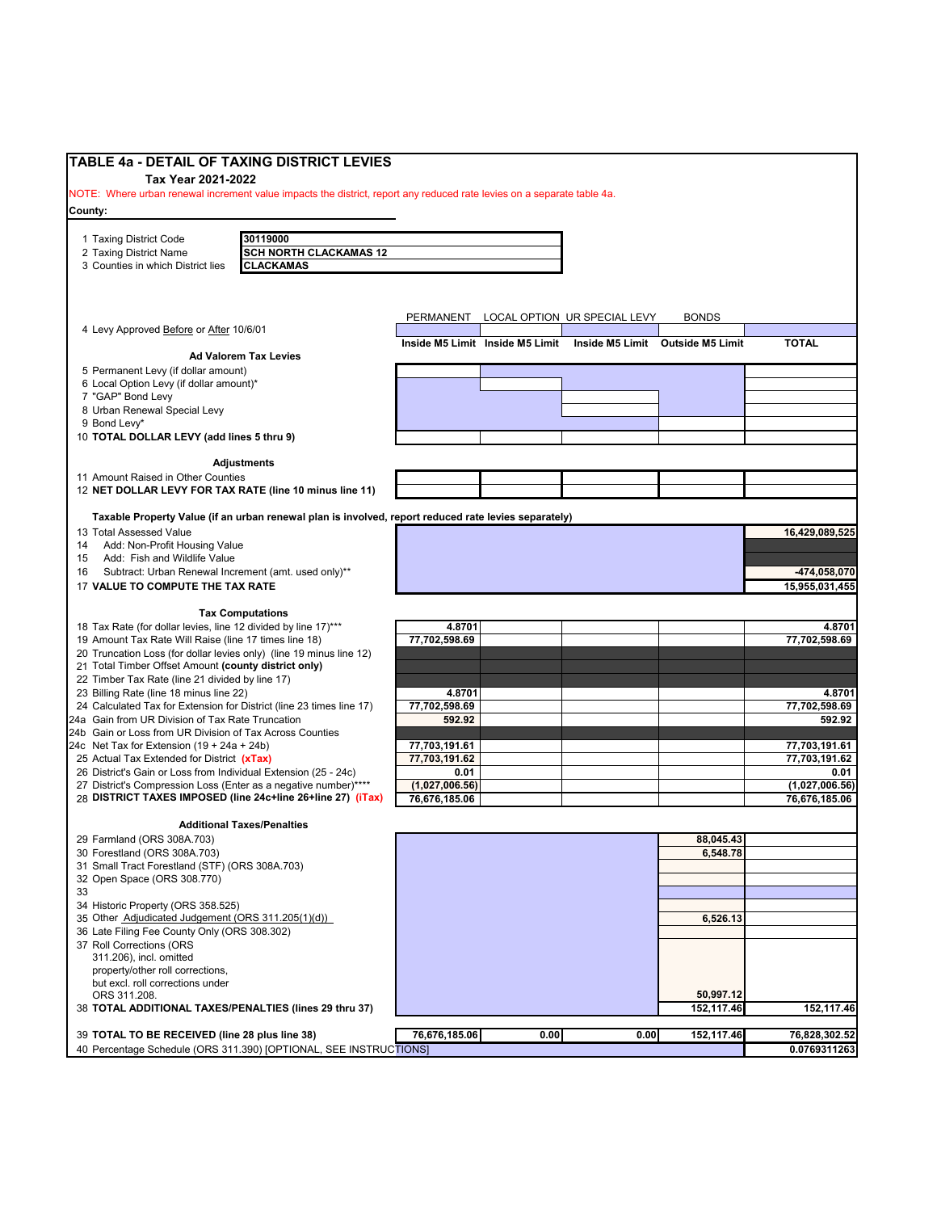| <b>TABLE 4a - DETAIL OF TAXING DISTRICT LEVIES</b><br>Tax Year 2021-2022                                                           |                                                                                                      |                        |                                 |                                        |                                  |                        |
|------------------------------------------------------------------------------------------------------------------------------------|------------------------------------------------------------------------------------------------------|------------------------|---------------------------------|----------------------------------------|----------------------------------|------------------------|
| NOTE: Where urban renewal increment value impacts the district, report any reduced rate levies on a separate table 4a.             |                                                                                                      |                        |                                 |                                        |                                  |                        |
| County:                                                                                                                            |                                                                                                      |                        |                                 |                                        |                                  |                        |
| 1 Taxing District Code                                                                                                             | 30119000                                                                                             |                        |                                 |                                        |                                  |                        |
| 2 Taxing District Name                                                                                                             | <b>SCH NORTH CLACKAMAS 12</b>                                                                        |                        |                                 |                                        |                                  |                        |
| 3 Counties in which District lies                                                                                                  | <b>CLACKAMAS</b>                                                                                     |                        |                                 |                                        |                                  |                        |
|                                                                                                                                    |                                                                                                      |                        |                                 |                                        |                                  |                        |
|                                                                                                                                    |                                                                                                      |                        |                                 |                                        |                                  |                        |
| 4 Levy Approved Before or After 10/6/01                                                                                            |                                                                                                      |                        |                                 | PERMANENT LOCAL OPTION UR SPECIAL LEVY | <b>BONDS</b>                     |                        |
|                                                                                                                                    |                                                                                                      |                        | Inside M5 Limit Inside M5 Limit |                                        | Inside M5 Limit Outside M5 Limit | <b>TOTAL</b>           |
|                                                                                                                                    | <b>Ad Valorem Tax Levies</b>                                                                         |                        |                                 |                                        |                                  |                        |
| 5 Permanent Levy (if dollar amount)<br>6 Local Option Levy (if dollar amount)*                                                     |                                                                                                      |                        |                                 |                                        |                                  |                        |
| 7 "GAP" Bond Levy                                                                                                                  |                                                                                                      |                        |                                 |                                        |                                  |                        |
| 8 Urban Renewal Special Levy                                                                                                       |                                                                                                      |                        |                                 |                                        |                                  |                        |
| 9 Bond Levy*                                                                                                                       |                                                                                                      |                        |                                 |                                        |                                  |                        |
| 10 TOTAL DOLLAR LEVY (add lines 5 thru 9)                                                                                          |                                                                                                      |                        |                                 |                                        |                                  |                        |
|                                                                                                                                    | <b>Adjustments</b>                                                                                   |                        |                                 |                                        |                                  |                        |
| 11 Amount Raised in Other Counties                                                                                                 |                                                                                                      |                        |                                 |                                        |                                  |                        |
| 12 NET DOLLAR LEVY FOR TAX RATE (line 10 minus line 11)                                                                            |                                                                                                      |                        |                                 |                                        |                                  |                        |
|                                                                                                                                    | Taxable Property Value (if an urban renewal plan is involved, report reduced rate levies separately) |                        |                                 |                                        |                                  |                        |
| 13 Total Assessed Value                                                                                                            |                                                                                                      |                        |                                 |                                        |                                  | 16,429,089,525         |
| Add: Non-Profit Housing Value<br>14                                                                                                |                                                                                                      |                        |                                 |                                        |                                  |                        |
| Add: Fish and Wildlife Value<br>15                                                                                                 |                                                                                                      |                        |                                 |                                        |                                  |                        |
| Subtract: Urban Renewal Increment (amt. used only)**<br>16                                                                         |                                                                                                      |                        |                                 |                                        |                                  | -474.058.070           |
| 17 VALUE TO COMPUTE THE TAX RATE                                                                                                   |                                                                                                      |                        |                                 |                                        |                                  | 15,955,031,455         |
|                                                                                                                                    | <b>Tax Computations</b>                                                                              |                        |                                 |                                        |                                  |                        |
| 18 Tax Rate (for dollar levies, line 12 divided by line 17)***                                                                     |                                                                                                      | 4.8701                 |                                 |                                        |                                  | 4.8701                 |
| 19 Amount Tax Rate Will Raise (line 17 times line 18)                                                                              |                                                                                                      | 77,702,598.69          |                                 |                                        |                                  | 77,702,598.69          |
| 20 Truncation Loss (for dollar levies only) (line 19 minus line 12)<br>21 Total Timber Offset Amount (county district only)        |                                                                                                      |                        |                                 |                                        |                                  |                        |
| 22 Timber Tax Rate (line 21 divided by line 17)                                                                                    |                                                                                                      |                        |                                 |                                        |                                  |                        |
| 23 Billing Rate (line 18 minus line 22)                                                                                            |                                                                                                      | 4.8701                 |                                 |                                        |                                  | 4.8701                 |
| 24 Calculated Tax for Extension for District (line 23 times line 17)                                                               |                                                                                                      | 77,702,598.69          |                                 |                                        |                                  | 77,702,598.69          |
| 24a Gain from UR Division of Tax Rate Truncation<br>24b Gain or Loss from UR Division of Tax Across Counties                       |                                                                                                      | 592.92                 |                                 |                                        |                                  | 592.92                 |
| 24c Net Tax for Extension $(19 + 24a + 24b)$                                                                                       |                                                                                                      | 77,703,191.61          |                                 |                                        |                                  | 77,703,191.61          |
| 25 Actual Tax Extended for District (xTax)                                                                                         |                                                                                                      | 77,703,191.62          |                                 |                                        |                                  | 77,703,191.62          |
| 26 District's Gain or Loss from Individual Extension (25 - 24c)<br>27 District's Compression Loss (Enter as a negative number)**** |                                                                                                      | 0.01<br>(1,027,006.56) |                                 |                                        |                                  | 0.01<br>(1,027,006.56) |
| 28 DISTRICT TAXES IMPOSED (line 24c+line 26+line 27) (iTax)                                                                        |                                                                                                      | 76,676,185.06          |                                 |                                        |                                  | 76,676,185.06          |
|                                                                                                                                    |                                                                                                      |                        |                                 |                                        |                                  |                        |
|                                                                                                                                    | <b>Additional Taxes/Penalties</b>                                                                    |                        |                                 |                                        |                                  |                        |
| 29 Farmland (ORS 308A.703)<br>30 Forestland (ORS 308A.703)                                                                         |                                                                                                      |                        |                                 |                                        | 88,045.43<br>6,548.78            |                        |
| 31 Small Tract Forestland (STF) (ORS 308A.703)                                                                                     |                                                                                                      |                        |                                 |                                        |                                  |                        |
| 32 Open Space (ORS 308.770)                                                                                                        |                                                                                                      |                        |                                 |                                        |                                  |                        |
| 33                                                                                                                                 |                                                                                                      |                        |                                 |                                        |                                  |                        |
| 34 Historic Property (ORS 358.525)<br>35 Other Adjudicated Judgement (ORS 311.205(1)(d))                                           |                                                                                                      |                        |                                 |                                        | 6,526.13                         |                        |
| 36 Late Filing Fee County Only (ORS 308.302)                                                                                       |                                                                                                      |                        |                                 |                                        |                                  |                        |
| 37 Roll Corrections (ORS                                                                                                           |                                                                                                      |                        |                                 |                                        |                                  |                        |
| 311.206), incl. omitted<br>property/other roll corrections,                                                                        |                                                                                                      |                        |                                 |                                        |                                  |                        |
| but excl. roll corrections under                                                                                                   |                                                                                                      |                        |                                 |                                        |                                  |                        |
| ORS 311.208.                                                                                                                       |                                                                                                      |                        |                                 |                                        | 50.997.12                        |                        |
| 38 TOTAL ADDITIONAL TAXES/PENALTIES (lines 29 thru 37)                                                                             |                                                                                                      |                        |                                 |                                        | 152,117.46                       | 152,117.46             |
| 39 TOTAL TO BE RECEIVED (line 28 plus line 38)                                                                                     |                                                                                                      | 76,676,185.06          | 0.00                            | 0.00                                   | 152,117.46                       | 76,828,302.52          |
|                                                                                                                                    | 40 Percentage Schedule (ORS 311.390) [OPTIONAL, SEE INSTRUCTIONS]                                    |                        |                                 |                                        |                                  | 0.0769311263           |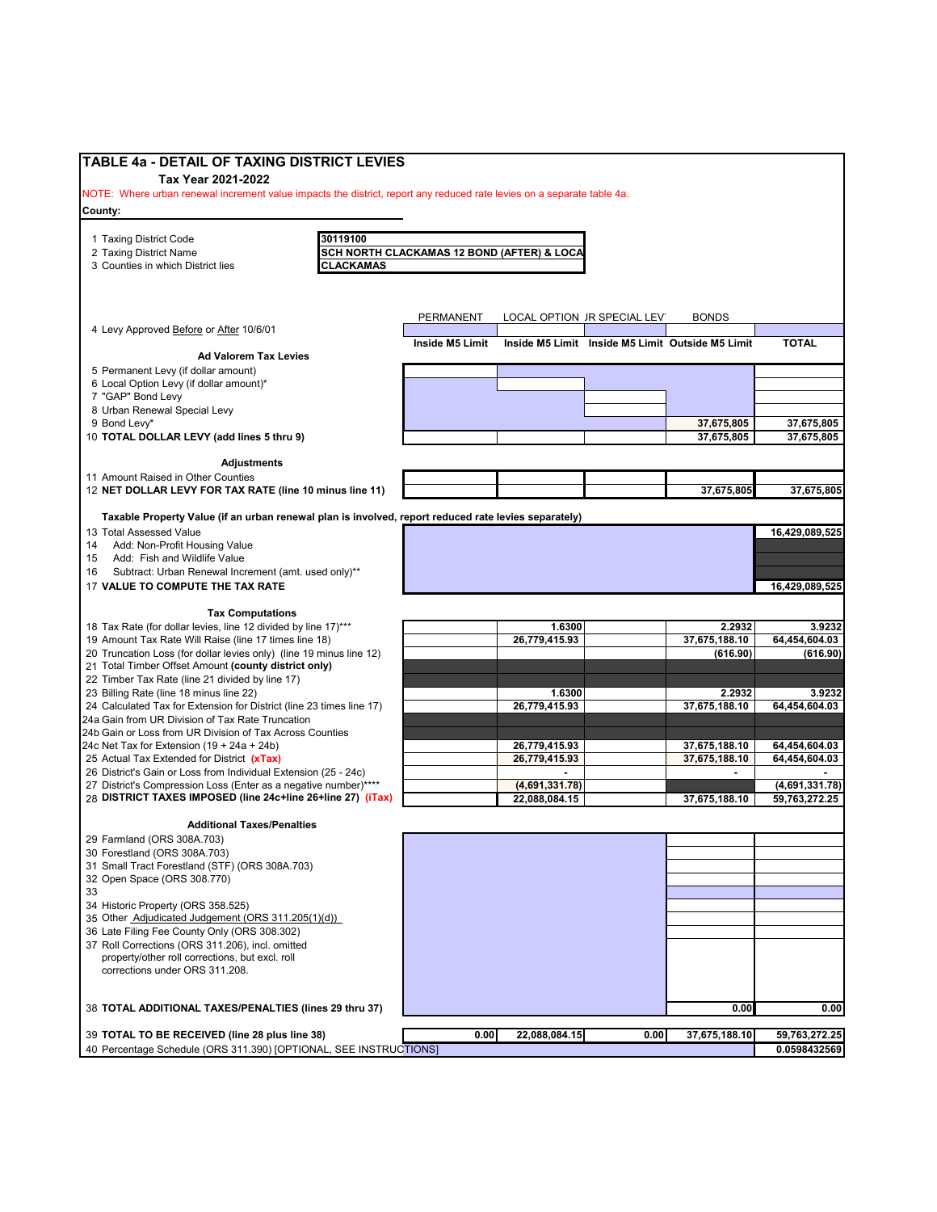|                                                        |                                                                                                                                                                                                                                                                                                                                                                                                                                                                                                                                                                                                                                                                                                                                                                                     | NOTE: Where urban renewal increment value impacts the district, report any reduced rate levies on a separate table 4a. |                                                                                                                |                                                                                      |                                                                                        |
|--------------------------------------------------------|-------------------------------------------------------------------------------------------------------------------------------------------------------------------------------------------------------------------------------------------------------------------------------------------------------------------------------------------------------------------------------------------------------------------------------------------------------------------------------------------------------------------------------------------------------------------------------------------------------------------------------------------------------------------------------------------------------------------------------------------------------------------------------------|------------------------------------------------------------------------------------------------------------------------|----------------------------------------------------------------------------------------------------------------|--------------------------------------------------------------------------------------|----------------------------------------------------------------------------------------|
|                                                        |                                                                                                                                                                                                                                                                                                                                                                                                                                                                                                                                                                                                                                                                                                                                                                                     |                                                                                                                        |                                                                                                                |                                                                                      |                                                                                        |
| 30119100                                               |                                                                                                                                                                                                                                                                                                                                                                                                                                                                                                                                                                                                                                                                                                                                                                                     |                                                                                                                        |                                                                                                                |                                                                                      |                                                                                        |
|                                                        |                                                                                                                                                                                                                                                                                                                                                                                                                                                                                                                                                                                                                                                                                                                                                                                     |                                                                                                                        |                                                                                                                |                                                                                      |                                                                                        |
|                                                        |                                                                                                                                                                                                                                                                                                                                                                                                                                                                                                                                                                                                                                                                                                                                                                                     |                                                                                                                        |                                                                                                                |                                                                                      |                                                                                        |
|                                                        |                                                                                                                                                                                                                                                                                                                                                                                                                                                                                                                                                                                                                                                                                                                                                                                     |                                                                                                                        |                                                                                                                |                                                                                      |                                                                                        |
|                                                        |                                                                                                                                                                                                                                                                                                                                                                                                                                                                                                                                                                                                                                                                                                                                                                                     |                                                                                                                        |                                                                                                                |                                                                                      |                                                                                        |
|                                                        |                                                                                                                                                                                                                                                                                                                                                                                                                                                                                                                                                                                                                                                                                                                                                                                     |                                                                                                                        |                                                                                                                | <b>BONDS</b>                                                                         |                                                                                        |
|                                                        |                                                                                                                                                                                                                                                                                                                                                                                                                                                                                                                                                                                                                                                                                                                                                                                     |                                                                                                                        |                                                                                                                |                                                                                      | <b>TOTAL</b>                                                                           |
|                                                        |                                                                                                                                                                                                                                                                                                                                                                                                                                                                                                                                                                                                                                                                                                                                                                                     |                                                                                                                        |                                                                                                                |                                                                                      |                                                                                        |
|                                                        |                                                                                                                                                                                                                                                                                                                                                                                                                                                                                                                                                                                                                                                                                                                                                                                     |                                                                                                                        |                                                                                                                |                                                                                      |                                                                                        |
|                                                        |                                                                                                                                                                                                                                                                                                                                                                                                                                                                                                                                                                                                                                                                                                                                                                                     |                                                                                                                        |                                                                                                                |                                                                                      |                                                                                        |
|                                                        |                                                                                                                                                                                                                                                                                                                                                                                                                                                                                                                                                                                                                                                                                                                                                                                     |                                                                                                                        |                                                                                                                |                                                                                      |                                                                                        |
|                                                        |                                                                                                                                                                                                                                                                                                                                                                                                                                                                                                                                                                                                                                                                                                                                                                                     |                                                                                                                        |                                                                                                                |                                                                                      |                                                                                        |
|                                                        |                                                                                                                                                                                                                                                                                                                                                                                                                                                                                                                                                                                                                                                                                                                                                                                     |                                                                                                                        |                                                                                                                |                                                                                      | 37,675,805                                                                             |
|                                                        |                                                                                                                                                                                                                                                                                                                                                                                                                                                                                                                                                                                                                                                                                                                                                                                     |                                                                                                                        |                                                                                                                |                                                                                      | 37,675,805                                                                             |
|                                                        |                                                                                                                                                                                                                                                                                                                                                                                                                                                                                                                                                                                                                                                                                                                                                                                     |                                                                                                                        |                                                                                                                |                                                                                      |                                                                                        |
|                                                        |                                                                                                                                                                                                                                                                                                                                                                                                                                                                                                                                                                                                                                                                                                                                                                                     |                                                                                                                        |                                                                                                                |                                                                                      |                                                                                        |
|                                                        |                                                                                                                                                                                                                                                                                                                                                                                                                                                                                                                                                                                                                                                                                                                                                                                     |                                                                                                                        |                                                                                                                | 37,675,805                                                                           | 37,675,805                                                                             |
|                                                        |                                                                                                                                                                                                                                                                                                                                                                                                                                                                                                                                                                                                                                                                                                                                                                                     |                                                                                                                        |                                                                                                                |                                                                                      |                                                                                        |
|                                                        |                                                                                                                                                                                                                                                                                                                                                                                                                                                                                                                                                                                                                                                                                                                                                                                     |                                                                                                                        |                                                                                                                |                                                                                      |                                                                                        |
|                                                        |                                                                                                                                                                                                                                                                                                                                                                                                                                                                                                                                                                                                                                                                                                                                                                                     |                                                                                                                        |                                                                                                                |                                                                                      | 16,429,089,525                                                                         |
|                                                        |                                                                                                                                                                                                                                                                                                                                                                                                                                                                                                                                                                                                                                                                                                                                                                                     |                                                                                                                        |                                                                                                                |                                                                                      |                                                                                        |
|                                                        |                                                                                                                                                                                                                                                                                                                                                                                                                                                                                                                                                                                                                                                                                                                                                                                     |                                                                                                                        |                                                                                                                |                                                                                      |                                                                                        |
|                                                        |                                                                                                                                                                                                                                                                                                                                                                                                                                                                                                                                                                                                                                                                                                                                                                                     |                                                                                                                        |                                                                                                                |                                                                                      |                                                                                        |
|                                                        |                                                                                                                                                                                                                                                                                                                                                                                                                                                                                                                                                                                                                                                                                                                                                                                     |                                                                                                                        |                                                                                                                |                                                                                      | 16,429,089,525                                                                         |
|                                                        |                                                                                                                                                                                                                                                                                                                                                                                                                                                                                                                                                                                                                                                                                                                                                                                     |                                                                                                                        |                                                                                                                |                                                                                      |                                                                                        |
|                                                        |                                                                                                                                                                                                                                                                                                                                                                                                                                                                                                                                                                                                                                                                                                                                                                                     |                                                                                                                        |                                                                                                                |                                                                                      | 3.9232                                                                                 |
|                                                        |                                                                                                                                                                                                                                                                                                                                                                                                                                                                                                                                                                                                                                                                                                                                                                                     | 26,779,415.93                                                                                                          |                                                                                                                | 37,675,188.10                                                                        | 64,454,604.03                                                                          |
|                                                        |                                                                                                                                                                                                                                                                                                                                                                                                                                                                                                                                                                                                                                                                                                                                                                                     |                                                                                                                        |                                                                                                                | (616.90)                                                                             | (616.90)                                                                               |
|                                                        |                                                                                                                                                                                                                                                                                                                                                                                                                                                                                                                                                                                                                                                                                                                                                                                     |                                                                                                                        |                                                                                                                |                                                                                      |                                                                                        |
|                                                        |                                                                                                                                                                                                                                                                                                                                                                                                                                                                                                                                                                                                                                                                                                                                                                                     |                                                                                                                        |                                                                                                                |                                                                                      |                                                                                        |
|                                                        |                                                                                                                                                                                                                                                                                                                                                                                                                                                                                                                                                                                                                                                                                                                                                                                     | 1.6300                                                                                                                 |                                                                                                                | 2.2932                                                                               | 3.9232                                                                                 |
|                                                        |                                                                                                                                                                                                                                                                                                                                                                                                                                                                                                                                                                                                                                                                                                                                                                                     | 26,779,415.93                                                                                                          |                                                                                                                | 37,675,188.10                                                                        | 64,454,604.03                                                                          |
|                                                        |                                                                                                                                                                                                                                                                                                                                                                                                                                                                                                                                                                                                                                                                                                                                                                                     |                                                                                                                        |                                                                                                                |                                                                                      |                                                                                        |
|                                                        |                                                                                                                                                                                                                                                                                                                                                                                                                                                                                                                                                                                                                                                                                                                                                                                     |                                                                                                                        |                                                                                                                |                                                                                      |                                                                                        |
|                                                        |                                                                                                                                                                                                                                                                                                                                                                                                                                                                                                                                                                                                                                                                                                                                                                                     | 26,779,415.93                                                                                                          |                                                                                                                | 37,675,188.10                                                                        | 64,454,604.03                                                                          |
|                                                        |                                                                                                                                                                                                                                                                                                                                                                                                                                                                                                                                                                                                                                                                                                                                                                                     | 26,779,415.93                                                                                                          |                                                                                                                | 37,675,188.10                                                                        | 64,454,604.03                                                                          |
|                                                        |                                                                                                                                                                                                                                                                                                                                                                                                                                                                                                                                                                                                                                                                                                                                                                                     |                                                                                                                        |                                                                                                                |                                                                                      |                                                                                        |
|                                                        |                                                                                                                                                                                                                                                                                                                                                                                                                                                                                                                                                                                                                                                                                                                                                                                     | (4,691,331.78)                                                                                                         |                                                                                                                |                                                                                      | (4,691,331.78)                                                                         |
|                                                        |                                                                                                                                                                                                                                                                                                                                                                                                                                                                                                                                                                                                                                                                                                                                                                                     | 22,088,084.15                                                                                                          |                                                                                                                | 37,675,188.10                                                                        | 59,763,272.25                                                                          |
| <b>Additional Taxes/Penalties</b>                      |                                                                                                                                                                                                                                                                                                                                                                                                                                                                                                                                                                                                                                                                                                                                                                                     |                                                                                                                        |                                                                                                                |                                                                                      |                                                                                        |
|                                                        |                                                                                                                                                                                                                                                                                                                                                                                                                                                                                                                                                                                                                                                                                                                                                                                     |                                                                                                                        |                                                                                                                |                                                                                      |                                                                                        |
|                                                        |                                                                                                                                                                                                                                                                                                                                                                                                                                                                                                                                                                                                                                                                                                                                                                                     |                                                                                                                        |                                                                                                                |                                                                                      |                                                                                        |
|                                                        |                                                                                                                                                                                                                                                                                                                                                                                                                                                                                                                                                                                                                                                                                                                                                                                     |                                                                                                                        |                                                                                                                |                                                                                      |                                                                                        |
|                                                        |                                                                                                                                                                                                                                                                                                                                                                                                                                                                                                                                                                                                                                                                                                                                                                                     |                                                                                                                        |                                                                                                                |                                                                                      |                                                                                        |
| 31 Small Tract Forestland (STF) (ORS 308A.703)         |                                                                                                                                                                                                                                                                                                                                                                                                                                                                                                                                                                                                                                                                                                                                                                                     |                                                                                                                        |                                                                                                                |                                                                                      |                                                                                        |
|                                                        |                                                                                                                                                                                                                                                                                                                                                                                                                                                                                                                                                                                                                                                                                                                                                                                     |                                                                                                                        |                                                                                                                |                                                                                      |                                                                                        |
|                                                        |                                                                                                                                                                                                                                                                                                                                                                                                                                                                                                                                                                                                                                                                                                                                                                                     |                                                                                                                        |                                                                                                                |                                                                                      |                                                                                        |
|                                                        |                                                                                                                                                                                                                                                                                                                                                                                                                                                                                                                                                                                                                                                                                                                                                                                     |                                                                                                                        |                                                                                                                |                                                                                      |                                                                                        |
| 35 Other Adjudicated Judgement (ORS 311.205(1)(d))     |                                                                                                                                                                                                                                                                                                                                                                                                                                                                                                                                                                                                                                                                                                                                                                                     |                                                                                                                        |                                                                                                                |                                                                                      |                                                                                        |
|                                                        |                                                                                                                                                                                                                                                                                                                                                                                                                                                                                                                                                                                                                                                                                                                                                                                     |                                                                                                                        |                                                                                                                |                                                                                      |                                                                                        |
|                                                        |                                                                                                                                                                                                                                                                                                                                                                                                                                                                                                                                                                                                                                                                                                                                                                                     |                                                                                                                        |                                                                                                                |                                                                                      |                                                                                        |
|                                                        |                                                                                                                                                                                                                                                                                                                                                                                                                                                                                                                                                                                                                                                                                                                                                                                     |                                                                                                                        |                                                                                                                |                                                                                      |                                                                                        |
|                                                        |                                                                                                                                                                                                                                                                                                                                                                                                                                                                                                                                                                                                                                                                                                                                                                                     |                                                                                                                        |                                                                                                                |                                                                                      |                                                                                        |
|                                                        |                                                                                                                                                                                                                                                                                                                                                                                                                                                                                                                                                                                                                                                                                                                                                                                     |                                                                                                                        |                                                                                                                |                                                                                      |                                                                                        |
| 38 TOTAL ADDITIONAL TAXES/PENALTIES (lines 29 thru 37) |                                                                                                                                                                                                                                                                                                                                                                                                                                                                                                                                                                                                                                                                                                                                                                                     |                                                                                                                        |                                                                                                                | 0.00                                                                                 | 0.00                                                                                   |
| <b>Ad Valorem Tax Levies</b>                           | CLACKAMAS<br>12 NET DOLLAR LEVY FOR TAX RATE (line 10 minus line 11)<br>Subtract: Urban Renewal Increment (amt. used only)**<br>18 Tax Rate (for dollar levies, line 12 divided by line 17)***<br>19 Amount Tax Rate Will Raise (line 17 times line 18)<br>20 Truncation Loss (for dollar levies only) (line 19 minus line 12)<br>21 Total Timber Offset Amount (county district only)<br>24 Calculated Tax for Extension for District (line 23 times line 17)<br>24a Gain from UR Division of Tax Rate Truncation<br>24b Gain or Loss from UR Division of Tax Across Counties<br>26 District's Gain or Loss from Individual Extension (25 - 24c)<br>27 District's Compression Loss (Enter as a negative number)****<br>28 DISTRICT TAXES IMPOSED (line 24c+line 26+line 27) (iTax) | PERMANENT<br>Inside M5 Limit                                                                                           | Taxable Property Value (if an urban renewal plan is involved, report reduced rate levies separately)<br>1.6300 | <b>SCH NORTH CLACKAMAS 12 BOND (AFTER) &amp; LOCA</b><br>LOCAL OPTION JR SPECIAL LEV | Inside M5 Limit Inside M5 Limit Outside M5 Limit<br>37,675,805<br>37,675,805<br>2.2932 |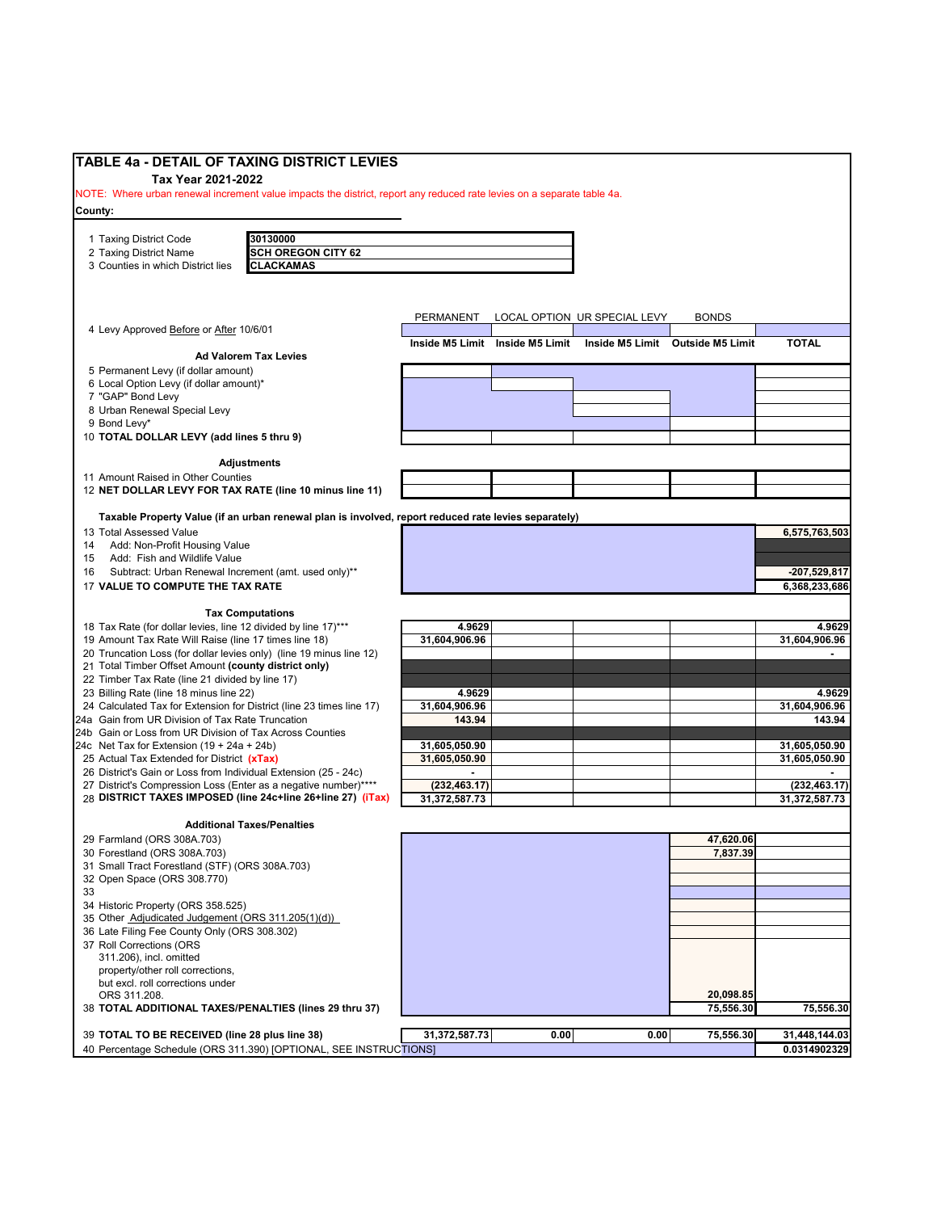| <b>TABLE 4a - DETAIL OF TAXING DISTRICT LEVIES</b>                                                                                 |               |                                 |                                  |              |                                 |
|------------------------------------------------------------------------------------------------------------------------------------|---------------|---------------------------------|----------------------------------|--------------|---------------------------------|
| Tax Year 2021-2022                                                                                                                 |               |                                 |                                  |              |                                 |
| NOTE: Where urban renewal increment value impacts the district, report any reduced rate levies on a separate table 4a.             |               |                                 |                                  |              |                                 |
| County:                                                                                                                            |               |                                 |                                  |              |                                 |
| 30130000                                                                                                                           |               |                                 |                                  |              |                                 |
| 1 Taxing District Code<br><b>SCH OREGON CITY 62</b><br>2 Taxing District Name                                                      |               |                                 |                                  |              |                                 |
| <b>CLACKAMAS</b><br>3 Counties in which District lies                                                                              |               |                                 |                                  |              |                                 |
|                                                                                                                                    |               |                                 |                                  |              |                                 |
|                                                                                                                                    |               |                                 |                                  |              |                                 |
|                                                                                                                                    | PERMANENT     |                                 | LOCAL OPTION UR SPECIAL LEVY     | <b>BONDS</b> |                                 |
| 4 Levy Approved Before or After 10/6/01                                                                                            |               |                                 |                                  |              |                                 |
|                                                                                                                                    |               | Inside M5 Limit Inside M5 Limit | Inside M5 Limit Outside M5 Limit |              | <b>TOTAL</b>                    |
| <b>Ad Valorem Tax Levies</b>                                                                                                       |               |                                 |                                  |              |                                 |
| 5 Permanent Levy (if dollar amount)<br>6 Local Option Levy (if dollar amount)*                                                     |               |                                 |                                  |              |                                 |
| 7 "GAP" Bond Levy                                                                                                                  |               |                                 |                                  |              |                                 |
| 8 Urban Renewal Special Levy                                                                                                       |               |                                 |                                  |              |                                 |
| 9 Bond Levy*                                                                                                                       |               |                                 |                                  |              |                                 |
| 10 TOTAL DOLLAR LEVY (add lines 5 thru 9)                                                                                          |               |                                 |                                  |              |                                 |
|                                                                                                                                    |               |                                 |                                  |              |                                 |
| <b>Adjustments</b><br>11 Amount Raised in Other Counties                                                                           |               |                                 |                                  |              |                                 |
| 12 NET DOLLAR LEVY FOR TAX RATE (line 10 minus line 11)                                                                            |               |                                 |                                  |              |                                 |
|                                                                                                                                    |               |                                 |                                  |              |                                 |
| Taxable Property Value (if an urban renewal plan is involved, report reduced rate levies separately)                               |               |                                 |                                  |              |                                 |
| 13 Total Assessed Value                                                                                                            |               |                                 |                                  |              | 6,575,763,503                   |
| Add: Non-Profit Housing Value<br>14                                                                                                |               |                                 |                                  |              |                                 |
| Add: Fish and Wildlife Value<br>15                                                                                                 |               |                                 |                                  |              |                                 |
| Subtract: Urban Renewal Increment (amt. used only)**<br>16<br>17 VALUE TO COMPUTE THE TAX RATE                                     |               |                                 |                                  |              | $-207,529,817$<br>6,368,233,686 |
|                                                                                                                                    |               |                                 |                                  |              |                                 |
| <b>Tax Computations</b>                                                                                                            |               |                                 |                                  |              |                                 |
| 18 Tax Rate (for dollar levies, line 12 divided by line 17)***                                                                     | 4.9629        |                                 |                                  |              | 4.9629                          |
| 19 Amount Tax Rate Will Raise (line 17 times line 18)                                                                              | 31,604,906.96 |                                 |                                  |              | 31,604,906.96                   |
| 20 Truncation Loss (for dollar levies only) (line 19 minus line 12)                                                                |               |                                 |                                  |              |                                 |
| 21 Total Timber Offset Amount (county district only)                                                                               |               |                                 |                                  |              |                                 |
| 22 Timber Tax Rate (line 21 divided by line 17)<br>23 Billing Rate (line 18 minus line 22)                                         | 4.9629        |                                 |                                  |              | 4.9629                          |
| 24 Calculated Tax for Extension for District (line 23 times line 17)                                                               | 31,604,906.96 |                                 |                                  |              | 31,604,906.96                   |
| 24a Gain from UR Division of Tax Rate Truncation                                                                                   | 143.94        |                                 |                                  |              | 143.94                          |
| 24b Gain or Loss from UR Division of Tax Across Counties                                                                           |               |                                 |                                  |              |                                 |
| 24c Net Tax for Extension $(19 + 24a + 24b)$                                                                                       | 31,605,050.90 |                                 |                                  |              | 31,605,050.90                   |
| 25 Actual Tax Extended for District (xTax)                                                                                         | 31,605,050.90 |                                 |                                  |              | 31,605,050.90                   |
| 26 District's Gain or Loss from Individual Extension (25 - 24c)<br>27 District's Compression Loss (Enter as a negative number)**** | (232, 463.17) |                                 |                                  |              | (232, 463.17)                   |
| 28 DISTRICT TAXES IMPOSED (line 24c+line 26+line 27) (iTax)                                                                        | 31,372,587.73 |                                 |                                  |              | 31,372,587.73                   |
|                                                                                                                                    |               |                                 |                                  |              |                                 |
| <b>Additional Taxes/Penalties</b>                                                                                                  |               |                                 |                                  |              |                                 |
| 29 Farmland (ORS 308A.703)                                                                                                         |               |                                 |                                  | 47,620.06    |                                 |
| 30 Forestland (ORS 308A.703)                                                                                                       |               |                                 |                                  | 7,837.39     |                                 |
| 31 Small Tract Forestland (STF) (ORS 308A.703)                                                                                     |               |                                 |                                  |              |                                 |
| 32 Open Space (ORS 308.770)<br>33                                                                                                  |               |                                 |                                  |              |                                 |
| 34 Historic Property (ORS 358.525)                                                                                                 |               |                                 |                                  |              |                                 |
| 35 Other Adjudicated Judgement (ORS 311.205(1)(d))                                                                                 |               |                                 |                                  |              |                                 |
| 36 Late Filing Fee County Only (ORS 308.302)                                                                                       |               |                                 |                                  |              |                                 |
| 37 Roll Corrections (ORS                                                                                                           |               |                                 |                                  |              |                                 |
| 311.206), incl. omitted                                                                                                            |               |                                 |                                  |              |                                 |
| property/other roll corrections,                                                                                                   |               |                                 |                                  |              |                                 |
| but excl. roll corrections under<br>ORS 311.208.                                                                                   |               |                                 |                                  | 20,098.85    |                                 |
| 38 TOTAL ADDITIONAL TAXES/PENALTIES (lines 29 thru 37)                                                                             |               |                                 |                                  | 75,556.30    | 75,556.30                       |
|                                                                                                                                    |               |                                 |                                  |              |                                 |
| 39 TOTAL TO BE RECEIVED (line 28 plus line 38)                                                                                     | 31,372,587.73 | 0.00                            | 0.00                             | 75,556.30    | 31,448,144.03                   |
| 40 Percentage Schedule (ORS 311.390) [OPTIONAL, SEE INSTRUCTIONS]                                                                  |               |                                 |                                  |              | 0.0314902329                    |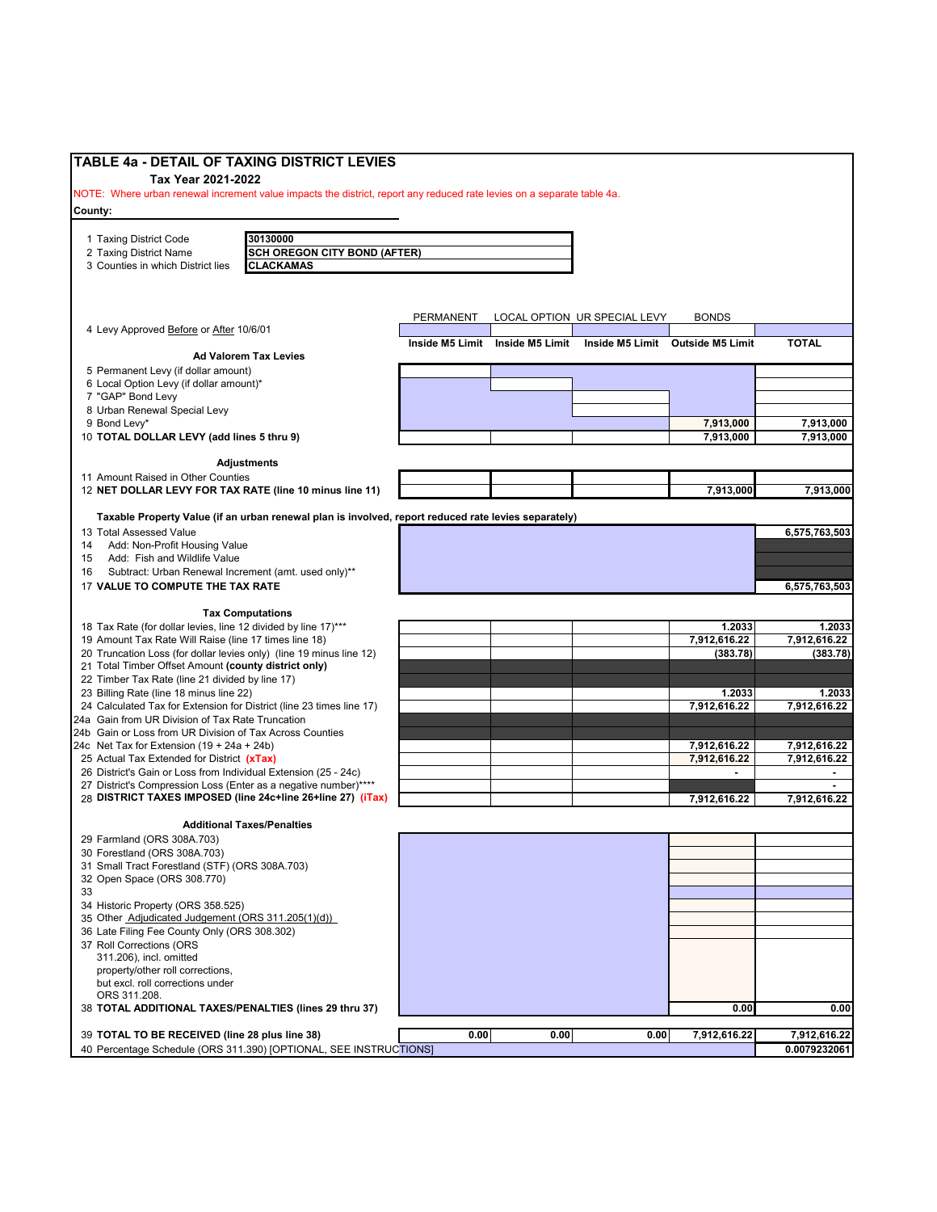| TABLE 4a - DETAIL OF TAXING DISTRICT LEVIES                                                                             |           |                                 |                                  |                        |                              |
|-------------------------------------------------------------------------------------------------------------------------|-----------|---------------------------------|----------------------------------|------------------------|------------------------------|
| Tax Year 2021-2022                                                                                                      |           |                                 |                                  |                        |                              |
| NOTE: Where urban renewal increment value impacts the district, report any reduced rate levies on a separate table 4a.  |           |                                 |                                  |                        |                              |
| County:                                                                                                                 |           |                                 |                                  |                        |                              |
| 30130000<br>1 Taxing District Code                                                                                      |           |                                 |                                  |                        |                              |
| 2 Taxing District Name<br><b>SCH OREGON CITY BOND (AFTER)</b>                                                           |           |                                 |                                  |                        |                              |
| <b>CLACKAMAS</b><br>3 Counties in which District lies                                                                   |           |                                 |                                  |                        |                              |
|                                                                                                                         |           |                                 |                                  |                        |                              |
|                                                                                                                         |           |                                 |                                  |                        |                              |
|                                                                                                                         | PERMANENT |                                 | LOCAL OPTION UR SPECIAL LEVY     | <b>BONDS</b>           |                              |
| 4 Levy Approved Before or After 10/6/01                                                                                 |           | Inside M5 Limit Inside M5 Limit | Inside M5 Limit Outside M5 Limit |                        | <b>TOTAL</b>                 |
| <b>Ad Valorem Tax Levies</b>                                                                                            |           |                                 |                                  |                        |                              |
| 5 Permanent Levy (if dollar amount)                                                                                     |           |                                 |                                  |                        |                              |
| 6 Local Option Levy (if dollar amount)*                                                                                 |           |                                 |                                  |                        |                              |
| 7 "GAP" Bond Levy<br>8 Urban Renewal Special Levy                                                                       |           |                                 |                                  |                        |                              |
| 9 Bond Levy*                                                                                                            |           |                                 |                                  | 7,913,000              | 7,913,000                    |
| 10 TOTAL DOLLAR LEVY (add lines 5 thru 9)                                                                               |           |                                 |                                  | 7,913,000              | 7,913,000                    |
|                                                                                                                         |           |                                 |                                  |                        |                              |
| <b>Adjustments</b>                                                                                                      |           |                                 |                                  |                        |                              |
| 11 Amount Raised in Other Counties<br>12 NET DOLLAR LEVY FOR TAX RATE (line 10 minus line 11)                           |           |                                 |                                  | 7,913,000              | 7,913,000                    |
|                                                                                                                         |           |                                 |                                  |                        |                              |
| Taxable Property Value (if an urban renewal plan is involved, report reduced rate levies separately)                    |           |                                 |                                  |                        |                              |
| 13 Total Assessed Value                                                                                                 |           |                                 |                                  |                        | 6,575,763,503                |
| 14 Add: Non-Profit Housing Value<br>Add: Fish and Wildlife Value<br>15                                                  |           |                                 |                                  |                        |                              |
| Subtract: Urban Renewal Increment (amt. used only)**<br>16                                                              |           |                                 |                                  |                        |                              |
| 17 VALUE TO COMPUTE THE TAX RATE                                                                                        |           |                                 |                                  |                        | 6,575,763,503                |
|                                                                                                                         |           |                                 |                                  |                        |                              |
| <b>Tax Computations</b>                                                                                                 |           |                                 |                                  |                        |                              |
| 18 Tax Rate (for dollar levies, line 12 divided by line 17)***<br>19 Amount Tax Rate Will Raise (line 17 times line 18) |           |                                 |                                  | 1.2033<br>7,912,616.22 | 1.2033<br>7,912,616.22       |
| 20 Truncation Loss (for dollar levies only) (line 19 minus line 12)                                                     |           |                                 |                                  | (383.78)               | (383.78)                     |
| 21 Total Timber Offset Amount (county district only)                                                                    |           |                                 |                                  |                        |                              |
| 22 Timber Tax Rate (line 21 divided by line 17)                                                                         |           |                                 |                                  |                        |                              |
| 23 Billing Rate (line 18 minus line 22)<br>24 Calculated Tax for Extension for District (line 23 times line 17)         |           |                                 |                                  | 1.2033<br>7,912,616.22 | 1.2033<br>7,912,616.22       |
| 24a Gain from UR Division of Tax Rate Truncation                                                                        |           |                                 |                                  |                        |                              |
| 24b Gain or Loss from UR Division of Tax Across Counties                                                                |           |                                 |                                  |                        |                              |
| 24c Net Tax for Extension $(19 + 24a + 24b)$                                                                            |           |                                 |                                  | 7,912,616.22           | 7,912,616.22                 |
| 25 Actual Tax Extended for District (xTax)<br>26 District's Gain or Loss from Individual Extension (25 - 24c)           |           |                                 |                                  | 7,912,616.22           | 7,912,616.22                 |
| 27 District's Compression Loss (Enter as a negative number)****                                                         |           |                                 |                                  |                        |                              |
| 28 DISTRICT TAXES IMPOSED (line 24c+line 26+line 27) (iTax)                                                             |           |                                 |                                  | 7,912,616.22           | 7,912,616.22                 |
|                                                                                                                         |           |                                 |                                  |                        |                              |
| <b>Additional Taxes/Penalties</b><br>29 Farmland (ORS 308A.703)                                                         |           |                                 |                                  |                        |                              |
| 30 Forestland (ORS 308A.703)                                                                                            |           |                                 |                                  |                        |                              |
| 31 Small Tract Forestland (STF) (ORS 308A.703)                                                                          |           |                                 |                                  |                        |                              |
| 32 Open Space (ORS 308.770)                                                                                             |           |                                 |                                  |                        |                              |
| 33                                                                                                                      |           |                                 |                                  |                        |                              |
| 34 Historic Property (ORS 358.525)<br>35 Other Adjudicated Judgement (ORS 311.205(1)(d))                                |           |                                 |                                  |                        |                              |
| 36 Late Filing Fee County Only (ORS 308.302)                                                                            |           |                                 |                                  |                        |                              |
| 37 Roll Corrections (ORS                                                                                                |           |                                 |                                  |                        |                              |
| 311.206), incl. omitted                                                                                                 |           |                                 |                                  |                        |                              |
| property/other roll corrections,<br>but excl. roll corrections under                                                    |           |                                 |                                  |                        |                              |
| ORS 311.208.                                                                                                            |           |                                 |                                  |                        |                              |
| 38 TOTAL ADDITIONAL TAXES/PENALTIES (lines 29 thru 37)                                                                  |           |                                 |                                  | 0.00                   | 0.00                         |
|                                                                                                                         |           |                                 |                                  |                        |                              |
| 39 TOTAL TO BE RECEIVED (line 28 plus line 38)<br>40 Percentage Schedule (ORS 311.390) [OPTIONAL, SEE INSTRUCTIONS]     | 0.00      | 0.00                            | 0.00                             | 7,912,616.22           | 7,912,616.22<br>0.0079232061 |
|                                                                                                                         |           |                                 |                                  |                        |                              |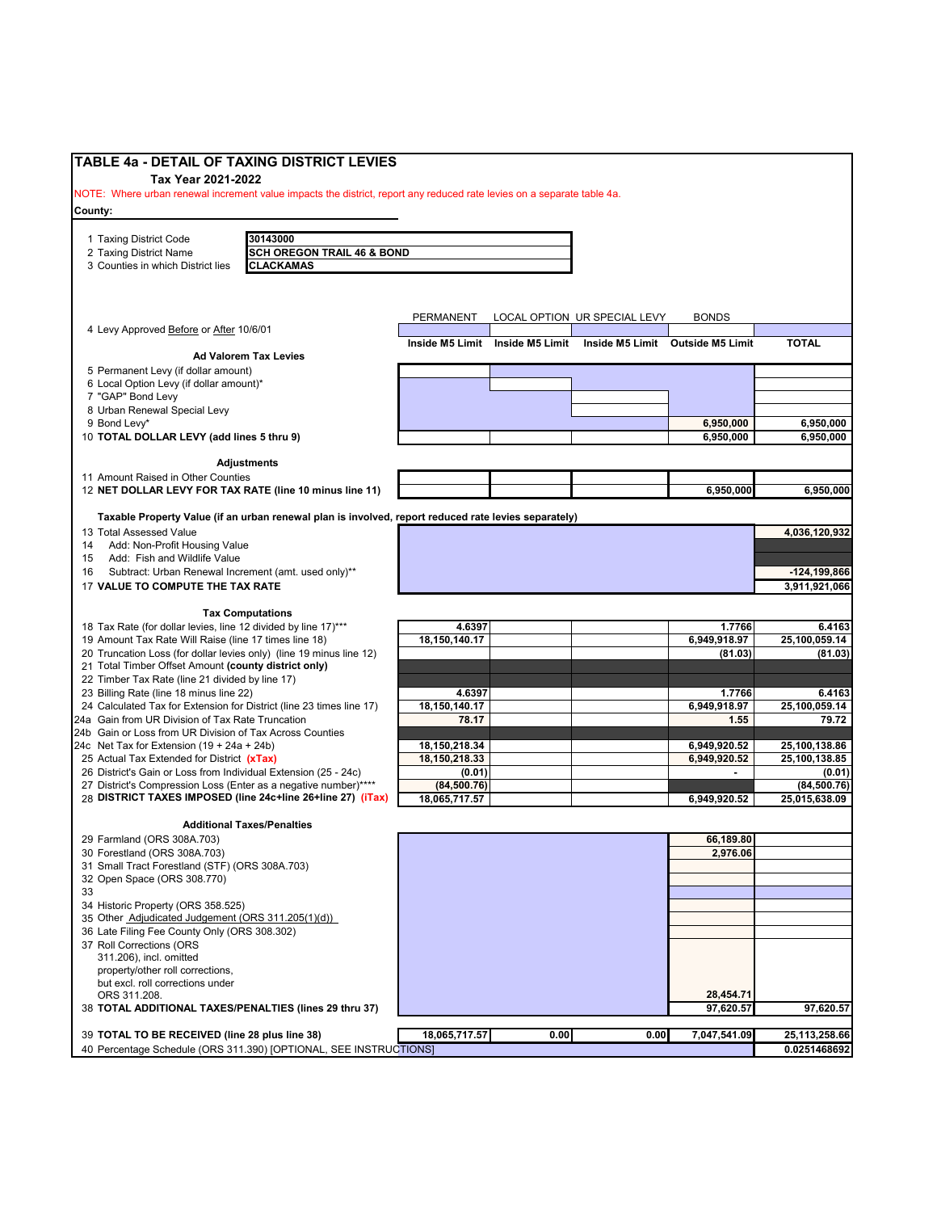| TABLE 4a - DETAIL OF TAXING DISTRICT LEVIES                                                                            |               |                                 |                              |                                  |                  |
|------------------------------------------------------------------------------------------------------------------------|---------------|---------------------------------|------------------------------|----------------------------------|------------------|
| Tax Year 2021-2022                                                                                                     |               |                                 |                              |                                  |                  |
| NOTE: Where urban renewal increment value impacts the district, report any reduced rate levies on a separate table 4a. |               |                                 |                              |                                  |                  |
| County:                                                                                                                |               |                                 |                              |                                  |                  |
|                                                                                                                        |               |                                 |                              |                                  |                  |
| 30143000<br>1 Taxing District Code                                                                                     |               |                                 |                              |                                  |                  |
| <b>SCH OREGON TRAIL 46 &amp; BOND</b><br>2 Taxing District Name                                                        |               |                                 |                              |                                  |                  |
| 3 Counties in which District lies<br><b>CLACKAMAS</b>                                                                  |               |                                 |                              |                                  |                  |
|                                                                                                                        |               |                                 |                              |                                  |                  |
|                                                                                                                        |               |                                 |                              |                                  |                  |
|                                                                                                                        | PERMANENT     |                                 | LOCAL OPTION UR SPECIAL LEVY | <b>BONDS</b>                     |                  |
| 4 Levy Approved Before or After 10/6/01                                                                                |               |                                 |                              |                                  |                  |
|                                                                                                                        |               | Inside M5 Limit Inside M5 Limit |                              | Inside M5 Limit Outside M5 Limit | <b>TOTAL</b>     |
| <b>Ad Valorem Tax Levies</b>                                                                                           |               |                                 |                              |                                  |                  |
| 5 Permanent Levy (if dollar amount)                                                                                    |               |                                 |                              |                                  |                  |
| 6 Local Option Levy (if dollar amount)*<br>7 "GAP" Bond Levy                                                           |               |                                 |                              |                                  |                  |
| 8 Urban Renewal Special Levy                                                                                           |               |                                 |                              |                                  |                  |
| 9 Bond Levy*                                                                                                           |               |                                 |                              | 6,950,000                        | 6,950,000        |
| 10 TOTAL DOLLAR LEVY (add lines 5 thru 9)                                                                              |               |                                 |                              | 6,950,000                        | 6,950,000        |
|                                                                                                                        |               |                                 |                              |                                  |                  |
| <b>Adjustments</b>                                                                                                     |               |                                 |                              |                                  |                  |
| 11 Amount Raised in Other Counties                                                                                     |               |                                 |                              |                                  |                  |
| 12 NET DOLLAR LEVY FOR TAX RATE (line 10 minus line 11)                                                                |               |                                 |                              | 6,950,000                        | 6,950,000        |
|                                                                                                                        |               |                                 |                              |                                  |                  |
| Taxable Property Value (if an urban renewal plan is involved, report reduced rate levies separately)                   |               |                                 |                              |                                  |                  |
| 13 Total Assessed Value                                                                                                |               |                                 |                              |                                  | 4,036,120,932    |
| Add: Non-Profit Housing Value<br>14<br>Add: Fish and Wildlife Value<br>15                                              |               |                                 |                              |                                  |                  |
| Subtract: Urban Renewal Increment (amt. used only)**<br>16                                                             |               |                                 |                              |                                  | $-124, 199, 866$ |
| 17 VALUE TO COMPUTE THE TAX RATE                                                                                       |               |                                 |                              |                                  | 3,911,921,066    |
|                                                                                                                        |               |                                 |                              |                                  |                  |
| <b>Tax Computations</b>                                                                                                |               |                                 |                              |                                  |                  |
| 18 Tax Rate (for dollar levies, line 12 divided by line 17)***                                                         | 4.6397        |                                 |                              | 1.7766                           | 6.4163           |
| 19 Amount Tax Rate Will Raise (line 17 times line 18)                                                                  | 18,150,140.17 |                                 |                              | 6,949,918.97                     | 25,100,059.14    |
| 20 Truncation Loss (for dollar levies only) (line 19 minus line 12)                                                    |               |                                 |                              | (81.03)                          | (81.03)          |
| 21 Total Timber Offset Amount (county district only)                                                                   |               |                                 |                              |                                  |                  |
| 22 Timber Tax Rate (line 21 divided by line 17)                                                                        |               |                                 |                              |                                  |                  |
| 23 Billing Rate (line 18 minus line 22)                                                                                | 4.6397        |                                 |                              | 1.7766                           | 6.4163           |
| 24 Calculated Tax for Extension for District (line 23 times line 17)                                                   | 18,150,140.17 |                                 |                              | 6,949,918.97                     | 25,100,059.14    |
| 24a Gain from UR Division of Tax Rate Truncation<br>24b Gain or Loss from UR Division of Tax Across Counties           | 78.17         |                                 |                              | 1.55                             | 79.72            |
| 24c Net Tax for Extension $(19 + 24a + 24b)$                                                                           | 18,150,218.34 |                                 |                              | 6,949,920.52                     | 25,100,138.86    |
| 25 Actual Tax Extended for District (xTax)                                                                             | 18,150,218.33 |                                 |                              | 6,949,920.52                     | 25,100,138.85    |
| 26 District's Gain or Loss from Individual Extension (25 - 24c)                                                        | (0.01)        |                                 |                              | $\blacksquare$                   | (0.01)           |
| 27 District's Compression Loss (Enter as a negative number)****                                                        | (84, 500.76)  |                                 |                              |                                  | (84, 500.76)     |
| 28 DISTRICT TAXES IMPOSED (line 24c+line 26+line 27) (iTax)                                                            | 18,065,717.57 |                                 |                              | 6,949,920.52                     | 25,015,638.09    |
|                                                                                                                        |               |                                 |                              |                                  |                  |
| <b>Additional Taxes/Penalties</b>                                                                                      |               |                                 |                              |                                  |                  |
| 29 Farmland (ORS 308A.703)                                                                                             |               |                                 |                              | 66,189.80                        |                  |
| 30 Forestland (ORS 308A.703)                                                                                           |               |                                 |                              | 2,976.06                         |                  |
| 31 Small Tract Forestland (STF) (ORS 308A.703)<br>32 Open Space (ORS 308.770)                                          |               |                                 |                              |                                  |                  |
| 33                                                                                                                     |               |                                 |                              |                                  |                  |
| 34 Historic Property (ORS 358.525)                                                                                     |               |                                 |                              |                                  |                  |
| 35 Other Adjudicated Judgement (ORS 311.205(1)(d))                                                                     |               |                                 |                              |                                  |                  |
| 36 Late Filing Fee County Only (ORS 308.302)                                                                           |               |                                 |                              |                                  |                  |
| 37 Roll Corrections (ORS                                                                                               |               |                                 |                              |                                  |                  |
| 311.206), incl. omitted                                                                                                |               |                                 |                              |                                  |                  |
| property/other roll corrections,                                                                                       |               |                                 |                              |                                  |                  |
| but excl. roll corrections under                                                                                       |               |                                 |                              |                                  |                  |
| ORS 311.208.                                                                                                           |               |                                 |                              | 28,454.71                        |                  |
| 38 TOTAL ADDITIONAL TAXES/PENALTIES (lines 29 thru 37)                                                                 |               |                                 |                              | 97,620.57                        | 97,620.57        |
| 39 TOTAL TO BE RECEIVED (line 28 plus line 38)                                                                         | 18,065,717.57 | 0.00                            | 0.00                         | 7,047,541.09                     | 25,113,258.66    |
| 40 Percentage Schedule (ORS 311.390) [OPTIONAL, SEE INSTRUCTIONS]                                                      |               |                                 |                              |                                  | 0.0251468692     |
|                                                                                                                        |               |                                 |                              |                                  |                  |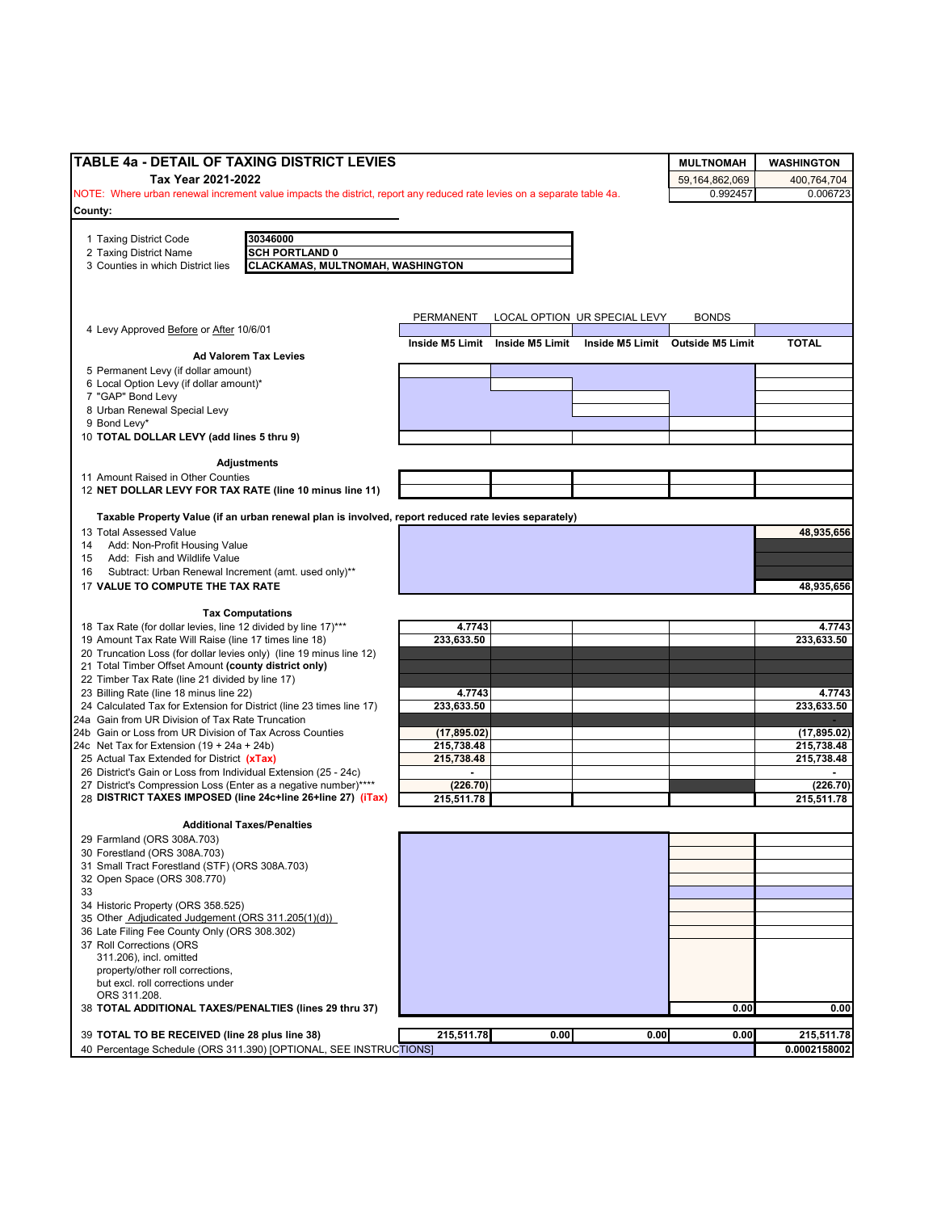| TABLE 4a - DETAIL OF TAXING DISTRICT LEVIES                                                                            |                            |                                 |                              | <b>MULTNOMAH</b>                 | <b>WASHINGTON</b>          |
|------------------------------------------------------------------------------------------------------------------------|----------------------------|---------------------------------|------------------------------|----------------------------------|----------------------------|
| Tax Year 2021-2022                                                                                                     |                            |                                 |                              | 59.164.862.069                   | 400,764,704                |
| NOTE: Where urban renewal increment value impacts the district, report any reduced rate levies on a separate table 4a. |                            |                                 |                              | 0.992457                         | 0.006723                   |
| County:                                                                                                                |                            |                                 |                              |                                  |                            |
|                                                                                                                        |                            |                                 |                              |                                  |                            |
| 30346000<br>1 Taxing District Code<br><b>SCH PORTLAND 0</b><br>2 Taxing District Name                                  |                            |                                 |                              |                                  |                            |
| CLACKAMAS, MULTNOMAH, WASHINGTON<br>3 Counties in which District lies                                                  |                            |                                 |                              |                                  |                            |
|                                                                                                                        |                            |                                 |                              |                                  |                            |
|                                                                                                                        |                            |                                 |                              |                                  |                            |
|                                                                                                                        |                            |                                 |                              |                                  |                            |
| 4 Levy Approved Before or After 10/6/01                                                                                | PERMANENT                  |                                 | LOCAL OPTION UR SPECIAL LEVY | <b>BONDS</b>                     |                            |
|                                                                                                                        |                            | Inside M5 Limit Inside M5 Limit |                              | Inside M5 Limit Outside M5 Limit | <b>TOTAL</b>               |
| <b>Ad Valorem Tax Levies</b>                                                                                           |                            |                                 |                              |                                  |                            |
| 5 Permanent Levy (if dollar amount)                                                                                    |                            |                                 |                              |                                  |                            |
| 6 Local Option Levy (if dollar amount)*                                                                                |                            |                                 |                              |                                  |                            |
| 7 "GAP" Bond Levy                                                                                                      |                            |                                 |                              |                                  |                            |
| 8 Urban Renewal Special Levy<br>9 Bond Levy*                                                                           |                            |                                 |                              |                                  |                            |
| 10 TOTAL DOLLAR LEVY (add lines 5 thru 9)                                                                              |                            |                                 |                              |                                  |                            |
|                                                                                                                        |                            |                                 |                              |                                  |                            |
| <b>Adjustments</b>                                                                                                     |                            |                                 |                              |                                  |                            |
| 11 Amount Raised in Other Counties                                                                                     |                            |                                 |                              |                                  |                            |
| 12 NET DOLLAR LEVY FOR TAX RATE (line 10 minus line 11)                                                                |                            |                                 |                              |                                  |                            |
|                                                                                                                        |                            |                                 |                              |                                  |                            |
| Taxable Property Value (if an urban renewal plan is involved, report reduced rate levies separately)                   |                            |                                 |                              |                                  |                            |
| 13 Total Assessed Value                                                                                                |                            |                                 |                              |                                  | 48,935,656                 |
| Add: Non-Profit Housing Value<br>14                                                                                    |                            |                                 |                              |                                  |                            |
| Add: Fish and Wildlife Value<br>15                                                                                     |                            |                                 |                              |                                  |                            |
| Subtract: Urban Renewal Increment (amt. used only)**<br>16<br>17 VALUE TO COMPUTE THE TAX RATE                         |                            |                                 |                              |                                  |                            |
|                                                                                                                        |                            |                                 |                              |                                  | 48,935,656                 |
| <b>Tax Computations</b>                                                                                                |                            |                                 |                              |                                  |                            |
| 18 Tax Rate (for dollar levies, line 12 divided by line 17)***                                                         | 4.7743                     |                                 |                              |                                  | 4.7743                     |
| 19 Amount Tax Rate Will Raise (line 17 times line 18)                                                                  | 233,633.50                 |                                 |                              |                                  | 233,633.50                 |
| 20 Truncation Loss (for dollar levies only) (line 19 minus line 12)                                                    |                            |                                 |                              |                                  |                            |
| 21 Total Timber Offset Amount (county district only)                                                                   |                            |                                 |                              |                                  |                            |
| 22 Timber Tax Rate (line 21 divided by line 17)                                                                        |                            |                                 |                              |                                  |                            |
| 23 Billing Rate (line 18 minus line 22)                                                                                | 4.7743                     |                                 |                              |                                  | 4.7743                     |
| 24 Calculated Tax for Extension for District (line 23 times line 17)                                                   | 233,633.50                 |                                 |                              |                                  | 233,633.50                 |
| 24a Gain from UR Division of Tax Rate Truncation                                                                       |                            |                                 |                              |                                  |                            |
| 24b Gain or Loss from UR Division of Tax Across Counties<br>24c Net Tax for Extension $(19 + 24a + 24b)$               | (17, 895.02)<br>215,738.48 |                                 |                              |                                  | (17, 895.02)<br>215,738.48 |
| 25 Actual Tax Extended for District (xTax)                                                                             | 215,738.48                 |                                 |                              |                                  | 215,738.48                 |
| 26 District's Gain or Loss from Individual Extension (25 - 24c)                                                        |                            |                                 |                              |                                  |                            |
| 27 District's Compression Loss (Enter as a negative number)****                                                        | (226.70)                   |                                 |                              |                                  | (226.70)                   |
| 28 DISTRICT TAXES IMPOSED (line 24c+line 26+line 27) (iTax)                                                            | 215,511.78                 |                                 |                              |                                  | 215,511.78                 |
|                                                                                                                        |                            |                                 |                              |                                  |                            |
| <b>Additional Taxes/Penalties</b>                                                                                      |                            |                                 |                              |                                  |                            |
| 29 Farmland (ORS 308A.703)                                                                                             |                            |                                 |                              |                                  |                            |
| 30 Forestland (ORS 308A.703)                                                                                           |                            |                                 |                              |                                  |                            |
| 31 Small Tract Forestland (STF) (ORS 308A.703)                                                                         |                            |                                 |                              |                                  |                            |
| 32 Open Space (ORS 308.770)<br>33                                                                                      |                            |                                 |                              |                                  |                            |
| 34 Historic Property (ORS 358.525)                                                                                     |                            |                                 |                              |                                  |                            |
| 35 Other Adjudicated Judgement (ORS 311.205(1)(d))                                                                     |                            |                                 |                              |                                  |                            |
| 36 Late Filing Fee County Only (ORS 308.302)                                                                           |                            |                                 |                              |                                  |                            |
| 37 Roll Corrections (ORS                                                                                               |                            |                                 |                              |                                  |                            |
| 311.206), incl. omitted                                                                                                |                            |                                 |                              |                                  |                            |
| property/other roll corrections,                                                                                       |                            |                                 |                              |                                  |                            |
| but excl. roll corrections under                                                                                       |                            |                                 |                              |                                  |                            |
| ORS 311.208.                                                                                                           |                            |                                 |                              |                                  |                            |
| 38 TOTAL ADDITIONAL TAXES/PENALTIES (lines 29 thru 37)                                                                 |                            |                                 |                              | 0.00                             | 0.00                       |
|                                                                                                                        |                            |                                 |                              |                                  |                            |
| 39 TOTAL TO BE RECEIVED (line 28 plus line 38)                                                                         | 215,511.78                 | 0.00                            | 0.00                         | 0.00                             | 215,511.78                 |
| 40 Percentage Schedule (ORS 311.390) [OPTIONAL, SEE INSTRUCTIONS]                                                      |                            |                                 |                              |                                  | 0.0002158002               |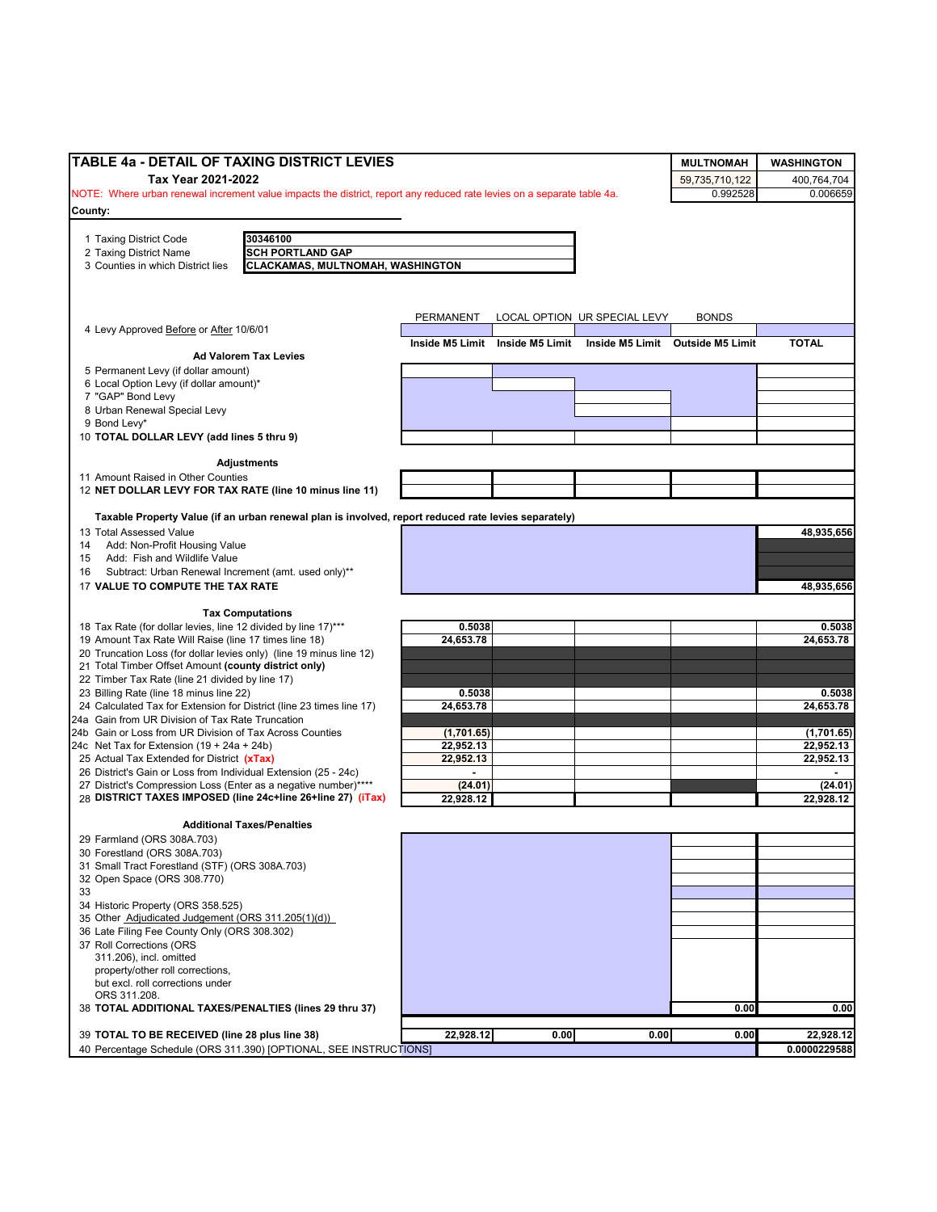| TABLE 4a - DETAIL OF TAXING DISTRICT LEVIES                                                                              |                |                                 |                              | <b>MULTNOMAH</b>                 | <b>WASHINGTON</b> |
|--------------------------------------------------------------------------------------------------------------------------|----------------|---------------------------------|------------------------------|----------------------------------|-------------------|
| Tax Year 2021-2022                                                                                                       |                |                                 |                              | 59,735,710,122                   | 400,764,704       |
| NOTE: Where urban renewal increment value impacts the district, report any reduced rate levies on a separate table 4a.   |                |                                 |                              | 0.992528                         | 0.006659          |
| County:                                                                                                                  |                |                                 |                              |                                  |                   |
| 30346100                                                                                                                 |                |                                 |                              |                                  |                   |
| 1 Taxing District Code<br><b>SCH PORTLAND GAP</b><br>2 Taxing District Name                                              |                |                                 |                              |                                  |                   |
| 3 Counties in which District lies<br>CLACKAMAS, MULTNOMAH, WASHINGTON                                                    |                |                                 |                              |                                  |                   |
|                                                                                                                          |                |                                 |                              |                                  |                   |
|                                                                                                                          |                |                                 |                              |                                  |                   |
|                                                                                                                          | PERMANENT      |                                 | LOCAL OPTION UR SPECIAL LEVY | <b>BONDS</b>                     |                   |
| 4 Levy Approved Before or After 10/6/01                                                                                  |                |                                 |                              |                                  |                   |
| <b>Ad Valorem Tax Levies</b>                                                                                             |                | Inside M5 Limit Inside M5 Limit |                              | Inside M5 Limit Outside M5 Limit | <b>TOTAL</b>      |
| 5 Permanent Levy (if dollar amount)                                                                                      |                |                                 |                              |                                  |                   |
| 6 Local Option Levy (if dollar amount)*                                                                                  |                |                                 |                              |                                  |                   |
| 7 "GAP" Bond Levy                                                                                                        |                |                                 |                              |                                  |                   |
| 8 Urban Renewal Special Levy                                                                                             |                |                                 |                              |                                  |                   |
| 9 Bond Levy*                                                                                                             |                |                                 |                              |                                  |                   |
| 10 TOTAL DOLLAR LEVY (add lines 5 thru 9)                                                                                |                |                                 |                              |                                  |                   |
| <b>Adjustments</b>                                                                                                       |                |                                 |                              |                                  |                   |
| 11 Amount Raised in Other Counties                                                                                       |                |                                 |                              |                                  |                   |
| 12 NET DOLLAR LEVY FOR TAX RATE (line 10 minus line 11)                                                                  |                |                                 |                              |                                  |                   |
| Taxable Property Value (if an urban renewal plan is involved, report reduced rate levies separately)                     |                |                                 |                              |                                  |                   |
| 13 Total Assessed Value                                                                                                  |                |                                 |                              |                                  | 48,935,656        |
| Add: Non-Profit Housing Value<br>14                                                                                      |                |                                 |                              |                                  |                   |
| Add: Fish and Wildlife Value<br>15                                                                                       |                |                                 |                              |                                  |                   |
| Subtract: Urban Renewal Increment (amt. used only)**<br>16                                                               |                |                                 |                              |                                  |                   |
| 17 VALUE TO COMPUTE THE TAX RATE                                                                                         |                |                                 |                              |                                  | 48,935,656        |
|                                                                                                                          |                |                                 |                              |                                  |                   |
| <b>Tax Computations</b><br>18 Tax Rate (for dollar levies, line 12 divided by line 17)***                                | 0.5038         |                                 |                              |                                  | 0.5038            |
| 19 Amount Tax Rate Will Raise (line 17 times line 18)                                                                    | 24,653.78      |                                 |                              |                                  | 24,653.78         |
| 20 Truncation Loss (for dollar levies only) (line 19 minus line 12)                                                      |                |                                 |                              |                                  |                   |
| 21 Total Timber Offset Amount (county district only)                                                                     |                |                                 |                              |                                  |                   |
| 22 Timber Tax Rate (line 21 divided by line 17)                                                                          |                |                                 |                              |                                  |                   |
| 23 Billing Rate (line 18 minus line 22)                                                                                  | 0.5038         |                                 |                              |                                  | 0.5038            |
| 24 Calculated Tax for Extension for District (line 23 times line 17)<br>24a Gain from UR Division of Tax Rate Truncation | 24,653.78      |                                 |                              |                                  | 24,653.78         |
| 24b Gain or Loss from UR Division of Tax Across Counties                                                                 | (1,701.65)     |                                 |                              |                                  | (1,701.65)        |
| 24c Net Tax for Extension $(19 + 24a + 24b)$                                                                             | 22,952.13      |                                 |                              |                                  | 22,952.13         |
| 25 Actual Tax Extended for District (xTax)                                                                               | 22,952.13      |                                 |                              |                                  | 22,952.13         |
| 26 District's Gain or Loss from Individual Extension (25 - 24c)                                                          | $\blacksquare$ |                                 |                              |                                  | $\sim$            |
| 27 District's Compression Loss (Enter as a negative number)****                                                          | (24.01)        |                                 |                              |                                  | (24.01)           |
| 28 DISTRICT TAXES IMPOSED (line 24c+line 26+line 27) (iTax)                                                              | 22,928.12      |                                 |                              |                                  | 22,928.12         |
| <b>Additional Taxes/Penalties</b>                                                                                        |                |                                 |                              |                                  |                   |
| 29 Farmland (ORS 308A.703)                                                                                               |                |                                 |                              |                                  |                   |
| 30 Forestland (ORS 308A.703)                                                                                             |                |                                 |                              |                                  |                   |
| 31 Small Tract Forestland (STF) (ORS 308A.703)                                                                           |                |                                 |                              |                                  |                   |
| 32 Open Space (ORS 308.770)                                                                                              |                |                                 |                              |                                  |                   |
| 33                                                                                                                       |                |                                 |                              |                                  |                   |
| 34 Historic Property (ORS 358.525)<br>35 Other Adjudicated Judgement (ORS 311.205(1)(d))                                 |                |                                 |                              |                                  |                   |
| 36 Late Filing Fee County Only (ORS 308.302)                                                                             |                |                                 |                              |                                  |                   |
| 37 Roll Corrections (ORS                                                                                                 |                |                                 |                              |                                  |                   |
| 311.206), incl. omitted                                                                                                  |                |                                 |                              |                                  |                   |
| property/other roll corrections,                                                                                         |                |                                 |                              |                                  |                   |
| but excl. roll corrections under                                                                                         |                |                                 |                              |                                  |                   |
| ORS 311.208.<br>38 TOTAL ADDITIONAL TAXES/PENALTIES (lines 29 thru 37)                                                   |                |                                 |                              | 0.00                             | 0.00              |
|                                                                                                                          |                |                                 |                              |                                  |                   |
| 39 TOTAL TO BE RECEIVED (line 28 plus line 38)                                                                           | 22,928.12      | 0.00                            | 0.00                         | 0.00                             | 22,928.12         |
| 40 Percentage Schedule (ORS 311.390) [OPTIONAL, SEE INSTRUCTIONS]                                                        |                |                                 |                              |                                  | 0.0000229588      |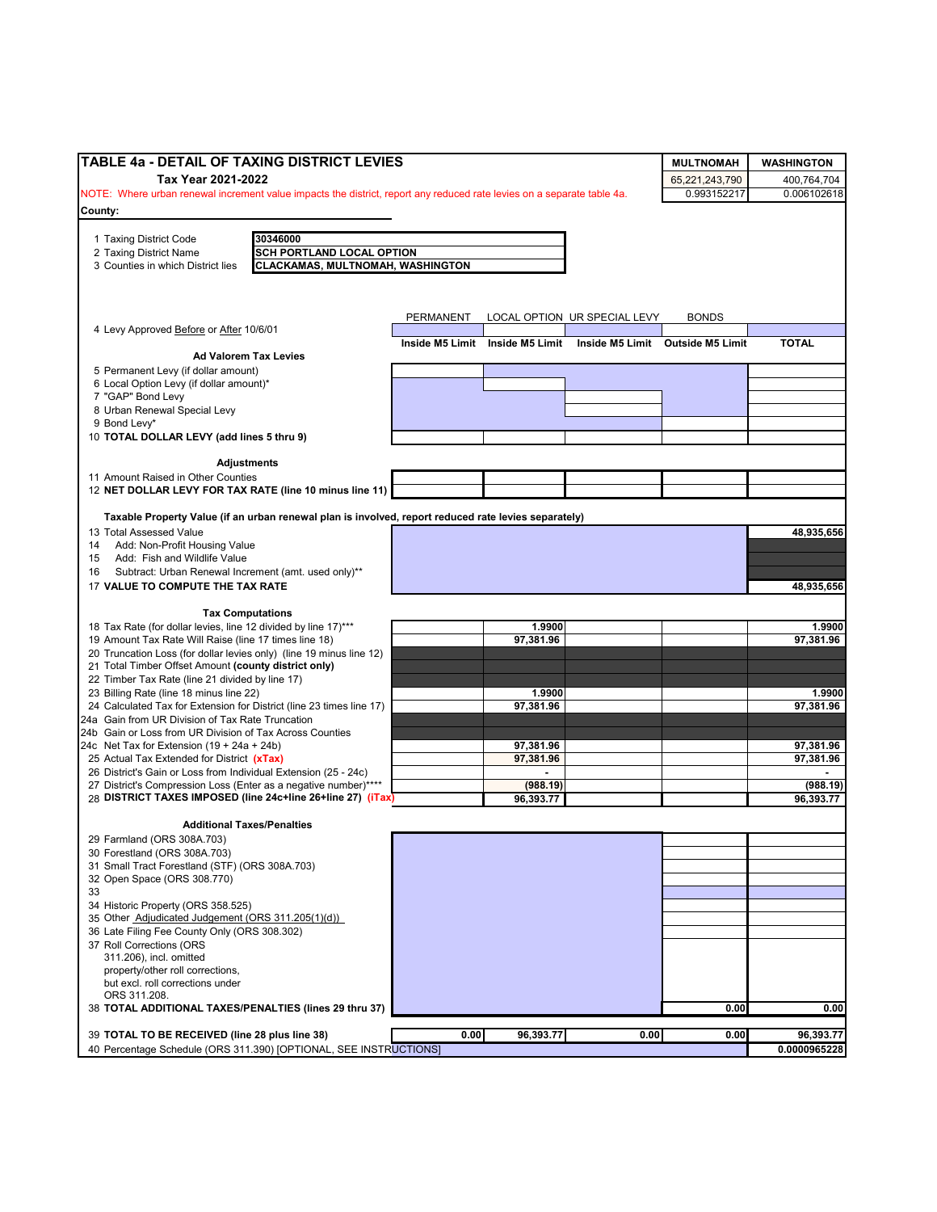| TABLE 4a - DETAIL OF TAXING DISTRICT LEVIES                                                                                     |           |                                 |                              | <b>MULTNOMAH</b>                 | <b>WASHINGTON</b>   |
|---------------------------------------------------------------------------------------------------------------------------------|-----------|---------------------------------|------------------------------|----------------------------------|---------------------|
| Tax Year 2021-2022                                                                                                              |           |                                 |                              | 65,221,243,790                   | 400,764,704         |
| NOTE: Where urban renewal increment value impacts the district, report any reduced rate levies on a separate table 4a.          |           |                                 |                              | 0.993152217                      | 0.006102618         |
| County:                                                                                                                         |           |                                 |                              |                                  |                     |
|                                                                                                                                 |           |                                 |                              |                                  |                     |
| 30346000<br>1 Taxing District Code<br>2 Taxing District Name<br><b>SCH PORTLAND LOCAL OPTION</b>                                |           |                                 |                              |                                  |                     |
| CLACKAMAS, MULTNOMAH, WASHINGTON<br>3 Counties in which District lies                                                           |           |                                 |                              |                                  |                     |
|                                                                                                                                 |           |                                 |                              |                                  |                     |
|                                                                                                                                 |           |                                 |                              |                                  |                     |
|                                                                                                                                 | PERMANENT |                                 | LOCAL OPTION UR SPECIAL LEVY | <b>BONDS</b>                     |                     |
| 4 Levy Approved Before or After 10/6/01                                                                                         |           |                                 |                              |                                  |                     |
| <b>Ad Valorem Tax Levies</b>                                                                                                    |           | Inside M5 Limit Inside M5 Limit |                              | Inside M5 Limit Outside M5 Limit | <b>TOTAL</b>        |
| 5 Permanent Levy (if dollar amount)                                                                                             |           |                                 |                              |                                  |                     |
| 6 Local Option Levy (if dollar amount)*                                                                                         |           |                                 |                              |                                  |                     |
| 7 "GAP" Bond Levy                                                                                                               |           |                                 |                              |                                  |                     |
| 8 Urban Renewal Special Levy                                                                                                    |           |                                 |                              |                                  |                     |
| 9 Bond Levy*                                                                                                                    |           |                                 |                              |                                  |                     |
| 10 TOTAL DOLLAR LEVY (add lines 5 thru 9)                                                                                       |           |                                 |                              |                                  |                     |
| <b>Adjustments</b>                                                                                                              |           |                                 |                              |                                  |                     |
| 11 Amount Raised in Other Counties                                                                                              |           |                                 |                              |                                  |                     |
| 12 NET DOLLAR LEVY FOR TAX RATE (line 10 minus line 11)                                                                         |           |                                 |                              |                                  |                     |
|                                                                                                                                 |           |                                 |                              |                                  |                     |
| Taxable Property Value (if an urban renewal plan is involved, report reduced rate levies separately)<br>13 Total Assessed Value |           |                                 |                              |                                  | 48,935,656          |
| Add: Non-Profit Housing Value<br>14                                                                                             |           |                                 |                              |                                  |                     |
| Add: Fish and Wildlife Value<br>15                                                                                              |           |                                 |                              |                                  |                     |
| Subtract: Urban Renewal Increment (amt. used only)**<br>16                                                                      |           |                                 |                              |                                  |                     |
| 17 VALUE TO COMPUTE THE TAX RATE                                                                                                |           |                                 |                              |                                  | 48,935,656          |
|                                                                                                                                 |           |                                 |                              |                                  |                     |
| <b>Tax Computations</b>                                                                                                         |           |                                 |                              |                                  |                     |
| 18 Tax Rate (for dollar levies, line 12 divided by line 17)***<br>19 Amount Tax Rate Will Raise (line 17 times line 18)         |           | 1.9900<br>97,381.96             |                              |                                  | 1.9900<br>97,381.96 |
| 20 Truncation Loss (for dollar levies only) (line 19 minus line 12)                                                             |           |                                 |                              |                                  |                     |
| 21 Total Timber Offset Amount (county district only)                                                                            |           |                                 |                              |                                  |                     |
| 22 Timber Tax Rate (line 21 divided by line 17)                                                                                 |           |                                 |                              |                                  |                     |
| 23 Billing Rate (line 18 minus line 22)                                                                                         |           | 1.9900                          |                              |                                  | 1.9900              |
| 24 Calculated Tax for Extension for District (line 23 times line 17)                                                            |           | 97,381.96                       |                              |                                  | 97,381.96           |
| 24a Gain from UR Division of Tax Rate Truncation<br>24b Gain or Loss from UR Division of Tax Across Counties                    |           |                                 |                              |                                  |                     |
| 24c Net Tax for Extension $(19 + 24a + 24b)$                                                                                    |           | 97,381.96                       |                              |                                  | 97,381.96           |
| 25 Actual Tax Extended for District (xTax)                                                                                      |           | 97,381.96                       |                              |                                  | 97,381.96           |
| 26 District's Gain or Loss from Individual Extension (25 - 24c)                                                                 |           | $\blacksquare$                  |                              |                                  |                     |
| 27 District's Compression Loss (Enter as a negative number)****                                                                 |           | (988.19)                        |                              |                                  | (988.19)            |
| 28 DISTRICT TAXES IMPOSED (line 24c+line 26+line 27) (iTax)                                                                     |           | 96,393.77                       |                              |                                  | 96.393.77           |
| <b>Additional Taxes/Penalties</b>                                                                                               |           |                                 |                              |                                  |                     |
| 29 Farmland (ORS 308A.703)                                                                                                      |           |                                 |                              |                                  |                     |
| 30 Forestland (ORS 308A.703)                                                                                                    |           |                                 |                              |                                  |                     |
| 31 Small Tract Forestland (STF) (ORS 308A.703)                                                                                  |           |                                 |                              |                                  |                     |
| 32 Open Space (ORS 308.770)                                                                                                     |           |                                 |                              |                                  |                     |
| 33                                                                                                                              |           |                                 |                              |                                  |                     |
| 34 Historic Property (ORS 358.525)<br>35 Other Adjudicated Judgement (ORS 311.205(1)(d))                                        |           |                                 |                              |                                  |                     |
| 36 Late Filing Fee County Only (ORS 308.302)                                                                                    |           |                                 |                              |                                  |                     |
| 37 Roll Corrections (ORS                                                                                                        |           |                                 |                              |                                  |                     |
| 311.206), incl. omitted                                                                                                         |           |                                 |                              |                                  |                     |
| property/other roll corrections,                                                                                                |           |                                 |                              |                                  |                     |
| but excl. roll corrections under<br>ORS 311.208.                                                                                |           |                                 |                              |                                  |                     |
| 38 TOTAL ADDITIONAL TAXES/PENALTIES (lines 29 thru 37)                                                                          |           |                                 |                              | 0.00                             | 0.00                |
|                                                                                                                                 |           |                                 |                              |                                  |                     |
| 39 TOTAL TO BE RECEIVED (line 28 plus line 38)                                                                                  | 0.00      | 96,393.77                       | 0.00                         | 0.00                             | 96,393.77           |
| 40 Percentage Schedule (ORS 311.390) [OPTIONAL, SEE INSTRUCTIONS]                                                               |           |                                 |                              |                                  | 0.0000965228        |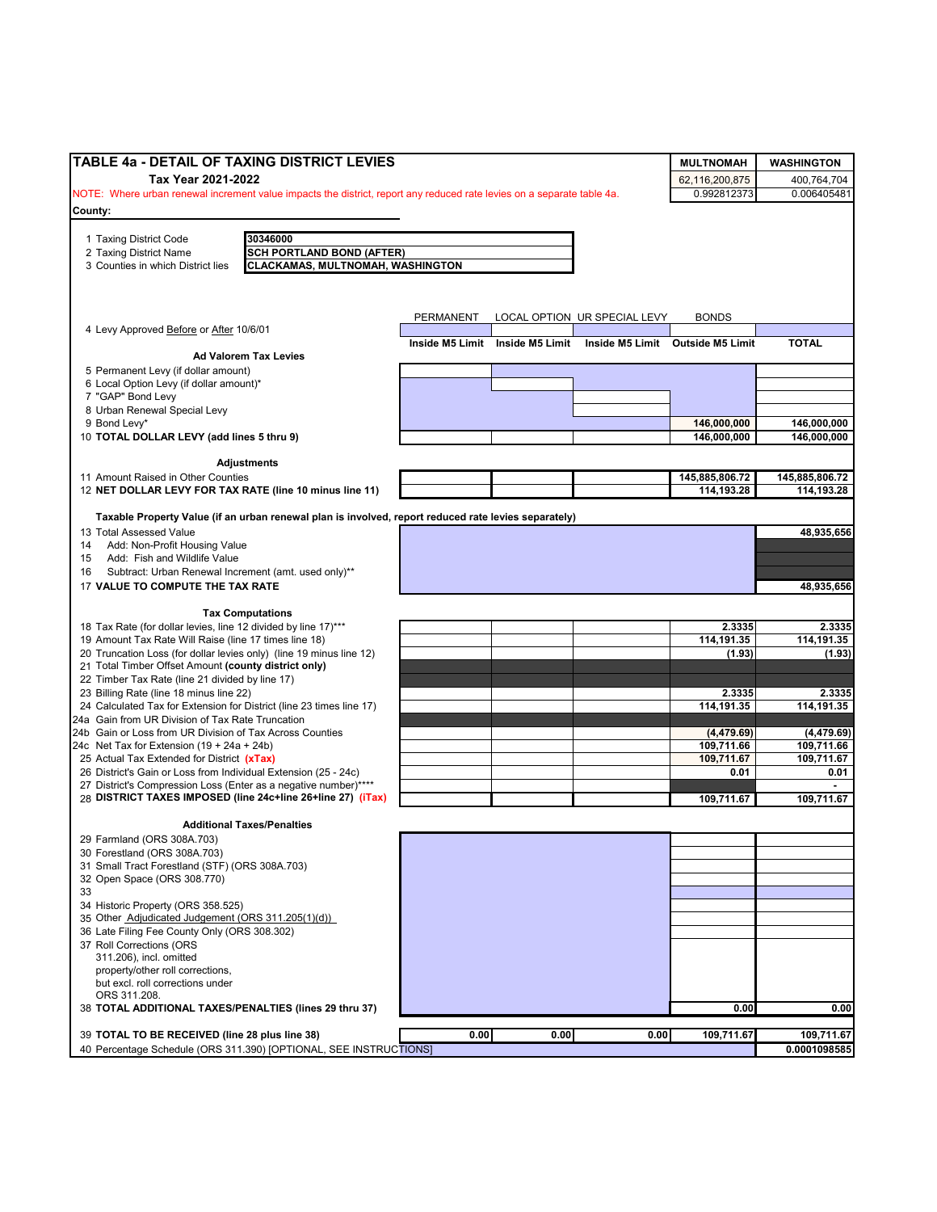| TABLE 4a - DETAIL OF TAXING DISTRICT LEVIES                                                                            |                  |                                 |                              | <b>MULTNOMAH</b>                 | <b>WASHINGTON</b>            |
|------------------------------------------------------------------------------------------------------------------------|------------------|---------------------------------|------------------------------|----------------------------------|------------------------------|
| Tax Year 2021-2022                                                                                                     |                  |                                 |                              | 62,116,200,875                   | 400,764,704                  |
| NOTE: Where urban renewal increment value impacts the district, report any reduced rate levies on a separate table 4a. |                  |                                 |                              | 0.992812373                      | 0.006405481                  |
| County:                                                                                                                |                  |                                 |                              |                                  |                              |
|                                                                                                                        |                  |                                 |                              |                                  |                              |
| 1 Taxing District Code<br>30346000<br>2 Taxing District Name<br><b>SCH PORTLAND BOND (AFTER)</b>                       |                  |                                 |                              |                                  |                              |
| 3 Counties in which District lies<br>CLACKAMAS, MULTNOMAH, WASHINGTON                                                  |                  |                                 |                              |                                  |                              |
|                                                                                                                        |                  |                                 |                              |                                  |                              |
|                                                                                                                        |                  |                                 |                              |                                  |                              |
|                                                                                                                        | <b>PERMANENT</b> |                                 | LOCAL OPTION UR SPECIAL LEVY | <b>BONDS</b>                     |                              |
| 4 Levy Approved Before or After 10/6/01                                                                                |                  |                                 |                              |                                  |                              |
|                                                                                                                        |                  | Inside M5 Limit Inside M5 Limit |                              | Inside M5 Limit Outside M5 Limit | <b>TOTAL</b>                 |
| <b>Ad Valorem Tax Levies</b>                                                                                           |                  |                                 |                              |                                  |                              |
| 5 Permanent Levy (if dollar amount)<br>6 Local Option Levy (if dollar amount)*                                         |                  |                                 |                              |                                  |                              |
| 7 "GAP" Bond Levy                                                                                                      |                  |                                 |                              |                                  |                              |
| 8 Urban Renewal Special Levy                                                                                           |                  |                                 |                              |                                  |                              |
| 9 Bond Levy*                                                                                                           |                  |                                 |                              | 146,000,000                      | 146,000,000                  |
| 10 TOTAL DOLLAR LEVY (add lines 5 thru 9)                                                                              |                  |                                 |                              | 146,000,000                      | 146,000,000                  |
|                                                                                                                        |                  |                                 |                              |                                  |                              |
| <b>Adjustments</b>                                                                                                     |                  |                                 |                              |                                  |                              |
| 11 Amount Raised in Other Counties<br>12 NET DOLLAR LEVY FOR TAX RATE (line 10 minus line 11)                          |                  |                                 |                              | 145,885,806.72<br>114,193.28     | 145,885,806.72<br>114,193.28 |
|                                                                                                                        |                  |                                 |                              |                                  |                              |
| Taxable Property Value (if an urban renewal plan is involved, report reduced rate levies separately)                   |                  |                                 |                              |                                  |                              |
| 13 Total Assessed Value                                                                                                |                  |                                 |                              |                                  | 48,935,656                   |
| Add: Non-Profit Housing Value<br>14                                                                                    |                  |                                 |                              |                                  |                              |
| Add: Fish and Wildlife Value<br>15                                                                                     |                  |                                 |                              |                                  |                              |
| Subtract: Urban Renewal Increment (amt. used only)**<br>16<br>17 VALUE TO COMPUTE THE TAX RATE                         |                  |                                 |                              |                                  | 48,935,656                   |
|                                                                                                                        |                  |                                 |                              |                                  |                              |
| <b>Tax Computations</b>                                                                                                |                  |                                 |                              |                                  |                              |
| 18 Tax Rate (for dollar levies, line 12 divided by line 17)***                                                         |                  |                                 |                              | 2.3335                           | 2.3335                       |
| 19 Amount Tax Rate Will Raise (line 17 times line 18)                                                                  |                  |                                 |                              | 114,191.35                       | 114,191.35                   |
| 20 Truncation Loss (for dollar levies only) (line 19 minus line 12)                                                    |                  |                                 |                              | (1.93)                           | (1.93)                       |
| 21 Total Timber Offset Amount (county district only)<br>22 Timber Tax Rate (line 21 divided by line 17)                |                  |                                 |                              |                                  |                              |
| 23 Billing Rate (line 18 minus line 22)                                                                                |                  |                                 |                              | 2.3335                           | 2.3335                       |
| 24 Calculated Tax for Extension for District (line 23 times line 17)                                                   |                  |                                 |                              | 114,191.35                       | 114,191.35                   |
| 24a Gain from UR Division of Tax Rate Truncation                                                                       |                  |                                 |                              |                                  |                              |
| 24b Gain or Loss from UR Division of Tax Across Counties                                                               |                  |                                 |                              | (4, 479.69)                      | (4, 479.69)                  |
| 24c Net Tax for Extension $(19 + 24a + 24b)$                                                                           |                  |                                 |                              | 109.711.66                       | 109,711.66                   |
| 25 Actual Tax Extended for District (xTax)<br>26 District's Gain or Loss from Individual Extension (25 - 24c)          |                  |                                 |                              | 109,711.67<br>0.01               | 109,711.67                   |
| 27 District's Compression Loss (Enter as a negative number)****                                                        |                  |                                 |                              |                                  | 0.01                         |
| 28 DISTRICT TAXES IMPOSED (line 24c+line 26+line 27) (iTax)                                                            |                  |                                 |                              | 109,711.67                       | 109,711.67                   |
|                                                                                                                        |                  |                                 |                              |                                  |                              |
| <b>Additional Taxes/Penalties</b>                                                                                      |                  |                                 |                              |                                  |                              |
| 29 Farmland (ORS 308A.703)<br>30 Forestland (ORS 308A.703)                                                             |                  |                                 |                              |                                  |                              |
| 31 Small Tract Forestland (STF) (ORS 308A.703)                                                                         |                  |                                 |                              |                                  |                              |
| 32 Open Space (ORS 308.770)                                                                                            |                  |                                 |                              |                                  |                              |
| 33                                                                                                                     |                  |                                 |                              |                                  |                              |
| 34 Historic Property (ORS 358.525)                                                                                     |                  |                                 |                              |                                  |                              |
| 35 Other Adjudicated Judgement (ORS 311.205(1)(d))                                                                     |                  |                                 |                              |                                  |                              |
| 36 Late Filing Fee County Only (ORS 308.302)                                                                           |                  |                                 |                              |                                  |                              |
| 37 Roll Corrections (ORS<br>311.206), incl. omitted                                                                    |                  |                                 |                              |                                  |                              |
| property/other roll corrections,                                                                                       |                  |                                 |                              |                                  |                              |
| but excl. roll corrections under                                                                                       |                  |                                 |                              |                                  |                              |
| ORS 311.208.                                                                                                           |                  |                                 |                              |                                  |                              |
| 38 TOTAL ADDITIONAL TAXES/PENALTIES (lines 29 thru 37)                                                                 |                  |                                 |                              | 0.00                             | 0.00                         |
| 39 TOTAL TO BE RECEIVED (line 28 plus line 38)                                                                         | 0.00             | 0.00                            | 0.00                         | 109,711.67                       | 109,711.67                   |
| 40 Percentage Schedule (ORS 311.390) [OPTIONAL, SEE INSTRUCTIONS]                                                      |                  |                                 |                              |                                  | 0.0001098585                 |
|                                                                                                                        |                  |                                 |                              |                                  |                              |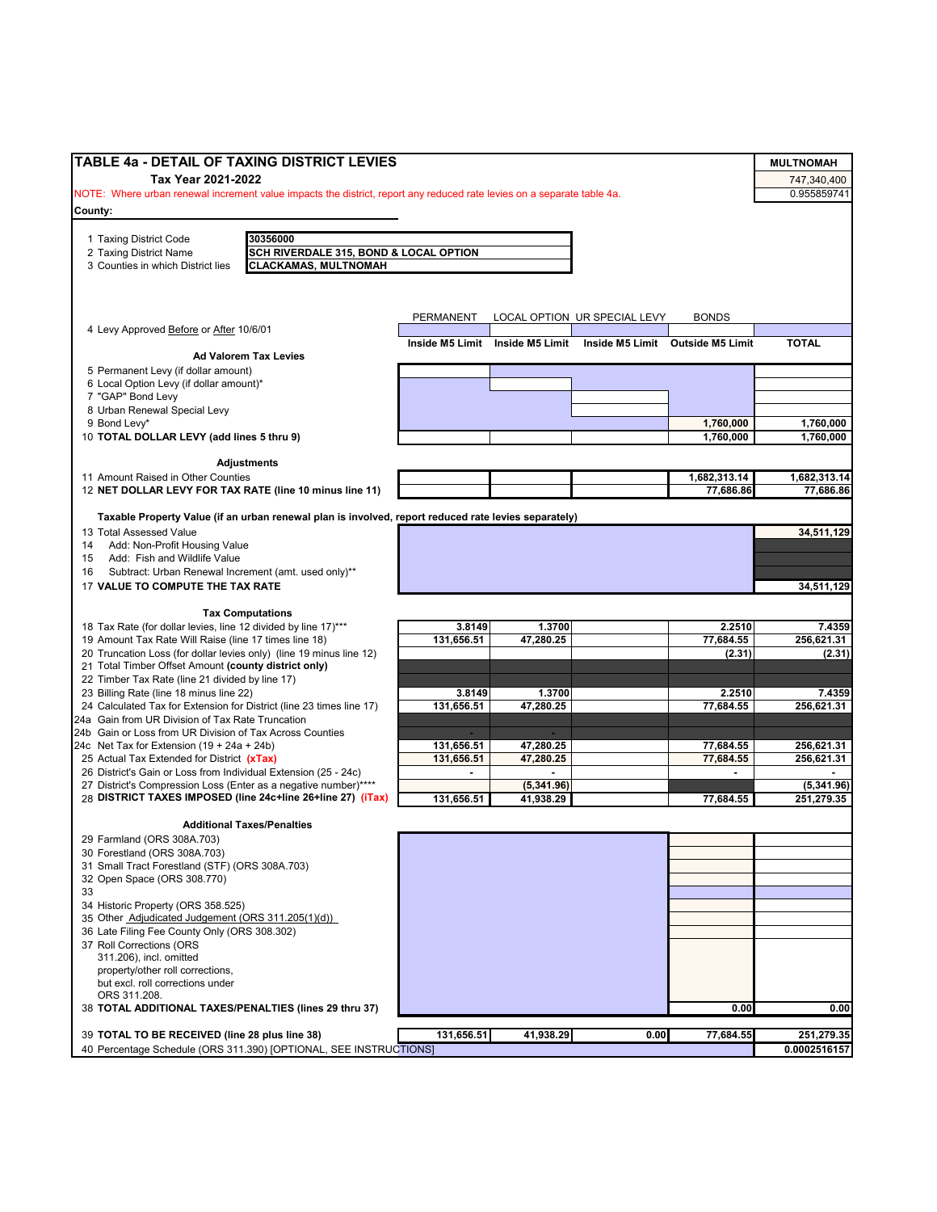| <b>TABLE 4a - DETAIL OF TAXING DISTRICT LEVIES</b>                                                                                   |                          |                                 |                              |                                  | <b>MULTNOMAH</b>         |
|--------------------------------------------------------------------------------------------------------------------------------------|--------------------------|---------------------------------|------------------------------|----------------------------------|--------------------------|
| Tax Year 2021-2022                                                                                                                   |                          |                                 |                              |                                  | 747,340,400              |
| NOTE: Where urban renewal increment value impacts the district, report any reduced rate levies on a separate table 4a.               |                          |                                 |                              |                                  | 0.955859741              |
| County:                                                                                                                              |                          |                                 |                              |                                  |                          |
|                                                                                                                                      |                          |                                 |                              |                                  |                          |
| 30356000<br>1 Taxing District Code                                                                                                   |                          |                                 |                              |                                  |                          |
| 2 Taxing District Name<br>SCH RIVERDALE 315, BOND & LOCAL OPTION<br><b>CLACKAMAS, MULTNOMAH</b><br>3 Counties in which District lies |                          |                                 |                              |                                  |                          |
|                                                                                                                                      |                          |                                 |                              |                                  |                          |
|                                                                                                                                      |                          |                                 |                              |                                  |                          |
|                                                                                                                                      |                          |                                 |                              |                                  |                          |
| 4 Levy Approved Before or After 10/6/01                                                                                              | PERMANENT                |                                 | LOCAL OPTION UR SPECIAL LEVY | <b>BONDS</b>                     |                          |
|                                                                                                                                      |                          | Inside M5 Limit Inside M5 Limit |                              | Inside M5 Limit Outside M5 Limit | <b>TOTAL</b>             |
| <b>Ad Valorem Tax Levies</b>                                                                                                         |                          |                                 |                              |                                  |                          |
| 5 Permanent Levy (if dollar amount)                                                                                                  |                          |                                 |                              |                                  |                          |
| 6 Local Option Levy (if dollar amount)*<br>7 "GAP" Bond Levy                                                                         |                          |                                 |                              |                                  |                          |
| 8 Urban Renewal Special Levy                                                                                                         |                          |                                 |                              |                                  |                          |
| 9 Bond Levy*                                                                                                                         |                          |                                 |                              | 1,760,000                        | 1,760,000                |
| 10 TOTAL DOLLAR LEVY (add lines 5 thru 9)                                                                                            |                          |                                 |                              | 1,760,000                        | 1,760,000                |
|                                                                                                                                      |                          |                                 |                              |                                  |                          |
| <b>Adjustments</b><br>11 Amount Raised in Other Counties                                                                             |                          |                                 |                              | 1,682,313.14                     | 1,682,313.14             |
| 12 NET DOLLAR LEVY FOR TAX RATE (line 10 minus line 11)                                                                              |                          |                                 |                              | 77,686.86                        | 77,686.86                |
|                                                                                                                                      |                          |                                 |                              |                                  |                          |
| Taxable Property Value (if an urban renewal plan is involved, report reduced rate levies separately)                                 |                          |                                 |                              |                                  |                          |
| 13 Total Assessed Value                                                                                                              |                          |                                 |                              |                                  | 34,511,129               |
| Add: Non-Profit Housing Value<br>14<br>Add: Fish and Wildlife Value                                                                  |                          |                                 |                              |                                  |                          |
| 15<br>Subtract: Urban Renewal Increment (amt. used only)**<br>16                                                                     |                          |                                 |                              |                                  |                          |
| 17 VALUE TO COMPUTE THE TAX RATE                                                                                                     |                          |                                 |                              |                                  | 34,511,129               |
|                                                                                                                                      |                          |                                 |                              |                                  |                          |
| <b>Tax Computations</b>                                                                                                              |                          |                                 |                              |                                  |                          |
| 18 Tax Rate (for dollar levies, line 12 divided by line 17)***                                                                       | 3.8149                   | 1.3700                          |                              | 2.2510                           | 7.4359                   |
| 19 Amount Tax Rate Will Raise (line 17 times line 18)<br>20 Truncation Loss (for dollar levies only) (line 19 minus line 12)         | 131,656.51               | 47,280.25                       |                              | 77,684.55<br>(2.31)              | 256,621.31<br>(2.31)     |
| 21 Total Timber Offset Amount (county district only)                                                                                 |                          |                                 |                              |                                  |                          |
| 22 Timber Tax Rate (line 21 divided by line 17)                                                                                      |                          |                                 |                              |                                  |                          |
| 23 Billing Rate (line 18 minus line 22)                                                                                              | 3.8149                   | 1.3700                          |                              | 2.2510                           | 7.4359                   |
| 24 Calculated Tax for Extension for District (line 23 times line 17)                                                                 | 131,656.51               | 47,280.25                       |                              | 77,684.55                        | 256,621.31               |
| 24a Gain from UR Division of Tax Rate Truncation                                                                                     |                          |                                 |                              |                                  |                          |
| 24b Gain or Loss from UR Division of Tax Across Counties                                                                             |                          |                                 |                              |                                  |                          |
| 24c Net Tax for Extension $(19 + 24a + 24b)$<br>25 Actual Tax Extended for District (xTax)                                           | 131,656.51<br>131,656.51 | 47.280.25<br>47,280.25          |                              | 77,684.55<br>77,684.55           | 256,621.31<br>256,621.31 |
| 26 District's Gain or Loss from Individual Extension (25 - 24c)                                                                      | $\blacksquare$           |                                 |                              |                                  |                          |
| 27 District's Compression Loss (Enter as a negative number)****                                                                      |                          | (5,341.96)                      |                              |                                  | (5,341.96)               |
| 28 DISTRICT TAXES IMPOSED (line 24c+line 26+line 27) (iTax)                                                                          | 131,656.51               | 41,938.29                       |                              | 77.684.55                        | 251.279.35               |
| <b>Additional Taxes/Penalties</b>                                                                                                    |                          |                                 |                              |                                  |                          |
| 29 Farmland (ORS 308A.703)                                                                                                           |                          |                                 |                              |                                  |                          |
| 30 Forestland (ORS 308A.703)                                                                                                         |                          |                                 |                              |                                  |                          |
| 31 Small Tract Forestland (STF) (ORS 308A.703)                                                                                       |                          |                                 |                              |                                  |                          |
| 32 Open Space (ORS 308.770)                                                                                                          |                          |                                 |                              |                                  |                          |
| 33                                                                                                                                   |                          |                                 |                              |                                  |                          |
| 34 Historic Property (ORS 358.525)                                                                                                   |                          |                                 |                              |                                  |                          |
| 35 Other Adjudicated Judgement (ORS 311.205(1)(d))<br>36 Late Filing Fee County Only (ORS 308.302)                                   |                          |                                 |                              |                                  |                          |
| 37 Roll Corrections (ORS                                                                                                             |                          |                                 |                              |                                  |                          |
| 311.206), incl. omitted                                                                                                              |                          |                                 |                              |                                  |                          |
| property/other roll corrections,                                                                                                     |                          |                                 |                              |                                  |                          |
| but excl. roll corrections under                                                                                                     |                          |                                 |                              |                                  |                          |
| ORS 311.208.                                                                                                                         |                          |                                 |                              |                                  |                          |
| 38 TOTAL ADDITIONAL TAXES/PENALTIES (lines 29 thru 37)                                                                               |                          |                                 |                              | 0.00                             | 0.00                     |
| 39 TOTAL TO BE RECEIVED (line 28 plus line 38)                                                                                       | 131,656.51               | 41,938.29                       | 0.00                         | 77,684.55                        | 251,279.35               |
| 40 Percentage Schedule (ORS 311.390) [OPTIONAL, SEE INSTRUCTIONS]                                                                    |                          |                                 |                              |                                  | 0.0002516157             |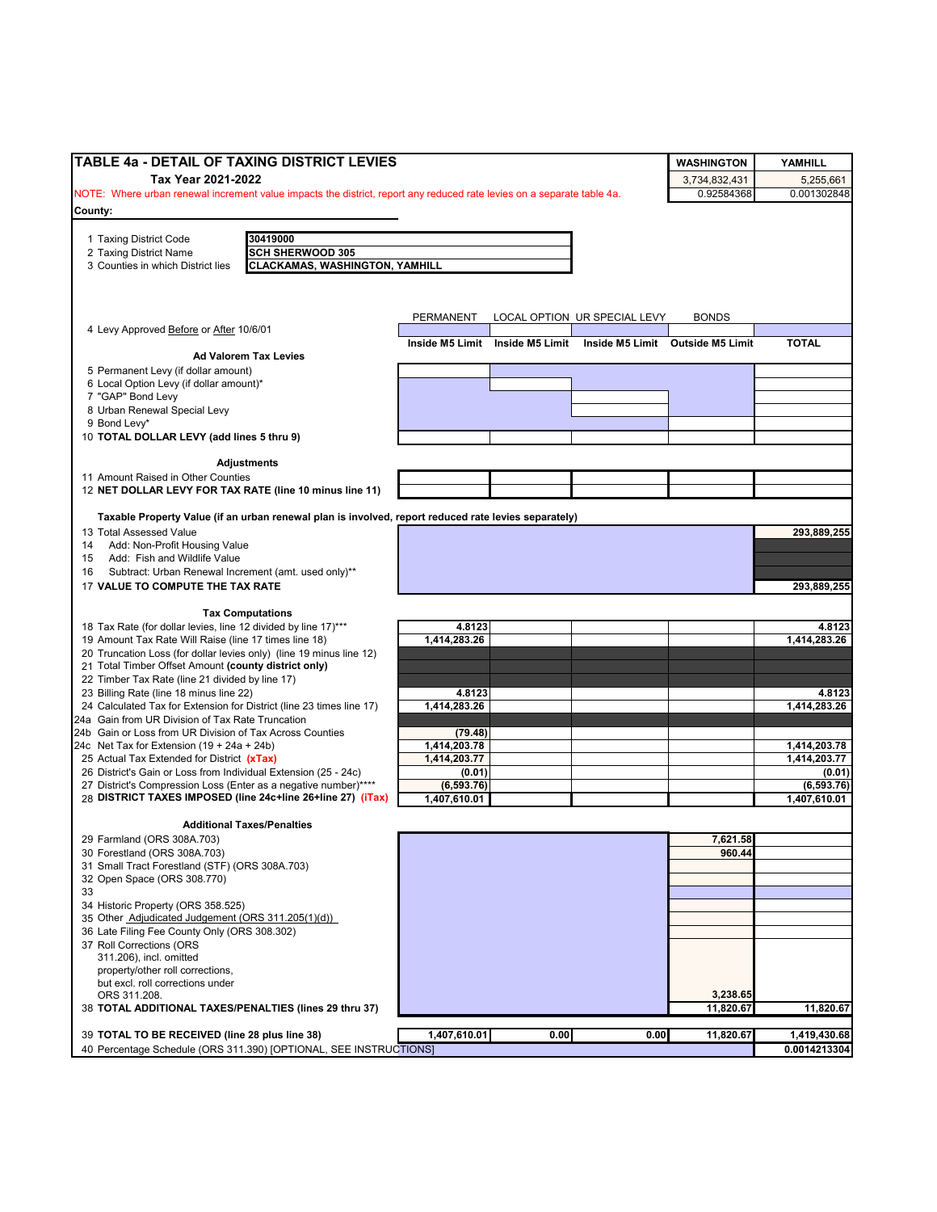| TABLE 4a - DETAIL OF TAXING DISTRICT LEVIES                                                                            |                         |                                 |                              | <b>WASHINGTON</b>                | YAMHILL      |
|------------------------------------------------------------------------------------------------------------------------|-------------------------|---------------------------------|------------------------------|----------------------------------|--------------|
| Tax Year 2021-2022                                                                                                     |                         |                                 |                              | 3,734,832,431                    | 5,255,661    |
| NOTE: Where urban renewal increment value impacts the district, report any reduced rate levies on a separate table 4a. |                         |                                 |                              | 0.92584368                       | 0.001302848  |
| County:                                                                                                                |                         |                                 |                              |                                  |              |
|                                                                                                                        |                         |                                 |                              |                                  |              |
| 30419000<br>1 Taxing District Code<br><b>SCH SHERWOOD 305</b><br>2 Taxing District Name                                |                         |                                 |                              |                                  |              |
| 3 Counties in which District lies<br><b>CLACKAMAS, WASHINGTON, YAMHILL</b>                                             |                         |                                 |                              |                                  |              |
|                                                                                                                        |                         |                                 |                              |                                  |              |
|                                                                                                                        |                         |                                 |                              |                                  |              |
|                                                                                                                        | PERMANENT               |                                 | LOCAL OPTION UR SPECIAL LEVY | <b>BONDS</b>                     |              |
| 4 Levy Approved Before or After 10/6/01                                                                                |                         |                                 |                              |                                  |              |
|                                                                                                                        |                         | Inside M5 Limit Inside M5 Limit |                              | Inside M5 Limit Outside M5 Limit | <b>TOTAL</b> |
| <b>Ad Valorem Tax Levies</b>                                                                                           |                         |                                 |                              |                                  |              |
| 5 Permanent Levy (if dollar amount)                                                                                    |                         |                                 |                              |                                  |              |
| 6 Local Option Levy (if dollar amount)*<br>7 "GAP" Bond Levy                                                           |                         |                                 |                              |                                  |              |
| 8 Urban Renewal Special Levy                                                                                           |                         |                                 |                              |                                  |              |
| 9 Bond Levy*                                                                                                           |                         |                                 |                              |                                  |              |
| 10 TOTAL DOLLAR LEVY (add lines 5 thru 9)                                                                              |                         |                                 |                              |                                  |              |
|                                                                                                                        |                         |                                 |                              |                                  |              |
| <b>Adjustments</b>                                                                                                     |                         |                                 |                              |                                  |              |
| 11 Amount Raised in Other Counties                                                                                     |                         |                                 |                              |                                  |              |
| 12 NET DOLLAR LEVY FOR TAX RATE (line 10 minus line 11)                                                                |                         |                                 |                              |                                  |              |
| Taxable Property Value (if an urban renewal plan is involved, report reduced rate levies separately)                   |                         |                                 |                              |                                  |              |
| 13 Total Assessed Value                                                                                                |                         |                                 |                              |                                  | 293,889,255  |
| Add: Non-Profit Housing Value<br>14                                                                                    |                         |                                 |                              |                                  |              |
| Add: Fish and Wildlife Value<br>15                                                                                     |                         |                                 |                              |                                  |              |
| Subtract: Urban Renewal Increment (amt. used only)**<br>16                                                             |                         |                                 |                              |                                  |              |
| 17 VALUE TO COMPUTE THE TAX RATE                                                                                       |                         |                                 |                              |                                  | 293,889,255  |
|                                                                                                                        |                         |                                 |                              |                                  |              |
| <b>Tax Computations</b><br>18 Tax Rate (for dollar levies, line 12 divided by line 17)***                              | 4.8123                  |                                 |                              |                                  | 4.8123       |
| 19 Amount Tax Rate Will Raise (line 17 times line 18)                                                                  | 1,414,283.26            |                                 |                              |                                  | 1,414,283.26 |
| 20 Truncation Loss (for dollar levies only) (line 19 minus line 12)                                                    |                         |                                 |                              |                                  |              |
| 21 Total Timber Offset Amount (county district only)                                                                   |                         |                                 |                              |                                  |              |
| 22 Timber Tax Rate (line 21 divided by line 17)                                                                        |                         |                                 |                              |                                  |              |
| 23 Billing Rate (line 18 minus line 22)                                                                                | 4.8123                  |                                 |                              |                                  | 4.8123       |
| 24 Calculated Tax for Extension for District (line 23 times line 17)                                                   | 1,414,283.26            |                                 |                              |                                  | 1,414,283.26 |
| 24a Gain from UR Division of Tax Rate Truncation                                                                       |                         |                                 |                              |                                  |              |
| 24b Gain or Loss from UR Division of Tax Across Counties                                                               | (79.48)<br>1,414,203.78 |                                 |                              |                                  | 1,414,203.78 |
| 24c Net Tax for Extension $(19 + 24a + 24b)$<br>25 Actual Tax Extended for District (xTax)                             | 1,414,203.77            |                                 |                              |                                  | 1,414,203.77 |
| 26 District's Gain or Loss from Individual Extension (25 - 24c)                                                        | (0.01)                  |                                 |                              |                                  | (0.01)       |
| 27 District's Compression Loss (Enter as a negative number)****                                                        | (6, 593.76)             |                                 |                              |                                  | (6, 593.76)  |
| 28 DISTRICT TAXES IMPOSED (line 24c+line 26+line 27) (iTax)                                                            | 1,407,610.01            |                                 |                              |                                  | 1,407,610.01 |
|                                                                                                                        |                         |                                 |                              |                                  |              |
| <b>Additional Taxes/Penalties</b>                                                                                      |                         |                                 |                              |                                  |              |
| 29 Farmland (ORS 308A.703)<br>30 Forestland (ORS 308A.703)                                                             |                         |                                 |                              | 7,621.58<br>960.44               |              |
| 31 Small Tract Forestland (STF) (ORS 308A.703)                                                                         |                         |                                 |                              |                                  |              |
| 32 Open Space (ORS 308.770)                                                                                            |                         |                                 |                              |                                  |              |
| 33                                                                                                                     |                         |                                 |                              |                                  |              |
| 34 Historic Property (ORS 358.525)                                                                                     |                         |                                 |                              |                                  |              |
| 35 Other Adjudicated Judgement (ORS 311.205(1)(d))                                                                     |                         |                                 |                              |                                  |              |
| 36 Late Filing Fee County Only (ORS 308.302)                                                                           |                         |                                 |                              |                                  |              |
| 37 Roll Corrections (ORS                                                                                               |                         |                                 |                              |                                  |              |
| 311.206), incl. omitted                                                                                                |                         |                                 |                              |                                  |              |
| property/other roll corrections,<br>but excl. roll corrections under                                                   |                         |                                 |                              |                                  |              |
| ORS 311.208.                                                                                                           |                         |                                 |                              | 3,238.65                         |              |
| 38 TOTAL ADDITIONAL TAXES/PENALTIES (lines 29 thru 37)                                                                 |                         |                                 |                              | 11,820.67                        | 11,820.67    |
|                                                                                                                        |                         |                                 |                              |                                  |              |
| 39 TOTAL TO BE RECEIVED (line 28 plus line 38)                                                                         | 1,407,610.01            | 0.00                            | 0.00                         | 11,820.67                        | 1,419,430.68 |
| 40 Percentage Schedule (ORS 311.390) [OPTIONAL, SEE INSTRUCTIONS]                                                      |                         |                                 |                              |                                  | 0.0014213304 |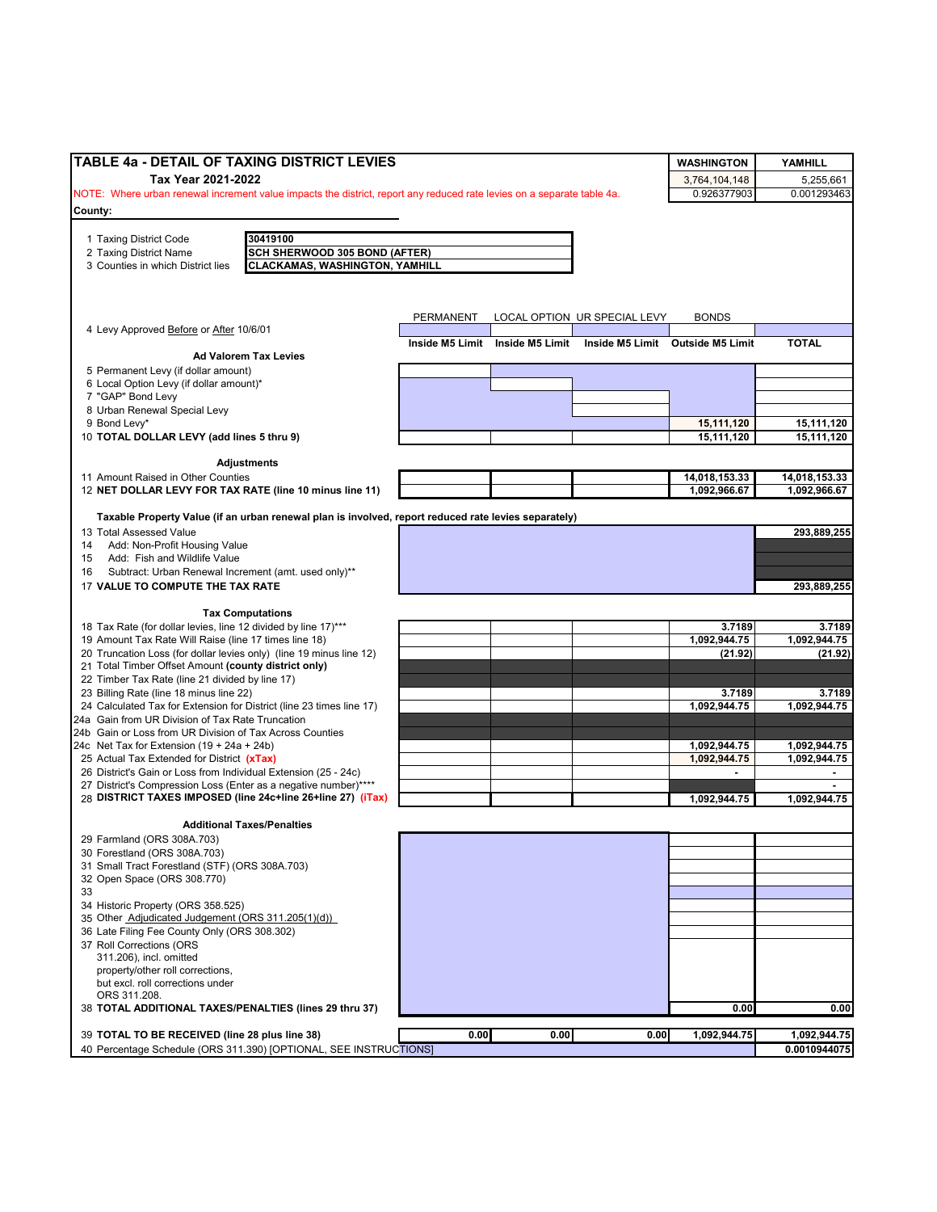| TABLE 4a - DETAIL OF TAXING DISTRICT LEVIES                                                                                        |           |                                 |                              | <b>WASHINGTON</b>                | YAMHILL                 |
|------------------------------------------------------------------------------------------------------------------------------------|-----------|---------------------------------|------------------------------|----------------------------------|-------------------------|
| Tax Year 2021-2022                                                                                                                 |           |                                 |                              |                                  | 5,255,661               |
| NOTE: Where urban renewal increment value impacts the district, report any reduced rate levies on a separate table 4a.             |           |                                 |                              | 3,764,104,148<br>0.926377903     | 0.001293463             |
| County:                                                                                                                            |           |                                 |                              |                                  |                         |
|                                                                                                                                    |           |                                 |                              |                                  |                         |
| 1 Taxing District Code<br>30419100<br>2 Taxing District Name<br><b>SCH SHERWOOD 305 BOND (AFTER)</b>                               |           |                                 |                              |                                  |                         |
| <b>CLACKAMAS, WASHINGTON, YAMHILL</b><br>3 Counties in which District lies                                                         |           |                                 |                              |                                  |                         |
|                                                                                                                                    |           |                                 |                              |                                  |                         |
|                                                                                                                                    |           |                                 |                              |                                  |                         |
|                                                                                                                                    |           |                                 | LOCAL OPTION UR SPECIAL LEVY | <b>BONDS</b>                     |                         |
| 4 Levy Approved Before or After 10/6/01                                                                                            | PERMANENT |                                 |                              |                                  |                         |
|                                                                                                                                    |           | Inside M5 Limit Inside M5 Limit |                              | Inside M5 Limit Outside M5 Limit | <b>TOTAL</b>            |
| <b>Ad Valorem Tax Levies</b>                                                                                                       |           |                                 |                              |                                  |                         |
| 5 Permanent Levy (if dollar amount)                                                                                                |           |                                 |                              |                                  |                         |
| 6 Local Option Levy (if dollar amount)*<br>7 "GAP" Bond Levy                                                                       |           |                                 |                              |                                  |                         |
| 8 Urban Renewal Special Levy                                                                                                       |           |                                 |                              |                                  |                         |
| 9 Bond Levy*                                                                                                                       |           |                                 |                              | 15,111,120                       | 15,111,120              |
| 10 TOTAL DOLLAR LEVY (add lines 5 thru 9)                                                                                          |           |                                 |                              | 15,111,120                       | 15,111,120              |
|                                                                                                                                    |           |                                 |                              |                                  |                         |
| <b>Adjustments</b>                                                                                                                 |           |                                 |                              |                                  |                         |
| 11 Amount Raised in Other Counties                                                                                                 |           |                                 |                              | 14,018,153.33                    | 14,018,153.33           |
| 12 NET DOLLAR LEVY FOR TAX RATE (line 10 minus line 11)                                                                            |           |                                 |                              | 1,092,966.67                     | 1,092,966.67            |
| Taxable Property Value (if an urban renewal plan is involved, report reduced rate levies separately)                               |           |                                 |                              |                                  |                         |
| 13 Total Assessed Value                                                                                                            |           |                                 |                              |                                  | 293,889,255             |
| Add: Non-Profit Housing Value<br>14                                                                                                |           |                                 |                              |                                  |                         |
| 15 Add: Fish and Wildlife Value                                                                                                    |           |                                 |                              |                                  |                         |
| Subtract: Urban Renewal Increment (amt. used only)**<br>16                                                                         |           |                                 |                              |                                  |                         |
| 17 VALUE TO COMPUTE THE TAX RATE                                                                                                   |           |                                 |                              |                                  | 293,889,255             |
|                                                                                                                                    |           |                                 |                              |                                  |                         |
| <b>Tax Computations</b>                                                                                                            |           |                                 |                              |                                  |                         |
| 18 Tax Rate (for dollar levies, line 12 divided by line 17)***                                                                     |           |                                 |                              | 3.7189                           | 3.7189                  |
| 19 Amount Tax Rate Will Raise (line 17 times line 18)<br>20 Truncation Loss (for dollar levies only) (line 19 minus line 12)       |           |                                 |                              | 1,092,944.75<br>(21.92)          | 1,092,944.75<br>(21.92) |
| 21 Total Timber Offset Amount (county district only)                                                                               |           |                                 |                              |                                  |                         |
| 22 Timber Tax Rate (line 21 divided by line 17)                                                                                    |           |                                 |                              |                                  |                         |
| 23 Billing Rate (line 18 minus line 22)                                                                                            |           |                                 |                              | 3.7189                           | 3.7189                  |
| 24 Calculated Tax for Extension for District (line 23 times line 17)                                                               |           |                                 |                              | 1,092,944.75                     | 1,092,944.75            |
| 24a Gain from UR Division of Tax Rate Truncation                                                                                   |           |                                 |                              |                                  |                         |
| 24b Gain or Loss from UR Division of Tax Across Counties                                                                           |           |                                 |                              |                                  |                         |
| 24c Net Tax for Extension $(19 + 24a + 24b)$                                                                                       |           |                                 |                              | 1,092,944.75                     | 1,092,944.75            |
| 25 Actual Tax Extended for District (xTax)                                                                                         |           |                                 |                              | 1,092,944.75                     | 1,092,944.75            |
| 26 District's Gain or Loss from Individual Extension (25 - 24c)<br>27 District's Compression Loss (Enter as a negative number)**** |           |                                 |                              |                                  |                         |
| 28 DISTRICT TAXES IMPOSED (line 24c+line 26+line 27) (iTax)                                                                        |           |                                 |                              | 1,092,944.75                     | 1,092,944.75            |
|                                                                                                                                    |           |                                 |                              |                                  |                         |
| <b>Additional Taxes/Penalties</b>                                                                                                  |           |                                 |                              |                                  |                         |
| 29 Farmland (ORS 308A.703)                                                                                                         |           |                                 |                              |                                  |                         |
| 30 Forestland (ORS 308A.703)                                                                                                       |           |                                 |                              |                                  |                         |
| 31 Small Tract Forestland (STF) (ORS 308A.703)                                                                                     |           |                                 |                              |                                  |                         |
| 32 Open Space (ORS 308.770)<br>33                                                                                                  |           |                                 |                              |                                  |                         |
| 34 Historic Property (ORS 358.525)                                                                                                 |           |                                 |                              |                                  |                         |
| 35 Other Adjudicated Judgement (ORS 311.205(1)(d))                                                                                 |           |                                 |                              |                                  |                         |
| 36 Late Filing Fee County Only (ORS 308.302)                                                                                       |           |                                 |                              |                                  |                         |
| 37 Roll Corrections (ORS                                                                                                           |           |                                 |                              |                                  |                         |
| 311.206), incl. omitted                                                                                                            |           |                                 |                              |                                  |                         |
| property/other roll corrections,                                                                                                   |           |                                 |                              |                                  |                         |
| but excl. roll corrections under                                                                                                   |           |                                 |                              |                                  |                         |
| ORS 311.208.                                                                                                                       |           |                                 |                              |                                  |                         |
| 38 TOTAL ADDITIONAL TAXES/PENALTIES (lines 29 thru 37)                                                                             |           |                                 |                              | 0.00                             | 0.00                    |
| 39 TOTAL TO BE RECEIVED (line 28 plus line 38)                                                                                     | 0.00      | 0.00                            | 0.00                         | 1,092,944.75                     | 1,092,944.75            |
| 40 Percentage Schedule (ORS 311.390) [OPTIONAL, SEE INSTRUCTIONS]                                                                  |           |                                 |                              |                                  | 0.0010944075            |
|                                                                                                                                    |           |                                 |                              |                                  |                         |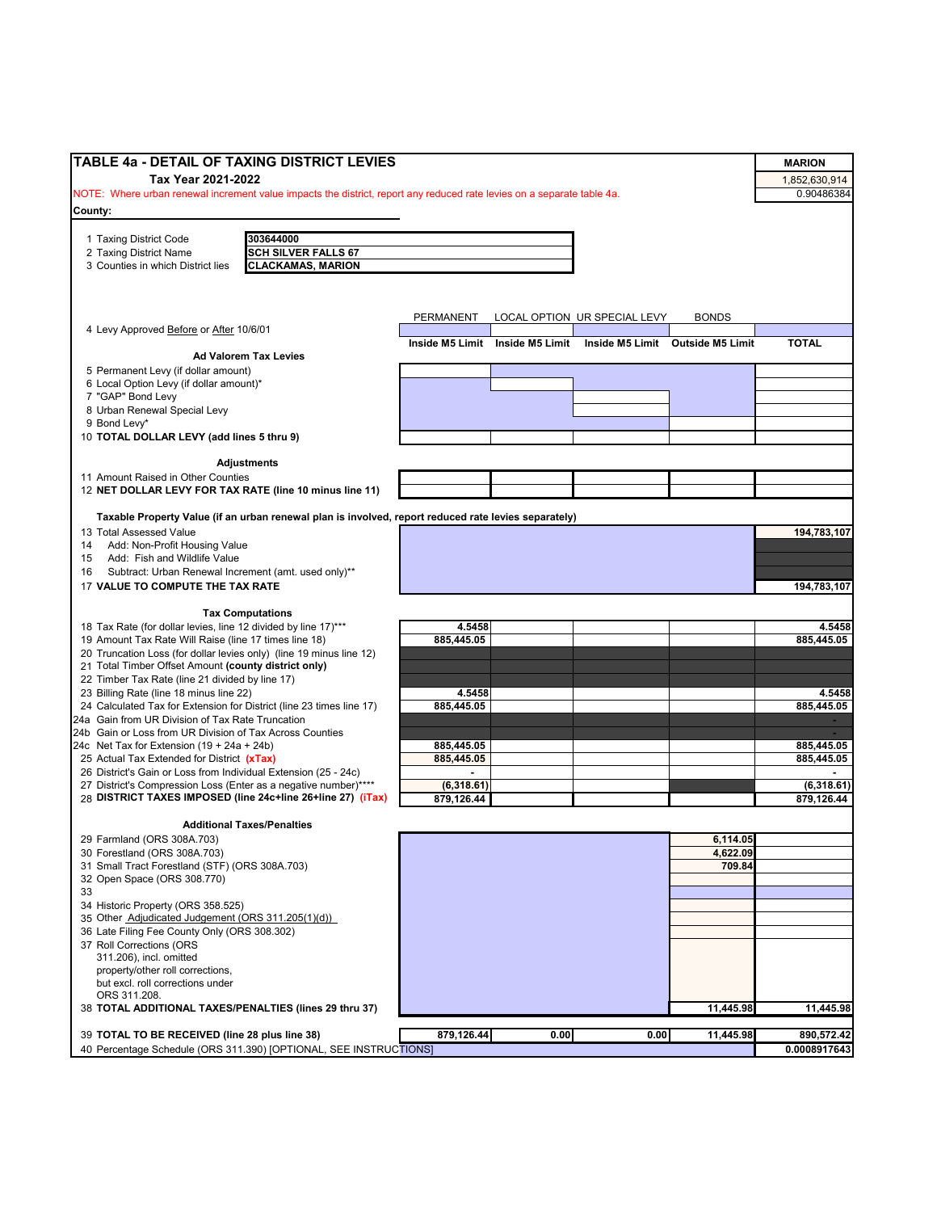| TABLE 4a - DETAIL OF TAXING DISTRICT LEVIES                                                                                    |                 |                 |                              |                                  | <b>MARION</b> |
|--------------------------------------------------------------------------------------------------------------------------------|-----------------|-----------------|------------------------------|----------------------------------|---------------|
| Tax Year 2021-2022                                                                                                             |                 |                 |                              |                                  | 1,852,630,914 |
| NOTE: Where urban renewal increment value impacts the district, report any reduced rate levies on a separate table 4a.         |                 |                 |                              |                                  | 0.90486384    |
| County:                                                                                                                        |                 |                 |                              |                                  |               |
|                                                                                                                                |                 |                 |                              |                                  |               |
| 303644000<br>1 Taxing District Code                                                                                            |                 |                 |                              |                                  |               |
| <b>SCH SILVER FALLS 67</b><br>2 Taxing District Name                                                                           |                 |                 |                              |                                  |               |
| 3 Counties in which District lies<br><b>CLACKAMAS, MARION</b>                                                                  |                 |                 |                              |                                  |               |
|                                                                                                                                |                 |                 |                              |                                  |               |
|                                                                                                                                |                 |                 |                              |                                  |               |
|                                                                                                                                | PERMANENT       |                 | LOCAL OPTION UR SPECIAL LEVY | <b>BONDS</b>                     |               |
| 4 Levy Approved Before or After 10/6/01                                                                                        | Inside M5 Limit | Inside M5 Limit |                              | Inside M5 Limit Outside M5 Limit | <b>TOTAL</b>  |
| <b>Ad Valorem Tax Levies</b>                                                                                                   |                 |                 |                              |                                  |               |
| 5 Permanent Levy (if dollar amount)                                                                                            |                 |                 |                              |                                  |               |
| 6 Local Option Levy (if dollar amount)*                                                                                        |                 |                 |                              |                                  |               |
| 7 "GAP" Bond Levy                                                                                                              |                 |                 |                              |                                  |               |
| 8 Urban Renewal Special Levy                                                                                                   |                 |                 |                              |                                  |               |
| 9 Bond Levy*                                                                                                                   |                 |                 |                              |                                  |               |
| 10 TOTAL DOLLAR LEVY (add lines 5 thru 9)                                                                                      |                 |                 |                              |                                  |               |
|                                                                                                                                |                 |                 |                              |                                  |               |
| <b>Adjustments</b><br>11 Amount Raised in Other Counties                                                                       |                 |                 |                              |                                  |               |
| 12 NET DOLLAR LEVY FOR TAX RATE (line 10 minus line 11)                                                                        |                 |                 |                              |                                  |               |
|                                                                                                                                |                 |                 |                              |                                  |               |
| Taxable Property Value (if an urban renewal plan is involved, report reduced rate levies separately)                           |                 |                 |                              |                                  |               |
| 13 Total Assessed Value                                                                                                        |                 |                 |                              |                                  | 194,783,107   |
| Add: Non-Profit Housing Value<br>14                                                                                            |                 |                 |                              |                                  |               |
| Add: Fish and Wildlife Value<br>15                                                                                             |                 |                 |                              |                                  |               |
| Subtract: Urban Renewal Increment (amt. used only)**<br>16                                                                     |                 |                 |                              |                                  |               |
| 17 VALUE TO COMPUTE THE TAX RATE                                                                                               |                 |                 |                              |                                  | 194,783,107   |
|                                                                                                                                |                 |                 |                              |                                  |               |
| <b>Tax Computations</b><br>18 Tax Rate (for dollar levies, line 12 divided by line 17)***                                      | 4.5458          |                 |                              |                                  | 4.5458        |
| 19 Amount Tax Rate Will Raise (line 17 times line 18)                                                                          | 885,445.05      |                 |                              |                                  | 885,445.05    |
| 20 Truncation Loss (for dollar levies only) (line 19 minus line 12)                                                            |                 |                 |                              |                                  |               |
| 21 Total Timber Offset Amount (county district only)                                                                           |                 |                 |                              |                                  |               |
| 22 Timber Tax Rate (line 21 divided by line 17)                                                                                |                 |                 |                              |                                  |               |
| 23 Billing Rate (line 18 minus line 22)                                                                                        | 4.5458          |                 |                              |                                  | 4.5458        |
| 24 Calculated Tax for Extension for District (line 23 times line 17)                                                           | 885,445.05      |                 |                              |                                  | 885,445.05    |
| 24a Gain from UR Division of Tax Rate Truncation                                                                               |                 |                 |                              |                                  |               |
| 24b Gain or Loss from UR Division of Tax Across Counties                                                                       |                 |                 |                              |                                  |               |
| 24c Net Tax for Extension $(19 + 24a + 24b)$                                                                                   | 885,445.05      |                 |                              |                                  | 885,445.05    |
| 25 Actual Tax Extended for District (xTax)                                                                                     | 885,445.05      |                 |                              |                                  | 885,445.05    |
| 26 District's Gain or Loss from Individual Extension (25 - 24c)                                                                | $\blacksquare$  |                 |                              |                                  |               |
| 27 District's Compression Loss (Enter as a negative number)****<br>28 DISTRICT TAXES IMPOSED (line 24c+line 26+line 27) (iTax) | (6,318.61)      |                 |                              |                                  | (6,318.61)    |
|                                                                                                                                | 879.126.44      |                 |                              |                                  | 879,126.44    |
| <b>Additional Taxes/Penalties</b>                                                                                              |                 |                 |                              |                                  |               |
| 29 Farmland (ORS 308A.703)                                                                                                     |                 |                 |                              | 6,114.05                         |               |
| 30 Forestland (ORS 308A.703)                                                                                                   |                 |                 |                              | 4,622.09                         |               |
| 31 Small Tract Forestland (STF) (ORS 308A.703)                                                                                 |                 |                 |                              | 709.84                           |               |
| 32 Open Space (ORS 308.770)                                                                                                    |                 |                 |                              |                                  |               |
| 33                                                                                                                             |                 |                 |                              |                                  |               |
| 34 Historic Property (ORS 358.525)                                                                                             |                 |                 |                              |                                  |               |
| 35 Other Adjudicated Judgement (ORS 311.205(1)(d))                                                                             |                 |                 |                              |                                  |               |
| 36 Late Filing Fee County Only (ORS 308.302)                                                                                   |                 |                 |                              |                                  |               |
| 37 Roll Corrections (ORS                                                                                                       |                 |                 |                              |                                  |               |
| 311.206), incl. omitted                                                                                                        |                 |                 |                              |                                  |               |
| property/other roll corrections,                                                                                               |                 |                 |                              |                                  |               |
| but excl. roll corrections under                                                                                               |                 |                 |                              |                                  |               |
| ORS 311.208.<br>38 TOTAL ADDITIONAL TAXES/PENALTIES (lines 29 thru 37)                                                         |                 |                 |                              | 11,445.98                        | 11,445.98     |
|                                                                                                                                |                 |                 |                              |                                  |               |
| 39 TOTAL TO BE RECEIVED (line 28 plus line 38)                                                                                 | 879,126.44      | 0.00            | 0.00                         | 11,445.98                        | 890,572.42    |
| 40 Percentage Schedule (ORS 311.390) [OPTIONAL, SEE INSTRUCTIONS]                                                              |                 |                 |                              |                                  | 0.0008917643  |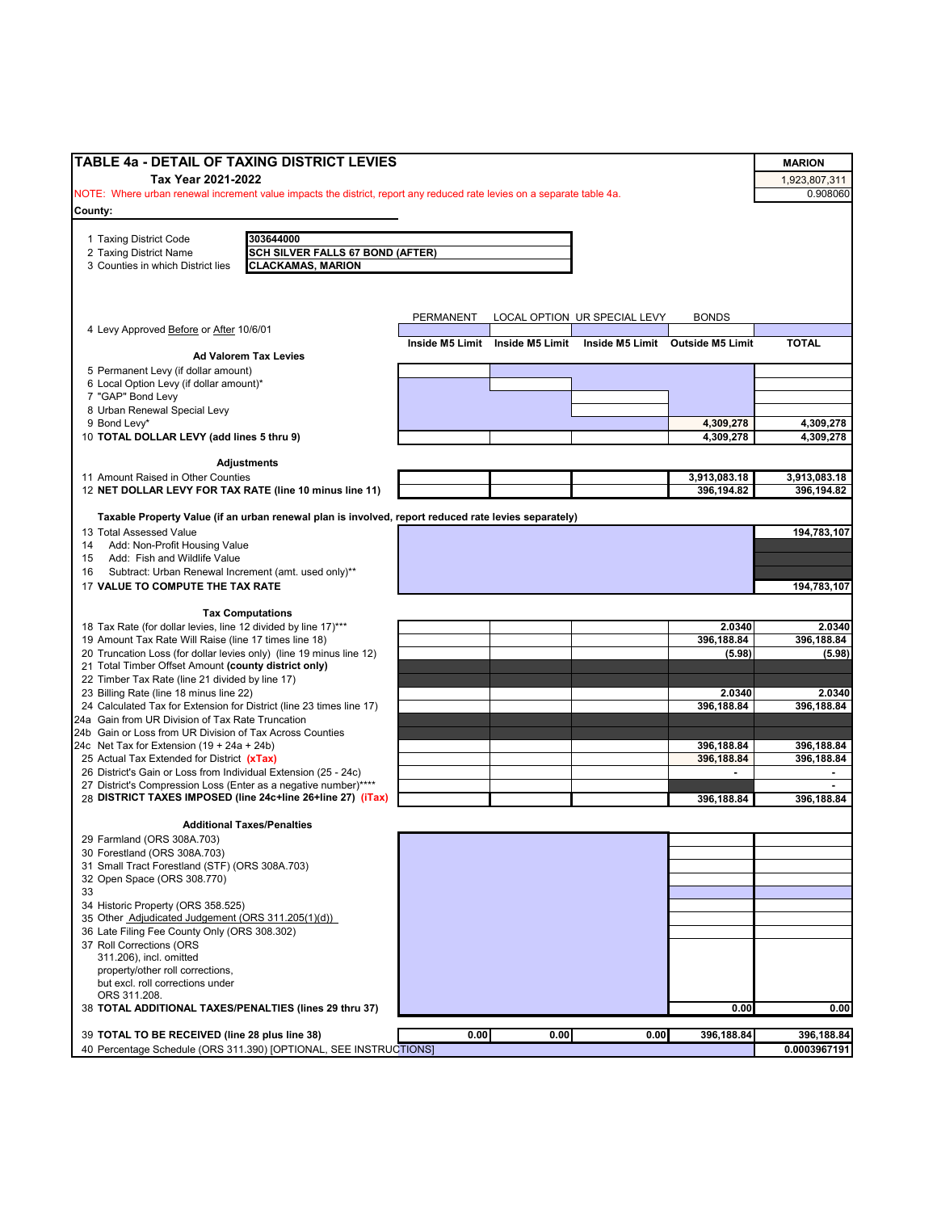| <b>TABLE 4a - DETAIL OF TAXING DISTRICT LEVIES</b>                                                                                           |                 |                 |                              |                                  |                           |
|----------------------------------------------------------------------------------------------------------------------------------------------|-----------------|-----------------|------------------------------|----------------------------------|---------------------------|
|                                                                                                                                              |                 |                 |                              |                                  | <b>MARION</b>             |
| Tax Year 2021-2022<br>NOTE: Where urban renewal increment value impacts the district, report any reduced rate levies on a separate table 4a. |                 |                 |                              |                                  | 1,923,807,311<br>0.908060 |
|                                                                                                                                              |                 |                 |                              |                                  |                           |
| County:                                                                                                                                      |                 |                 |                              |                                  |                           |
| 303644000<br>1 Taxing District Code                                                                                                          |                 |                 |                              |                                  |                           |
| SCH SILVER FALLS 67 BOND (AFTER)<br>2 Taxing District Name                                                                                   |                 |                 |                              |                                  |                           |
| <b>CLACKAMAS, MARION</b><br>3 Counties in which District lies                                                                                |                 |                 |                              |                                  |                           |
|                                                                                                                                              |                 |                 |                              |                                  |                           |
|                                                                                                                                              |                 |                 |                              |                                  |                           |
|                                                                                                                                              |                 |                 |                              |                                  |                           |
| 4 Levy Approved Before or After 10/6/01                                                                                                      | PERMANENT       |                 | LOCAL OPTION UR SPECIAL LEVY | <b>BONDS</b>                     |                           |
|                                                                                                                                              | Inside M5 Limit | Inside M5 Limit |                              | Inside M5 Limit Outside M5 Limit | <b>TOTAL</b>              |
| <b>Ad Valorem Tax Levies</b>                                                                                                                 |                 |                 |                              |                                  |                           |
| 5 Permanent Levy (if dollar amount)                                                                                                          |                 |                 |                              |                                  |                           |
| 6 Local Option Levy (if dollar amount)*                                                                                                      |                 |                 |                              |                                  |                           |
| 7 "GAP" Bond Levy                                                                                                                            |                 |                 |                              |                                  |                           |
| 8 Urban Renewal Special Levy<br>9 Bond Levy*                                                                                                 |                 |                 |                              | 4,309,278                        | 4,309,278                 |
| 10 TOTAL DOLLAR LEVY (add lines 5 thru 9)                                                                                                    |                 |                 |                              | 4,309,278                        | 4,309,278                 |
|                                                                                                                                              |                 |                 |                              |                                  |                           |
| <b>Adjustments</b>                                                                                                                           |                 |                 |                              |                                  |                           |
| 11 Amount Raised in Other Counties                                                                                                           |                 |                 |                              | 3,913,083.18                     | 3,913,083.18              |
| 12 NET DOLLAR LEVY FOR TAX RATE (line 10 minus line 11)                                                                                      |                 |                 |                              | 396,194.82                       | 396,194.82                |
|                                                                                                                                              |                 |                 |                              |                                  |                           |
| Taxable Property Value (if an urban renewal plan is involved, report reduced rate levies separately)                                         |                 |                 |                              |                                  |                           |
| 13 Total Assessed Value                                                                                                                      |                 |                 |                              |                                  | 194,783,107               |
| Add: Non-Profit Housing Value<br>14                                                                                                          |                 |                 |                              |                                  |                           |
| Add: Fish and Wildlife Value<br>15<br>Subtract: Urban Renewal Increment (amt. used only)**<br>16                                             |                 |                 |                              |                                  |                           |
| 17 VALUE TO COMPUTE THE TAX RATE                                                                                                             |                 |                 |                              |                                  | 194.783.107               |
|                                                                                                                                              |                 |                 |                              |                                  |                           |
| <b>Tax Computations</b>                                                                                                                      |                 |                 |                              |                                  |                           |
| 18 Tax Rate (for dollar levies, line 12 divided by line 17)***                                                                               |                 |                 |                              | 2.0340                           | 2.0340                    |
| 19 Amount Tax Rate Will Raise (line 17 times line 18)                                                                                        |                 |                 |                              | 396,188.84                       | 396,188.84                |
| 20 Truncation Loss (for dollar levies only) (line 19 minus line 12)                                                                          |                 |                 |                              | (5.98)                           | (5.98)                    |
| 21 Total Timber Offset Amount (county district only)                                                                                         |                 |                 |                              |                                  |                           |
| 22 Timber Tax Rate (line 21 divided by line 17)                                                                                              |                 |                 |                              |                                  |                           |
| 23 Billing Rate (line 18 minus line 22)                                                                                                      |                 |                 |                              | 2.0340                           | 2.0340                    |
| 24 Calculated Tax for Extension for District (line 23 times line 17)<br>24a Gain from UR Division of Tax Rate Truncation                     |                 |                 |                              | 396,188.84                       | 396,188.84                |
| 24b Gain or Loss from UR Division of Tax Across Counties                                                                                     |                 |                 |                              |                                  |                           |
| 24c Net Tax for Extension $(19 + 24a + 24b)$                                                                                                 |                 |                 |                              | 396,188.84                       | 396,188.84                |
| 25 Actual Tax Extended for District (xTax)                                                                                                   |                 |                 |                              | 396,188.84                       | 396,188.84                |
| 26 District's Gain or Loss from Individual Extension (25 - 24c)                                                                              |                 |                 |                              |                                  |                           |
| 27 District's Compression Loss (Enter as a negative number)****                                                                              |                 |                 |                              |                                  |                           |
| 28 DISTRICT TAXES IMPOSED (line 24c+line 26+line 27) (iTax)                                                                                  |                 |                 |                              | 396,188.84                       | 396.188.84                |
|                                                                                                                                              |                 |                 |                              |                                  |                           |
| <b>Additional Taxes/Penalties</b>                                                                                                            |                 |                 |                              |                                  |                           |
| 29 Farmland (ORS 308A.703)<br>30 Forestland (ORS 308A.703)                                                                                   |                 |                 |                              |                                  |                           |
| 31 Small Tract Forestland (STF) (ORS 308A.703)                                                                                               |                 |                 |                              |                                  |                           |
| 32 Open Space (ORS 308.770)                                                                                                                  |                 |                 |                              |                                  |                           |
| 33                                                                                                                                           |                 |                 |                              |                                  |                           |
| 34 Historic Property (ORS 358.525)                                                                                                           |                 |                 |                              |                                  |                           |
| 35 Other Adjudicated Judgement (ORS 311.205(1)(d))                                                                                           |                 |                 |                              |                                  |                           |
| 36 Late Filing Fee County Only (ORS 308.302)                                                                                                 |                 |                 |                              |                                  |                           |
| 37 Roll Corrections (ORS                                                                                                                     |                 |                 |                              |                                  |                           |
| 311.206), incl. omitted                                                                                                                      |                 |                 |                              |                                  |                           |
| property/other roll corrections,                                                                                                             |                 |                 |                              |                                  |                           |
| but excl. roll corrections under                                                                                                             |                 |                 |                              |                                  |                           |
| ORS 311.208.<br>38 TOTAL ADDITIONAL TAXES/PENALTIES (lines 29 thru 37)                                                                       |                 |                 |                              | 0.00                             | 0.00                      |
|                                                                                                                                              |                 |                 |                              |                                  |                           |
| 39 TOTAL TO BE RECEIVED (line 28 plus line 38)                                                                                               | 0.00            | 0.00            | 0.00                         | 396,188.84                       | 396,188.84                |
| 40 Percentage Schedule (ORS 311.390) [OPTIONAL, SEE INSTRUCTIONS]                                                                            |                 |                 |                              |                                  | 0.0003967191              |
|                                                                                                                                              |                 |                 |                              |                                  |                           |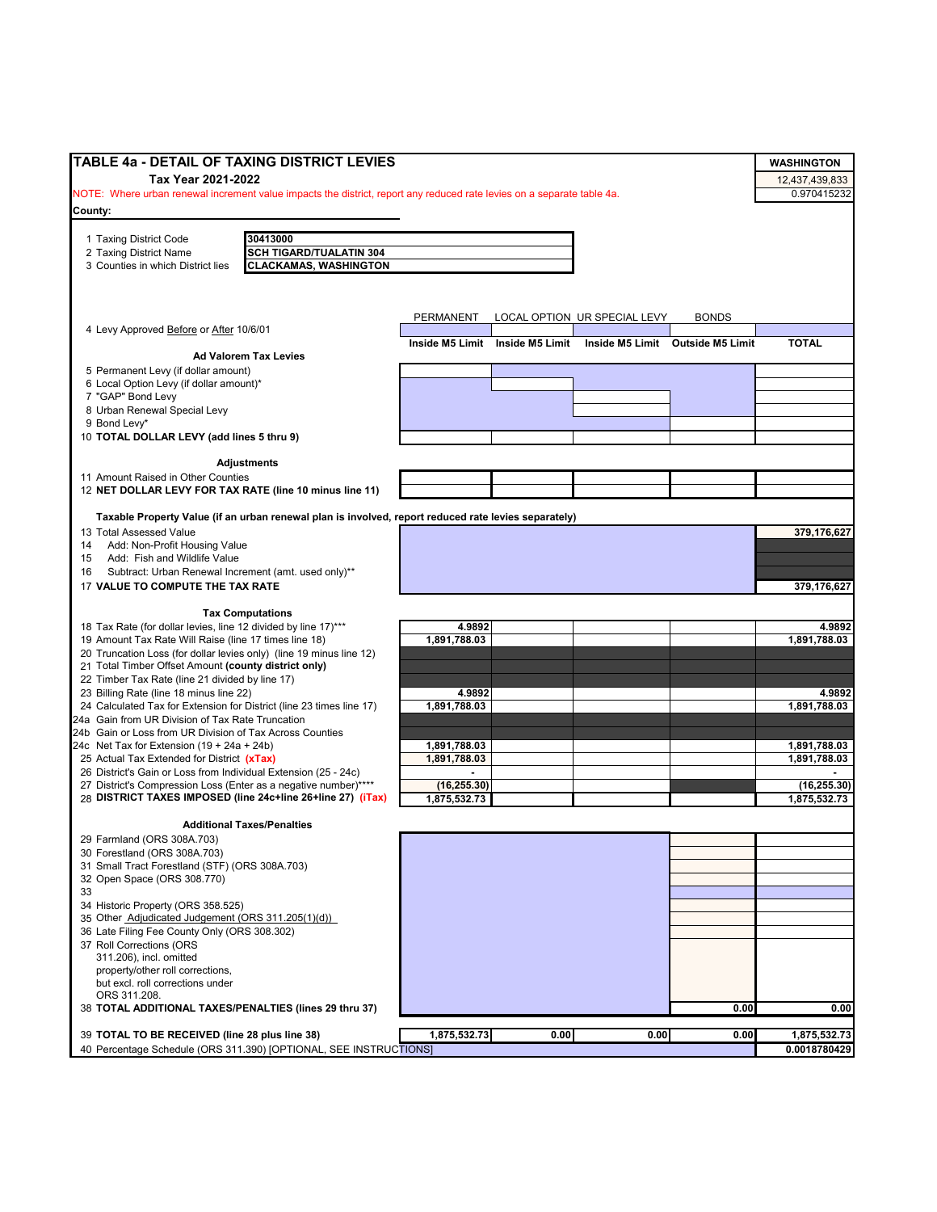| TABLE 4a - DETAIL OF TAXING DISTRICT LEVIES                                                                              |                 |                 |                              |                                  | <b>WASHINGTON</b> |
|--------------------------------------------------------------------------------------------------------------------------|-----------------|-----------------|------------------------------|----------------------------------|-------------------|
| Tax Year 2021-2022                                                                                                       |                 |                 |                              |                                  | 12,437,439,833    |
| NOTE: Where urban renewal increment value impacts the district, report any reduced rate levies on a separate table 4a.   |                 |                 |                              |                                  | 0.970415232       |
| County:                                                                                                                  |                 |                 |                              |                                  |                   |
|                                                                                                                          |                 |                 |                              |                                  |                   |
| 30413000<br>1 Taxing District Code                                                                                       |                 |                 |                              |                                  |                   |
| SCH TIGARD/TUALATIN 304<br>2 Taxing District Name                                                                        |                 |                 |                              |                                  |                   |
| <b>CLACKAMAS, WASHINGTON</b><br>3 Counties in which District lies                                                        |                 |                 |                              |                                  |                   |
|                                                                                                                          |                 |                 |                              |                                  |                   |
|                                                                                                                          |                 |                 |                              |                                  |                   |
|                                                                                                                          | PERMANENT       |                 | LOCAL OPTION UR SPECIAL LEVY | <b>BONDS</b>                     |                   |
| 4 Levy Approved Before or After 10/6/01                                                                                  | Inside M5 Limit | Inside M5 Limit |                              | Inside M5 Limit Outside M5 Limit | <b>TOTAL</b>      |
| <b>Ad Valorem Tax Levies</b>                                                                                             |                 |                 |                              |                                  |                   |
| 5 Permanent Levy (if dollar amount)                                                                                      |                 |                 |                              |                                  |                   |
| 6 Local Option Levy (if dollar amount)*                                                                                  |                 |                 |                              |                                  |                   |
| 7 "GAP" Bond Levy                                                                                                        |                 |                 |                              |                                  |                   |
| 8 Urban Renewal Special Levy                                                                                             |                 |                 |                              |                                  |                   |
| 9 Bond Levy*<br>10 TOTAL DOLLAR LEVY (add lines 5 thru 9)                                                                |                 |                 |                              |                                  |                   |
|                                                                                                                          |                 |                 |                              |                                  |                   |
| <b>Adjustments</b>                                                                                                       |                 |                 |                              |                                  |                   |
| 11 Amount Raised in Other Counties                                                                                       |                 |                 |                              |                                  |                   |
| 12 NET DOLLAR LEVY FOR TAX RATE (line 10 minus line 11)                                                                  |                 |                 |                              |                                  |                   |
|                                                                                                                          |                 |                 |                              |                                  |                   |
| Taxable Property Value (if an urban renewal plan is involved, report reduced rate levies separately)                     |                 |                 |                              |                                  |                   |
| 13 Total Assessed Value                                                                                                  |                 |                 |                              |                                  | 379,176,627       |
| Add: Non-Profit Housing Value<br>14<br>Add: Fish and Wildlife Value                                                      |                 |                 |                              |                                  |                   |
| 15<br>Subtract: Urban Renewal Increment (amt. used only)**<br>16                                                         |                 |                 |                              |                                  |                   |
| 17 VALUE TO COMPUTE THE TAX RATE                                                                                         |                 |                 |                              |                                  | 379,176,627       |
|                                                                                                                          |                 |                 |                              |                                  |                   |
| <b>Tax Computations</b>                                                                                                  |                 |                 |                              |                                  |                   |
| 18 Tax Rate (for dollar levies, line 12 divided by line 17)***                                                           | 4.9892          |                 |                              |                                  | 4.9892            |
| 19 Amount Tax Rate Will Raise (line 17 times line 18)                                                                    | 1,891,788.03    |                 |                              |                                  | 1,891,788.03      |
| 20 Truncation Loss (for dollar levies only) (line 19 minus line 12)                                                      |                 |                 |                              |                                  |                   |
| 21 Total Timber Offset Amount (county district only)                                                                     |                 |                 |                              |                                  |                   |
| 22 Timber Tax Rate (line 21 divided by line 17)                                                                          |                 |                 |                              |                                  |                   |
| 23 Billing Rate (line 18 minus line 22)                                                                                  | 4.9892          |                 |                              |                                  | 4.9892            |
| 24 Calculated Tax for Extension for District (line 23 times line 17)<br>24a Gain from UR Division of Tax Rate Truncation | 1,891,788.03    |                 |                              |                                  | 1,891,788.03      |
| 24b Gain or Loss from UR Division of Tax Across Counties                                                                 |                 |                 |                              |                                  |                   |
| 24c Net Tax for Extension $(19 + 24a + 24b)$                                                                             | 1,891,788.03    |                 |                              |                                  | 1,891,788.03      |
| 25 Actual Tax Extended for District (xTax)                                                                               | 1,891,788.03    |                 |                              |                                  | 1,891,788.03      |
| 26 District's Gain or Loss from Individual Extension (25 - 24c)                                                          |                 |                 |                              |                                  |                   |
| 27 District's Compression Loss (Enter as a negative number)****                                                          | (16, 255.30)    |                 |                              |                                  | (16, 255.30)      |
| 28 DISTRICT TAXES IMPOSED (line 24c+line 26+line 27) (iTax)                                                              | 1,875,532.73    |                 |                              |                                  | 1,875,532.73      |
|                                                                                                                          |                 |                 |                              |                                  |                   |
| <b>Additional Taxes/Penalties</b>                                                                                        |                 |                 |                              |                                  |                   |
| 29 Farmland (ORS 308A.703)<br>30 Forestland (ORS 308A.703)                                                               |                 |                 |                              |                                  |                   |
| 31 Small Tract Forestland (STF) (ORS 308A.703)                                                                           |                 |                 |                              |                                  |                   |
| 32 Open Space (ORS 308.770)                                                                                              |                 |                 |                              |                                  |                   |
| 33                                                                                                                       |                 |                 |                              |                                  |                   |
| 34 Historic Property (ORS 358.525)                                                                                       |                 |                 |                              |                                  |                   |
| 35 Other Adjudicated Judgement (ORS 311.205(1)(d))                                                                       |                 |                 |                              |                                  |                   |
| 36 Late Filing Fee County Only (ORS 308.302)                                                                             |                 |                 |                              |                                  |                   |
| 37 Roll Corrections (ORS                                                                                                 |                 |                 |                              |                                  |                   |
| 311.206), incl. omitted                                                                                                  |                 |                 |                              |                                  |                   |
| property/other roll corrections,<br>but excl. roll corrections under                                                     |                 |                 |                              |                                  |                   |
| ORS 311.208.                                                                                                             |                 |                 |                              |                                  |                   |
| 38 TOTAL ADDITIONAL TAXES/PENALTIES (lines 29 thru 37)                                                                   |                 |                 |                              | 0.00                             | 0.00              |
|                                                                                                                          |                 |                 |                              |                                  |                   |
| 39 TOTAL TO BE RECEIVED (line 28 plus line 38)                                                                           | 1,875,532.73    | 0.00            | 0.00                         | 0.00                             | 1,875,532.73      |
| 40 Percentage Schedule (ORS 311.390) [OPTIONAL, SEE INSTRUCTIONS]                                                        |                 |                 |                              |                                  | 0.0018780429      |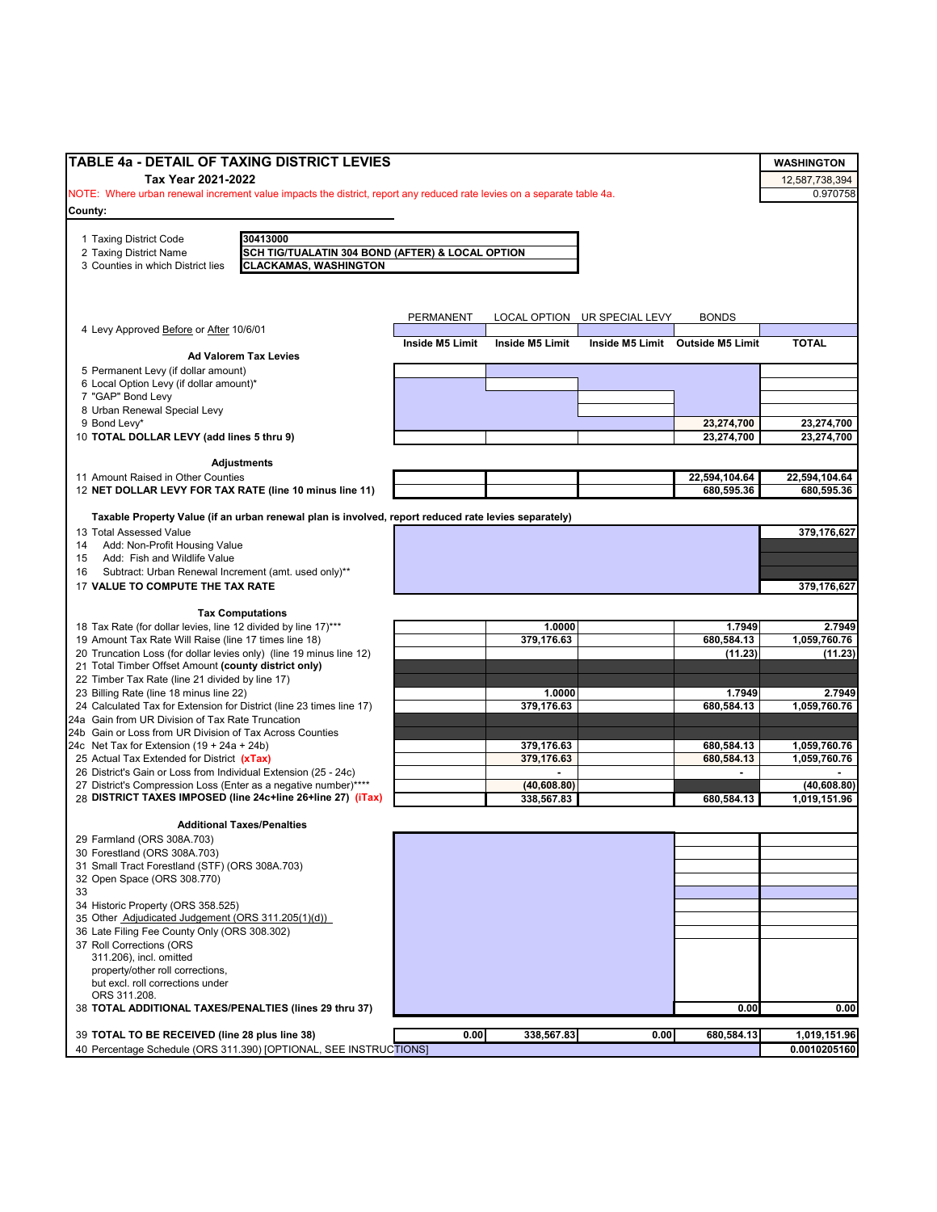| <b>TABLE 4a - DETAIL OF TAXING DISTRICT LEVIES</b>                                                                                              |                 |                                          |                              |                                  | <b>WASHINGTON</b>            |
|-------------------------------------------------------------------------------------------------------------------------------------------------|-----------------|------------------------------------------|------------------------------|----------------------------------|------------------------------|
| Tax Year 2021-2022                                                                                                                              |                 |                                          |                              |                                  | 12,587,738,394               |
| NOTE: Where urban renewal increment value impacts the district, report any reduced rate levies on a separate table 4a.                          |                 |                                          |                              |                                  | 0.970758                     |
| County:                                                                                                                                         |                 |                                          |                              |                                  |                              |
|                                                                                                                                                 |                 |                                          |                              |                                  |                              |
| 30413000<br>1 Taxing District Code                                                                                                              |                 |                                          |                              |                                  |                              |
| SCH TIG/TUALATIN 304 BOND (AFTER) & LOCAL OPTION<br>2 Taxing District Name<br><b>CLACKAMAS, WASHINGTON</b><br>3 Counties in which District lies |                 |                                          |                              |                                  |                              |
|                                                                                                                                                 |                 |                                          |                              |                                  |                              |
|                                                                                                                                                 |                 |                                          |                              |                                  |                              |
|                                                                                                                                                 | PERMANENT       |                                          |                              | <b>BONDS</b>                     |                              |
| 4 Levy Approved Before or After 10/6/01                                                                                                         |                 |                                          | LOCAL OPTION UR SPECIAL LEVY |                                  |                              |
|                                                                                                                                                 | Inside M5 Limit | Inside M5 Limit                          |                              | Inside M5 Limit Outside M5 Limit | <b>TOTAL</b>                 |
| <b>Ad Valorem Tax Levies</b>                                                                                                                    |                 |                                          |                              |                                  |                              |
| 5 Permanent Levy (if dollar amount)<br>6 Local Option Levy (if dollar amount)*                                                                  |                 |                                          |                              |                                  |                              |
| 7 "GAP" Bond Levy                                                                                                                               |                 |                                          |                              |                                  |                              |
| 8 Urban Renewal Special Levy                                                                                                                    |                 |                                          |                              |                                  |                              |
| 9 Bond Levy*                                                                                                                                    |                 |                                          |                              | 23,274,700                       | 23,274,700                   |
| 10 TOTAL DOLLAR LEVY (add lines 5 thru 9)                                                                                                       |                 |                                          |                              | 23,274,700                       | 23,274,700                   |
| <b>Adjustments</b>                                                                                                                              |                 |                                          |                              |                                  |                              |
| 11 Amount Raised in Other Counties                                                                                                              |                 |                                          |                              | 22,594,104.64                    | 22,594,104.64                |
| 12 NET DOLLAR LEVY FOR TAX RATE (line 10 minus line 11)                                                                                         |                 |                                          |                              | 680,595.36                       | 680,595.36                   |
|                                                                                                                                                 |                 |                                          |                              |                                  |                              |
| Taxable Property Value (if an urban renewal plan is involved, report reduced rate levies separately)                                            |                 |                                          |                              |                                  |                              |
| 13 Total Assessed Value<br>Add: Non-Profit Housing Value<br>14                                                                                  |                 |                                          |                              |                                  | 379,176,627                  |
| Add: Fish and Wildlife Value<br>15                                                                                                              |                 |                                          |                              |                                  |                              |
| Subtract: Urban Renewal Increment (amt. used only)**<br>16                                                                                      |                 |                                          |                              |                                  |                              |
| 17 VALUE TO COMPUTE THE TAX RATE                                                                                                                |                 |                                          |                              |                                  | 379,176,627                  |
|                                                                                                                                                 |                 |                                          |                              |                                  |                              |
| <b>Tax Computations</b><br>18 Tax Rate (for dollar levies, line 12 divided by line 17)***                                                       |                 | 1.0000                                   |                              | 1.7949                           | 2.7949                       |
| 19 Amount Tax Rate Will Raise (line 17 times line 18)                                                                                           |                 | 379,176.63                               |                              | 680,584.13                       | 1,059,760.76                 |
| 20 Truncation Loss (for dollar levies only) (line 19 minus line 12)                                                                             |                 |                                          |                              | (11.23)                          | (11.23)                      |
| 21 Total Timber Offset Amount (county district only)                                                                                            |                 |                                          |                              |                                  |                              |
| 22 Timber Tax Rate (line 21 divided by line 17)                                                                                                 |                 |                                          |                              |                                  |                              |
| 23 Billing Rate (line 18 minus line 22)                                                                                                         |                 | 1.0000                                   |                              | 1.7949                           | 2.7949                       |
| 24 Calculated Tax for Extension for District (line 23 times line 17)<br>24a Gain from UR Division of Tax Rate Truncation                        |                 | 379,176.63                               |                              | 680,584.13                       | 1,059,760.76                 |
| 24b Gain or Loss from UR Division of Tax Across Counties                                                                                        |                 |                                          |                              |                                  |                              |
| 24c Net Tax for Extension (19 + 24a + 24b)                                                                                                      |                 | 379,176.63                               |                              | 680,584.13                       | 1,059,760.76                 |
| 25 Actual Tax Extended for District (xTax)                                                                                                      |                 | 379.176.63                               |                              | 680,584.13                       | 1,059,760.76                 |
| 26 District's Gain or Loss from Individual Extension (25 - 24c)<br>27 District's Compression Loss (Enter as a negative number)****              |                 | $\overline{\phantom{a}}$<br>(40, 608.80) |                              | ٠                                |                              |
| 28 DISTRICT TAXES IMPOSED (line 24c+line 26+line 27) (iTax)                                                                                     |                 | 338,567.83                               |                              | 680,584.13                       | (40, 608.80)<br>1,019,151.96 |
|                                                                                                                                                 |                 |                                          |                              |                                  |                              |
| <b>Additional Taxes/Penalties</b>                                                                                                               |                 |                                          |                              |                                  |                              |
| 29 Farmland (ORS 308A.703)                                                                                                                      |                 |                                          |                              |                                  |                              |
| 30 Forestland (ORS 308A.703)<br>31 Small Tract Forestland (STF) (ORS 308A.703)                                                                  |                 |                                          |                              |                                  |                              |
| 32 Open Space (ORS 308.770)                                                                                                                     |                 |                                          |                              |                                  |                              |
| 33                                                                                                                                              |                 |                                          |                              |                                  |                              |
| 34 Historic Property (ORS 358.525)                                                                                                              |                 |                                          |                              |                                  |                              |
| 35 Other Adjudicated Judgement (ORS 311.205(1)(d))                                                                                              |                 |                                          |                              |                                  |                              |
| 36 Late Filing Fee County Only (ORS 308.302)                                                                                                    |                 |                                          |                              |                                  |                              |
| 37 Roll Corrections (ORS<br>311.206), incl. omitted                                                                                             |                 |                                          |                              |                                  |                              |
| property/other roll corrections,                                                                                                                |                 |                                          |                              |                                  |                              |
| but excl. roll corrections under                                                                                                                |                 |                                          |                              |                                  |                              |
| ORS 311.208.                                                                                                                                    |                 |                                          |                              |                                  |                              |
| 38 TOTAL ADDITIONAL TAXES/PENALTIES (lines 29 thru 37)                                                                                          |                 |                                          |                              | 0.00                             | 0.00                         |
| 39 TOTAL TO BE RECEIVED (line 28 plus line 38)                                                                                                  | 0.00            | 338,567.83                               | 0.00                         | 680,584.13                       | 1,019,151.96                 |
| 40 Percentage Schedule (ORS 311.390) [OPTIONAL, SEE INSTRUCTIONS]                                                                               |                 |                                          |                              |                                  | 0.0010205160                 |
|                                                                                                                                                 |                 |                                          |                              |                                  |                              |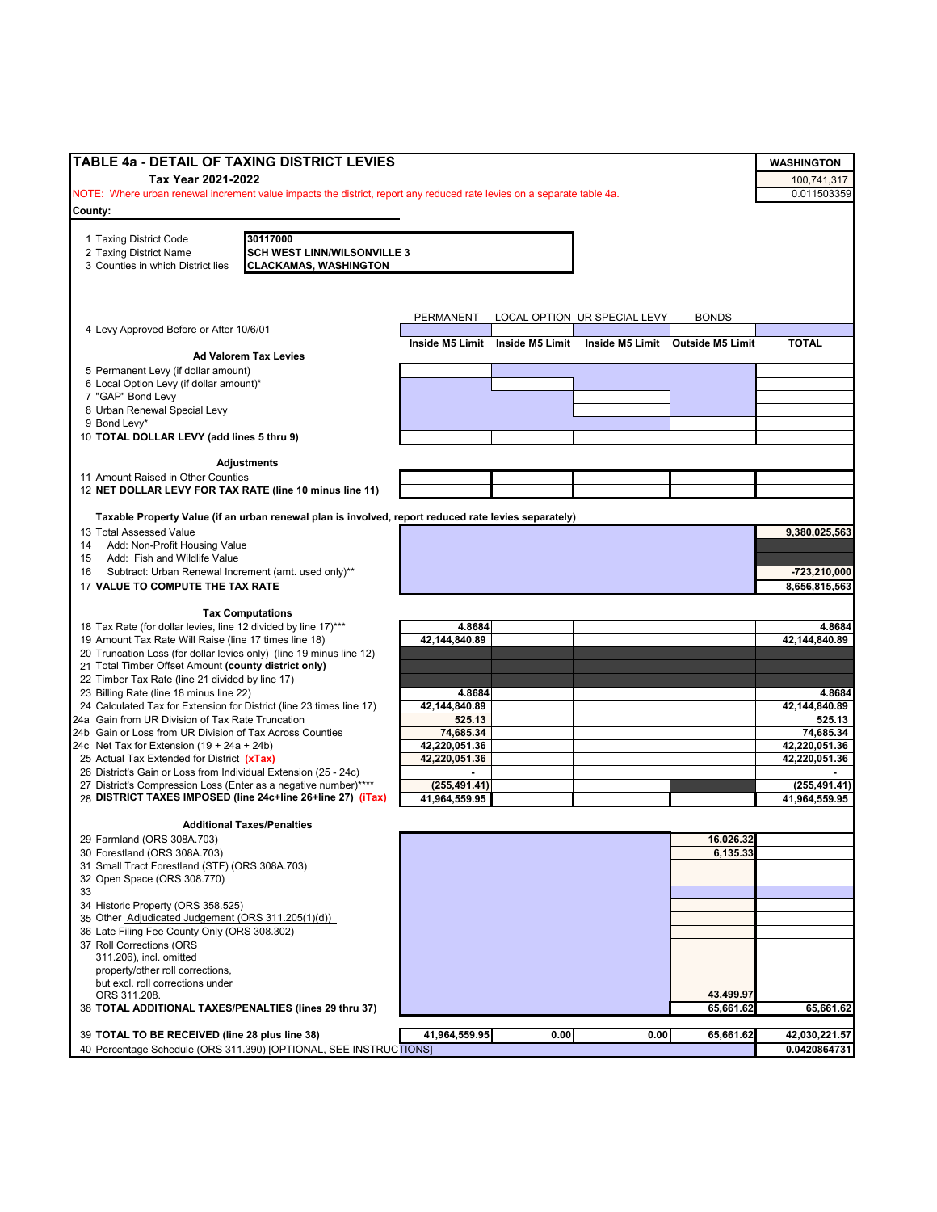| TABLE 4a - DETAIL OF TAXING DISTRICT LEVIES                                                                            |                 |                 |                              |                                  | <b>WASHINGTON</b> |
|------------------------------------------------------------------------------------------------------------------------|-----------------|-----------------|------------------------------|----------------------------------|-------------------|
|                                                                                                                        |                 |                 |                              |                                  |                   |
| Tax Year 2021-2022                                                                                                     |                 |                 |                              |                                  | 100,741,317       |
| NOTE: Where urban renewal increment value impacts the district, report any reduced rate levies on a separate table 4a. |                 |                 |                              |                                  | 0.011503359       |
| County:                                                                                                                |                 |                 |                              |                                  |                   |
|                                                                                                                        |                 |                 |                              |                                  |                   |
| 30117000<br>1 Taxing District Code<br>2 Taxing District Name<br><b>SCH WEST LINN/WILSONVILLE 3</b>                     |                 |                 |                              |                                  |                   |
| 3 Counties in which District lies<br><b>CLACKAMAS, WASHINGTON</b>                                                      |                 |                 |                              |                                  |                   |
|                                                                                                                        |                 |                 |                              |                                  |                   |
|                                                                                                                        |                 |                 |                              |                                  |                   |
|                                                                                                                        |                 |                 |                              |                                  |                   |
|                                                                                                                        | PERMANENT       |                 | LOCAL OPTION UR SPECIAL LEVY | <b>BONDS</b>                     |                   |
| 4 Levy Approved Before or After 10/6/01                                                                                |                 |                 |                              |                                  |                   |
|                                                                                                                        | Inside M5 Limit | Inside M5 Limit |                              | Inside M5 Limit Outside M5 Limit | <b>TOTAL</b>      |
| <b>Ad Valorem Tax Levies</b>                                                                                           |                 |                 |                              |                                  |                   |
| 5 Permanent Levy (if dollar amount)                                                                                    |                 |                 |                              |                                  |                   |
| 6 Local Option Levy (if dollar amount)*<br>7 "GAP" Bond Levy                                                           |                 |                 |                              |                                  |                   |
| 8 Urban Renewal Special Levy                                                                                           |                 |                 |                              |                                  |                   |
| 9 Bond Levy*                                                                                                           |                 |                 |                              |                                  |                   |
| 10 TOTAL DOLLAR LEVY (add lines 5 thru 9)                                                                              |                 |                 |                              |                                  |                   |
|                                                                                                                        |                 |                 |                              |                                  |                   |
| <b>Adjustments</b>                                                                                                     |                 |                 |                              |                                  |                   |
| 11 Amount Raised in Other Counties                                                                                     |                 |                 |                              |                                  |                   |
| 12 NET DOLLAR LEVY FOR TAX RATE (line 10 minus line 11)                                                                |                 |                 |                              |                                  |                   |
|                                                                                                                        |                 |                 |                              |                                  |                   |
| Taxable Property Value (if an urban renewal plan is involved, report reduced rate levies separately)                   |                 |                 |                              |                                  |                   |
| 13 Total Assessed Value                                                                                                |                 |                 |                              |                                  | 9,380,025,563     |
| 14 Add: Non-Profit Housing Value                                                                                       |                 |                 |                              |                                  |                   |
| 15 Add: Fish and Wildlife Value                                                                                        |                 |                 |                              |                                  |                   |
| Subtract: Urban Renewal Increment (amt. used only)**<br>16                                                             |                 |                 |                              |                                  | -723,210,000      |
| 17 VALUE TO COMPUTE THE TAX RATE                                                                                       |                 |                 |                              |                                  | 8.656.815.563     |
|                                                                                                                        |                 |                 |                              |                                  |                   |
| <b>Tax Computations</b>                                                                                                |                 |                 |                              |                                  |                   |
| 18 Tax Rate (for dollar levies, line 12 divided by line 17)***                                                         | 4.8684          |                 |                              |                                  | 4.8684            |
| 19 Amount Tax Rate Will Raise (line 17 times line 18)                                                                  | 42,144,840.89   |                 |                              |                                  | 42,144,840.89     |
| 20 Truncation Loss (for dollar levies only) (line 19 minus line 12)                                                    |                 |                 |                              |                                  |                   |
| 21 Total Timber Offset Amount (county district only)                                                                   |                 |                 |                              |                                  |                   |
| 22 Timber Tax Rate (line 21 divided by line 17)                                                                        |                 |                 |                              |                                  |                   |
| 23 Billing Rate (line 18 minus line 22)                                                                                | 4.8684          |                 |                              |                                  | 4.8684            |
| 24 Calculated Tax for Extension for District (line 23 times line 17)                                                   | 42,144,840.89   |                 |                              |                                  | 42,144,840.89     |
| 24a Gain from UR Division of Tax Rate Truncation                                                                       | 525.13          |                 |                              |                                  | 525.13            |
| 24b Gain or Loss from UR Division of Tax Across Counties                                                               | 74,685.34       |                 |                              |                                  | 74,685.34         |
| 24c Net Tax for Extension $(19 + 24a + 24b)$                                                                           | 42,220,051.36   |                 |                              |                                  | 42,220,051.36     |
| 25 Actual Tax Extended for District (xTax)                                                                             | 42,220,051.36   |                 |                              |                                  | 42,220,051.36     |
| 26 District's Gain or Loss from Individual Extension (25 - 24c)                                                        | $\blacksquare$  |                 |                              |                                  |                   |
| 27 District's Compression Loss (Enter as a negative number)****                                                        | (255, 491.41)   |                 |                              |                                  | (255, 491.41)     |
| 28 DISTRICT TAXES IMPOSED (line 24c+line 26+line 27) (iTax)                                                            | 41,964,559.95   |                 |                              |                                  | 41,964,559.95     |
| <b>Additional Taxes/Penalties</b>                                                                                      |                 |                 |                              |                                  |                   |
|                                                                                                                        |                 |                 |                              |                                  |                   |
| 29 Farmland (ORS 308A.703)                                                                                             |                 |                 |                              | 16,026.32<br>6,135.33            |                   |
| 30 Forestland (ORS 308A.703)<br>31 Small Tract Forestland (STF) (ORS 308A.703)                                         |                 |                 |                              |                                  |                   |
| 32 Open Space (ORS 308.770)                                                                                            |                 |                 |                              |                                  |                   |
| 33                                                                                                                     |                 |                 |                              |                                  |                   |
| 34 Historic Property (ORS 358.525)                                                                                     |                 |                 |                              |                                  |                   |
| 35 Other Adjudicated Judgement (ORS 311.205(1)(d))                                                                     |                 |                 |                              |                                  |                   |
| 36 Late Filing Fee County Only (ORS 308.302)                                                                           |                 |                 |                              |                                  |                   |
| 37 Roll Corrections (ORS                                                                                               |                 |                 |                              |                                  |                   |
| 311.206), incl. omitted                                                                                                |                 |                 |                              |                                  |                   |
| property/other roll corrections,                                                                                       |                 |                 |                              |                                  |                   |
| but excl. roll corrections under                                                                                       |                 |                 |                              |                                  |                   |
| ORS 311.208.                                                                                                           |                 |                 |                              | 43,499.97                        |                   |
| 38 TOTAL ADDITIONAL TAXES/PENALTIES (lines 29 thru 37)                                                                 |                 |                 |                              | 65,661.62                        | 65,661.62         |
|                                                                                                                        |                 |                 |                              |                                  |                   |
| 39 TOTAL TO BE RECEIVED (line 28 plus line 38)                                                                         | 41,964,559.95   | 0.00            | 0.00                         | 65,661.62                        | 42,030,221.57     |
| 40 Percentage Schedule (ORS 311.390) [OPTIONAL, SEE INSTRUCTIONS]                                                      |                 |                 |                              |                                  | 0.0420864731      |